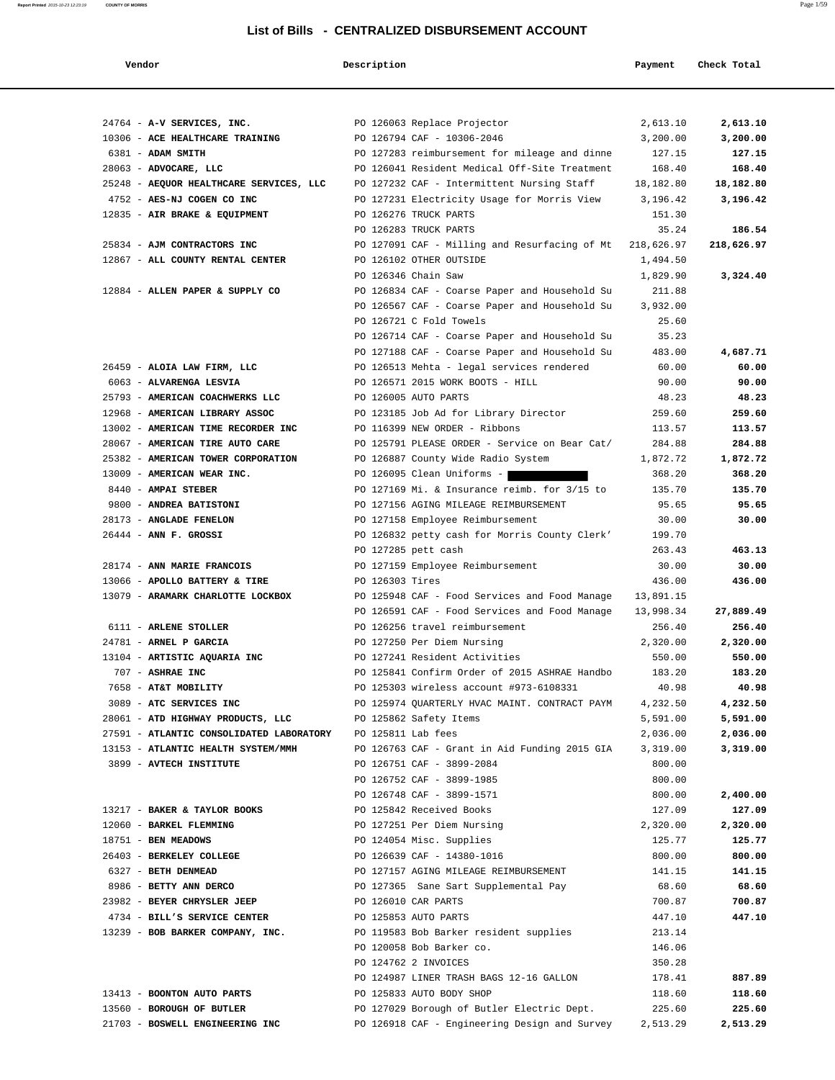| Vendor                                   | Description        |                                                          | Payment   | Check Total |
|------------------------------------------|--------------------|----------------------------------------------------------|-----------|-------------|
|                                          |                    |                                                          |           |             |
| 24764 - A-V SERVICES, INC.               |                    | PO 126063 Replace Projector                              | 2,613.10  | 2,613.10    |
| 10306 - ACE HEALTHCARE TRAINING          |                    | PO 126794 CAF - 10306-2046                               | 3,200.00  | 3,200.00    |
| 6381 - ADAM SMITH                        |                    | PO 127283 reimbursement for mileage and dinne            | 127.15    | 127.15      |
| 28063 - ADVOCARE, LLC                    |                    | PO 126041 Resident Medical Off-Site Treatment            | 168.40    | 168.40      |
| 25248 - AEQUOR HEALTHCARE SERVICES, LLC  |                    | PO 127232 CAF - Intermittent Nursing Staff               | 18,182.80 | 18,182.80   |
| 4752 - AES-NJ COGEN CO INC               |                    | PO 127231 Electricity Usage for Morris View              | 3,196.42  | 3,196.42    |
| 12835 - AIR BRAKE & EQUIPMENT            |                    | PO 126276 TRUCK PARTS                                    | 151.30    |             |
|                                          |                    | PO 126283 TRUCK PARTS                                    | 35.24     | 186.54      |
| 25834 - AJM CONTRACTORS INC              |                    | PO 127091 CAF - Milling and Resurfacing of Mt 218,626.97 |           | 218,626.97  |
| 12867 - ALL COUNTY RENTAL CENTER         |                    | PO 126102 OTHER OUTSIDE                                  | 1,494.50  |             |
|                                          |                    | PO 126346 Chain Saw                                      | 1,829.90  | 3,324.40    |
| 12884 - ALLEN PAPER & SUPPLY CO          |                    | PO 126834 CAF - Coarse Paper and Household Su            | 211.88    |             |
|                                          |                    | PO 126567 CAF - Coarse Paper and Household Su            | 3,932.00  |             |
|                                          |                    | PO 126721 C Fold Towels                                  | 25.60     |             |
|                                          |                    | PO 126714 CAF - Coarse Paper and Household Su            | 35.23     |             |
|                                          |                    | PO 127188 CAF - Coarse Paper and Household Su            | 483.00    | 4,687.71    |
| 26459 - ALOIA LAW FIRM, LLC              |                    | PO 126513 Mehta - legal services rendered                | 60.00     | 60.00       |
| 6063 - ALVARENGA LESVIA                  |                    | PO 126571 2015 WORK BOOTS - HILL                         | 90.00     | 90.00       |
| 25793 - AMERICAN COACHWERKS LLC          |                    | PO 126005 AUTO PARTS                                     | 48.23     | 48.23       |
| 12968 - AMERICAN LIBRARY ASSOC           |                    | PO 123185 Job Ad for Library Director                    | 259.60    | 259.60      |
| 13002 - AMERICAN TIME RECORDER INC       |                    | PO 116399 NEW ORDER - Ribbons                            | 113.57    | 113.57      |
| 28067 - AMERICAN TIRE AUTO CARE          |                    | PO 125791 PLEASE ORDER - Service on Bear Cat/            | 284.88    | 284.88      |
| 25382 - AMERICAN TOWER CORPORATION       |                    | PO 126887 County Wide Radio System                       | 1,872.72  | 1,872.72    |
| 13009 - AMERICAN WEAR INC.               |                    | PO 126095 Clean Uniforms -                               | 368.20    | 368.20      |
| 8440 - AMPAI STEBER                      |                    | PO 127169 Mi. & Insurance reimb. for 3/15 to             | 135.70    | 135.70      |
| 9800 - ANDREA BATISTONI                  |                    | PO 127156 AGING MILEAGE REIMBURSEMENT                    | 95.65     | 95.65       |
| 28173 - ANGLADE FENELON                  |                    | PO 127158 Employee Reimbursement                         | 30.00     | 30.00       |
| $26444$ - ANN F. GROSSI                  |                    | PO 126832 petty cash for Morris County Clerk'            | 199.70    |             |
|                                          |                    | PO 127285 pett cash                                      | 263.43    | 463.13      |
| 28174 - ANN MARIE FRANCOIS               |                    | PO 127159 Employee Reimbursement                         | 30.00     | 30.00       |
| 13066 - APOLLO BATTERY & TIRE            | PO 126303 Tires    |                                                          | 436.00    | 436.00      |
| 13079 - ARAMARK CHARLOTTE LOCKBOX        |                    | PO 125948 CAF - Food Services and Food Manage            | 13,891.15 |             |
|                                          |                    | PO 126591 CAF - Food Services and Food Manage            | 13,998.34 | 27,889.49   |
| 6111 - ARLENE STOLLER                    |                    | PO 126256 travel reimbursement                           | 256.40    | 256.40      |
| 24781 - ARNEL P GARCIA                   |                    | PO 127250 Per Diem Nursing                               | 2,320.00  | 2,320.00    |
| 13104 - ARTISTIC AQUARIA INC             |                    | PO 127241 Resident Activities                            | 550.00    | 550.00      |
| 707 - ASHRAE INC                         |                    | PO 125841 Confirm Order of 2015 ASHRAE Handbo            | 183.20    | 183.20      |
| 7658 - AT&T MOBILITY                     |                    | PO 125303 wireless account #973-6108331                  | 40.98     | 40.98       |
| 3089 - ATC SERVICES INC                  |                    | PO 125974 QUARTERLY HVAC MAINT. CONTRACT PAYM            | 4,232.50  | 4,232.50    |
| 28061 - ATD HIGHWAY PRODUCTS, LLC        |                    | PO 125862 Safety Items                                   | 5,591.00  | 5,591.00    |
| 27591 - ATLANTIC CONSOLIDATED LABORATORY | PO 125811 Lab fees |                                                          | 2,036.00  | 2,036.00    |
| 13153 - ATLANTIC HEALTH SYSTEM/MMH       |                    | PO 126763 CAF - Grant in Aid Funding 2015 GIA            | 3,319.00  | 3,319.00    |
| 3899 - AVTECH INSTITUTE                  |                    | PO 126751 CAF - 3899-2084                                | 800.00    |             |
|                                          |                    | PO 126752 CAF - 3899-1985                                | 800.00    |             |
|                                          |                    | PO 126748 CAF - 3899-1571                                | 800.00    | 2,400.00    |
| 13217 - BAKER & TAYLOR BOOKS             |                    | PO 125842 Received Books                                 | 127.09    | 127.09      |
| 12060 - BARKEL FLEMMING                  |                    | PO 127251 Per Diem Nursing                               | 2,320.00  | 2,320.00    |
| 18751 - BEN MEADOWS                      |                    | PO 124054 Misc. Supplies                                 | 125.77    | 125.77      |
| 26403 - BERKELEY COLLEGE                 |                    | PO 126639 CAF - 14380-1016                               | 800.00    | 800.00      |
| 6327 - BETH DENMEAD                      |                    | PO 127157 AGING MILEAGE REIMBURSEMENT                    | 141.15    | 141.15      |
| 8986 - BETTY ANN DERCO                   |                    | PO 127365 Sane Sart Supplemental Pay                     | 68.60     | 68.60       |
| 23982 - BEYER CHRYSLER JEEP              |                    | PO 126010 CAR PARTS                                      | 700.87    | 700.87      |
| 4734 - BILL'S SERVICE CENTER             |                    | PO 125853 AUTO PARTS                                     | 447.10    | 447.10      |
| 13239 - BOB BARKER COMPANY, INC.         |                    | PO 119583 Bob Barker resident supplies                   | 213.14    |             |
|                                          |                    | PO 120058 Bob Barker co.                                 | 146.06    |             |
|                                          |                    | PO 124762 2 INVOICES                                     | 350.28    |             |
|                                          |                    | PO 124987 LINER TRASH BAGS 12-16 GALLON                  | 178.41    | 887.89      |
| 13413 - BOONTON AUTO PARTS               |                    | PO 125833 AUTO BODY SHOP                                 | 118.60    | 118.60      |
| 13560 - BOROUGH OF BUTLER                |                    | PO 127029 Borough of Butler Electric Dept.               | 225.60    | 225.60      |
| 21703 - BOSWELL ENGINEERING INC          |                    | PO 126918 CAF - Engineering Design and Survey            | 2,513.29  | 2,513.29    |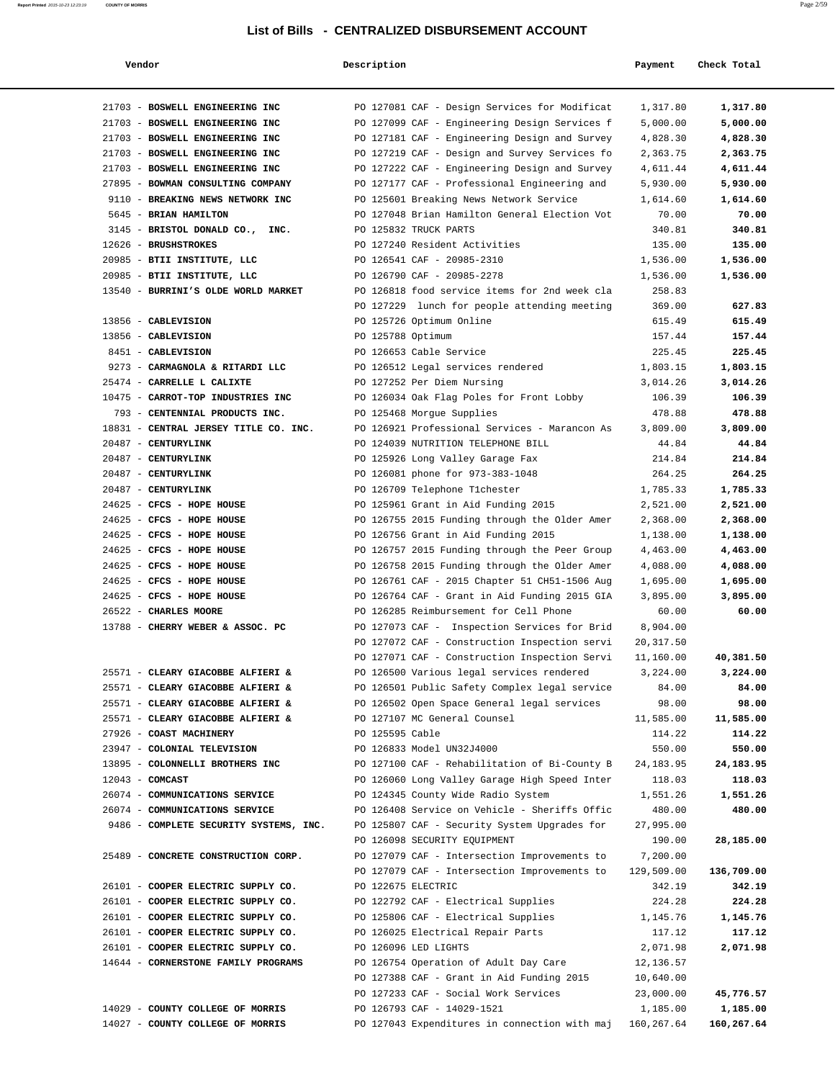| Vendor                                 | Description        |                                               | Payment    | Check Total |
|----------------------------------------|--------------------|-----------------------------------------------|------------|-------------|
| 21703 - BOSWELL ENGINEERING INC        |                    | PO 127081 CAF - Design Services for Modificat | 1,317.80   | 1,317.80    |
| 21703 - BOSWELL ENGINEERING INC        |                    | PO 127099 CAF - Engineering Design Services f | 5,000.00   | 5,000.00    |
| 21703 - BOSWELL ENGINEERING INC        |                    | PO 127181 CAF - Engineering Design and Survey | 4,828.30   | 4,828.30    |
| 21703 - BOSWELL ENGINEERING INC        |                    | PO 127219 CAF - Design and Survey Services fo | 2,363.75   | 2,363.75    |
| 21703 - BOSWELL ENGINEERING INC        |                    | PO 127222 CAF - Engineering Design and Survey | 4,611.44   | 4,611.44    |
| 27895 - BOWMAN CONSULTING COMPANY      |                    | PO 127177 CAF - Professional Engineering and  | 5,930.00   | 5,930.00    |
| 9110 - BREAKING NEWS NETWORK INC       |                    | PO 125601 Breaking News Network Service       | 1,614.60   | 1,614.60    |
| 5645 - BRIAN HAMILTON                  |                    | PO 127048 Brian Hamilton General Election Vot | 70.00      | 70.00       |
| 3145 - BRISTOL DONALD CO., INC.        |                    | PO 125832 TRUCK PARTS                         | 340.81     | 340.81      |
| 12626 - BRUSHSTROKES                   |                    | PO 127240 Resident Activities                 | 135.00     | 135.00      |
| 20985 - BTII INSTITUTE, LLC            |                    | PO 126541 CAF - 20985-2310                    | 1,536.00   | 1,536.00    |
| 20985 - BTII INSTITUTE, LLC            |                    | PO 126790 CAF - 20985-2278                    | 1,536.00   | 1,536.00    |
| 13540 - BURRINI'S OLDE WORLD MARKET    |                    | PO 126818 food service items for 2nd week cla | 258.83     |             |
|                                        |                    | PO 127229 lunch for people attending meeting  | 369.00     | 627.83      |
| 13856 - CABLEVISION                    |                    | PO 125726 Optimum Online                      | 615.49     | 615.49      |
| 13856 - CABLEVISION                    | PO 125788 Optimum  |                                               | 157.44     | 157.44      |
| 8451 - CABLEVISION                     |                    | PO 126653 Cable Service                       | 225.45     | 225.45      |
| 9273 - CARMAGNOLA & RITARDI LLC        |                    | PO 126512 Legal services rendered             | 1,803.15   | 1,803.15    |
| 25474 - CARRELLE L CALIXTE             |                    | PO 127252 Per Diem Nursing                    | 3,014.26   | 3,014.26    |
| 10475 - CARROT-TOP INDUSTRIES INC      |                    | PO 126034 Oak Flag Poles for Front Lobby      | 106.39     | 106.39      |
| 793 - CENTENNIAL PRODUCTS INC.         |                    | PO 125468 Morgue Supplies                     | 478.88     | 478.88      |
| 18831 - CENTRAL JERSEY TITLE CO. INC.  |                    | PO 126921 Professional Services - Marancon As | 3,809.00   | 3,809.00    |
| 20487 - CENTURYLINK                    |                    | PO 124039 NUTRITION TELEPHONE BILL            | 44.84      | 44.84       |
| 20487 - CENTURYLINK                    |                    | PO 125926 Long Valley Garage Fax              | 214.84     | 214.84      |
| 20487 - CENTURYLINK                    |                    | PO 126081 phone for 973-383-1048              | 264.25     | 264.25      |
| 20487 - CENTURYLINK                    |                    | PO 126709 Telephone T1chester                 | 1,785.33   | 1,785.33    |
| 24625 - CFCS - HOPE HOUSE              |                    | PO 125961 Grant in Aid Funding 2015           | 2,521.00   | 2,521.00    |
| 24625 - CFCS - HOPE HOUSE              |                    | PO 126755 2015 Funding through the Older Amer | 2,368.00   | 2,368.00    |
| 24625 - CFCS - HOPE HOUSE              |                    | PO 126756 Grant in Aid Funding 2015           | 1,138.00   | 1,138.00    |
| 24625 - CFCS - HOPE HOUSE              |                    | PO 126757 2015 Funding through the Peer Group | 4,463.00   | 4,463.00    |
| 24625 - CFCS - HOPE HOUSE              |                    | PO 126758 2015 Funding through the Older Amer | 4,088.00   | 4,088.00    |
| 24625 - CFCS - HOPE HOUSE              |                    | PO 126761 CAF - 2015 Chapter 51 CH51-1506 Aug | 1,695.00   | 1,695.00    |
| 24625 - CFCS - HOPE HOUSE              |                    | PO 126764 CAF - Grant in Aid Funding 2015 GIA | 3,895.00   | 3,895.00    |
| 26522 - CHARLES MOORE                  |                    | PO 126285 Reimbursement for Cell Phone        | 60.00      | 60.00       |
| 13788 - CHERRY WEBER & ASSOC. PC       |                    | PO 127073 CAF - Inspection Services for Brid  | 8,904.00   |             |
|                                        |                    | PO 127072 CAF - Construction Inspection servi | 20, 317.50 |             |
|                                        |                    | PO 127071 CAF - Construction Inspection Servi | 11,160.00  | 40,381.50   |
| 25571 - CLEARY GIACOBBE ALFIERI &      |                    | PO 126500 Various legal services rendered     | 3,224.00   | 3,224.00    |
| 25571 - CLEARY GIACOBBE ALFIERI &      |                    | PO 126501 Public Safety Complex legal service | 84.00      | 84.00       |
| 25571 - CLEARY GIACOBBE ALFIERI &      |                    | PO 126502 Open Space General legal services   | 98.00      | 98.00       |
| 25571 - CLEARY GIACOBBE ALFIERI &      |                    | PO 127107 MC General Counsel                  | 11,585.00  | 11,585.00   |
| 27926 - COAST MACHINERY                | PO 125595 Cable    |                                               | 114.22     | 114.22      |
| 23947 - COLONIAL TELEVISION            |                    | PO 126833 Model UN32J4000                     | 550.00     | 550.00      |
| 13895 - COLONNELLI BROTHERS INC        |                    | PO 127100 CAF - Rehabilitation of Bi-County B | 24, 183.95 | 24,183.95   |
| $12043$ - COMCAST                      |                    | PO 126060 Long Valley Garage High Speed Inter | 118.03     | 118.03      |
| 26074 - COMMUNICATIONS SERVICE         |                    | PO 124345 County Wide Radio System            | 1,551.26   | 1,551.26    |
| 26074 - COMMUNICATIONS SERVICE         |                    | PO 126408 Service on Vehicle - Sheriffs Offic | 480.00     | 480.00      |
| 9486 - COMPLETE SECURITY SYSTEMS, INC. |                    | PO 125807 CAF - Security System Upgrades for  | 27,995.00  |             |
|                                        |                    | PO 126098 SECURITY EQUIPMENT                  | 190.00     | 28,185.00   |
| 25489 - CONCRETE CONSTRUCTION CORP.    |                    | PO 127079 CAF - Intersection Improvements to  | 7,200.00   |             |
|                                        |                    | PO 127079 CAF - Intersection Improvements to  | 129,509.00 | 136,709.00  |
| 26101 - COOPER ELECTRIC SUPPLY CO.     | PO 122675 ELECTRIC |                                               | 342.19     | 342.19      |
| 26101 - COOPER ELECTRIC SUPPLY CO.     |                    | PO 122792 CAF - Electrical Supplies           | 224.28     | 224.28      |
| 26101 - COOPER ELECTRIC SUPPLY CO.     |                    | PO 125806 CAF - Electrical Supplies           | 1,145.76   | 1,145.76    |
| 26101 - COOPER ELECTRIC SUPPLY CO.     |                    | PO 126025 Electrical Repair Parts             | 117.12     | 117.12      |
| 26101 - COOPER ELECTRIC SUPPLY CO.     |                    | PO 126096 LED LIGHTS                          | 2,071.98   | 2,071.98    |
| 14644 - CORNERSTONE FAMILY PROGRAMS    |                    | PO 126754 Operation of Adult Day Care         | 12,136.57  |             |
|                                        |                    | PO 127388 CAF - Grant in Aid Funding 2015     | 10,640.00  |             |
|                                        |                    | PO 127233 CAF - Social Work Services          | 23,000.00  | 45,776.57   |
| 14029 - COUNTY COLLEGE OF MORRIS       |                    | PO 126793 CAF - 14029-1521                    | 1,185.00   | 1,185.00    |
| 14027 - COUNTY COLLEGE OF MORRIS       |                    | PO 127043 Expenditures in connection with maj | 160,267.64 | 160,267.64  |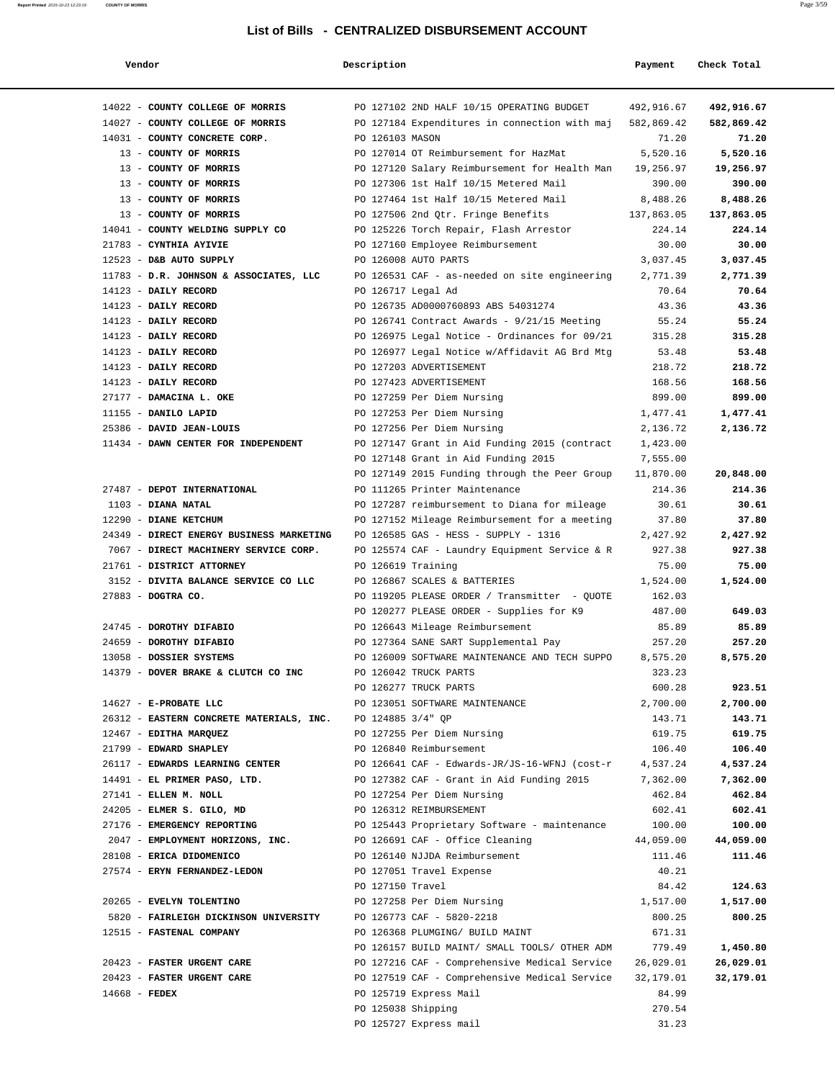| Vendor                                                           | Description        |                                                | Payment          | Check Total |
|------------------------------------------------------------------|--------------------|------------------------------------------------|------------------|-------------|
| 14022 - COUNTY COLLEGE OF MORRIS                                 |                    | PO 127102 2ND HALF 10/15 OPERATING BUDGET      | 492,916.67       | 492,916.67  |
| 14027 - COUNTY COLLEGE OF MORRIS                                 |                    | PO 127184 Expenditures in connection with maj  | 582,869.42       | 582,869.42  |
| 14031 - COUNTY CONCRETE CORP.                                    | PO 126103 MASON    |                                                | 71.20            | 71.20       |
| 13 - COUNTY OF MORRIS                                            |                    | PO 127014 OT Reimbursement for HazMat          | 5,520.16         | 5,520.16    |
| 13 - COUNTY OF MORRIS                                            |                    | PO 127120 Salary Reimbursement for Health Man  | 19,256.97        | 19,256.97   |
| 13 - COUNTY OF MORRIS                                            |                    | PO 127306 1st Half 10/15 Metered Mail          | 390.00           | 390.00      |
| 13 - COUNTY OF MORRIS                                            |                    | PO 127464 1st Half 10/15 Metered Mail          | 8,488.26         | 8,488.26    |
| 13 - COUNTY OF MORRIS                                            |                    | PO 127506 2nd Qtr. Fringe Benefits             | 137,863.05       | 137,863.05  |
| 14041 - COUNTY WELDING SUPPLY CO                                 |                    | PO 125226 Torch Repair, Flash Arrestor         | 224.14           | 224.14      |
| 21783 - CYNTHIA AYIVIE                                           |                    | PO 127160 Employee Reimbursement               | 30.00            | 30.00       |
| 12523 - D&B AUTO SUPPLY                                          |                    | PO 126008 AUTO PARTS                           | 3,037.45         | 3,037.45    |
| 11783 - D.R. JOHNSON & ASSOCIATES, LLC                           |                    | PO 126531 CAF - as-needed on site engineering  | 2,771.39         | 2,771.39    |
| 14123 - DAILY RECORD                                             | PO 126717 Legal Ad |                                                | 70.64            | 70.64       |
| 14123 - DAILY RECORD                                             |                    | PO 126735 AD0000760893 ABS 54031274            | 43.36            | 43.36       |
| 14123 - DAILY RECORD                                             |                    | PO 126741 Contract Awards - 9/21/15 Meeting    | 55.24            | 55.24       |
| 14123 - DAILY RECORD                                             |                    | PO 126975 Legal Notice - Ordinances for 09/21  | 315.28           | 315.28      |
| 14123 - DAILY RECORD                                             |                    | PO 126977 Legal Notice w/Affidavit AG Brd Mtg  | 53.48            | 53.48       |
| 14123 - DAILY RECORD                                             |                    | PO 127203 ADVERTISEMENT                        | 218.72           | 218.72      |
| 14123 - DAILY RECORD                                             |                    | PO 127423 ADVERTISEMENT                        | 168.56           | 168.56      |
| 27177 - DAMACINA L. OKE                                          |                    | PO 127259 Per Diem Nursing                     | 899.00           | 899.00      |
| 11155 - DANILO LAPID                                             |                    | PO 127253 Per Diem Nursing                     | 1,477.41         | 1,477.41    |
| 25386 - DAVID JEAN-LOUIS                                         |                    | PO 127256 Per Diem Nursing                     | 2,136.72         | 2,136.72    |
| 11434 - DAWN CENTER FOR INDEPENDENT                              |                    | PO 127147 Grant in Aid Funding 2015 (contract  | 1,423.00         |             |
|                                                                  |                    | PO 127148 Grant in Aid Funding 2015            | 7,555.00         |             |
|                                                                  |                    | PO 127149 2015 Funding through the Peer Group  | 11,870.00        | 20,848.00   |
| 27487 - DEPOT INTERNATIONAL                                      |                    | PO 111265 Printer Maintenance                  | 214.36           | 214.36      |
| $1103$ - DIANA NATAL                                             |                    | PO 127287 reimbursement to Diana for mileage   | 30.61            | 30.61       |
| 12290 - DIANE KETCHUM                                            |                    | PO 127152 Mileage Reimbursement for a meeting  | 37.80            | 37.80       |
| 24349 - DIRECT ENERGY BUSINESS MARKETING                         |                    | PO 126585 GAS - HESS - SUPPLY - 1316           | 2,427.92         | 2,427.92    |
| 7067 - DIRECT MACHINERY SERVICE CORP.                            |                    | PO 125574 CAF - Laundry Equipment Service & R  | 927.38           | 927.38      |
| 21761 - DISTRICT ATTORNEY                                        | PO 126619 Training |                                                | 75.00            | 75.00       |
| 3152 - DIVITA BALANCE SERVICE CO LLC                             |                    | PO 126867 SCALES & BATTERIES                   | 1,524.00         | 1,524.00    |
| 27883 - DOGTRA CO.                                               |                    | PO 119205 PLEASE ORDER / Transmitter - QUOTE   | 162.03           |             |
|                                                                  |                    | PO 120277 PLEASE ORDER - Supplies for K9       | 487.00           | 649.03      |
| 24745 - DOROTHY DIFABIO                                          |                    | PO 126643 Mileage Reimbursement                | 85.89            | 85.89       |
| 24659 - DOROTHY DIFABIO                                          |                    | PO 127364 SANE SART Supplemental Pay           | 257.20           | 257.20      |
| 13058 - DOSSIER SYSTEMS                                          |                    | PO 126009 SOFTWARE MAINTENANCE AND TECH SUPPO  | 8,575.20         | 8,575.20    |
| 14379 - DOVER BRAKE & CLUTCH CO INC                              |                    | PO 126042 TRUCK PARTS<br>PO 126277 TRUCK PARTS | 323.23<br>600.28 | 923.51      |
| 14627 - E-PROBATE LLC                                            |                    | PO 123051 SOFTWARE MAINTENANCE                 | 2,700.00         | 2,700.00    |
| 26312 - EASTERN CONCRETE MATERIALS, INC. PO 124885 3/4" QP       |                    |                                                | 143.71           | 143.71      |
| 12467 - EDITHA MARQUEZ                                           |                    | PO 127255 Per Diem Nursing                     | 619.75           | 619.75      |
| 21799 - EDWARD SHAPLEY                                           |                    | PO 126840 Reimbursement                        | 106.40           | 106.40      |
| 26117 - EDWARDS LEARNING CENTER                                  |                    | PO 126641 CAF - Edwards-JR/JS-16-WFNJ (cost-r  | 4,537.24         | 4,537.24    |
| 14491 - EL PRIMER PASO, LTD.                                     |                    | PO 127382 CAF - Grant in Aid Funding 2015      | 7,362.00         | 7,362.00    |
| 27141 - ELLEN M. NOLL                                            |                    | PO 127254 Per Diem Nursing                     | 462.84           | 462.84      |
| 24205 - ELMER S. GILO, MD                                        |                    | PO 126312 REIMBURSEMENT                        | 602.41           | 602.41      |
| 27176 - EMERGENCY REPORTING                                      |                    | PO 125443 Proprietary Software - maintenance   | 100.00           | 100.00      |
| 2047 - EMPLOYMENT HORIZONS, INC. PO 126691 CAF - Office Cleaning |                    |                                                | 44,059.00        | 44,059.00   |
| 28108 - ERICA DIDOMENICO                                         |                    | PO 126140 NJJDA Reimbursement                  | 111.46           | 111.46      |
| 27574 - ERYN FERNANDEZ-LEDON                                     |                    | PO 127051 Travel Expense                       | 40.21            |             |
|                                                                  | PO 127150 Travel   |                                                | 84.42            | 124.63      |
| 20265 - EVELYN TOLENTINO                                         |                    | PO 127258 Per Diem Nursing                     | 1,517.00         | 1,517.00    |
| 5820 - FAIRLEIGH DICKINSON UNIVERSITY PO 126773 CAF - 5820-2218  |                    |                                                | 800.25           | 800.25      |
| 12515 - FASTENAL COMPANY                                         |                    | PO 126368 PLUMGING/ BUILD MAINT                | 671.31           |             |
|                                                                  |                    | PO 126157 BUILD MAINT/ SMALL TOOLS/ OTHER ADM  | 779.49           | 1,450.80    |
| 20423 - FASTER URGENT CARE                                       |                    | PO 127216 CAF - Comprehensive Medical Service  | 26,029.01        | 26,029.01   |
| 20423 - FASTER URGENT CARE                                       |                    | PO 127519 CAF - Comprehensive Medical Service  | 32,179.01        | 32,179.01   |
| $14668$ - FEDEX                                                  |                    | PO 125719 Express Mail                         | 84.99            |             |
|                                                                  | PO 125038 Shipping |                                                | 270.54           |             |
|                                                                  |                    | PO 125727 Express mail                         | 31.23            |             |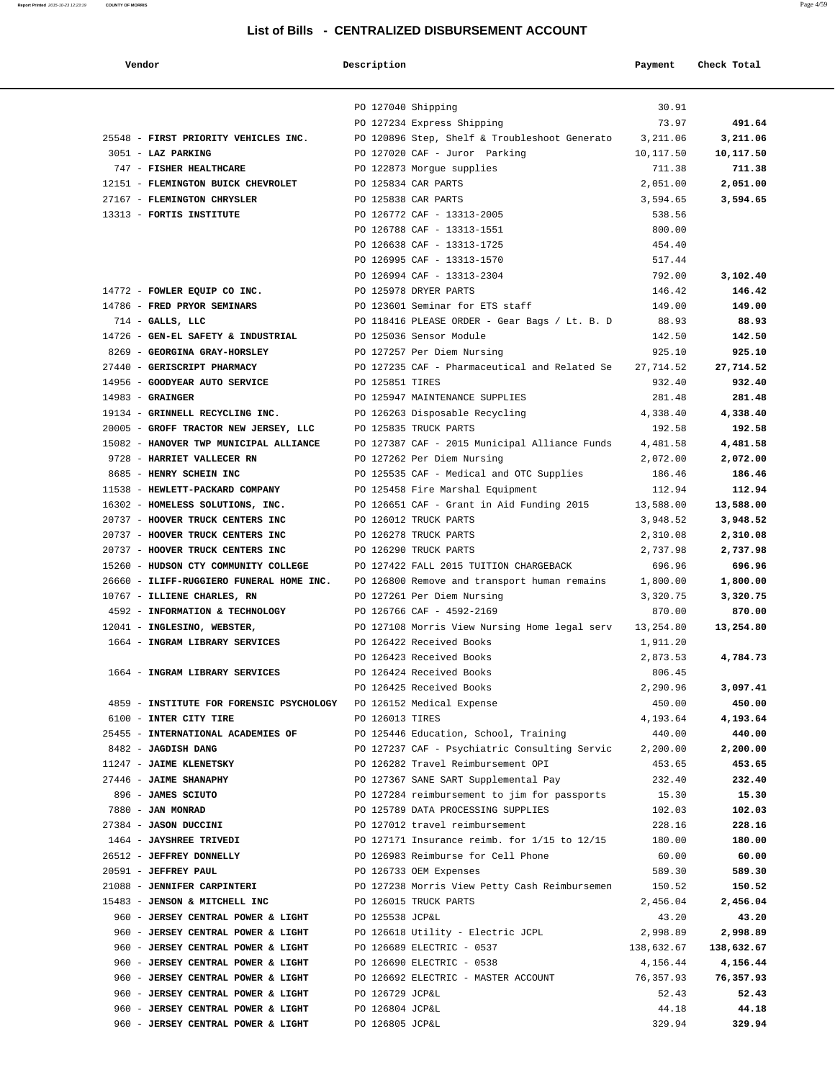| Vendor                                                             | Description        |                                                                                     | Payment          | Check Total     |
|--------------------------------------------------------------------|--------------------|-------------------------------------------------------------------------------------|------------------|-----------------|
|                                                                    |                    |                                                                                     |                  |                 |
|                                                                    | PO 127040 Shipping |                                                                                     | 30.91            |                 |
|                                                                    |                    | PO 127234 Express Shipping                                                          | 73.97            | 491.64          |
| 25548 - FIRST PRIORITY VEHICLES INC.                               |                    | PO 120896 Step, Shelf & Troubleshoot Generato                                       | 3,211.06         | 3,211.06        |
| 3051 - LAZ PARKING                                                 |                    | PO 127020 CAF - Juror Parking                                                       | 10,117.50        | 10,117.50       |
| 747 - FISHER HEALTHCARE                                            |                    | PO 122873 Morgue supplies                                                           | 711.38           | 711.38          |
| 12151 - FLEMINGTON BUICK CHEVROLET                                 |                    | PO 125834 CAR PARTS                                                                 | 2,051.00         | 2,051.00        |
| 27167 - FLEMINGTON CHRYSLER                                        |                    | PO 125838 CAR PARTS                                                                 | 3,594.65         | 3,594.65        |
| 13313 - FORTIS INSTITUTE                                           |                    | PO 126772 CAF - 13313-2005                                                          | 538.56           |                 |
|                                                                    |                    | PO 126788 CAF - 13313-1551                                                          | 800.00           |                 |
|                                                                    |                    | PO 126638 CAF - 13313-1725                                                          | 454.40           |                 |
|                                                                    |                    | PO 126995 CAF - 13313-1570<br>PO 126994 CAF - 13313-2304                            | 517.44<br>792.00 | 3,102.40        |
| 14772 - FOWLER EQUIP CO INC.                                       |                    | PO 125978 DRYER PARTS                                                               | 146.42           | 146.42          |
| 14786 - FRED PRYOR SEMINARS                                        |                    | PO 123601 Seminar for ETS staff                                                     | 149.00           | 149.00          |
| $714$ - GALLS, LLC                                                 |                    | PO 118416 PLEASE ORDER - Gear Bags / Lt. B. D                                       | 88.93            | 88.93           |
| 14726 - GEN-EL SAFETY & INDUSTRIAL                                 |                    | PO 125036 Sensor Module                                                             | 142.50           | 142.50          |
| 8269 - GEORGINA GRAY-HORSLEY                                       |                    | PO 127257 Per Diem Nursing                                                          | 925.10           | 925.10          |
| 27440 - GERISCRIPT PHARMACY                                        |                    | PO 127235 CAF - Pharmaceutical and Related Se                                       | 27, 714.52       | 27,714.52       |
| 14956 - GOODYEAR AUTO SERVICE                                      | PO 125851 TIRES    |                                                                                     | 932.40           | 932.40          |
| $14983$ - GRAINGER                                                 |                    | PO 125947 MAINTENANCE SUPPLIES                                                      | 281.48           | 281.48          |
| 19134 - GRINNELL RECYCLING INC.                                    |                    | PO 126263 Disposable Recycling                                                      | 4,338.40         | 4,338.40        |
| 20005 - GROFF TRACTOR NEW JERSEY, LLC                              |                    | PO 125835 TRUCK PARTS                                                               | 192.58           | 192.58          |
| 15082 - HANOVER TWP MUNICIPAL ALLIANCE                             |                    | PO 127387 CAF - 2015 Municipal Alliance Funds                                       | 4,481.58         | 4,481.58        |
| 9728 - HARRIET VALLECER RN                                         |                    | PO 127262 Per Diem Nursing                                                          | 2,072.00         | 2,072.00        |
| 8685 - HENRY SCHEIN INC                                            |                    | PO 125535 CAF - Medical and OTC Supplies                                            | 186.46           | 186.46          |
| 11538 - HEWLETT-PACKARD COMPANY                                    |                    | PO 125458 Fire Marshal Equipment                                                    | 112.94           | 112.94          |
| 16302 - HOMELESS SOLUTIONS, INC.                                   |                    | PO 126651 CAF - Grant in Aid Funding 2015                                           | 13,588.00        | 13,588.00       |
| 20737 - HOOVER TRUCK CENTERS INC                                   |                    | PO 126012 TRUCK PARTS                                                               | 3,948.52         | 3,948.52        |
| 20737 - HOOVER TRUCK CENTERS INC                                   |                    | PO 126278 TRUCK PARTS                                                               | 2,310.08         | 2,310.08        |
| 20737 - HOOVER TRUCK CENTERS INC                                   |                    | PO 126290 TRUCK PARTS                                                               | 2,737.98         | 2,737.98        |
| 15260 - HUDSON CTY COMMUNITY COLLEGE                               |                    | PO 127422 FALL 2015 TUITION CHARGEBACK                                              | 696.96           | 696.96          |
| 26660 - ILIFF-RUGGIERO FUNERAL HOME INC.                           |                    | PO 126800 Remove and transport human remains                                        | 1,800.00         | 1,800.00        |
| 10767 - ILLIENE CHARLES, RN                                        |                    | PO 127261 Per Diem Nursing                                                          | 3,320.75         | 3,320.75        |
| 4592 - INFORMATION & TECHNOLOGY                                    |                    | PO 126766 CAF - 4592-2169                                                           | 870.00           | 870.00          |
| 12041 - INGLESINO, WEBSTER,                                        |                    | PO 127108 Morris View Nursing Home legal serv                                       | 13,254.80        | 13,254.80       |
| 1664 - INGRAM LIBRARY SERVICES                                     |                    | PO 126422 Received Books                                                            | 1,911.20         |                 |
|                                                                    |                    | PO 126423 Received Books                                                            | 2,873.53         | 4,784.73        |
| 1664 - INGRAM LIBRARY SERVICES                                     |                    | PO 126424 Received Books                                                            | 806.45           |                 |
|                                                                    |                    | PO 126425 Received Books                                                            | 2,290.96         | 3,097.41        |
| 4859 - INSTITUTE FOR FORENSIC PSYCHOLOGY PO 126152 Medical Expense |                    |                                                                                     | 450.00           | 450.00          |
| 6100 - INTER CITY TIRE                                             | PO 126013 TIRES    |                                                                                     | 4,193.64         | 4,193.64        |
| 25455 - INTERNATIONAL ACADEMIES OF                                 |                    | PO 125446 Education, School, Training                                               | 440.00           | 440.00          |
| 8482 - JAGDISH DANG                                                |                    | PO 127237 CAF - Psychiatric Consulting Servic<br>PO 126282 Travel Reimbursement OPI | 2,200.00         | 2,200.00        |
| 11247 - JAIME KLENETSKY<br>27446 - JAIME SHANAPHY                  |                    | PO 127367 SANE SART Supplemental Pay                                                | 453.65           | 453.65          |
| 896 - JAMES SCIUTO                                                 |                    | PO 127284 reimbursement to jim for passports                                        | 232.40<br>15.30  | 232.40<br>15.30 |
| 7880 - JAN MONRAD                                                  |                    | PO 125789 DATA PROCESSING SUPPLIES                                                  | 102.03           | 102.03          |
| 27384 - JASON DUCCINI                                              |                    | PO 127012 travel reimbursement                                                      | 228.16           | 228.16          |
| 1464 - JAYSHREE TRIVEDI                                            |                    | PO 127171 Insurance reimb. for 1/15 to 12/15                                        | 180.00           | 180.00          |
| 26512 - JEFFREY DONNELLY                                           |                    | PO 126983 Reimburse for Cell Phone                                                  | 60.00            | 60.00           |
| 20591 - JEFFREY PAUL                                               |                    | PO 126733 OEM Expenses                                                              | 589.30           | 589.30          |
| 21088 - JENNIFER CARPINTERI                                        |                    | PO 127238 Morris View Petty Cash Reimbursemen                                       | 150.52           | 150.52          |
| 15483 - JENSON & MITCHELL INC                                      |                    | PO 126015 TRUCK PARTS                                                               | 2,456.04         | 2,456.04        |
| 960 - JERSEY CENTRAL POWER & LIGHT                                 | PO 125538 JCP&L    |                                                                                     | 43.20            | 43.20           |
| 960 - JERSEY CENTRAL POWER & LIGHT                                 |                    | PO 126618 Utility - Electric JCPL                                                   | 2,998.89         | 2,998.89        |
| 960 - JERSEY CENTRAL POWER & LIGHT                                 |                    | PO 126689 ELECTRIC - 0537                                                           | 138,632.67       | 138,632.67      |
| 960 - JERSEY CENTRAL POWER & LIGHT                                 |                    | PO 126690 ELECTRIC - 0538                                                           | 4,156.44         | 4,156.44        |
| 960 - JERSEY CENTRAL POWER & LIGHT                                 |                    | PO 126692 ELECTRIC - MASTER ACCOUNT                                                 | 76,357.93        | 76,357.93       |
| 960 - JERSEY CENTRAL POWER & LIGHT                                 | PO 126729 JCP&L    |                                                                                     | 52.43            | 52.43           |
| 960 - JERSEY CENTRAL POWER & LIGHT                                 | PO 126804 JCP&L    |                                                                                     | 44.18            | 44.18           |
| 960 - JERSEY CENTRAL POWER & LIGHT                                 | PO 126805 JCP&L    |                                                                                     | 329.94           | 329.94          |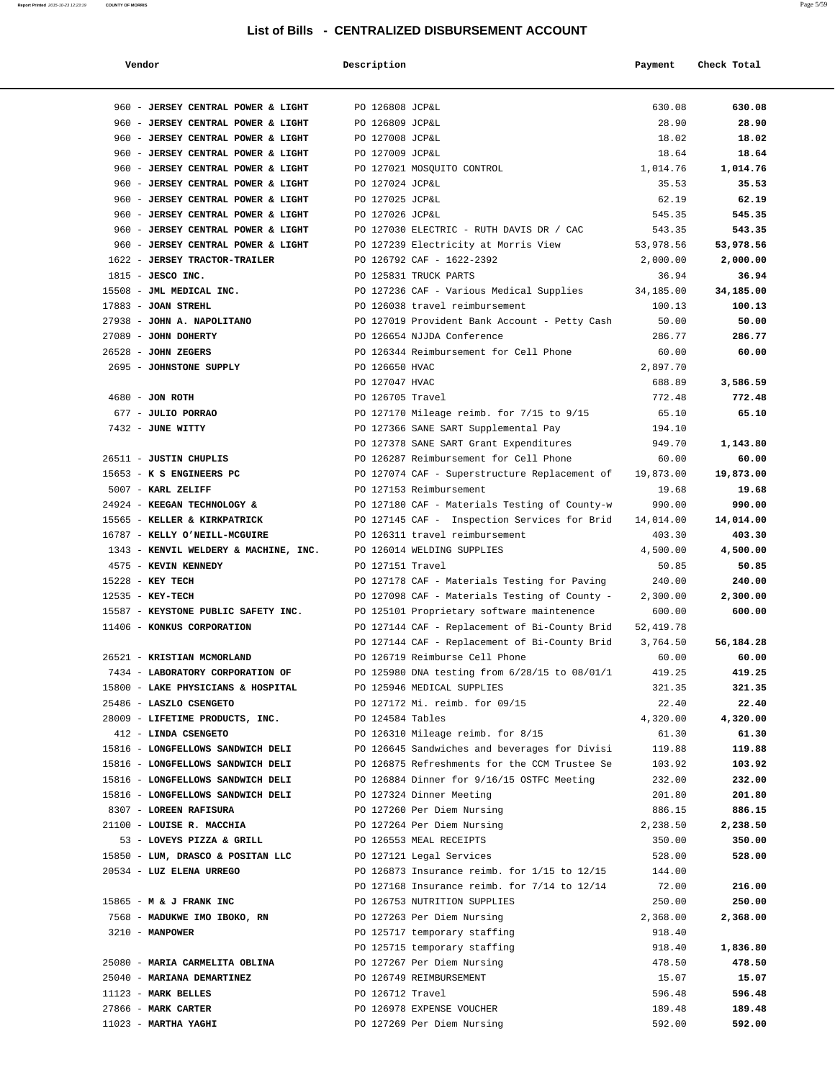| Vendor                                                                   | Description                        |                                               | Payment         | Check Total     |
|--------------------------------------------------------------------------|------------------------------------|-----------------------------------------------|-----------------|-----------------|
|                                                                          |                                    |                                               |                 |                 |
| 960 - JERSEY CENTRAL POWER & LIGHT<br>960 - JERSEY CENTRAL POWER & LIGHT | PO 126808 JCP&L<br>PO 126809 JCP&L |                                               | 630.08<br>28.90 | 630.08<br>28.90 |
| 960 - JERSEY CENTRAL POWER & LIGHT                                       | PO 127008 JCP&L                    |                                               | 18.02           | 18.02           |
| 960 - JERSEY CENTRAL POWER & LIGHT                                       | PO 127009 JCP&L                    |                                               | 18.64           | 18.64           |
| 960 - JERSEY CENTRAL POWER & LIGHT                                       |                                    | PO 127021 MOSQUITO CONTROL                    | 1,014.76        | 1,014.76        |
| 960 - JERSEY CENTRAL POWER & LIGHT                                       | PO 127024 JCP&L                    |                                               | 35.53           | 35.53           |
| 960 - JERSEY CENTRAL POWER & LIGHT                                       | PO 127025 JCP&L                    |                                               | 62.19           | 62.19           |
| 960 - JERSEY CENTRAL POWER & LIGHT                                       | PO 127026 JCP&L                    |                                               | 545.35          | 545.35          |
| 960 - JERSEY CENTRAL POWER & LIGHT                                       |                                    | PO 127030 ELECTRIC - RUTH DAVIS DR / CAC      | 543.35          | 543.35          |
| 960 - JERSEY CENTRAL POWER & LIGHT                                       |                                    | PO 127239 Electricity at Morris View          | 53,978.56       | 53,978.56       |
| 1622 - JERSEY TRACTOR-TRAILER                                            |                                    | PO 126792 CAF - 1622-2392                     | 2,000.00        | 2,000.00        |
| 1815 - JESCO INC.                                                        |                                    | PO 125831 TRUCK PARTS                         | 36.94           | 36.94           |
| 15508 - JML MEDICAL INC.                                                 |                                    | PO 127236 CAF - Various Medical Supplies      | 34,185.00       | 34,185.00       |
| $17883$ - JOAN STREHL                                                    |                                    | PO 126038 travel reimbursement                | 100.13          | 100.13          |
| 27938 - JOHN A. NAPOLITANO                                               |                                    | PO 127019 Provident Bank Account - Petty Cash | 50.00           | 50.00           |
| 27089 - JOHN DOHERTY                                                     |                                    | PO 126654 NJJDA Conference                    | 286.77          | 286.77          |
| $26528$ - JOHN ZEGERS                                                    |                                    | PO 126344 Reimbursement for Cell Phone        | 60.00           | 60.00           |
| 2695 - JOHNSTONE SUPPLY                                                  | PO 126650 HVAC                     |                                               | 2,897.70        |                 |
|                                                                          | PO 127047 HVAC                     |                                               | 688.89          | 3,586.59        |
| 4680 - JON ROTH                                                          | PO 126705 Travel                   |                                               | 772.48          | 772.48          |
| 677 - JULIO PORRAO                                                       |                                    | PO 127170 Mileage reimb. for 7/15 to 9/15     | 65.10           | 65.10           |
| 7432 - JUNE WITTY                                                        |                                    | PO 127366 SANE SART Supplemental Pay          | 194.10          |                 |
|                                                                          |                                    | PO 127378 SANE SART Grant Expenditures        | 949.70          | 1,143.80        |
| 26511 - JUSTIN CHUPLIS                                                   |                                    | PO 126287 Reimbursement for Cell Phone        | 60.00           | 60.00           |
| 15653 - K S ENGINEERS PC                                                 |                                    | PO 127074 CAF - Superstructure Replacement of | 19,873.00       | 19,873.00       |
| 5007 - KARL ZELIFF                                                       |                                    | PO 127153 Reimbursement                       | 19.68           | 19.68           |
| 24924 - KEEGAN TECHNOLOGY &                                              |                                    | PO 127180 CAF - Materials Testing of County-w | 990.00          | 990.00          |
| 15565 - KELLER & KIRKPATRICK                                             |                                    | PO 127145 CAF - Inspection Services for Brid  | 14,014.00       | 14,014.00       |
| 16787 - KELLY O'NEILL-MCGUIRE                                            |                                    | PO 126311 travel reimbursement                | 403.30          | 403.30          |
| 1343 - KENVIL WELDERY & MACHINE, INC.                                    |                                    | PO 126014 WELDING SUPPLIES                    | 4,500.00        | 4,500.00        |
| 4575 - KEVIN KENNEDY                                                     | PO 127151 Travel                   |                                               | 50.85           | 50.85           |
| 15228 - KEY TECH                                                         |                                    | PO 127178 CAF - Materials Testing for Paving  | 240.00          | 240.00          |
| 12535 - KEY-TECH                                                         |                                    | PO 127098 CAF - Materials Testing of County - | 2,300.00        | 2,300.00        |
| 15587 - KEYSTONE PUBLIC SAFETY INC.                                      |                                    | PO 125101 Proprietary software maintenence    | 600.00          | 600.00          |
| 11406 - KONKUS CORPORATION                                               |                                    | PO 127144 CAF - Replacement of Bi-County Brid | 52,419.78       |                 |
|                                                                          |                                    | PO 127144 CAF - Replacement of Bi-County Brid | 3,764.50        | 56,184.28       |
| 26521 - KRISTIAN MCMORLAND                                               |                                    | PO 126719 Reimburse Cell Phone                | 60.00           | 60.00           |
| 7434 - LABORATORY CORPORATION OF                                         |                                    | PO 125980 DNA testing from 6/28/15 to 08/01/1 | 419.25          | 419.25          |
| 15800 - LAKE PHYSICIANS & HOSPITAL                                       |                                    | PO 125946 MEDICAL SUPPLIES                    | 321.35          | 321.35          |
| 25486 - LASZLO CSENGETO                                                  |                                    | PO 127172 Mi. reimb. for 09/15                | 22.40           | 22.40           |
| 28009 - LIFETIME PRODUCTS, INC.                                          | PO 124584 Tables                   |                                               | 4,320.00        | 4,320.00        |
| 412 - LINDA CSENGETO                                                     |                                    | PO 126310 Mileage reimb. for 8/15             | 61.30           | 61.30           |
| 15816 - LONGFELLOWS SANDWICH DELI                                        |                                    | PO 126645 Sandwiches and beverages for Divisi | 119.88          | 119.88          |
| 15816 - LONGFELLOWS SANDWICH DELI                                        |                                    | PO 126875 Refreshments for the CCM Trustee Se | 103.92          | 103.92          |
| 15816 - LONGFELLOWS SANDWICH DELI                                        |                                    | PO 126884 Dinner for 9/16/15 OSTFC Meeting    | 232.00          | 232.00          |
| 15816 - LONGFELLOWS SANDWICH DELI                                        |                                    | PO 127324 Dinner Meeting                      | 201.80          | 201.80          |
| 8307 - LOREEN RAFISURA                                                   |                                    | PO 127260 Per Diem Nursing                    | 886.15          | 886.15          |
| 21100 - LOUISE R. MACCHIA                                                |                                    | PO 127264 Per Diem Nursing                    | 2,238.50        | 2,238.50        |
| 53 - LOVEYS PIZZA & GRILL                                                |                                    | PO 126553 MEAL RECEIPTS                       | 350.00          | 350.00          |
| 15850 - LUM, DRASCO & POSITAN LLC                                        |                                    | PO 127121 Legal Services                      | 528.00          | 528.00          |
| 20534 - LUZ ELENA URREGO                                                 |                                    | PO 126873 Insurance reimb. for 1/15 to 12/15  | 144.00          |                 |
|                                                                          |                                    | PO 127168 Insurance reimb. for 7/14 to 12/14  | 72.00           | 216.00          |
| 15865 - M & J FRANK INC                                                  |                                    | PO 126753 NUTRITION SUPPLIES                  | 250.00          | 250.00          |
| 7568 - MADUKWE IMO IBOKO, RN                                             |                                    | PO 127263 Per Diem Nursing                    | 2,368.00        | 2,368.00        |
| 3210 - MANPOWER                                                          |                                    | PO 125717 temporary staffing                  | 918.40          |                 |
|                                                                          |                                    | PO 125715 temporary staffing                  | 918.40          | 1,836.80        |
| 25080 - MARIA CARMELITA OBLINA                                           |                                    | PO 127267 Per Diem Nursing                    | 478.50          | 478.50          |
| 25040 - MARIANA DEMARTINEZ                                               |                                    | PO 126749 REIMBURSEMENT                       | 15.07           | 15.07           |
| $11123$ - MARK BELLES                                                    | PO 126712 Travel                   |                                               | 596.48          | 596.48          |
| 27866 - MARK CARTER                                                      |                                    | PO 126978 EXPENSE VOUCHER                     | 189.48          | 189.48          |
| 11023 - MARTHA YAGHI                                                     |                                    | PO 127269 Per Diem Nursing                    | 592.00          | 592.00          |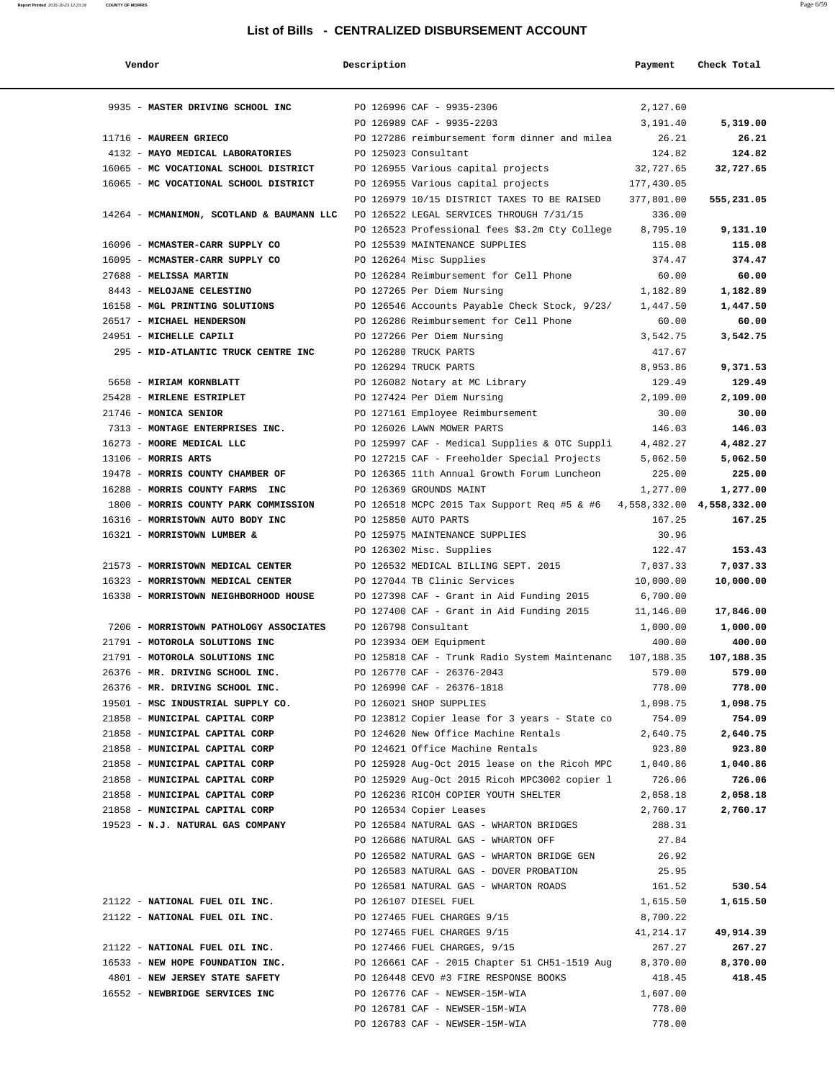| Vendor                                                             | Description |                                                          | Payment                   | Check Total |
|--------------------------------------------------------------------|-------------|----------------------------------------------------------|---------------------------|-------------|
|                                                                    |             |                                                          |                           |             |
| 9935 - MASTER DRIVING SCHOOL INC                                   |             | PO 126996 CAF - 9935-2306                                | 2,127.60                  |             |
|                                                                    |             | PO 126989 CAF - 9935-2203                                | 3,191.40                  | 5,319.00    |
| 11716 - MAUREEN GRIECO                                             |             | PO 127286 reimbursement form dinner and milea            | 26.21                     | 26.21       |
| 4132 - MAYO MEDICAL LABORATORIES                                   |             | PO 125023 Consultant                                     | 124.82                    | 124.82      |
| 16065 - MC VOCATIONAL SCHOOL DISTRICT                              |             | PO 126955 Various capital projects                       | 32,727.65                 | 32,727.65   |
| 16065 - MC VOCATIONAL SCHOOL DISTRICT                              |             | PO 126955 Various capital projects                       | 177,430.05                |             |
|                                                                    |             | PO 126979 10/15 DISTRICT TAXES TO BE RAISED              | 377,801.00                | 555,231.05  |
| 14264 - MCMANIMON, SCOTLAND & BAUMANN LLC                          |             | PO 126522 LEGAL SERVICES THROUGH 7/31/15                 | 336.00                    |             |
|                                                                    |             | PO 126523 Professional fees \$3.2m Cty College           | 8,795.10                  | 9,131.10    |
| 16096 - MCMASTER-CARR SUPPLY CO                                    |             | PO 125539 MAINTENANCE SUPPLIES                           | 115.08                    | 115.08      |
| 16095 - MCMASTER-CARR SUPPLY CO                                    |             | PO 126264 Misc Supplies                                  | 374.47                    | 374.47      |
| 27688 - MELISSA MARTIN                                             |             | PO 126284 Reimbursement for Cell Phone                   | 60.00                     | 60.00       |
| 8443 - MELOJANE CELESTINO                                          |             | PO 127265 Per Diem Nursing                               | 1,182.89                  | 1,182.89    |
| 16158 - MGL PRINTING SOLUTIONS                                     |             | PO 126546 Accounts Payable Check Stock, 9/23/            | 1,447.50                  | 1,447.50    |
| 26517 - MICHAEL HENDERSON                                          |             | PO 126286 Reimbursement for Cell Phone                   | 60.00                     | 60.00       |
| 24951 - MICHELLE CAPILI                                            |             | PO 127266 Per Diem Nursing                               | 3,542.75                  | 3,542.75    |
| 295 - MID-ATLANTIC TRUCK CENTRE INC                                |             | PO 126280 TRUCK PARTS                                    | 417.67                    |             |
|                                                                    |             | PO 126294 TRUCK PARTS                                    | 8,953.86                  | 9,371.53    |
| 5658 - MIRIAM KORNBLATT                                            |             | PO 126082 Notary at MC Library                           | 129.49                    | 129.49      |
| 25428 - MIRLENE ESTRIPLET                                          |             | PO 127424 Per Diem Nursing                               | 2,109.00                  | 2,109.00    |
| 21746 - MONICA SENIOR                                              |             | PO 127161 Employee Reimbursement                         | 30.00                     | 30.00       |
| 7313 - MONTAGE ENTERPRISES INC. PO 126026 LAWN MOWER PARTS         |             |                                                          | 146.03                    | 146.03      |
| 16273 - MOORE MEDICAL LLC                                          |             | PO 125997 CAF - Medical Supplies & OTC Suppli            | 4,482.27                  | 4,482.27    |
| 13106 - MORRIS ARTS                                                |             | PO 127215 CAF - Freeholder Special Projects              | 5,062.50                  | 5,062.50    |
| 19478 - MORRIS COUNTY CHAMBER OF                                   |             | PO 126365 11th Annual Growth Forum Luncheon              | 225.00                    | 225.00      |
| 16288 - MORRIS COUNTY FARMS INC                                    |             | PO 126369 GROUNDS MAINT                                  | 1,277.00                  | 1,277.00    |
| 1800 - MORRIS COUNTY PARK COMMISSION                               |             | PO 126518 MCPC 2015 Tax Support Req #5 & #6              | 4,558,332.00 4,558,332.00 |             |
| 16316 - MORRISTOWN AUTO BODY INC                                   |             | PO 125850 AUTO PARTS                                     | 167.25                    | 167.25      |
| 16321 - MORRISTOWN LUMBER &                                        |             | PO 125975 MAINTENANCE SUPPLIES                           | 30.96                     |             |
|                                                                    |             | PO 126302 Misc. Supplies                                 | 122.47                    | 153.43      |
| 21573 - MORRISTOWN MEDICAL CENTER                                  |             | PO 126532 MEDICAL BILLING SEPT. 2015                     | 7,037.33                  | 7,037.33    |
| 16323 - MORRISTOWN MEDICAL CENTER                                  |             | PO 127044 TB Clinic Services                             | 10,000.00                 | 10,000.00   |
| 16338 - MORRISTOWN NEIGHBORHOOD HOUSE                              |             | PO 127398 CAF - Grant in Aid Funding 2015                | 6,700.00                  |             |
|                                                                    |             | PO 127400 CAF - Grant in Aid Funding 2015                | 11,146.00                 | 17,846.00   |
| 7206 - MORRISTOWN PATHOLOGY ASSOCIATES                             |             | PO 126798 Consultant                                     | 1,000.00                  | 1,000.00    |
| 21791 - MOTOROLA SOLUTIONS INC                                     |             | PO 123934 OEM Equipment                                  | 400.00                    | 400.00      |
| 21791 - MOTOROLA SOLUTIONS INC                                     |             |                                                          |                           | 107,188.35  |
|                                                                    |             | PO 125818 CAF - Trunk Radio System Maintenanc 107,188.35 |                           |             |
| 26376 - MR. DRIVING SCHOOL INC.<br>26376 - MR. DRIVING SCHOOL INC. |             | PO 126770 CAF - 26376-2043                               | 579.00                    | 579.00      |
|                                                                    |             | PO 126990 CAF - 26376-1818                               | 778.00                    | 778.00      |
| 19501 - MSC INDUSTRIAL SUPPLY CO.                                  |             | PO 126021 SHOP SUPPLIES                                  | 1,098.75                  | 1,098.75    |
| 21858 - MUNICIPAL CAPITAL CORP                                     |             | PO 123812 Copier lease for 3 years - State co            | 754.09                    | 754.09      |
| 21858 - MUNICIPAL CAPITAL CORP                                     |             | PO 124620 New Office Machine Rentals                     | 2,640.75                  | 2,640.75    |
| 21858 - MUNICIPAL CAPITAL CORP                                     |             | PO 124621 Office Machine Rentals                         | 923.80                    | 923.80      |
| 21858 - MUNICIPAL CAPITAL CORP                                     |             | PO 125928 Aug-Oct 2015 lease on the Ricoh MPC            | 1,040.86                  | 1,040.86    |
| 21858 - MUNICIPAL CAPITAL CORP                                     |             | PO 125929 Aug-Oct 2015 Ricoh MPC3002 copier l            | 726.06                    | 726.06      |
| 21858 - MUNICIPAL CAPITAL CORP                                     |             | PO 126236 RICOH COPIER YOUTH SHELTER                     | 2,058.18                  | 2,058.18    |
| 21858 - MUNICIPAL CAPITAL CORP                                     |             | PO 126534 Copier Leases                                  | 2,760.17                  | 2,760.17    |
| 19523 - N.J. NATURAL GAS COMPANY                                   |             | PO 126584 NATURAL GAS - WHARTON BRIDGES                  | 288.31                    |             |
|                                                                    |             | PO 126686 NATURAL GAS - WHARTON OFF                      | 27.84                     |             |
|                                                                    |             | PO 126582 NATURAL GAS - WHARTON BRIDGE GEN               | 26.92                     |             |
|                                                                    |             | PO 126583 NATURAL GAS - DOVER PROBATION                  | 25.95                     |             |
|                                                                    |             | PO 126581 NATURAL GAS - WHARTON ROADS                    | 161.52                    | 530.54      |
| 21122 - NATIONAL FUEL OIL INC.                                     |             | PO 126107 DIESEL FUEL                                    | 1,615.50                  | 1,615.50    |
| 21122 - NATIONAL FUEL OIL INC.                                     |             | PO 127465 FUEL CHARGES 9/15                              | 8,700.22                  |             |
|                                                                    |             | PO 127465 FUEL CHARGES 9/15                              | 41,214.17                 | 49,914.39   |
| 21122 - NATIONAL FUEL OIL INC.                                     |             | PO 127466 FUEL CHARGES, 9/15                             | 267.27                    | 267.27      |
| 16533 - NEW HOPE FOUNDATION INC.                                   |             | PO 126661 CAF - 2015 Chapter 51 CH51-1519 Aug            | 8,370.00                  | 8,370.00    |
| 4801 - NEW JERSEY STATE SAFETY                                     |             | PO 126448 CEVO #3 FIRE RESPONSE BOOKS                    | 418.45                    | 418.45      |
| 16552 - NEWBRIDGE SERVICES INC                                     |             | PO 126776 CAF - NEWSER-15M-WIA                           | 1,607.00                  |             |
|                                                                    |             | PO 126781 CAF - NEWSER-15M-WIA                           | 778.00                    |             |
|                                                                    |             | PO 126783 CAF - NEWSER-15M-WIA                           | 778.00                    |             |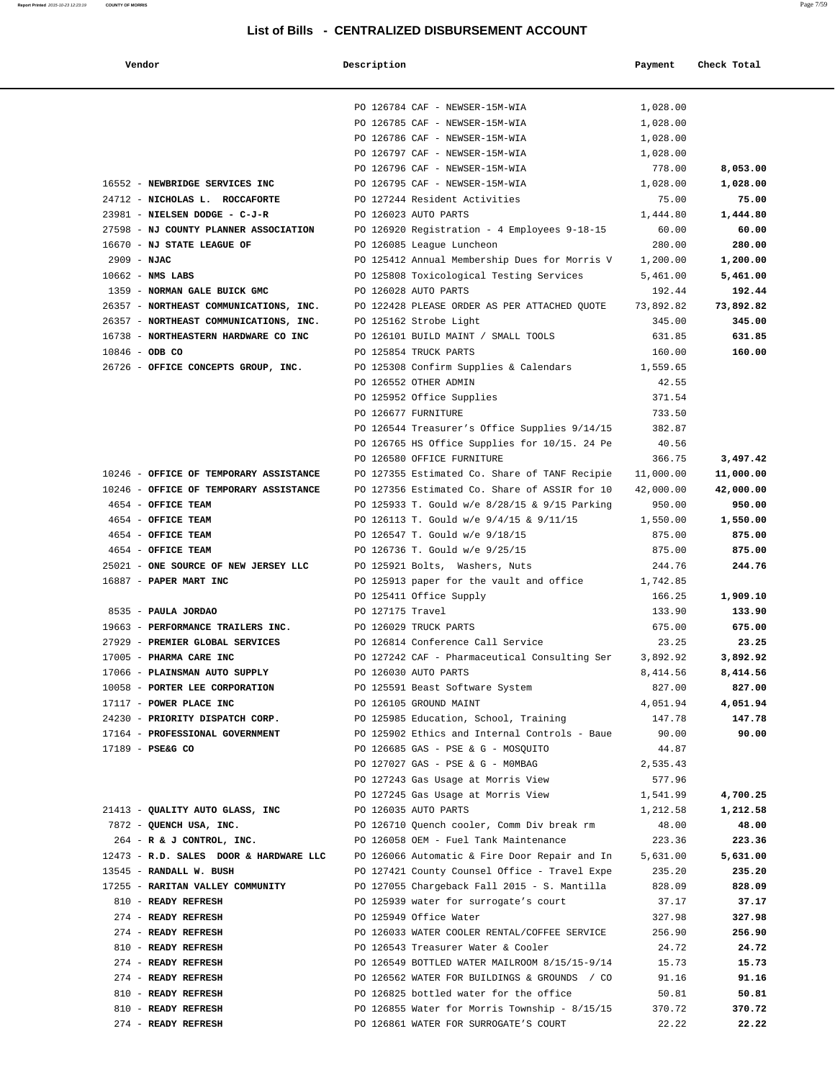| Vendor                                 | Description                                                                 | Payment           | Check Total |
|----------------------------------------|-----------------------------------------------------------------------------|-------------------|-------------|
|                                        |                                                                             |                   |             |
|                                        | PO 126784 CAF - NEWSER-15M-WIA                                              | 1,028.00          |             |
|                                        | PO 126785 CAF - NEWSER-15M-WIA                                              | 1,028.00          |             |
|                                        | PO 126786 CAF - NEWSER-15M-WIA                                              | 1,028.00          |             |
|                                        | PO 126797 CAF - NEWSER-15M-WIA                                              | 1,028.00          |             |
|                                        | PO 126796 CAF - NEWSER-15M-WIA                                              | 778.00            | 8,053.00    |
| 16552 - NEWBRIDGE SERVICES INC         | PO 126795 CAF - NEWSER-15M-WIA                                              | 1,028.00          | 1,028.00    |
| 24712 - NICHOLAS L. ROCCAFORTE         | PO 127244 Resident Activities                                               | 75.00             | 75.00       |
| 23981 - NIELSEN DODGE - C-J-R          | PO 126023 AUTO PARTS                                                        | 1,444.80          | 1,444.80    |
| 27598 - NJ COUNTY PLANNER ASSOCIATION  | PO 126920 Registration - 4 Employees 9-18-15                                | 60.00             | 60.00       |
| 16670 - NJ STATE LEAGUE OF             | PO 126085 League Luncheon                                                   | 280.00            | 280.00      |
| $2909 - NJAC$                          | PO 125412 Annual Membership Dues for Morris V                               | 1,200.00          | 1,200.00    |
| $10662$ - NMS LABS                     | PO 125808 Toxicological Testing Services                                    | 5,461.00          | 5,461.00    |
| 1359 - NORMAN GALE BUICK GMC           | PO 126028 AUTO PARTS                                                        | 192.44            | 192.44      |
| 26357 - NORTHEAST COMMUNICATIONS, INC. | PO 122428 PLEASE ORDER AS PER ATTACHED QUOTE                                | 73,892.82         | 73,892.82   |
| 26357 - NORTHEAST COMMUNICATIONS, INC. | PO 125162 Strobe Light                                                      | 345.00            | 345.00      |
| 16738 - NORTHEASTERN HARDWARE CO INC   | PO 126101 BUILD MAINT / SMALL TOOLS                                         | 631.85            | 631.85      |
| $10846 - ODB CO$                       | PO 125854 TRUCK PARTS                                                       | 160.00            | 160.00      |
| 26726 - OFFICE CONCEPTS GROUP, INC.    | PO 125308 Confirm Supplies & Calendars                                      | 1,559.65          |             |
|                                        | PO 126552 OTHER ADMIN                                                       | 42.55             |             |
|                                        | PO 125952 Office Supplies                                                   | 371.54            |             |
|                                        | PO 126677 FURNITURE                                                         | 733.50<br>382.87  |             |
|                                        | PO 126544 Treasurer's Office Supplies 9/14/15                               |                   |             |
|                                        | PO 126765 HS Office Supplies for 10/15. 24 Pe<br>PO 126580 OFFICE FURNITURE | 40.56<br>366.75   | 3,497.42    |
| 10246 - OFFICE OF TEMPORARY ASSISTANCE | PO 127355 Estimated Co. Share of TANF Recipie                               | 11,000.00         | 11,000.00   |
| 10246 - OFFICE OF TEMPORARY ASSISTANCE | PO 127356 Estimated Co. Share of ASSIR for 10                               | 42,000.00         | 42,000.00   |
| 4654 - OFFICE TEAM                     | PO 125933 T. Gould w/e 8/28/15 & 9/15 Parking                               | 950.00            | 950.00      |
| 4654 - OFFICE TEAM                     | PO 126113 T. Gould w/e 9/4/15 & 9/11/15                                     | 1,550.00          | 1,550.00    |
| 4654 - OFFICE TEAM                     | PO 126547 T. Gould w/e 9/18/15                                              | 875.00            | 875.00      |
| 4654 - OFFICE TEAM                     | PO 126736 T. Gould w/e 9/25/15                                              | 875.00            | 875.00      |
| 25021 - ONE SOURCE OF NEW JERSEY LLC   | PO 125921 Bolts, Washers, Nuts                                              | 244.76            | 244.76      |
| 16887 - PAPER MART INC                 | PO 125913 paper for the vault and office                                    | 1,742.85          |             |
|                                        | PO 125411 Office Supply                                                     | 166.25            | 1,909.10    |
| 8535 - PAULA JORDAO                    | PO 127175 Travel                                                            | 133.90            | 133.90      |
| 19663 - PERFORMANCE TRAILERS INC.      | PO 126029 TRUCK PARTS                                                       | 675.00            | 675.00      |
| 27929 - PREMIER GLOBAL SERVICES        | PO 126814 Conference Call Service                                           | 23.25             | 23.25       |
| 17005 - PHARMA CARE INC                | PO 127242 CAF - Pharmaceutical Consulting Ser                               | 3,892.92          | 3,892.92    |
| 17066 - PLAINSMAN AUTO SUPPLY          | PO 126030 AUTO PARTS                                                        | 8,414.56          | 8,414.56    |
| 10058 - PORTER LEE CORPORATION         | PO 125591 Beast Software System                                             | 827.00            | 827.00      |
| 17117 - POWER PLACE INC                | PO 126105 GROUND MAINT                                                      | 4,051.94          | 4,051.94    |
| 24230 - PRIORITY DISPATCH CORP.        | PO 125985 Education, School, Training                                       | 147.78            | 147.78      |
| 17164 - PROFESSIONAL GOVERNMENT        | PO 125902 Ethics and Internal Controls - Baue                               | 90.00             | 90.00       |
| 17189 - PSE&G CO                       | PO 126685 GAS - PSE & G - MOSOUITO<br>PO 127027 GAS - PSE & G - MOMBAG      | 44.87<br>2,535.43 |             |
|                                        | PO 127243 Gas Usage at Morris View                                          | 577.96            |             |
|                                        | PO 127245 Gas Usage at Morris View                                          | 1,541.99          | 4,700.25    |
| 21413 - QUALITY AUTO GLASS, INC        | PO 126035 AUTO PARTS                                                        | 1,212.58          | 1,212.58    |
| 7872 - QUENCH USA, INC.                | PO 126710 Quench cooler, Comm Div break rm                                  | 48.00             | 48.00       |
| $264$ - R & J CONTROL, INC.            | PO 126058 OEM - Fuel Tank Maintenance                                       | 223.36            | 223.36      |
| 12473 - R.D. SALES DOOR & HARDWARE LLC | PO 126066 Automatic & Fire Door Repair and In                               | 5,631.00          | 5,631.00    |
| 13545 - RANDALL W. BUSH                | PO 127421 County Counsel Office - Travel Expe                               | 235.20            | 235.20      |
| 17255 - RARITAN VALLEY COMMUNITY       | PO 127055 Chargeback Fall 2015 - S. Mantilla                                | 828.09            | 828.09      |
| 810 - READY REFRESH                    | PO 125939 water for surrogate's court                                       | 37.17             | 37.17       |
| 274 - READY REFRESH                    | PO 125949 Office Water                                                      | 327.98            | 327.98      |
| 274 - READY REFRESH                    | PO 126033 WATER COOLER RENTAL/COFFEE SERVICE                                | 256.90            | 256.90      |
| 810 - READY REFRESH                    | PO 126543 Treasurer Water & Cooler                                          | 24.72             | 24.72       |
| 274 - READY REFRESH                    | PO 126549 BOTTLED WATER MAILROOM 8/15/15-9/14                               | 15.73             | 15.73       |
| 274 - READY REFRESH                    | PO 126562 WATER FOR BUILDINGS & GROUNDS / CO                                | 91.16             | 91.16       |
| 810 - READY REFRESH                    | PO 126825 bottled water for the office                                      | 50.81             | 50.81       |
| 810 - READY REFRESH                    | PO 126855 Water for Morris Township - 8/15/15                               | 370.72            | 370.72      |

274 - **READY REFRESH** PO 126861 WATER FOR SURROGATE'S COURT 22.22 **22.22**

**Report Printed** 2015-10-23 12:23:19 **COUNTY OF MORRIS** Page 7/59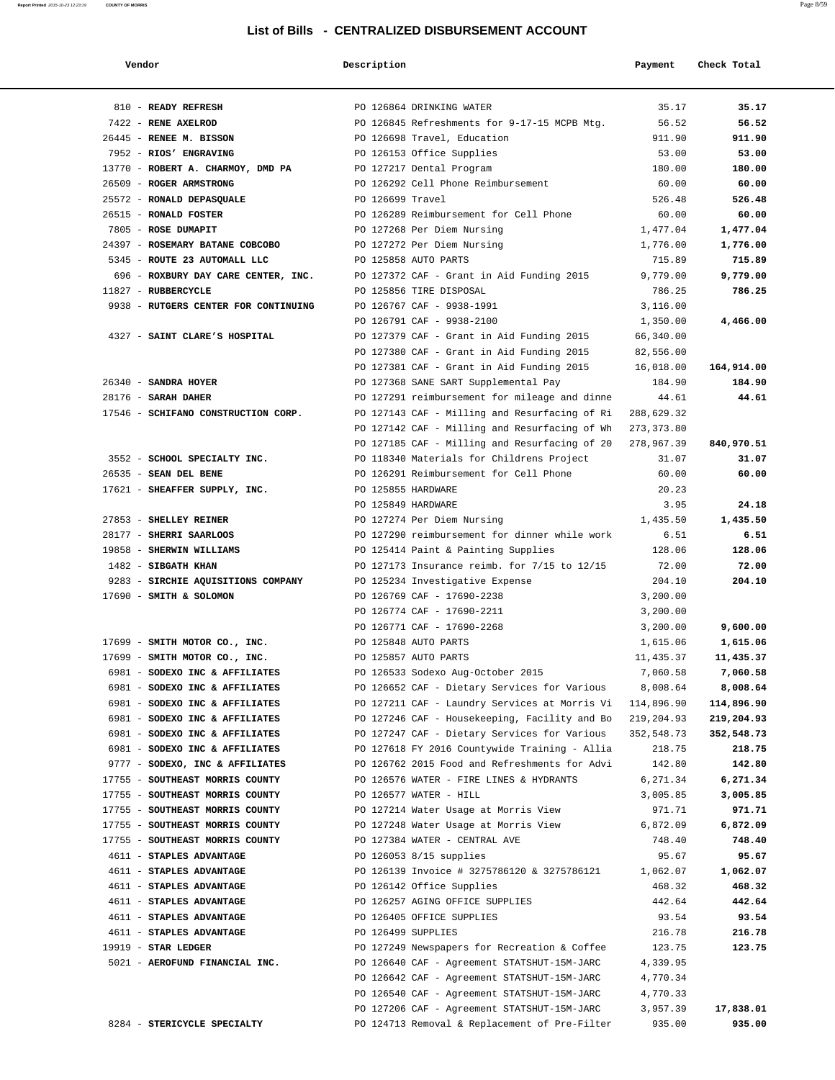| Vendor                                                     | Description        |                                                                                       | Payment                  | Check Total          |
|------------------------------------------------------------|--------------------|---------------------------------------------------------------------------------------|--------------------------|----------------------|
|                                                            |                    |                                                                                       |                          |                      |
| 810 - READY REFRESH                                        |                    | PO 126864 DRINKING WATER                                                              | 35.17                    | 35.17                |
| 7422 - RENE AXELROD                                        |                    | PO 126845 Refreshments for 9-17-15 MCPB Mtg.                                          | 56.52                    | 56.52                |
| 26445 - RENEE M. BISSON                                    |                    | PO 126698 Travel, Education                                                           | 911.90                   | 911.90               |
| 7952 - RIOS' ENGRAVING                                     |                    | PO 126153 Office Supplies                                                             | 53.00                    | 53.00                |
| 13770 - ROBERT A. CHARMOY, DMD PA PO 127217 Dental Program |                    |                                                                                       | 180.00                   | 180.00               |
| 26509 - ROGER ARMSTRONG                                    |                    | PO 126292 Cell Phone Reimbursement                                                    | 60.00                    | 60.00                |
| 25572 - RONALD DEPASQUALE                                  | PO 126699 Travel   |                                                                                       | 526.48                   | 526.48               |
| 26515 - RONALD FOSTER                                      |                    | PO 126289 Reimbursement for Cell Phone                                                | 60.00                    | 60.00                |
| 7805 - ROSE DUMAPIT                                        |                    | PO 127268 Per Diem Nursing                                                            | 1,477.04                 | 1,477.04             |
| 24397 - ROSEMARY BATANE COBCOBO                            |                    | PO 127272 Per Diem Nursing                                                            | 1,776.00                 | 1,776.00             |
| 5345 - ROUTE 23 AUTOMALL LLC                               |                    | PO 125858 AUTO PARTS                                                                  | 715.89                   | 715.89               |
| 696 - ROXBURY DAY CARE CENTER, INC.                        |                    | PO 127372 CAF - Grant in Aid Funding 2015                                             | 9,779.00                 | 9,779.00             |
| 11827 - RUBBERCYCLE                                        |                    | PO 125856 TIRE DISPOSAL                                                               | 786.25                   | 786.25               |
| 9938 - RUTGERS CENTER FOR CONTINUING                       |                    | PO 126767 CAF - 9938-1991                                                             | 3,116.00                 |                      |
|                                                            |                    | PO 126791 CAF - 9938-2100                                                             | 1,350.00                 | 4,466.00             |
| 4327 - SAINT CLARE'S HOSPITAL                              |                    | PO 127379 CAF - Grant in Aid Funding 2015                                             | 66,340.00                |                      |
|                                                            |                    | PO 127380 CAF - Grant in Aid Funding 2015                                             | 82,556.00                |                      |
| 26340 - SANDRA HOYER                                       |                    | PO 127381 CAF - Grant in Aid Funding 2015                                             | 16,018.00<br>184.90      | 164,914.00<br>184.90 |
| 28176 - SARAH DAHER                                        |                    | PO 127368 SANE SART Supplemental Pay<br>PO 127291 reimbursement for mileage and dinne | 44.61                    | 44.61                |
| 17546 - SCHIFANO CONSTRUCTION CORP.                        |                    | PO 127143 CAF - Milling and Resurfacing of Ri                                         | 288,629.32               |                      |
|                                                            |                    | PO 127142 CAF - Milling and Resurfacing of Wh                                         |                          |                      |
|                                                            |                    | PO 127185 CAF - Milling and Resurfacing of 20                                         | 273,373.80<br>278,967.39 | 840,970.51           |
| 3552 - SCHOOL SPECIALTY INC.                               |                    | PO 118340 Materials for Childrens Project                                             | 31.07                    | 31.07                |
| 26535 - SEAN DEL BENE                                      |                    | PO 126291 Reimbursement for Cell Phone                                                | 60.00                    | 60.00                |
| 17621 - SHEAFFER SUPPLY, INC.                              | PO 125855 HARDWARE |                                                                                       | 20.23                    |                      |
|                                                            | PO 125849 HARDWARE |                                                                                       | 3.95                     | 24.18                |
| 27853 - SHELLEY REINER                                     |                    | PO 127274 Per Diem Nursing                                                            | 1,435.50                 | 1,435.50             |
| 28177 - SHERRI SAARLOOS                                    |                    | PO 127290 reimbursement for dinner while work                                         | 6.51                     | 6.51                 |
| 19858 - SHERWIN WILLIAMS                                   |                    | PO 125414 Paint & Painting Supplies                                                   | 128.06                   | 128.06               |
| 1482 - SIBGATH KHAN                                        |                    | PO 127173 Insurance reimb. for 7/15 to 12/15                                          | 72.00                    | 72.00                |
| 9283 - SIRCHIE AQUISITIONS COMPANY                         |                    | PO 125234 Investigative Expense                                                       | 204.10                   | 204.10               |
| 17690 - SMITH & SOLOMON                                    |                    | PO 126769 CAF - 17690-2238                                                            | 3,200.00                 |                      |
|                                                            |                    | PO 126774 CAF - 17690-2211                                                            | 3,200.00                 |                      |
|                                                            |                    | PO 126771 CAF - 17690-2268                                                            | 3,200.00                 | 9,600.00             |
| 17699 - SMITH MOTOR CO., INC.                              |                    | PO 125848 AUTO PARTS                                                                  | 1,615.06                 | 1,615.06             |
| 17699 - SMITH MOTOR CO., INC.                              |                    | PO 125857 AUTO PARTS                                                                  | 11,435.37                | 11,435.37            |
| 6981 - SODEXO INC & AFFILIATES                             |                    | PO 126533 Sodexo Aug-October 2015                                                     | 7,060.58                 | 7,060.58             |
| 6981 - SODEXO INC & AFFILIATES                             |                    | PO 126652 CAF - Dietary Services for Various                                          | 8,008.64                 | 8,008.64             |
| 6981 - SODEXO INC & AFFILIATES                             |                    | PO 127211 CAF - Laundry Services at Morris Vi                                         | 114,896.90               | 114,896.90           |
| 6981 - SODEXO INC & AFFILIATES                             |                    | PO 127246 CAF - Housekeeping, Facility and Bo                                         | 219,204.93               | 219,204.93           |
| 6981 - SODEXO INC & AFFILIATES                             |                    | PO 127247 CAF - Dietary Services for Various                                          | 352,548.73               | 352,548.73           |
| 6981 - SODEXO INC & AFFILIATES                             |                    | PO 127618 FY 2016 Countywide Training - Allia                                         | 218.75                   | 218.75               |
| 9777 - SODEXO, INC & AFFILIATES                            |                    | PO 126762 2015 Food and Refreshments for Advi                                         | 142.80                   | 142.80               |
| 17755 - SOUTHEAST MORRIS COUNTY                            |                    | PO 126576 WATER - FIRE LINES & HYDRANTS                                               | 6,271.34                 | 6,271.34             |
| 17755 - SOUTHEAST MORRIS COUNTY                            |                    | PO 126577 WATER - HILL                                                                | 3,005.85                 | 3,005.85             |
| 17755 - SOUTHEAST MORRIS COUNTY                            |                    | PO 127214 Water Usage at Morris View                                                  | 971.71                   | 971.71               |
| 17755 - SOUTHEAST MORRIS COUNTY                            |                    | PO 127248 Water Usage at Morris View                                                  | 6,872.09                 | 6,872.09             |
| 17755 - SOUTHEAST MORRIS COUNTY                            |                    | PO 127384 WATER - CENTRAL AVE                                                         | 748.40                   | 748.40               |
| 4611 - STAPLES ADVANTAGE                                   |                    | PO 126053 8/15 supplies                                                               | 95.67                    | 95.67                |
| 4611 - STAPLES ADVANTAGE                                   |                    | PO 126139 Invoice # 3275786120 & 3275786121                                           | 1,062.07                 | 1,062.07             |
| 4611 - STAPLES ADVANTAGE                                   |                    | PO 126142 Office Supplies                                                             | 468.32                   | 468.32               |
| 4611 - STAPLES ADVANTAGE                                   |                    | PO 126257 AGING OFFICE SUPPLIES                                                       | 442.64                   | 442.64               |
| 4611 - STAPLES ADVANTAGE                                   |                    | PO 126405 OFFICE SUPPLIES                                                             | 93.54                    | 93.54                |
| 4611 - STAPLES ADVANTAGE                                   | PO 126499 SUPPLIES |                                                                                       | 216.78                   | 216.78               |
| $19919$ - STAR LEDGER                                      |                    | PO 127249 Newspapers for Recreation & Coffee                                          | 123.75                   | 123.75               |
| 5021 - AEROFUND FINANCIAL INC.                             |                    | PO 126640 CAF - Agreement STATSHUT-15M-JARC                                           | 4,339.95                 |                      |
|                                                            |                    | PO 126642 CAF - Agreement STATSHUT-15M-JARC                                           | 4,770.34                 |                      |
|                                                            |                    | PO 126540 CAF - Agreement STATSHUT-15M-JARC                                           | 4,770.33                 |                      |
|                                                            |                    | PO 127206 CAF - Agreement STATSHUT-15M-JARC                                           | 3,957.39                 | 17,838.01            |
| 8284 - STERICYCLE SPECIALTY                                |                    | PO 124713 Removal & Replacement of Pre-Filter                                         | 935.00                   | 935.00               |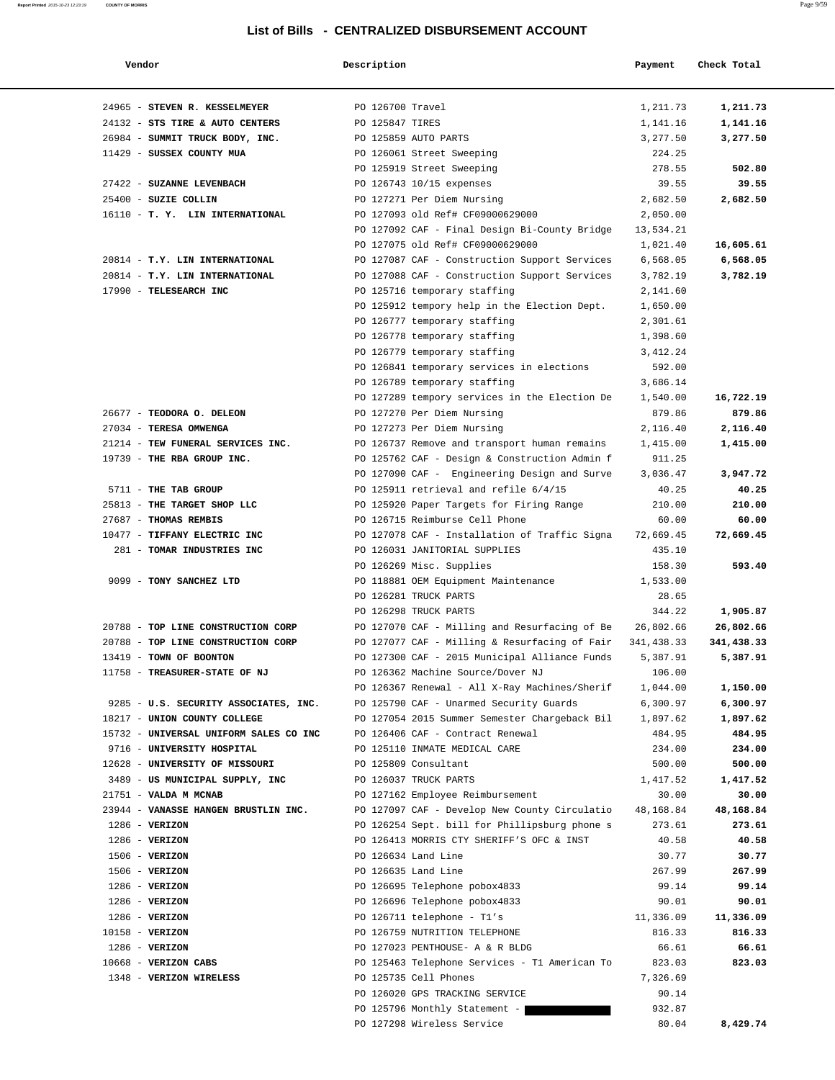| Vendor                                 | Description          |                                               | Payment    | Check Total |
|----------------------------------------|----------------------|-----------------------------------------------|------------|-------------|
|                                        |                      |                                               |            |             |
| 24965 - STEVEN R. KESSELMEYER          | PO 126700 Travel     |                                               | 1,211.73   | 1,211.73    |
| 24132 - STS TIRE & AUTO CENTERS        | PO 125847 TIRES      |                                               | 1,141.16   | 1,141.16    |
| 26984 - SUMMIT TRUCK BODY, INC.        | PO 125859 AUTO PARTS |                                               | 3,277.50   | 3,277.50    |
| 11429 - SUSSEX COUNTY MUA              |                      | PO 126061 Street Sweeping                     | 224.25     |             |
|                                        |                      | PO 125919 Street Sweeping                     | 278.55     | 502.80      |
| 27422 - SUZANNE LEVENBACH              |                      | PO 126743 10/15 expenses                      | 39.55      | 39.55       |
| 25400 - SUZIE COLLIN                   |                      | PO 127271 Per Diem Nursing                    | 2,682.50   | 2,682.50    |
| 16110 - T. Y. LIN INTERNATIONAL        |                      | PO 127093 old Ref# CF09000629000              | 2,050.00   |             |
|                                        |                      | PO 127092 CAF - Final Design Bi-County Bridge | 13,534.21  |             |
|                                        |                      | PO 127075 old Ref# CF09000629000              | 1,021.40   | 16,605.61   |
| 20814 - T.Y. LIN INTERNATIONAL         |                      | PO 127087 CAF - Construction Support Services | 6,568.05   | 6,568.05    |
| 20814 - T.Y. LIN INTERNATIONAL         |                      | PO 127088 CAF - Construction Support Services | 3,782.19   | 3,782.19    |
| 17990 - TELESEARCH INC                 |                      | PO 125716 temporary staffing                  | 2,141.60   |             |
|                                        |                      | PO 125912 tempory help in the Election Dept.  | 1,650.00   |             |
|                                        |                      | PO 126777 temporary staffing                  | 2,301.61   |             |
|                                        |                      | PO 126778 temporary staffing                  | 1,398.60   |             |
|                                        |                      | PO 126779 temporary staffing                  | 3, 412.24  |             |
|                                        |                      | PO 126841 temporary services in elections     | 592.00     |             |
|                                        |                      | PO 126789 temporary staffing                  | 3,686.14   |             |
|                                        |                      | PO 127289 tempory services in the Election De | 1,540.00   | 16,722.19   |
| 26677 - TEODORA O. DELEON              |                      | PO 127270 Per Diem Nursing                    | 879.86     | 879.86      |
| 27034 - TERESA OMWENGA                 |                      | PO 127273 Per Diem Nursing                    | 2,116.40   | 2,116.40    |
| 21214 - TEW FUNERAL SERVICES INC.      |                      | PO 126737 Remove and transport human remains  | 1,415.00   | 1,415.00    |
| 19739 - THE RBA GROUP INC.             |                      | PO 125762 CAF - Design & Construction Admin f | 911.25     |             |
|                                        |                      | PO 127090 CAF - Engineering Design and Surve  | 3,036.47   | 3,947.72    |
| 5711 - THE TAB GROUP                   |                      | PO 125911 retrieval and refile 6/4/15         | 40.25      | 40.25       |
| 25813 - THE TARGET SHOP LLC            |                      | PO 125920 Paper Targets for Firing Range      | 210.00     | 210.00      |
| 27687 - THOMAS REMBIS                  |                      | PO 126715 Reimburse Cell Phone                | 60.00      | 60.00       |
| 10477 - TIFFANY ELECTRIC INC           |                      | PO 127078 CAF - Installation of Traffic Signa | 72,669.45  | 72,669.45   |
| 281 - TOMAR INDUSTRIES INC             |                      | PO 126031 JANITORIAL SUPPLIES                 | 435.10     |             |
|                                        |                      | PO 126269 Misc. Supplies                      | 158.30     | 593.40      |
| 9099 - TONY SANCHEZ LTD                |                      | PO 118881 OEM Equipment Maintenance           | 1,533.00   |             |
|                                        |                      | PO 126281 TRUCK PARTS                         | 28.65      |             |
|                                        |                      | PO 126298 TRUCK PARTS                         | 344.22     | 1,905.87    |
| 20788 - TOP LINE CONSTRUCTION CORP     |                      | PO 127070 CAF - Milling and Resurfacing of Be | 26,802.66  | 26,802.66   |
| 20788 - TOP LINE CONSTRUCTION CORP     |                      | PO 127077 CAF - Milling & Resurfacing of Fair | 341,438.33 | 341,438.33  |
| 13419 - TOWN OF BOONTON                |                      | PO 127300 CAF - 2015 Municipal Alliance Funds | 5,387.91   | 5,387.91    |
| 11758 - TREASURER-STATE OF NJ          |                      | PO 126362 Machine Source/Dover NJ             | 106.00     |             |
|                                        |                      | PO 126367 Renewal - All X-Ray Machines/Sherif | 1,044.00   | 1,150.00    |
| 9285 - U.S. SECURITY ASSOCIATES, INC.  |                      | PO 125790 CAF - Unarmed Security Guards       | 6,300.97   | 6,300.97    |
| 18217 - UNION COUNTY COLLEGE           |                      | PO 127054 2015 Summer Semester Chargeback Bil | 1,897.62   | 1,897.62    |
| 15732 - UNIVERSAL UNIFORM SALES CO INC |                      | PO 126406 CAF - Contract Renewal              | 484.95     | 484.95      |
| 9716 - UNIVERSITY HOSPITAL             |                      | PO 125110 INMATE MEDICAL CARE                 | 234.00     | 234.00      |
| 12628 - UNIVERSITY OF MISSOURI         |                      | PO 125809 Consultant                          | 500.00     | 500.00      |
| 3489 - US MUNICIPAL SUPPLY, INC        |                      | PO 126037 TRUCK PARTS                         | 1,417.52   | 1,417.52    |
| 21751 - VALDA M MCNAB                  |                      | PO 127162 Employee Reimbursement              | 30.00      | 30.00       |
| 23944 - VANASSE HANGEN BRUSTLIN INC.   |                      | PO 127097 CAF - Develop New County Circulatio | 48,168.84  | 48,168.84   |
| $1286$ - VERIZON                       |                      | PO 126254 Sept. bill for Phillipsburg phone s | 273.61     | 273.61      |
| $1286 - VERIZON$                       |                      | PO 126413 MORRIS CTY SHERIFF'S OFC & INST     | 40.58      | 40.58       |
| $1506 - VERIZON$                       |                      | PO 126634 Land Line                           | 30.77      | 30.77       |
| $1506 - VERIZON$                       |                      | PO 126635 Land Line                           | 267.99     | 267.99      |
| $1286 - VERIZON$                       |                      | PO 126695 Telephone pobox4833                 | 99.14      | 99.14       |
| $1286 - VERIZON$                       |                      | PO 126696 Telephone pobox4833                 | 90.01      | 90.01       |
| $1286 - VERIZON$                       |                      | PO 126711 telephone - T1's                    | 11,336.09  | 11,336.09   |
| 10158 - VERIZON                        |                      | PO 126759 NUTRITION TELEPHONE                 | 816.33     | 816.33      |
| $1286 - VERIZON$                       |                      | PO 127023 PENTHOUSE- A & R BLDG               | 66.61      | 66.61       |
| 10668 - VERIZON CABS                   |                      | PO 125463 Telephone Services - T1 American To | 823.03     | 823.03      |
| 1348 - VERIZON WIRELESS                |                      | PO 125735 Cell Phones                         | 7,326.69   |             |
|                                        |                      | PO 126020 GPS TRACKING SERVICE                | 90.14      |             |
|                                        |                      | PO 125796 Monthly Statement -                 | 932.87     |             |
|                                        |                      | PO 127298 Wireless Service                    | 80.04      | 8,429.74    |
|                                        |                      |                                               |            |             |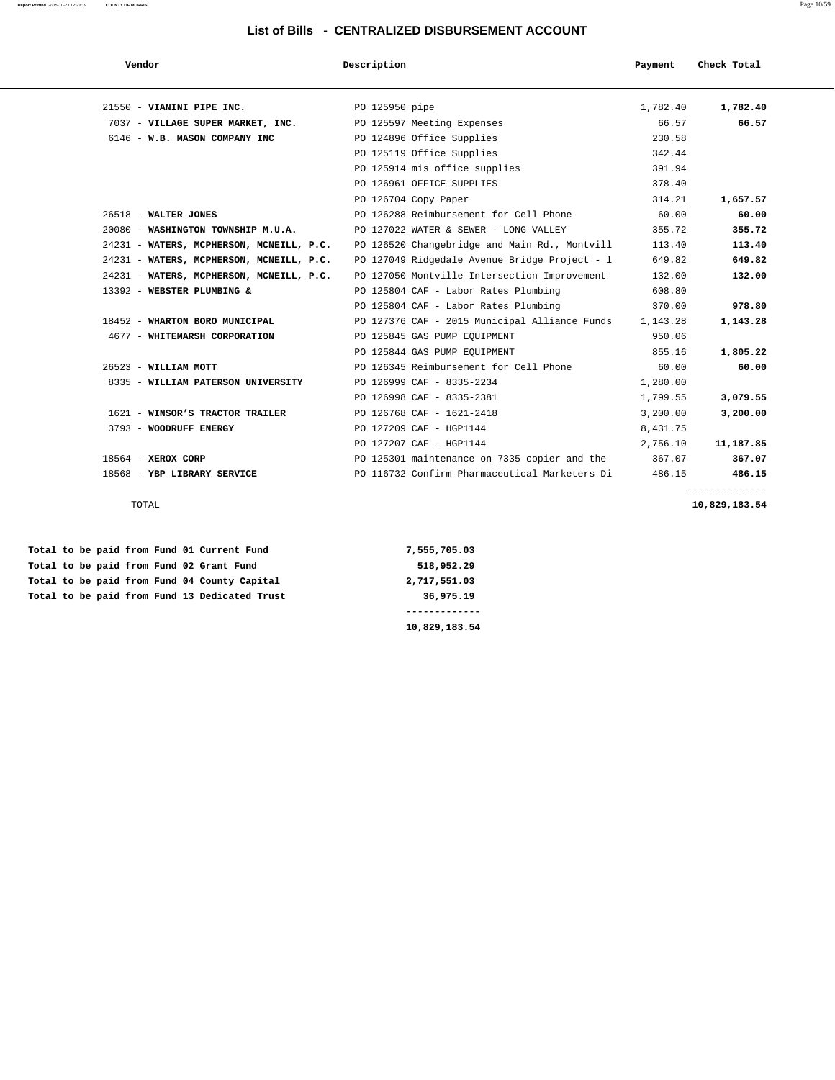**Report Printed** 2015-10-23 12:23:19 **COUNTY OF MORRIS** Page 10/59

| Vendor                                   | Description                                   | Payment  | Check Total |
|------------------------------------------|-----------------------------------------------|----------|-------------|
|                                          |                                               |          |             |
| 21550 - VIANINI PIPE INC.                | PO 125950 pipe                                | 1,782.40 | 1,782.40    |
| 7037 - VILLAGE SUPER MARKET, INC.        | PO 125597 Meeting Expenses                    | 66.57    | 66.57       |
| 6146 - W.B. MASON COMPANY INC            | PO 124896 Office Supplies                     | 230.58   |             |
|                                          | PO 125119 Office Supplies                     | 342.44   |             |
|                                          | PO 125914 mis office supplies                 | 391.94   |             |
|                                          | PO 126961 OFFICE SUPPLIES                     | 378.40   |             |
|                                          | PO 126704 Copy Paper                          | 314.21   | 1,657.57    |
| $26518$ - WALTER JONES                   | PO 126288 Reimbursement for Cell Phone        | 60.00    | 60.00       |
| 20080 - WASHINGTON TOWNSHIP M.U.A.       | PO 127022 WATER & SEWER - LONG VALLEY         | 355.72   | 355.72      |
| 24231 - WATERS, MCPHERSON, MCNEILL, P.C. | PO 126520 Changebridge and Main Rd., Montvill | 113.40   | 113.40      |
| 24231 - WATERS, MCPHERSON, MCNEILL, P.C. | PO 127049 Ridgedale Avenue Bridge Project - l | 649.82   | 649.82      |
| 24231 - WATERS, MCPHERSON, MCNEILL, P.C. | PO 127050 Montville Intersection Improvement  | 132.00   | 132.00      |
| 13392 - WEBSTER PLUMBING &               | PO 125804 CAF - Labor Rates Plumbing          | 608.80   |             |
|                                          | PO 125804 CAF - Labor Rates Plumbing          | 370.00   | 978.80      |
| 18452 - WHARTON BORO MUNICIPAL           | PO 127376 CAF - 2015 Municipal Alliance Funds | 1,143.28 | 1,143.28    |
| 4677 - WHITEMARSH CORPORATION            | PO 125845 GAS PUMP EQUIPMENT                  | 950.06   |             |
|                                          | PO 125844 GAS PUMP EOUIPMENT                  | 855.16   | 1,805.22    |
| 26523 - WILLIAM MOTT                     | PO 126345 Reimbursement for Cell Phone        | 60.00    | 60.00       |
| 8335 - WILLIAM PATERSON UNIVERSITY       | PO 126999 CAF - 8335-2234                     | 1,280.00 |             |
|                                          | PO 126998 CAF - 8335-2381                     | 1,799.55 | 3,079.55    |
| 1621 - WINSOR'S TRACTOR TRAILER          | PO 126768 CAF - 1621-2418                     | 3,200.00 | 3,200.00    |
| 3793 - WOODRUFF ENERGY                   | PO 127209 CAF - HGP1144                       | 8,431.75 |             |
|                                          | PO 127207 CAF - HGP1144                       | 2,756.10 | 11,187.85   |
| $18564$ - XEROX CORP                     | PO 125301 maintenance on 7335 copier and the  | 367.07   | 367.07      |
| 18568 - YBP LIBRARY SERVICE              | PO 116732 Confirm Pharmaceutical Marketers Di | 486.15   | 486.15      |

Total to be paid from Fund 01 Current Fund 7,555,705.03  **Total to be paid from Fund 02 Grant Fund 518,952.29** Total to be paid from Fund 04 County Capital 2,717,551.03 Total to be paid from Fund 13 Dedicated Trust 36,975.19

 **------------- 10,829,183.54**

--------------

TOTAL **10,829,183.54**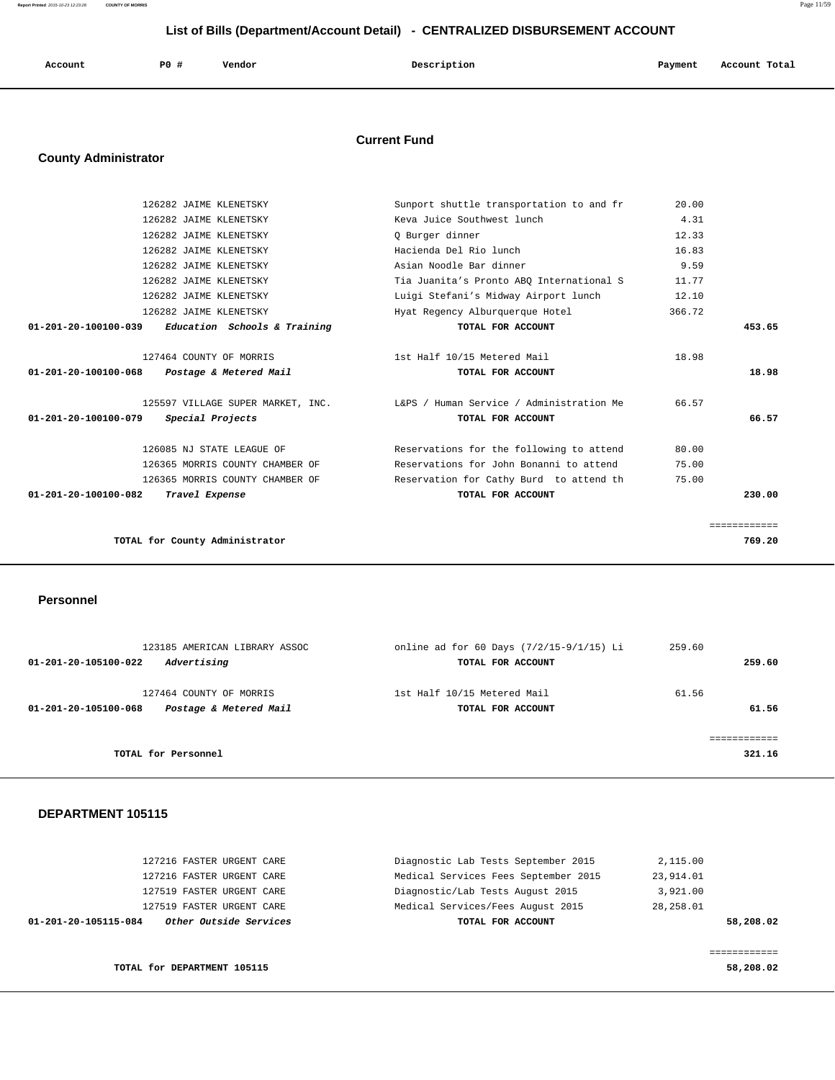**Report Printed** 2015-10-23 12:23:28 **COUNTY OF MORRIS** Page 11/59

## **List of Bills (Department/Account Detail) - CENTRALIZED DISBURSEMENT ACCOUNT**

| Account | <b>PO #</b> | Vendor | Description | Payment | Account Total |
|---------|-------------|--------|-------------|---------|---------------|
|         |             |        |             |         |               |

## **Current Fund**

## **County Administrator**

| 126282 JAIME KLENETSKY                                   | Sunport shuttle transportation to and fr | 20.00        |
|----------------------------------------------------------|------------------------------------------|--------------|
| 126282 JAIME KLENETSKY                                   | Keva Juice Southwest lunch               | 4.31         |
| 126282 JAIME KLENETSKY                                   | Q Burger dinner                          | 12.33        |
| 126282 JAIME KLENETSKY                                   | Hacienda Del Rio lunch                   | 16.83        |
| 126282 JAIME KLENETSKY                                   | Asian Noodle Bar dinner                  | 9.59         |
| 126282 JAIME KLENETSKY                                   | Tia Juanita's Pronto ABO International S | 11.77        |
| 126282 JAIME KLENETSKY                                   | Luigi Stefani's Midway Airport lunch     | 12.10        |
| 126282 JAIME KLENETSKY                                   | Hyat Regency Alburquerque Hotel          | 366.72       |
| 01-201-20-100100-039<br>Education Schools & Training     | TOTAL FOR ACCOUNT                        | 453.65       |
|                                                          |                                          |              |
| 127464 COUNTY OF MORRIS                                  | 1st Half 10/15 Metered Mail              | 18.98        |
| $01 - 201 - 20 - 100100 - 068$<br>Postage & Metered Mail | TOTAL FOR ACCOUNT                        | 18.98        |
| 125597 VILLAGE SUPER MARKET, INC.                        | L&PS / Human Service / Administration Me | 66.57        |
| 01-201-20-100100-079<br>Special Projects                 | TOTAL FOR ACCOUNT                        | 66.57        |
| 126085 NJ STATE LEAGUE OF                                | Reservations for the following to attend | 80.00        |
| 126365 MORRIS COUNTY CHAMBER OF                          | Reservations for John Bonanni to attend  | 75.00        |
| 126365 MORRIS COUNTY CHAMBER OF                          | Reservation for Cathy Burd to attend th  | 75.00        |
| $01 - 201 - 20 - 100100 - 082$<br>Travel Expense         | TOTAL FOR ACCOUNT                        | 230.00       |
|                                                          |                                          |              |
|                                                          |                                          | ============ |
| TOTAL for County Administrator                           |                                          | 769.20       |
|                                                          |                                          |              |

### **Personnel**

| 123185 AMERICAN LIBRARY ASSOC<br>Advertising<br>01-201-20-105100-022      | online ad for 60 Days (7/2/15-9/1/15) Li<br>TOTAL FOR ACCOUNT | 259.60<br>259.60 |
|---------------------------------------------------------------------------|---------------------------------------------------------------|------------------|
|                                                                           |                                                               |                  |
| 127464 COUNTY OF MORRIS<br>Postage & Metered Mail<br>01-201-20-105100-068 | 1st Half 10/15 Metered Mail<br>TOTAL FOR ACCOUNT              | 61.56<br>61.56   |
|                                                                           |                                                               |                  |
| TOTAL for Personnel                                                       |                                                               | 321.16           |

| TOTAL for DEPARTMENT 105115                    |                                      | 58,208.02 |
|------------------------------------------------|--------------------------------------|-----------|
|                                                |                                      |           |
| Other Outside Services<br>01-201-20-105115-084 | TOTAL FOR ACCOUNT                    | 58,208.02 |
| 127519 FASTER URGENT CARE                      | Medical Services/Fees August 2015    | 28,258.01 |
| 127519 FASTER URGENT CARE                      | Diagnostic/Lab Tests August 2015     | 3,921.00  |
| 127216 FASTER URGENT CARE                      | Medical Services Fees September 2015 | 23,914.01 |
| 127216 FASTER URGENT CARE                      | Diagnostic Lab Tests September 2015  | 2,115.00  |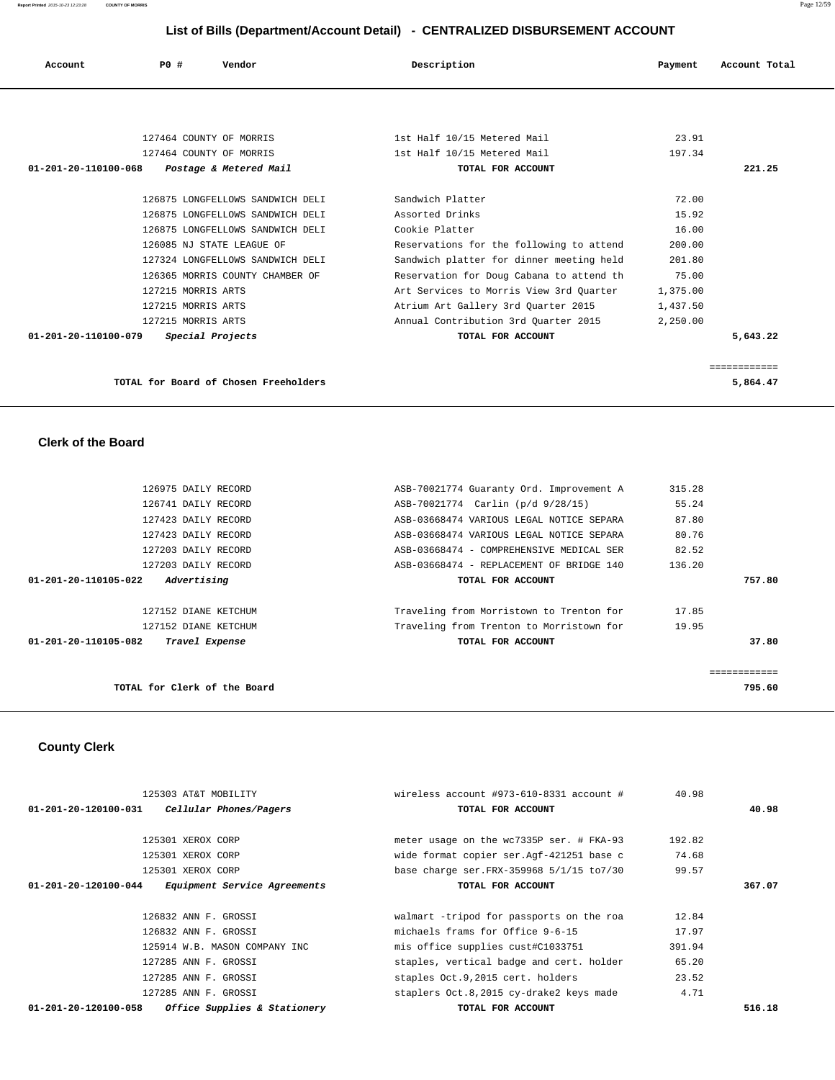| Account                        | PO#                | Vendor                           | Description                              | Payment  | Account Total |
|--------------------------------|--------------------|----------------------------------|------------------------------------------|----------|---------------|
|                                |                    |                                  |                                          |          |               |
|                                |                    |                                  |                                          |          |               |
|                                |                    | 127464 COUNTY OF MORRIS          | 1st Half 10/15 Metered Mail              | 23.91    |               |
|                                |                    | 127464 COUNTY OF MORRIS          | 1st Half 10/15 Metered Mail              | 197.34   |               |
| $01 - 201 - 20 - 110100 - 068$ |                    | Postage & Metered Mail           | TOTAL FOR ACCOUNT                        |          | 221.25        |
|                                |                    |                                  |                                          |          |               |
|                                |                    | 126875 LONGFELLOWS SANDWICH DELI | Sandwich Platter                         | 72.00    |               |
|                                |                    | 126875 LONGFELLOWS SANDWICH DELI | Assorted Drinks                          | 15.92    |               |
|                                |                    | 126875 LONGFELLOWS SANDWICH DELI | Cookie Platter                           | 16.00    |               |
|                                |                    | 126085 NJ STATE LEAGUE OF        | Reservations for the following to attend | 200.00   |               |
|                                |                    | 127324 LONGFELLOWS SANDWICH DELI | Sandwich platter for dinner meeting held | 201.80   |               |
|                                |                    | 126365 MORRIS COUNTY CHAMBER OF  | Reservation for Doug Cabana to attend th | 75.00    |               |
|                                | 127215 MORRIS ARTS |                                  | Art Services to Morris View 3rd Ouarter  | 1,375.00 |               |
|                                | 127215 MORRIS ARTS |                                  | Atrium Art Gallery 3rd Quarter 2015      | 1,437.50 |               |
|                                | 127215 MORRIS ARTS |                                  | Annual Contribution 3rd Quarter 2015     | 2,250.00 |               |
| $01 - 201 - 20 - 110100 - 079$ |                    | Special Projects                 | TOTAL FOR ACCOUNT                        |          | 5,643.22      |

 ============ **TOTAL for Board of Chosen Freeholders 5,864.47**

## **Clerk of the Board**

| TOTAL for Clerk of the Board           |                                          |        | 795.60 |
|----------------------------------------|------------------------------------------|--------|--------|
|                                        |                                          |        |        |
| 01-201-20-110105-082<br>Travel Expense | TOTAL FOR ACCOUNT                        |        | 37.80  |
| 127152 DIANE KETCHUM                   | Traveling from Trenton to Morristown for | 19.95  |        |
| 127152 DIANE KETCHUM                   | Traveling from Morristown to Trenton for | 17.85  |        |
| Advertising<br>01-201-20-110105-022    | TOTAL FOR ACCOUNT                        |        | 757.80 |
| 127203 DAILY RECORD                    | ASB-03668474 - REPLACEMENT OF BRIDGE 140 | 136.20 |        |
| 127203 DAILY RECORD                    | ASB-03668474 - COMPREHENSIVE MEDICAL SER | 82.52  |        |
| 127423 DAILY RECORD                    | ASB-03668474 VARIOUS LEGAL NOTICE SEPARA | 80.76  |        |
| 127423 DAILY RECORD                    | ASB-03668474 VARIOUS LEGAL NOTICE SEPARA | 87.80  |        |
| 126741 DAILY RECORD                    | ASB-70021774 Carlin (p/d 9/28/15)        | 55.24  |        |
| 126975 DAILY RECORD                    | ASB-70021774 Guaranty Ord. Improvement A | 315.28 |        |

# **County Clerk**

| 125303 AT&T MOBILITY                                        | wireless account #973-610-8331 account #   | 40.98  |        |
|-------------------------------------------------------------|--------------------------------------------|--------|--------|
| Cellular Phones/Pagers<br>01-201-20-120100-031              | TOTAL FOR ACCOUNT                          |        | 40.98  |
|                                                             |                                            |        |        |
| 125301 XEROX CORP                                           | meter usage on the wc7335P ser. # FKA-93   | 192.82 |        |
| 125301 XEROX CORP                                           | wide format copier ser. Aqf-421251 base c  | 74.68  |        |
| 125301 XEROX CORP                                           | base charge ser. FRX-359968 5/1/15 to 7/30 | 99.57  |        |
| <i>Equipment Service Agreements</i><br>01-201-20-120100-044 | TOTAL FOR ACCOUNT                          |        | 367.07 |
|                                                             |                                            |        |        |
| 126832 ANN F. GROSSI                                        | walmart -tripod for passports on the roa   | 12.84  |        |
| 126832 ANN F. GROSSI                                        | michaels frams for Office 9-6-15           | 17.97  |        |
| 125914 W.B. MASON COMPANY INC                               | mis office supplies cust#C1033751          | 391.94 |        |
| 127285 ANN F. GROSSI                                        | staples, vertical badge and cert. holder   | 65.20  |        |
| 127285 ANN F. GROSSI                                        | staples Oct.9,2015 cert. holders           | 23.52  |        |
| 127285 ANN F. GROSSI                                        | staplers Oct.8,2015 cy-drake2 keys made    | 4.71   |        |
| Office Supplies & Stationery<br>01-201-20-120100-058        | TOTAL FOR ACCOUNT                          |        | 516.18 |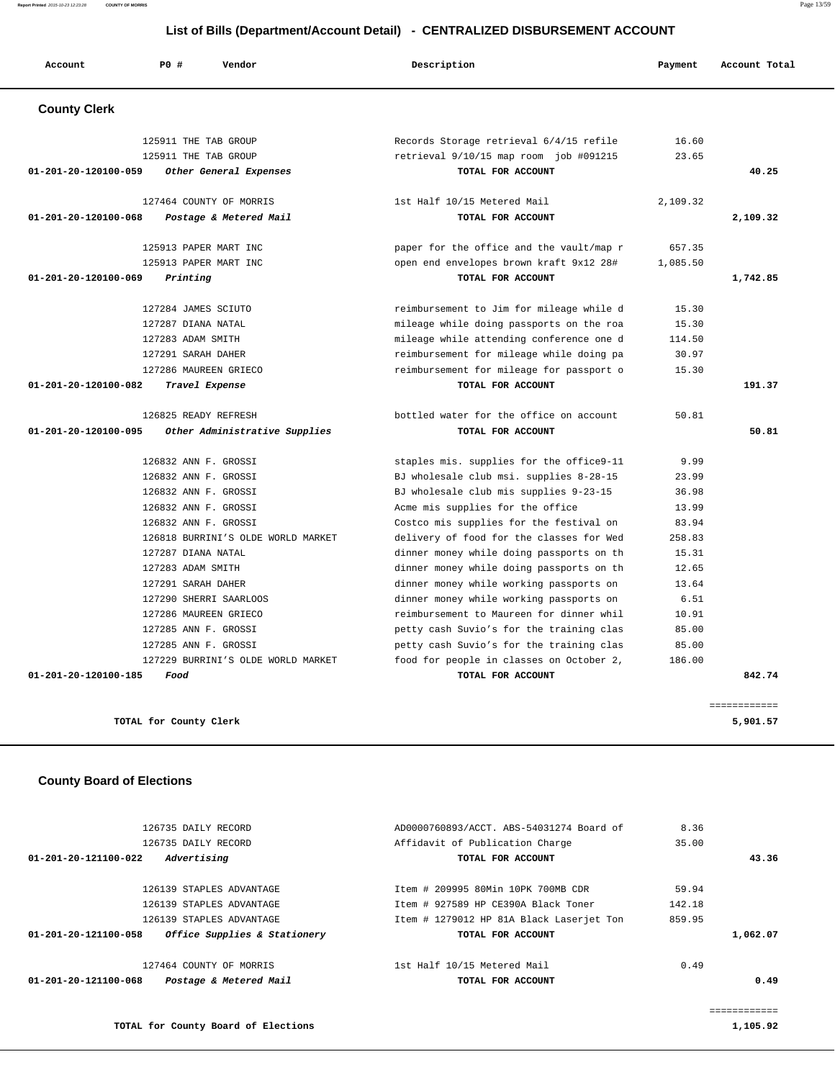**Report Printed** 2015-10-23 12:23:28 **COUNTY OF MORRIS** Page 13/59

#### **List of Bills (Department/Account Detail) - CENTRALIZED DISBURSEMENT ACCOUNT**

| Account              | P0 #<br>Vendor                     | Description                              | Payment  | Account Total |
|----------------------|------------------------------------|------------------------------------------|----------|---------------|
| <b>County Clerk</b>  |                                    |                                          |          |               |
|                      | 125911 THE TAB GROUP               | Records Storage retrieval 6/4/15 refile  | 16.60    |               |
|                      | 125911 THE TAB GROUP               | retrieval 9/10/15 map room job #091215   | 23.65    |               |
| 01-201-20-120100-059 | Other General Expenses             | TOTAL FOR ACCOUNT                        |          | 40.25         |
|                      | 127464 COUNTY OF MORRIS            | 1st Half 10/15 Metered Mail              | 2,109.32 |               |
| 01-201-20-120100-068 | Postage & Metered Mail             | TOTAL FOR ACCOUNT                        |          | 2,109.32      |
|                      | 125913 PAPER MART INC              | paper for the office and the vault/map r | 657.35   |               |
|                      | 125913 PAPER MART INC              | open end envelopes brown kraft 9x12 28#  | 1,085.50 |               |
| 01-201-20-120100-069 | Printing                           | TOTAL FOR ACCOUNT                        |          | 1,742.85      |
|                      | 127284 JAMES SCIUTO                | reimbursement to Jim for mileage while d | 15.30    |               |
|                      | 127287 DIANA NATAL                 | mileage while doing passports on the roa | 15.30    |               |
|                      | 127283 ADAM SMITH                  | mileage while attending conference one d | 114.50   |               |
|                      | 127291 SARAH DAHER                 | reimbursement for mileage while doing pa | 30.97    |               |
|                      | 127286 MAUREEN GRIECO              | reimbursement for mileage for passport o | 15.30    |               |
| 01-201-20-120100-082 | Travel Expense                     | TOTAL FOR ACCOUNT                        |          | 191.37        |
|                      | 126825 READY REFRESH               | bottled water for the office on account  | 50.81    |               |
| 01-201-20-120100-095 | Other Administrative Supplies      | TOTAL FOR ACCOUNT                        |          | 50.81         |
|                      | 126832 ANN F. GROSSI               | staples mis. supplies for the office9-11 | 9.99     |               |
|                      | 126832 ANN F. GROSSI               | BJ wholesale club msi. supplies 8-28-15  | 23.99    |               |
|                      | 126832 ANN F. GROSSI               | BJ wholesale club mis supplies 9-23-15   | 36.98    |               |
|                      | 126832 ANN F. GROSSI               | Acme mis supplies for the office         | 13.99    |               |
|                      | 126832 ANN F. GROSSI               | Costco mis supplies for the festival on  | 83.94    |               |
|                      | 126818 BURRINI'S OLDE WORLD MARKET | delivery of food for the classes for Wed | 258.83   |               |
|                      | 127287 DIANA NATAL                 | dinner money while doing passports on th | 15.31    |               |
|                      | 127283 ADAM SMITH                  | dinner money while doing passports on th | 12.65    |               |
|                      | 127291 SARAH DAHER                 | dinner money while working passports on  | 13.64    |               |
|                      | 127290 SHERRI SAARLOOS             | dinner money while working passports on  | 6.51     |               |
|                      | 127286 MAUREEN GRIECO              | reimbursement to Maureen for dinner whil | 10.91    |               |
|                      | 127285 ANN F. GROSSI               | petty cash Suvio's for the training clas | 85.00    |               |
|                      | 127285 ANN F. GROSSI               | petty cash Suvio's for the training clas | 85.00    |               |
|                      | 127229 BURRINI'S OLDE WORLD MARKET | food for people in classes on October 2, | 186.00   |               |
| 01-201-20-120100-185 | Food                               | TOTAL FOR ACCOUNT                        |          | 842.74        |
|                      |                                    |                                          |          | ============  |
|                      |                                    |                                          |          |               |

## **County Board of Elections**

| 126735 DAILY RECORD<br>126735 DAILY RECORD           | AD0000760893/ACCT. ABS-54031274 Board of<br>Affidavit of Publication Charge | 8.36<br>35.00 |          |
|------------------------------------------------------|-----------------------------------------------------------------------------|---------------|----------|
| $01 - 201 - 20 - 121100 - 022$<br>Advertising        | TOTAL FOR ACCOUNT                                                           |               | 43.36    |
| 126139 STAPLES ADVANTAGE                             | Item # 209995 80Min 10PK 700MB CDR                                          | 59.94         |          |
| 126139 STAPLES ADVANTAGE                             | Item # 927589 HP CE390A Black Toner                                         | 142.18        |          |
| 126139 STAPLES ADVANTAGE                             | Item # 1279012 HP 81A Black Laserjet Ton                                    | 859.95        |          |
| Office Supplies & Stationery<br>01-201-20-121100-058 | TOTAL FOR ACCOUNT                                                           |               | 1,062.07 |
| 127464 COUNTY OF MORRIS                              | 1st Half 10/15 Metered Mail                                                 | 0.49          |          |
| Postage & Metered Mail<br>01-201-20-121100-068       | TOTAL FOR ACCOUNT                                                           |               | 0.49     |
|                                                      |                                                                             |               |          |

**TOTAL for County Board of Elections 1,105.92**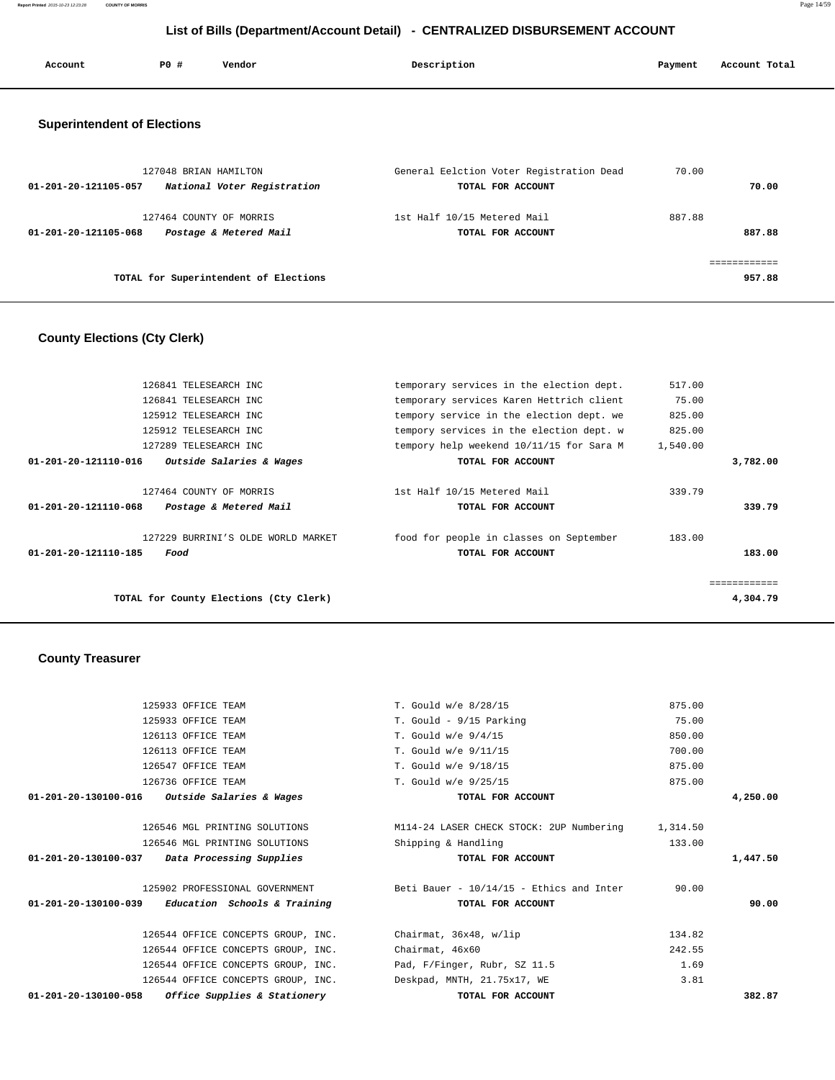**Report Printed** 2015-10-23 12:23:28 **COUNTY OF MORRIS** Page 14/59

## **List of Bills (Department/Account Detail) - CENTRALIZED DISBURSEMENT ACCOUNT**

| Account                            | PO#                   | Vendor                                            | Description                                                   | Payment | Account Total |
|------------------------------------|-----------------------|---------------------------------------------------|---------------------------------------------------------------|---------|---------------|
| <b>Superintendent of Elections</b> |                       |                                                   |                                                               |         |               |
| 01-201-20-121105-057               | 127048 BRIAN HAMILTON | National Voter Registration                       | General Eelction Voter Registration Dead<br>TOTAL FOR ACCOUNT | 70.00   | 70.00         |
| 01-201-20-121105-068               |                       | 127464 COUNTY OF MORRIS<br>Postage & Metered Mail | 1st Half 10/15 Metered Mail<br>TOTAL FOR ACCOUNT              | 887.88  | 887.88        |
|                                    |                       |                                                   |                                                               |         | ============  |
|                                    |                       | TOTAL for Superintendent of Elections             |                                                               |         | 957.88        |

## **County Elections (Cty Clerk)**

|          | 517.00   | temporary services in the election dept.                     | 126841 TELESEARCH INC                             |                      |
|----------|----------|--------------------------------------------------------------|---------------------------------------------------|----------------------|
|          | 75.00    | temporary services Karen Hettrich client                     | 126841 TELESEARCH INC                             |                      |
|          | 825.00   | tempory service in the election dept. we                     | 125912 TELESEARCH INC                             |                      |
|          | 825.00   | tempory services in the election dept. w                     | 125912 TELESEARCH INC                             |                      |
|          | 1,540.00 | tempory help weekend 10/11/15 for Sara M                     | 127289 TELESEARCH INC                             |                      |
| 3,782.00 |          | TOTAL FOR ACCOUNT                                            | Outside Salaries & Wages                          | 01-201-20-121110-016 |
| 339.79   | 339.79   | 1st Half 10/15 Metered Mail<br>TOTAL FOR ACCOUNT             | 127464 COUNTY OF MORRIS<br>Postage & Metered Mail | 01-201-20-121110-068 |
| 183.00   | 183.00   | food for people in classes on September<br>TOTAL FOR ACCOUNT | 127229 BURRINI'S OLDE WORLD MARKET<br>Food        | 01-201-20-121110-185 |
| .        |          |                                                              |                                                   |                      |
| 4,304.79 |          |                                                              | TOTAL for County Elections (Cty Clerk)            |                      |
|          |          |                                                              |                                                   |                      |

# **County Treasurer**

| 125933 OFFICE TEAM                                              | T. Gould w/e 8/28/15                                                        | 875.00 |          |
|-----------------------------------------------------------------|-----------------------------------------------------------------------------|--------|----------|
| 125933 OFFICE TEAM                                              | T. Gould - 9/15 Parking                                                     | 75.00  |          |
| 126113 OFFICE TEAM                                              | T. Gould w/e 9/4/15                                                         | 850.00 |          |
| 126113 OFFICE TEAM                                              | T. Gould w/e 9/11/15                                                        | 700.00 |          |
| 126547 OFFICE TEAM                                              | T. Gould w/e 9/18/15                                                        | 875.00 |          |
| 126736 OFFICE TEAM                                              | T. Gould w/e 9/25/15                                                        | 875.00 |          |
| $01-201-20-130100-016$ Outside Salaries & Wages                 | TOTAL FOR ACCOUNT                                                           |        | 4,250.00 |
| 126546 MGL PRINTING SOLUTIONS                                   | M114-24 LASER CHECK STOCK: 2UP Numbering 1,314.50                           |        |          |
| 126546 MGL PRINTING SOLUTIONS                                   | Shipping & Handling                                                         | 133.00 |          |
| 01-201-20-130100-037 Data Processing Supplies                   | TOTAL FOR ACCOUNT                                                           |        | 1,447.50 |
|                                                                 | 125902 PROFESSIONAL GOVERNMENT THE Beti Bauer - 10/14/15 - Ethics and Inter | 90.00  |          |
| $01-201-20-130100-039$ Education Schools & Training             | TOTAL FOR ACCOUNT                                                           |        | 90.00    |
| 126544 OFFICE CONCEPTS GROUP, INC.                              | Chairmat, 36x48, w/lip                                                      | 134.82 |          |
| 126544 OFFICE CONCEPTS GROUP, INC.                              | Chairmat, 46x60                                                             | 242.55 |          |
| 126544 OFFICE CONCEPTS GROUP, INC.                              | Pad, F/Finger, Rubr, SZ 11.5                                                | 1.69   |          |
| 126544 OFFICE CONCEPTS GROUP, INC.                              | Deskpad, MNTH, 21.75x17, WE                                                 | 3.81   |          |
| 01-201-20-130100-058<br><i>Office Supplies &amp; Stationery</i> | TOTAL FOR ACCOUNT                                                           |        | 382.87   |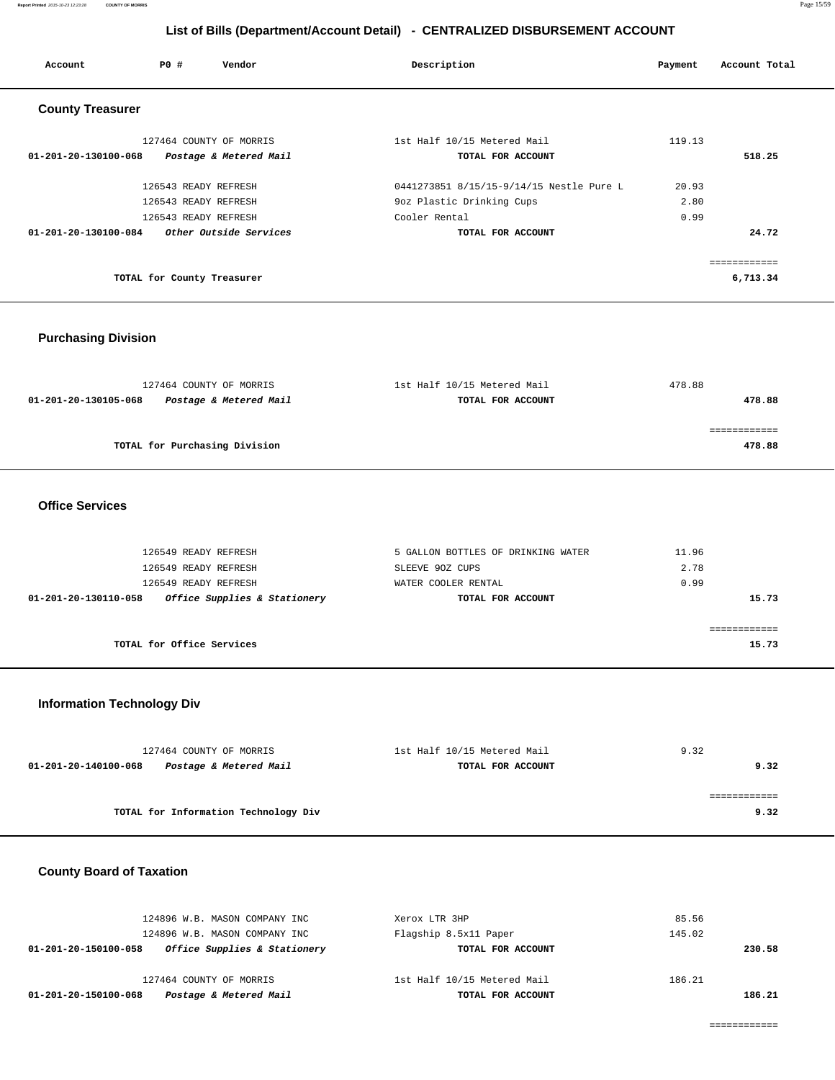| Account                 | PO#                        | Vendor                  | Description                              | Payment | Account Total |
|-------------------------|----------------------------|-------------------------|------------------------------------------|---------|---------------|
| <b>County Treasurer</b> |                            |                         |                                          |         |               |
|                         |                            | 127464 COUNTY OF MORRIS | 1st Half 10/15 Metered Mail              | 119.13  |               |
| 01-201-20-130100-068    |                            | Postage & Metered Mail  | TOTAL FOR ACCOUNT                        |         | 518.25        |
|                         | 126543 READY REFRESH       |                         | 0441273851 8/15/15-9/14/15 Nestle Pure L | 20.93   |               |
|                         | 126543 READY REFRESH       |                         | 9oz Plastic Drinking Cups                | 2.80    |               |
|                         | 126543 READY REFRESH       |                         | Cooler Rental                            | 0.99    |               |
| 01-201-20-130100-084    |                            | Other Outside Services  | TOTAL FOR ACCOUNT                        |         | 24.72         |
|                         |                            |                         |                                          |         |               |
|                         | TOTAL for County Treasurer |                         |                                          |         | 6,713.34      |

## **Purchasing Division**

| 127464 COUNTY OF MORRIS                        | 1st Half 10/15 Metered Mail | 478.88 |
|------------------------------------------------|-----------------------------|--------|
| Postage & Metered Mail<br>01-201-20-130105-068 | TOTAL FOR ACCOUNT           | 478.88 |
|                                                |                             |        |
|                                                |                             |        |
| TOTAL for Purchasing Division                  |                             | 478.88 |
|                                                |                             |        |

## **Office Services**

| 126549 READY REFRESH<br>126549 READY REFRESH<br>126549 READY REFRESH | 5 GALLON BOTTLES OF DRINKING WATER<br>SLEEVE 90Z CUPS<br>WATER COOLER RENTAL | 11.96<br>2.78<br>0.99 |
|----------------------------------------------------------------------|------------------------------------------------------------------------------|-----------------------|
| Office Supplies & Stationery<br>01-201-20-130110-058                 | TOTAL FOR ACCOUNT                                                            | 15.73                 |
| TOTAL for Office Services                                            |                                                                              | 15.73                 |

## **Information Technology Div**

| 127464 COUNTY OF MORRIS                        | 1st Half 10/15 Metered Mail | 9.32 |  |
|------------------------------------------------|-----------------------------|------|--|
| Postage & Metered Mail<br>01-201-20-140100-068 | TOTAL FOR ACCOUNT           | 9.32 |  |
|                                                |                             |      |  |
|                                                |                             |      |  |
| TOTAL for Information Technology Div           |                             | 9.32 |  |

# **County Board of Taxation**

| Postage & Metered Mail<br>01-201-20-150100-068       | TOTAL FOR ACCOUNT           | 186.21 |
|------------------------------------------------------|-----------------------------|--------|
| 127464 COUNTY OF MORRIS                              | 1st Half 10/15 Metered Mail | 186.21 |
| Office Supplies & Stationery<br>01-201-20-150100-058 | TOTAL FOR ACCOUNT           | 230.58 |
| 124896 W.B. MASON COMPANY INC                        | Flagship 8.5x11 Paper       | 145.02 |
| 124896 W.B. MASON COMPANY INC                        | Xerox LTR 3HP               | 85.56  |
|                                                      |                             |        |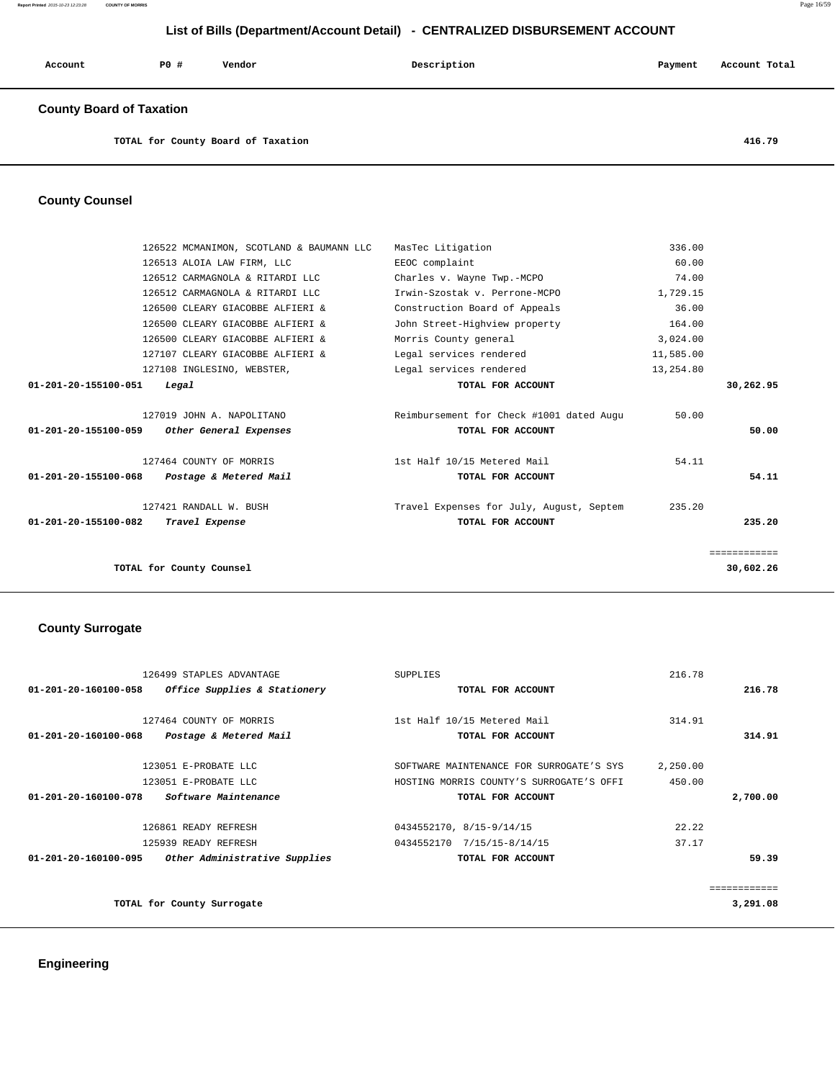| Account | <b>PO #</b> | Vendor | Description | Payment | Account Total |
|---------|-------------|--------|-------------|---------|---------------|
|         |             |        |             |         |               |

## **County Board of Taxation**

**TOTAL for County Board of Taxation 416.79**

## **County Counsel**

| 126522 MCMANIMON, SCOTLAND & BAUMANN LLC       | MasTec Litigation                        | 336.00    |              |
|------------------------------------------------|------------------------------------------|-----------|--------------|
| 126513 ALOIA LAW FIRM, LLC                     | EEOC complaint                           | 60.00     |              |
| 126512 CARMAGNOLA & RITARDI LLC                | Charles v. Wayne Twp.-MCPO               | 74.00     |              |
| 126512 CARMAGNOLA & RITARDI LLC                | Irwin-Szostak v. Perrone-MCPO            | 1,729.15  |              |
| 126500 CLEARY GIACOBBE ALFIERI &               | Construction Board of Appeals            | 36.00     |              |
| 126500 CLEARY GIACOBBE ALFIERI &               | John Street-Highview property            | 164.00    |              |
| 126500 CLEARY GIACOBBE ALFIERI &               | Morris County general                    | 3,024.00  |              |
| 127107 CLEARY GIACOBBE ALFIERI &               | Legal services rendered                  | 11,585.00 |              |
| 127108 INGLESINO, WEBSTER,                     | Legal services rendered                  | 13,254.80 |              |
| 01-201-20-155100-051<br>Legal                  | TOTAL FOR ACCOUNT                        |           | 30,262.95    |
|                                                |                                          |           |              |
| 127019 JOHN A. NAPOLITANO                      | Reimbursement for Check #1001 dated Augu | 50.00     |              |
| 01-201-20-155100-059<br>Other General Expenses | TOTAL FOR ACCOUNT                        |           | 50.00        |
|                                                |                                          |           |              |
| 127464 COUNTY OF MORRIS                        | 1st Half 10/15 Metered Mail              | 54.11     |              |
| 01-201-20-155100-068<br>Postage & Metered Mail | TOTAL FOR ACCOUNT                        |           | 54.11        |
|                                                |                                          |           |              |
| 127421 RANDALL W. BUSH                         | Travel Expenses for July, August, Septem | 235.20    |              |
| 01-201-20-155100-082<br>Travel Expense         | TOTAL FOR ACCOUNT                        |           | 235.20       |
|                                                |                                          |           |              |
|                                                |                                          |           | ============ |
| TOTAL for County Counsel                       |                                          |           | 30,602.26    |
|                                                |                                          |           |              |

#### **County Surrogate**

|                                | 126499 STAPLES ADVANTAGE      | <b>SUPPLIES</b>                          | 216.78   |              |
|--------------------------------|-------------------------------|------------------------------------------|----------|--------------|
| $01 - 201 - 20 - 160100 - 058$ | Office Supplies & Stationery  | TOTAL FOR ACCOUNT                        |          | 216.78       |
|                                | 127464 COUNTY OF MORRIS       | 1st Half 10/15 Metered Mail              | 314.91   |              |
| 01-201-20-160100-068           | Postage & Metered Mail        | TOTAL FOR ACCOUNT                        |          | 314.91       |
|                                | 123051 E-PROBATE LLC          | SOFTWARE MAINTENANCE FOR SURROGATE'S SYS | 2,250.00 |              |
|                                | 123051 E-PROBATE LLC          | HOSTING MORRIS COUNTY'S SURROGATE'S OFFI | 450.00   |              |
| $01 - 201 - 20 - 160100 - 078$ | <i>Software Maintenance</i>   | TOTAL FOR ACCOUNT                        |          | 2,700.00     |
|                                | 126861 READY REFRESH          | 0434552170, 8/15-9/14/15                 | 22.22    |              |
|                                | 125939 READY REFRESH          | 0434552170 7/15/15-8/14/15               | 37.17    |              |
| 01-201-20-160100-095           | Other Administrative Supplies | TOTAL FOR ACCOUNT                        |          | 59.39        |
|                                |                               |                                          |          | ============ |
|                                | TOTAL for County Surrogate    |                                          |          | 3,291.08     |
|                                |                               |                                          |          |              |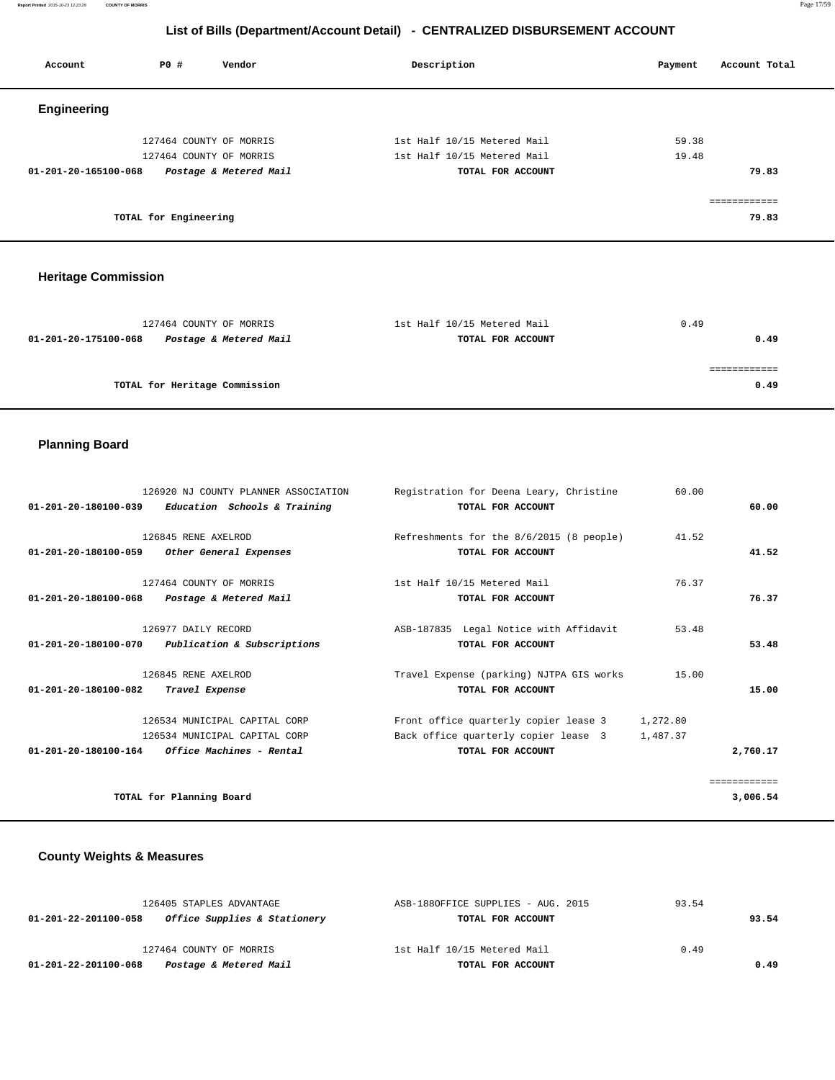**Report Printed** 2015-10-23 12:23:28 **COUNTY OF MORRIS** Page 17/59

## **List of Bills (Department/Account Detail) - CENTRALIZED DISBURSEMENT ACCOUNT**

| Account              | PO#                   | Vendor                  | Description                 | Account Total<br>Payment |
|----------------------|-----------------------|-------------------------|-----------------------------|--------------------------|
| <b>Engineering</b>   |                       |                         |                             |                          |
|                      |                       | 127464 COUNTY OF MORRIS | 1st Half 10/15 Metered Mail | 59.38                    |
|                      |                       | 127464 COUNTY OF MORRIS | 1st Half 10/15 Metered Mail | 19.48                    |
| 01-201-20-165100-068 |                       | Postage & Metered Mail  | TOTAL FOR ACCOUNT           | 79.83                    |
|                      |                       |                         |                             |                          |
|                      | TOTAL for Engineering |                         |                             | 79.83                    |

## **Heritage Commission**

| 127464 COUNTY OF MORRIS                        | 1st Half 10/15 Metered Mail | 0.49 |
|------------------------------------------------|-----------------------------|------|
| Postage & Metered Mail<br>01-201-20-175100-068 | TOTAL FOR ACCOUNT           | 0.49 |
|                                                |                             |      |
|                                                |                             |      |
| TOTAL for Heritage Commission                  |                             | 0.49 |
|                                                |                             |      |

# **Planning Board**

|                                                     | 126920 NJ COUNTY PLANNER ASSOCIATION   | Registration for Deena Leary, Christine         | 60.00    |              |
|-----------------------------------------------------|----------------------------------------|-------------------------------------------------|----------|--------------|
| $01-201-20-180100-039$ Education Schools & Training |                                        | TOTAL FOR ACCOUNT                               |          | 60.00        |
|                                                     |                                        |                                                 |          |              |
|                                                     | 126845 RENE AXELROD                    | Refreshments for the 8/6/2015 (8 people)        | 41.52    |              |
| 01-201-20-180100-059                                | Other General Expenses                 | TOTAL FOR ACCOUNT                               |          | 41.52        |
|                                                     | 127464 COUNTY OF MORRIS                | 1st Half 10/15 Metered Mail                     | 76.37    |              |
| $01 - 201 - 20 - 180100 - 068$                      | Postage & Metered Mail                 | TOTAL FOR ACCOUNT                               |          | 76.37        |
|                                                     | 126977 DAILY RECORD                    | ASB-187835 Legal Notice with Affidavit          | 53.48    |              |
| 01-201-20-180100-070 Publication & Subscriptions    |                                        | TOTAL FOR ACCOUNT                               |          | 53.48        |
|                                                     | 126845 RENE AXELROD                    | Travel Expense (parking) NJTPA GIS works        | 15.00    |              |
| 01-201-20-180100-082                                | Travel Expense                         | TOTAL FOR ACCOUNT                               |          | 15.00        |
|                                                     | 126534 MUNICIPAL CAPITAL CORP          | Front office quarterly copier lease $\hat{a}$ 3 | 1,272.80 |              |
|                                                     | 126534 MUNICIPAL CAPITAL CORP          | Back office quarterly copier lease $\hat{a}$ 3  | 1,487.37 |              |
|                                                     |                                        |                                                 |          |              |
| 01-201-20-180100-164                                | <i><b>Office Machines - Rental</b></i> | TOTAL FOR ACCOUNT                               |          | 2,760.17     |
|                                                     |                                        |                                                 |          | ============ |
| TOTAL for Planning Board                            |                                        |                                                 |          | 3,006.54     |

# **County Weights & Measures**

| Postage & Metered Mail<br>01-201-22-201100-068       | TOTAL FOR ACCOUNT                  | 0.49  |  |
|------------------------------------------------------|------------------------------------|-------|--|
| 127464 COUNTY OF MORRIS                              | 1st Half 10/15 Metered Mail        | 0.49  |  |
| Office Supplies & Stationery<br>01-201-22-201100-058 | TOTAL FOR ACCOUNT                  | 93.54 |  |
| 126405 STAPLES ADVANTAGE                             | ASB-1880FFICE SUPPLIES - AUG. 2015 | 93.54 |  |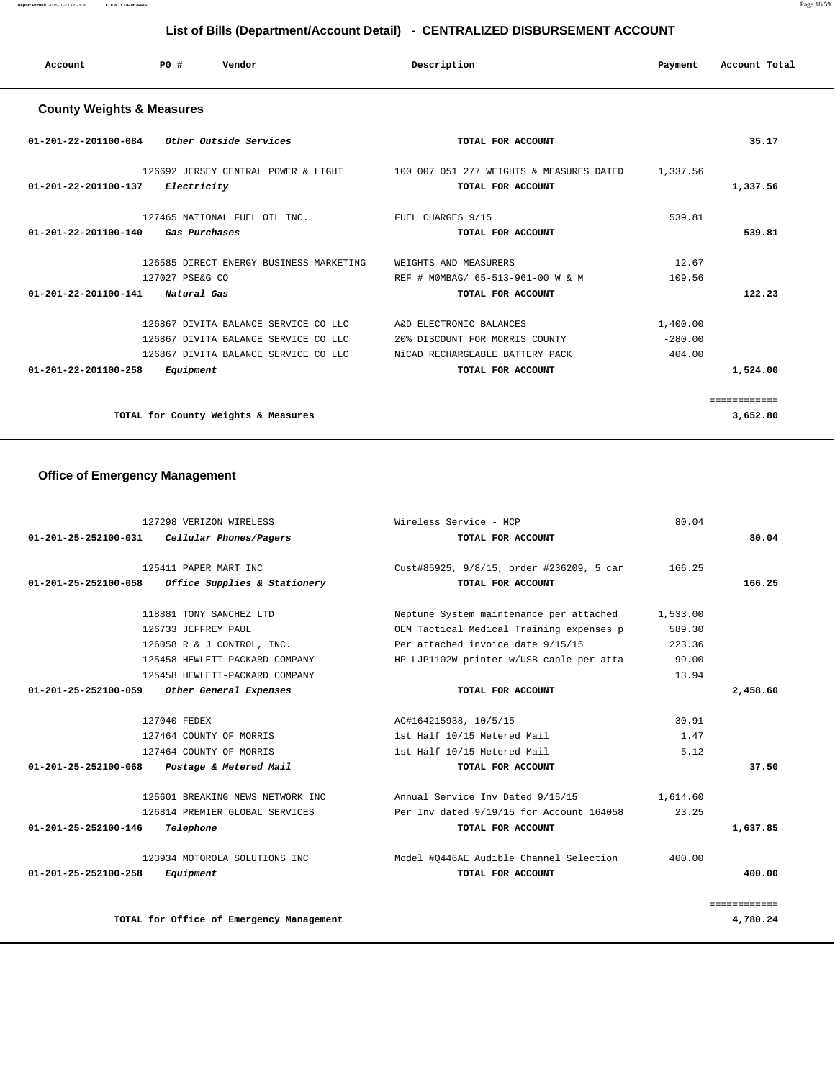**Report Printed** 2015-10-23 12:23:28 **COUNTY OF MORRIS** Page 18/59

# **List of Bills (Department/Account Detail) - CENTRALIZED DISBURSEMENT ACCOUNT**

| Account | <b>PO #</b> | Vendor | Description | Payment | Account Total |
|---------|-------------|--------|-------------|---------|---------------|
|         |             |        |             |         |               |

# **County Weights & Measures**

| 01-201-22-201100-084<br><i>Other Outside Services</i>                                                                                                               | TOTAL FOR ACCOUNT                                                                                                 |                                 | 35.17                    |
|---------------------------------------------------------------------------------------------------------------------------------------------------------------------|-------------------------------------------------------------------------------------------------------------------|---------------------------------|--------------------------|
| 126692 JERSEY CENTRAL POWER & LIGHT<br>$01 - 201 - 22 - 201100 - 137$<br>Electricity                                                                                | 100 007 051 277 WEIGHTS & MEASURES DATED<br>TOTAL FOR ACCOUNT                                                     | 1,337.56                        | 1,337.56                 |
| 127465 NATIONAL FUEL OIL INC.<br>$01 - 201 - 22 - 201100 - 140$<br>Gas Purchases                                                                                    | FUEL CHARGES 9/15<br>TOTAL FOR ACCOUNT                                                                            | 539.81                          | 539.81                   |
| 126585 DIRECT ENERGY BUSINESS MARKETING<br>127027 PSE&G CO<br>$01 - 201 - 22 - 201100 - 141$<br>Natural Gas                                                         | WEIGHTS AND MEASURERS<br>REF # MOMBAG/ 65-513-961-00 W & M<br>TOTAL FOR ACCOUNT                                   | 12.67<br>109.56                 | 122.23                   |
| 126867 DIVITA BALANCE SERVICE CO LLC<br>126867 DIVITA BALANCE SERVICE CO LLC<br>126867 DIVITA BALANCE SERVICE CO LLC<br>$01 - 201 - 22 - 201100 - 258$<br>Equipment | A&D ELECTRONIC BALANCES<br>20% DISCOUNT FOR MORRIS COUNTY<br>NiCAD RECHARGEABLE BATTERY PACK<br>TOTAL FOR ACCOUNT | 1,400.00<br>$-280.00$<br>404.00 | 1,524.00                 |
| TOTAL for County Weights & Measures                                                                                                                                 |                                                                                                                   |                                 | ============<br>3,652.80 |

# **Office of Emergency Management**

|              | Wireless Service - MCP<br>80.04                     | 127298 VERIZON WIRELESS                              |
|--------------|-----------------------------------------------------|------------------------------------------------------|
| 80.04        | TOTAL FOR ACCOUNT                                   | 01-201-25-252100-031<br>Cellular Phones/Pagers       |
|              | Cust#85925, 9/8/15, order #236209, 5 car<br>166.25  | 125411 PAPER MART INC                                |
| 166.25       | TOTAL FOR ACCOUNT                                   | 01-201-25-252100-058<br>Office Supplies & Stationery |
|              | Neptune System maintenance per attached<br>1,533.00 | 118881 TONY SANCHEZ LTD                              |
|              | OEM Tactical Medical Training expenses p<br>589.30  | 126733 JEFFREY PAUL                                  |
|              | Per attached invoice date 9/15/15<br>223.36         | 126058 R & J CONTROL, INC.                           |
|              | HP LJP1102W printer w/USB cable per atta<br>99.00   | 125458 HEWLETT-PACKARD COMPANY                       |
|              | 13.94                                               | 125458 HEWLETT-PACKARD COMPANY                       |
| 2,458.60     | TOTAL FOR ACCOUNT                                   | 01-201-25-252100-059<br>Other General Expenses       |
|              | 30.91<br>AC#164215938, 10/5/15                      | 127040 FEDEX                                         |
|              | 1st Half 10/15 Metered Mail<br>1.47                 | 127464 COUNTY OF MORRIS                              |
|              | 5.12<br>1st Half 10/15 Metered Mail                 | 127464 COUNTY OF MORRIS                              |
| 37.50        | TOTAL FOR ACCOUNT                                   | 01-201-25-252100-068<br>Postage & Metered Mail       |
|              | Annual Service Inv Dated 9/15/15<br>1,614.60        | 125601 BREAKING NEWS NETWORK INC                     |
|              | Per Inv dated 9/19/15 for Account 164058<br>23.25   | 126814 PREMIER GLOBAL SERVICES                       |
| 1,637.85     | TOTAL FOR ACCOUNT                                   | Telephone<br>01-201-25-252100-146                    |
|              | Model #0446AE Audible Channel Selection<br>400.00   | 123934 MOTOROLA SOLUTIONS INC                        |
| 400.00       | TOTAL FOR ACCOUNT                                   | 01-201-25-252100-258<br>Equipment                    |
| ============ |                                                     |                                                      |
| 4,780.24     |                                                     | TOTAL for Office of Emergency Management             |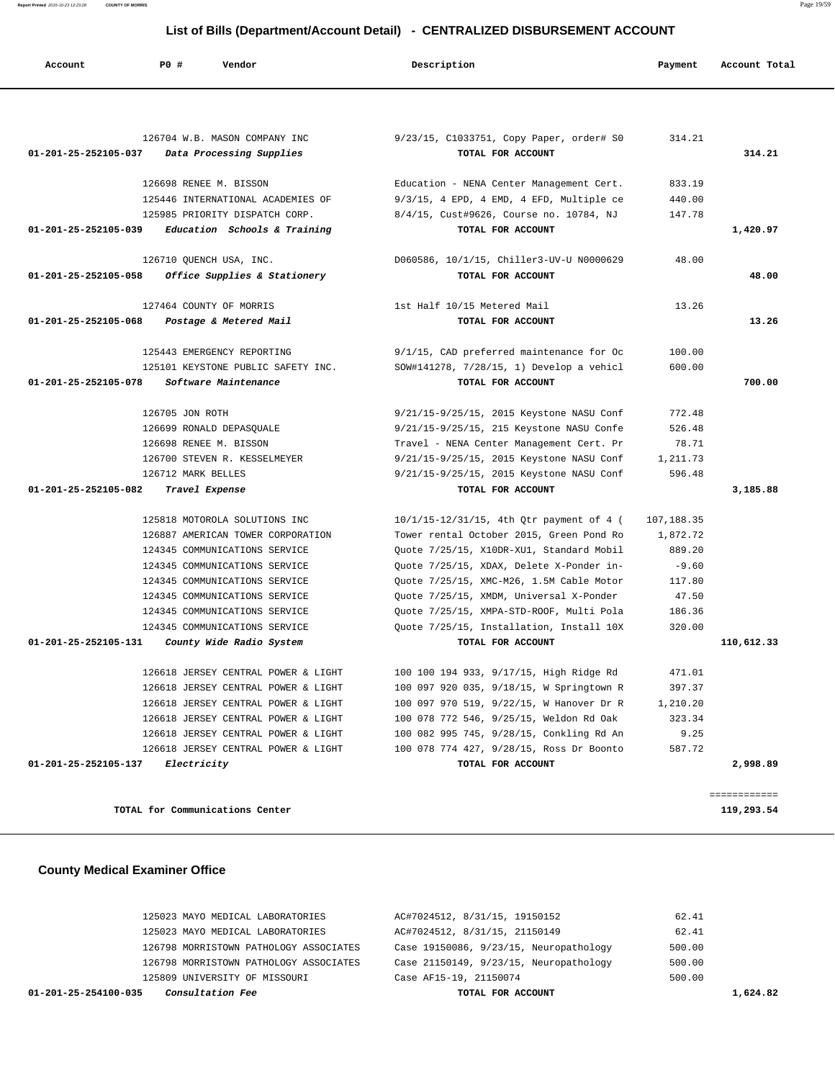**Report Printed** 2015-10-23 12:23:28 **COUNTY OF MORRIS** Page 19/59

## **List of Bills (Department/Account Detail) - CENTRALIZED DISBURSEMENT ACCOUNT**

| Account              | PO#<br>Vendor                               | Description                                                                          | Payment          | Account Total |
|----------------------|---------------------------------------------|--------------------------------------------------------------------------------------|------------------|---------------|
|                      |                                             |                                                                                      |                  |               |
|                      | 126704 W.B. MASON COMPANY INC               | 9/23/15, C1033751, Copy Paper, order# S0                                             | 314.21           |               |
| 01-201-25-252105-037 | Data Processing Supplies                    | TOTAL FOR ACCOUNT                                                                    |                  | 314.21        |
|                      |                                             |                                                                                      |                  |               |
|                      | 126698 RENEE M. BISSON                      | Education - NENA Center Management Cert.                                             | 833.19           |               |
|                      | 125446 INTERNATIONAL ACADEMIES OF           | $9/3/15$ , 4 EPD, 4 EMD, 4 EFD, Multiple ce                                          | 440.00           |               |
|                      | 125985 PRIORITY DISPATCH CORP.              | 8/4/15, Cust#9626, Course no. 10784, NJ                                              | 147.78           |               |
| 01-201-25-252105-039 | Education Schools & Training                | TOTAL FOR ACCOUNT                                                                    |                  | 1,420.97      |
|                      | 126710 QUENCH USA, INC.                     | D060586, 10/1/15, Chiller3-UV-U N0000629                                             | 48.00            |               |
| 01-201-25-252105-058 | Office Supplies & Stationery                | TOTAL FOR ACCOUNT                                                                    |                  | 48.00         |
|                      | 127464 COUNTY OF MORRIS                     | 1st Half 10/15 Metered Mail                                                          | 13.26            |               |
| 01-201-25-252105-068 | Postage & Metered Mail                      | TOTAL FOR ACCOUNT                                                                    |                  | 13.26         |
|                      |                                             |                                                                                      |                  |               |
|                      | 125443 EMERGENCY REPORTING                  | 9/1/15, CAD preferred maintenance for Oc                                             | 100.00           |               |
|                      | 125101 KEYSTONE PUBLIC SAFETY INC.          | SOW#141278, 7/28/15, 1) Develop a vehicl                                             | 600.00           |               |
| 01-201-25-252105-078 | Software Maintenance                        | TOTAL FOR ACCOUNT                                                                    |                  | 700.00        |
|                      |                                             |                                                                                      |                  |               |
|                      | 126705 JON ROTH<br>126699 RONALD DEPASOUALE | 9/21/15-9/25/15, 2015 Keystone NASU Conf<br>9/21/15-9/25/15, 215 Keystone NASU Confe | 772.48<br>526.48 |               |
|                      | 126698 RENEE M. BISSON                      | Travel - NENA Center Management Cert. Pr                                             | 78.71            |               |
|                      | 126700 STEVEN R. KESSELMEYER                | 9/21/15-9/25/15, 2015 Keystone NASU Conf                                             | 1,211.73         |               |
|                      | 126712 MARK BELLES                          | 9/21/15-9/25/15, 2015 Keystone NASU Conf                                             | 596.48           |               |
| 01-201-25-252105-082 | Travel Expense                              | TOTAL FOR ACCOUNT                                                                    |                  | 3,185.88      |
|                      | 125818 MOTOROLA SOLUTIONS INC               | 10/1/15-12/31/15, 4th Qtr payment of 4 (                                             | 107,188.35       |               |
|                      | 126887 AMERICAN TOWER CORPORATION           | Tower rental October 2015, Green Pond Ro                                             | 1,872.72         |               |
|                      | 124345 COMMUNICATIONS SERVICE               | Quote 7/25/15, X10DR-XU1, Standard Mobil                                             | 889.20           |               |
|                      | 124345 COMMUNICATIONS SERVICE               | Quote 7/25/15, XDAX, Delete X-Ponder in-                                             | $-9.60$          |               |
|                      | 124345 COMMUNICATIONS SERVICE               | Quote 7/25/15, XMC-M26, 1.5M Cable Motor                                             | 117.80           |               |
|                      | 124345 COMMUNICATIONS SERVICE               | Quote 7/25/15, XMDM, Universal X-Ponder                                              | 47.50            |               |
|                      | 124345 COMMUNICATIONS SERVICE               | Ouote 7/25/15, XMPA-STD-ROOF, Multi Pola                                             | 186.36           |               |
|                      | 124345 COMMUNICATIONS SERVICE               | Quote 7/25/15, Installation, Install 10X                                             | 320.00           |               |
| 01-201-25-252105-131 | County Wide Radio System                    | TOTAL FOR ACCOUNT                                                                    |                  | 110,612.33    |
|                      | 126618 JERSEY CENTRAL POWER & LIGHT         | 100 100 194 933, 9/17/15, High Ridge Rd                                              | 471.01           |               |
|                      | 126618 JERSEY CENTRAL POWER & LIGHT         | 100 097 920 035, 9/18/15, W Springtown R                                             | 397.37           |               |
|                      | 126618 JERSEY CENTRAL POWER & LIGHT         | 100 097 970 519, 9/22/15, W Hanover Dr R                                             | 1,210.20         |               |
|                      | 126618 JERSEY CENTRAL POWER & LIGHT         | 100 078 772 546, 9/25/15, Weldon Rd Oak                                              | 323.34           |               |
|                      | 126618 JERSEY CENTRAL POWER & LIGHT         | 100 082 995 745, 9/28/15, Conkling Rd An                                             | 9.25             |               |
|                      | 126618 JERSEY CENTRAL POWER & LIGHT         | 100 078 774 427, 9/28/15, Ross Dr Boonto                                             | 587.72           |               |
| 01-201-25-252105-137 | Electricity                                 | TOTAL FOR ACCOUNT                                                                    |                  | 2,998.89      |
|                      |                                             |                                                                                      |                  | ============  |
|                      | TOTAL for Communications Center             |                                                                                      |                  | 119,293.54    |

## **County Medical Examiner Office**

| <i>Consultation Fee</i><br>01-201-25-254100-035 | TOTAL FOR ACCOUNT                      | 1,624.82 |
|-------------------------------------------------|----------------------------------------|----------|
| 125809 UNIVERSITY OF MISSOURI                   | Case AF15-19, 21150074                 | 500.00   |
| 126798 MORRISTOWN PATHOLOGY ASSOCIATES          | Case 21150149, 9/23/15, Neuropathology | 500.00   |
| 126798 MORRISTOWN PATHOLOGY ASSOCIATES          | Case 19150086, 9/23/15, Neuropathology | 500.00   |
| 125023 MAYO MEDICAL LABORATORIES                | AC#7024512, 8/31/15, 21150149          | 62.41    |
| 125023 MAYO MEDICAL LABORATORIES                | AC#7024512, 8/31/15, 19150152          | 62.41    |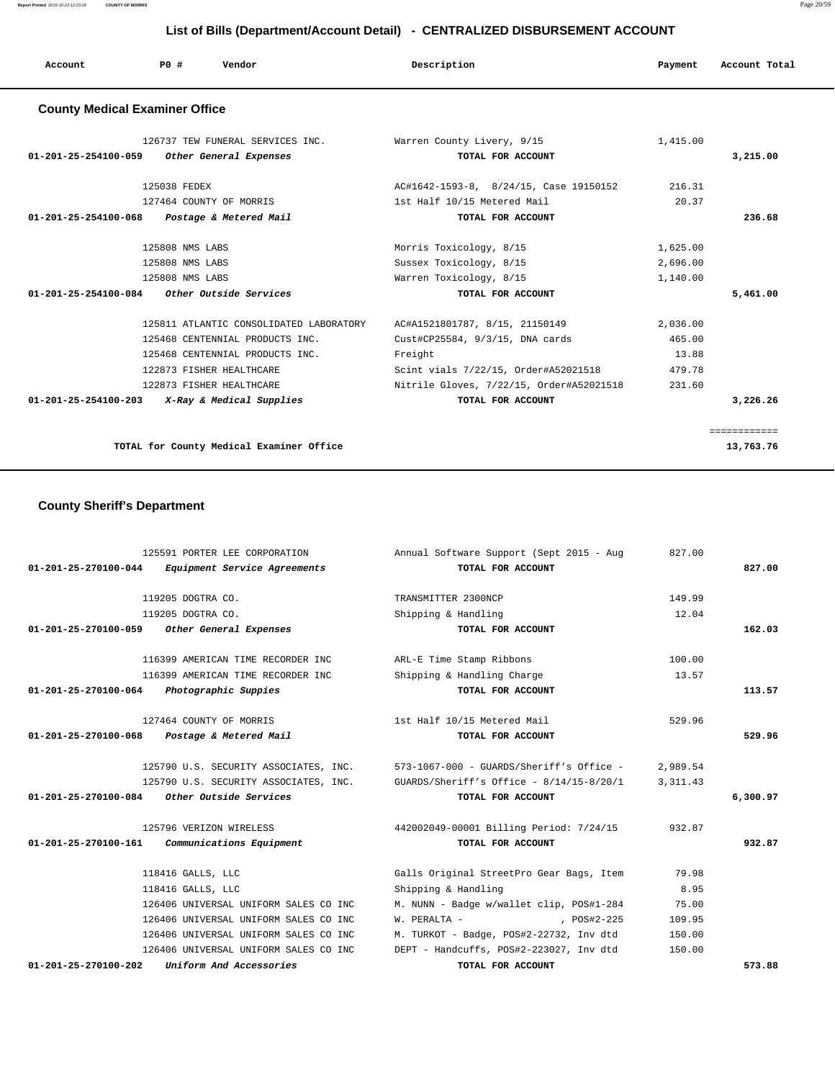| Account<br>. | P <sub>0</sub> | Vendor | Description | Payment | Account Total |
|--------------|----------------|--------|-------------|---------|---------------|
|              |                |        |             |         |               |

## **County Medical Examiner Office**

| 126737 TEW FUNERAL SERVICES INC.<br>01-201-25-254100-059<br>Other General Expenses | Warren County Livery, 9/15<br>TOTAL FOR ACCOUNT | 1,415.00 | 3,215.00     |
|------------------------------------------------------------------------------------|-------------------------------------------------|----------|--------------|
|                                                                                    |                                                 |          |              |
| 125038 FEDEX                                                                       | AC#1642-1593-8, 8/24/15, Case 19150152          | 216.31   |              |
| 127464 COUNTY OF MORRIS                                                            | 1st Half 10/15 Metered Mail                     | 20.37    |              |
| 01-201-25-254100-068<br>Postage & Metered Mail                                     | TOTAL FOR ACCOUNT                               |          | 236.68       |
| 125808 NMS LABS                                                                    | Morris Toxicology, 8/15                         | 1,625.00 |              |
| 125808 NMS LABS                                                                    | Sussex Toxicology, 8/15                         | 2,696.00 |              |
| 125808 NMS LABS                                                                    | Warren Toxicology, 8/15                         | 1,140.00 |              |
| $01 - 201 - 25 - 254100 - 084$<br><i>Other Outside Services</i>                    | TOTAL FOR ACCOUNT                               |          | 5,461.00     |
| 125811 ATLANTIC CONSOLIDATED LABORATORY                                            | AC#A1521801787, 8/15, 21150149                  | 2,036.00 |              |
| 125468 CENTENNIAL PRODUCTS INC.                                                    | Cust#CP25584, 9/3/15, DNA cards                 | 465.00   |              |
| 125468 CENTENNIAL PRODUCTS INC.                                                    | Freight                                         | 13.88    |              |
| 122873 FISHER HEALTHCARE                                                           | Scint vials 7/22/15, Order#A52021518            | 479.78   |              |
| 122873 FISHER HEALTHCARE                                                           | Nitrile Gloves, 7/22/15, Order#A52021518        | 231.60   |              |
| $01 - 201 - 25 - 254100 - 203$<br>X-Ray & Medical Supplies                         | TOTAL FOR ACCOUNT                               |          | 3,226,26     |
|                                                                                    |                                                 |          |              |
|                                                                                    |                                                 |          | ============ |
| TOTAL for County Medical Examiner Office                                           |                                                 |          | 13,763.76    |

# **County Sheriff's Department**

| 125591 PORTER LEE CORPORATION                     | Annual Software Support (Sept 2015 - Aug                                       | 827.00    |          |
|---------------------------------------------------|--------------------------------------------------------------------------------|-----------|----------|
| 01-201-25-270100-044 Equipment Service Agreements | TOTAL FOR ACCOUNT                                                              |           | 827.00   |
|                                                   |                                                                                |           |          |
| 119205 DOGTRA CO.                                 | TRANSMITTER 2300NCP                                                            | 149.99    |          |
| 119205 DOGTRA CO.                                 | Shipping & Handling                                                            | 12.04     |          |
| 01-201-25-270100-059<br>Other General Expenses    | TOTAL FOR ACCOUNT                                                              |           | 162.03   |
| 116399 AMERICAN TIME RECORDER INC                 | ARL-E Time Stamp Ribbons                                                       | 100.00    |          |
| 116399 AMERICAN TIME RECORDER INC                 | Shipping & Handling Charge                                                     | 13.57     |          |
| 01-201-25-270100-064 Photographic Suppies         | TOTAL FOR ACCOUNT                                                              |           | 113.57   |
| 127464 COUNTY OF MORRIS                           | 1st Half 10/15 Metered Mail                                                    | 529.96    |          |
| 01-201-25-270100-068 Postage & Metered Mail       | TOTAL FOR ACCOUNT                                                              |           | 529.96   |
|                                                   | 125790 U.S. SECURITY ASSOCIATES, INC. 573-1067-000 - GUARDS/Sheriff's Office - | 2,989.54  |          |
|                                                   | 125790 U.S. SECURITY ASSOCIATES, INC. GUARDS/Sheriff's Office - 8/14/15-8/20/1 | 3, 311.43 |          |
| $01-201-25-270100-084$ Other Outside Services     | TOTAL FOR ACCOUNT                                                              |           | 6,300.97 |
| 125796 VERIZON WIRELESS                           | 442002049-00001 Billing Period: 7/24/15                                        | 932.87    |          |
| Communications Equipment<br>01-201-25-270100-161  | TOTAL FOR ACCOUNT                                                              |           | 932.87   |
| 118416 GALLS, LLC                                 | Galls Original StreetPro Gear Bags, Item                                       | 79.98     |          |
| 118416 GALLS, LLC                                 | Shipping & Handling                                                            | 8.95      |          |
| 126406 UNIVERSAL UNIFORM SALES CO INC             | M. NUNN - Badge w/wallet clip, POS#1-284                                       | 75.00     |          |
| 126406 UNIVERSAL UNIFORM SALES CO INC             | W. PERALTA -<br>$POS#2-225$                                                    | 109.95    |          |
| 126406 UNIVERSAL UNIFORM SALES CO INC             | M. TURKOT - Badge, POS#2-22732, Inv dtd                                        | 150.00    |          |
| 126406 UNIVERSAL UNIFORM SALES CO INC             | DEPT - Handcuffs, POS#2-223027, Inv dtd                                        | 150.00    |          |
| Uniform And Accessories<br>01-201-25-270100-202   | TOTAL FOR ACCOUNT                                                              |           | 573.88   |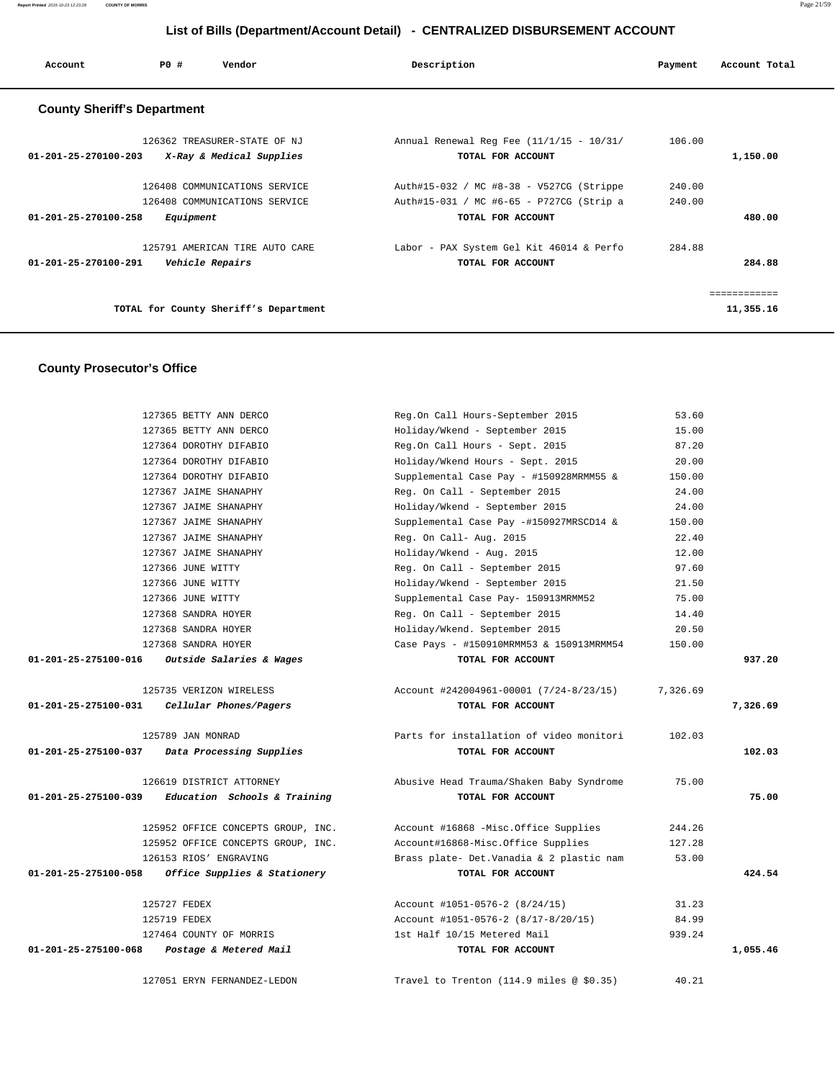| Account                            | P0#             | Vendor                                                         | Description                                                                          | Payment          | Account Total |
|------------------------------------|-----------------|----------------------------------------------------------------|--------------------------------------------------------------------------------------|------------------|---------------|
| <b>County Sheriff's Department</b> |                 |                                                                |                                                                                      |                  |               |
| $01 - 201 - 25 - 270100 - 203$     |                 | 126362 TREASURER-STATE OF NJ<br>X-Ray & Medical Supplies       | Annual Renewal Reg Fee (11/1/15 - 10/31/<br>TOTAL FOR ACCOUNT                        | 106.00           | 1,150.00      |
|                                    |                 | 126408 COMMUNICATIONS SERVICE<br>126408 COMMUNICATIONS SERVICE | Auth#15-032 / MC #8-38 - V527CG (Strippe<br>Auth#15-031 / MC #6-65 - P727CG (Strip a | 240.00<br>240.00 |               |
| $01 - 201 - 25 - 270100 - 258$     | Equipment       |                                                                | TOTAL FOR ACCOUNT                                                                    |                  | 480.00        |
| $01 - 201 - 25 - 270100 - 291$     | Vehicle Repairs | 125791 AMERICAN TIRE AUTO CARE                                 | Labor - PAX System Gel Kit 46014 & Perfo<br>TOTAL FOR ACCOUNT                        | 284.88           | 284.88        |
|                                    |                 |                                                                |                                                                                      |                  |               |
|                                    |                 | TOTAL for County Sheriff's Department                          |                                                                                      |                  | 11,355.16     |

## **County Prosecutor's Office**

|                      | 127365 BETTY ANN DERCO                        | Reg.On Call Hours-September 2015                   | 53.60    |          |
|----------------------|-----------------------------------------------|----------------------------------------------------|----------|----------|
|                      | 127365 BETTY ANN DERCO                        | Holiday/Wkend - September 2015                     | 15.00    |          |
|                      | 127364 DOROTHY DIFABIO                        | Reg.On Call Hours - Sept. 2015                     | 87.20    |          |
|                      | 127364 DOROTHY DIFABIO                        | Holiday/Wkend Hours - Sept. 2015                   | 20.00    |          |
|                      | 127364 DOROTHY DIFABIO                        | Supplemental Case Pay - #150928MRMM55 &            | 150.00   |          |
|                      | 127367 JAIME SHANAPHY                         | Reg. On Call - September 2015                      | 24.00    |          |
|                      | 127367 JAIME SHANAPHY                         | Holiday/Wkend - September 2015                     | 24.00    |          |
|                      | 127367 JAIME SHANAPHY                         | Supplemental Case Pay -#150927MRSCD14 &            | 150.00   |          |
|                      | 127367 JAIME SHANAPHY                         | Reg. On Call- Aug. 2015                            | 22.40    |          |
|                      | 127367 JAIME SHANAPHY                         | Holiday/Wkend - Aug. 2015                          | 12.00    |          |
|                      | 127366 JUNE WITTY                             | Reg. On Call - September 2015                      | 97.60    |          |
|                      | 127366 JUNE WITTY                             | Holiday/Wkend - September 2015                     | 21.50    |          |
|                      | 127366 JUNE WITTY                             | Supplemental Case Pay- 150913MRMM52                | 75.00    |          |
|                      | 127368 SANDRA HOYER                           | Reg. On Call - September 2015                      | 14.40    |          |
|                      | 127368 SANDRA HOYER                           | Holiday/Wkend. September 2015                      | 20.50    |          |
|                      | 127368 SANDRA HOYER                           | Case Pays - #150910MRMM53 & 150913MRMM54           | 150.00   |          |
| 01-201-25-275100-016 | Outside Salaries & Wages                      | TOTAL FOR ACCOUNT                                  |          | 937.20   |
|                      | 125735 VERIZON WIRELESS                       | Account #242004961-00001 (7/24-8/23/15)            | 7,326.69 |          |
| 01-201-25-275100-031 | Cellular Phones/Pagers                        | TOTAL FOR ACCOUNT                                  |          | 7,326.69 |
|                      | 125789 JAN MONRAD                             | Parts for installation of video monitori           | 102.03   |          |
|                      | 01-201-25-275100-037 Data Processing Supplies | TOTAL FOR ACCOUNT                                  |          | 102.03   |
|                      | 126619 DISTRICT ATTORNEY                      | Abusive Head Trauma/Shaken Baby Syndrome           | 75.00    |          |
| 01-201-25-275100-039 | Education Schools & Training                  | TOTAL FOR ACCOUNT                                  |          | 75.00    |
|                      | 125952 OFFICE CONCEPTS GROUP, INC.            | Account #16868 -Misc.Office Supplies               | 244.26   |          |
|                      | 125952 OFFICE CONCEPTS GROUP, INC.            | Account#16868-Misc.Office Supplies                 | 127.28   |          |
|                      | 126153 RIOS' ENGRAVING                        | Brass plate- Det.Vanadia & 2 plastic nam           | 53.00    |          |
| 01-201-25-275100-058 | Office Supplies & Stationery                  | TOTAL FOR ACCOUNT                                  |          | 424.54   |
|                      | 125727 FEDEX                                  | Account #1051-0576-2 (8/24/15)                     | 31.23    |          |
|                      | 125719 FEDEX                                  | Account #1051-0576-2 (8/17-8/20/15)                | 84.99    |          |
|                      | 127464 COUNTY OF MORRIS                       | 1st Half 10/15 Metered Mail                        | 939.24   |          |
| 01-201-25-275100-068 | Postage & Metered Mail                        | TOTAL FOR ACCOUNT                                  |          | 1,055.46 |
|                      | 127051 ERYN FERNANDEZ-LEDON                   | Travel to Trenton $(114.9 \text{ miles } @ 50.35)$ | 40.21    |          |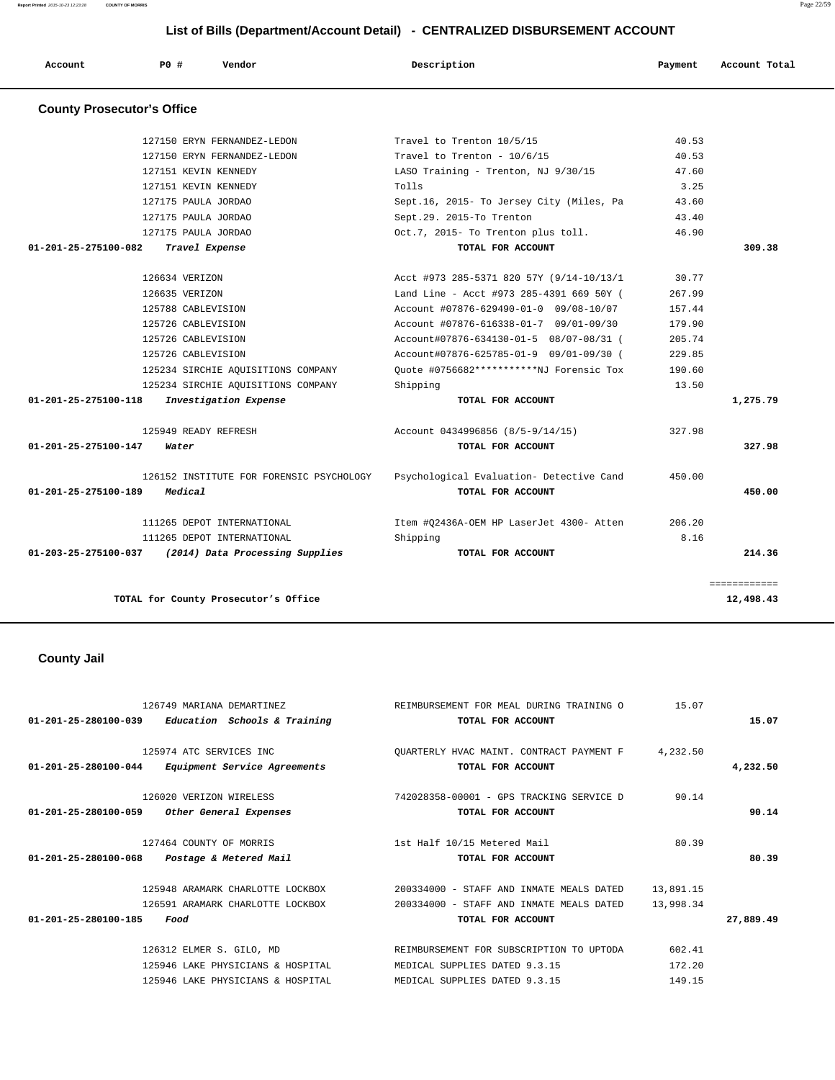**Report Printed** 2015-10-23 12:23:28 **COUNTY OF MORRIS** Page 22/59

| Account                           | <b>PO #</b>    | Vendor                                   | Description                              | Payment | Account Total |
|-----------------------------------|----------------|------------------------------------------|------------------------------------------|---------|---------------|
| <b>County Prosecutor's Office</b> |                |                                          |                                          |         |               |
|                                   |                | 127150 ERYN FERNANDEZ-LEDON              | Travel to Trenton 10/5/15                | 40.53   |               |
|                                   |                | 127150 ERYN FERNANDEZ-LEDON              | Travel to Trenton - $10/6/15$            | 40.53   |               |
|                                   |                | 127151 KEVIN KENNEDY                     | LASO Training - Trenton, NJ 9/30/15      | 47.60   |               |
|                                   |                | 127151 KEVIN KENNEDY                     | Tolls                                    | 3.25    |               |
|                                   |                | 127175 PAULA JORDAO                      | Sept.16, 2015- To Jersey City (Miles, Pa | 43.60   |               |
|                                   |                | 127175 PAULA JORDAO                      | Sept.29. 2015-To Trenton                 | 43.40   |               |
|                                   |                | 127175 PAULA JORDAO                      | Oct.7, 2015- To Trenton plus toll.       | 46.90   |               |
| 01-201-25-275100-082              |                | Travel Expense                           | TOTAL FOR ACCOUNT                        |         | 309.38        |
|                                   | 126634 VERIZON |                                          | Acct #973 285-5371 820 57Y (9/14-10/13/1 | 30.77   |               |
|                                   | 126635 VERIZON |                                          | Land Line - Acct #973 285-4391 669 50Y ( | 267.99  |               |
|                                   |                | 125788 CABLEVISION                       | Account #07876-629490-01-0 09/08-10/07   | 157.44  |               |
|                                   |                | 125726 CABLEVISION                       | Account #07876-616338-01-7 09/01-09/30   | 179.90  |               |
|                                   |                | 125726 CABLEVISION                       | Account#07876-634130-01-5 08/07-08/31 (  | 205.74  |               |
|                                   |                | 125726 CABLEVISION                       | Account#07876-625785-01-9 09/01-09/30 (  | 229.85  |               |
|                                   |                | 125234 SIRCHIE AQUISITIONS COMPANY       | Quote #0756682***********NJ Forensic Tox | 190.60  |               |
|                                   |                | 125234 SIRCHIE AQUISITIONS COMPANY       | Shipping                                 | 13.50   |               |
| 01-201-25-275100-118              |                | Investigation Expense                    | TOTAL FOR ACCOUNT                        |         | 1,275.79      |
|                                   |                | 125949 READY REFRESH                     | Account 0434996856 (8/5-9/14/15)         | 327.98  |               |
| 01-201-25-275100-147              | Water          |                                          | TOTAL FOR ACCOUNT                        |         | 327.98        |
|                                   |                | 126152 INSTITUTE FOR FORENSIC PSYCHOLOGY | Psychological Evaluation- Detective Cand | 450.00  |               |
| 01-201-25-275100-189              | Medical        |                                          | TOTAL FOR ACCOUNT                        |         | 450.00        |
|                                   |                | 111265 DEPOT INTERNATIONAL               | Item #Q2436A-OEM HP LaserJet 4300- Atten | 206.20  |               |
|                                   |                | 111265 DEPOT INTERNATIONAL               | Shipping                                 | 8.16    |               |
| 01-203-25-275100-037              |                | (2014) Data Processing Supplies          | TOTAL FOR ACCOUNT                        |         | 214.36        |

**TOTAL for County Prosecutor's Office 12,498.43**

# **County Jail**

| 126749 MARIANA DEMARTINEZ                                      | REIMBURSEMENT FOR MEAL DURING TRAINING O | 15.07     |           |
|----------------------------------------------------------------|------------------------------------------|-----------|-----------|
| $01 - 201 - 25 - 280100 - 039$<br>Education Schools & Training | TOTAL FOR ACCOUNT                        |           | 15.07     |
| 125974 ATC SERVICES INC                                        | OUARTERLY HVAC MAINT. CONTRACT PAYMENT F | 4,232.50  |           |
| 01-201-25-280100-044<br>Equipment Service Agreements           | TOTAL FOR ACCOUNT                        |           | 4,232.50  |
| 126020 VERIZON WIRELESS                                        | 742028358-00001 - GPS TRACKING SERVICE D | 90.14     |           |
| 01-201-25-280100-059<br>Other General Expenses                 | TOTAL FOR ACCOUNT                        |           | 90.14     |
| 127464 COUNTY OF MORRIS                                        | 1st Half 10/15 Metered Mail              | 80.39     |           |
| 01-201-25-280100-068<br>Postage & Metered Mail                 | TOTAL FOR ACCOUNT                        |           | 80.39     |
| 125948 ARAMARK CHARLOTTE LOCKBOX                               | 200334000 - STAFF AND INMATE MEALS DATED | 13,891.15 |           |
| 126591 ARAMARK CHARLOTTE LOCKBOX                               | 200334000 - STAFF AND INMATE MEALS DATED | 13,998.34 |           |
| $01 - 201 - 25 - 280100 - 185$<br>Food                         | TOTAL FOR ACCOUNT                        |           | 27,889.49 |
| 126312 ELMER S. GILO, MD                                       | REIMBURSEMENT FOR SUBSCRIPTION TO UPTODA | 602.41    |           |
| 125946 LAKE PHYSICIANS & HOSPITAL                              | MEDICAL SUPPLIES DATED 9.3.15            | 172.20    |           |
| 125946 LAKE PHYSICIANS & HOSPITAL                              | MEDICAL SUPPLIES DATED 9.3.15            | 149.15    |           |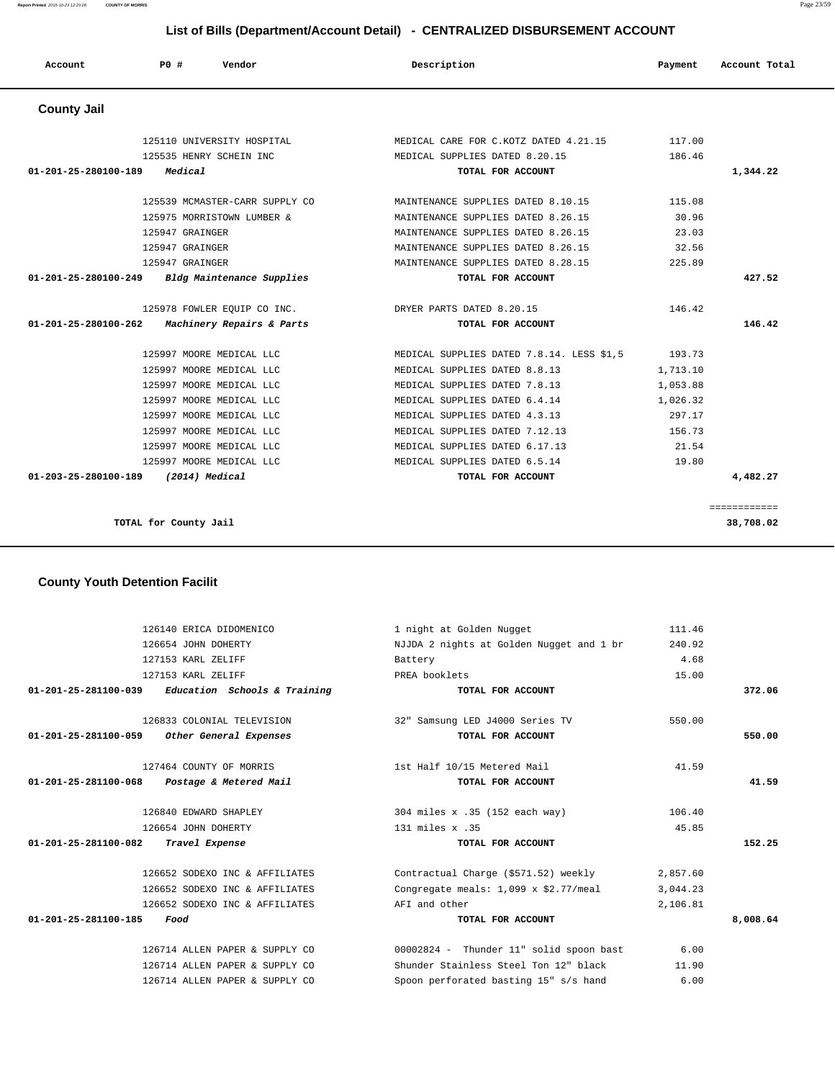**Report Printed** 2015-10-23 12:23:28 **COUNTY OF MORRIS** Page 23/59

#### **List of Bills (Department/Account Detail) - CENTRALIZED DISBURSEMENT ACCOUNT**

| Account              | PO#<br>Vendor                                             | Description                               | Payment  | Account Total |
|----------------------|-----------------------------------------------------------|-------------------------------------------|----------|---------------|
| <b>County Jail</b>   |                                                           |                                           |          |               |
|                      | 125110 UNIVERSITY HOSPITAL                                | MEDICAL CARE FOR C.KOTZ DATED 4.21.15     | 117.00   |               |
|                      | 125535 HENRY SCHEIN INC                                   | MEDICAL SUPPLIES DATED 8.20.15            | 186.46   |               |
| 01-201-25-280100-189 | Medical                                                   | TOTAL FOR ACCOUNT                         |          | 1,344.22      |
|                      | 125539 MCMASTER-CARR SUPPLY CO                            | MAINTENANCE SUPPLIES DATED 8.10.15        | 115.08   |               |
|                      | 125975 MORRISTOWN LUMBER &                                | MAINTENANCE SUPPLIES DATED 8.26.15        | 30.96    |               |
|                      | 125947 GRAINGER                                           | MAINTENANCE SUPPLIES DATED 8.26.15        | 23.03    |               |
|                      | 125947 GRAINGER                                           | MAINTENANCE SUPPLIES DATED 8.26.15        | 32.56    |               |
|                      | 125947 GRAINGER                                           | MAINTENANCE SUPPLIES DATED 8.28.15        | 225.89   |               |
| 01-201-25-280100-249 | Bldg Maintenance Supplies                                 | TOTAL FOR ACCOUNT                         |          | 427.52        |
|                      | 125978 FOWLER EQUIP CO INC. THE DRYER PARTS DATED 8.20.15 |                                           | 146.42   |               |
| 01-201-25-280100-262 | Machinery Repairs & Parts                                 | TOTAL FOR ACCOUNT                         |          | 146.42        |
|                      | 125997 MOORE MEDICAL LLC                                  | MEDICAL SUPPLIES DATED 7.8.14. LESS \$1,5 | 193.73   |               |
|                      | 125997 MOORE MEDICAL LLC                                  | MEDICAL SUPPLIES DATED 8.8.13             | 1,713.10 |               |
|                      | 125997 MOORE MEDICAL LLC                                  | MEDICAL SUPPLIES DATED 7.8.13             | 1,053.88 |               |
|                      | 125997 MOORE MEDICAL LLC                                  | MEDICAL SUPPLIES DATED 6.4.14             | 1,026.32 |               |
|                      | 125997 MOORE MEDICAL LLC                                  | MEDICAL SUPPLIES DATED 4.3.13             | 297.17   |               |
|                      | 125997 MOORE MEDICAL LLC                                  | MEDICAL SUPPLIES DATED 7.12.13            | 156.73   |               |
|                      | 125997 MOORE MEDICAL LLC                                  | MEDICAL SUPPLIES DATED 6.17.13            | 21.54    |               |
|                      | 125997 MOORE MEDICAL LLC                                  | MEDICAL SUPPLIES DATED 6.5.14             | 19.80    |               |
| 01-203-25-280100-189 | (2014) Medical                                            | TOTAL FOR ACCOUNT                         |          | 4,482.27      |
|                      |                                                           |                                           |          |               |

**TOTAL for County Jail 38,708.02**

============

# **County Youth Detention Facilit**

|                                             | 126140 ERICA DIDOMENICO                             | 1 night at Golden Nugget                           | 111.46   |          |
|---------------------------------------------|-----------------------------------------------------|----------------------------------------------------|----------|----------|
|                                             | 126654 JOHN DOHERTY                                 | NJJDA 2 nights at Golden Nugget and 1 br           | 240.92   |          |
|                                             | 127153 KARL ZELIFF                                  | Battery                                            | 4.68     |          |
|                                             | 127153 KARL ZELIFF                                  | PREA booklets                                      | 15.00    |          |
|                                             | $01-201-25-281100-039$ Education Schools & Training | TOTAL FOR ACCOUNT                                  |          | 372.06   |
|                                             |                                                     |                                                    |          |          |
|                                             | 126833 COLONIAL TELEVISION                          | 32" Samsung LED J4000 Series TV                    | 550.00   |          |
| 01-201-25-281100-059 Other General Expenses |                                                     | TOTAL FOR ACCOUNT                                  |          | 550.00   |
|                                             |                                                     |                                                    |          |          |
|                                             | 127464 COUNTY OF MORRIS                             | 1st Half 10/15 Metered Mail                        | 41.59    |          |
| 01-201-25-281100-068 Postage & Metered Mail |                                                     | TOTAL FOR ACCOUNT                                  |          | 41.59    |
|                                             |                                                     |                                                    |          |          |
|                                             | 126840 EDWARD SHAPLEY                               | 304 miles x .35 (152 each way)                     | 106.40   |          |
|                                             | 126654 JOHN DOHERTY                                 | 131 miles x .35                                    | 45.85    |          |
| 01-201-25-281100-082                        | Travel Expense                                      | TOTAL FOR ACCOUNT                                  |          | 152.25   |
|                                             | 126652 SODEXO INC & AFFILIATES                      | Contractual Charge (\$571.52) weekly               | 2,857.60 |          |
|                                             | 126652 SODEXO INC & AFFILIATES                      | Congregate meals: $1,099 \times $2.77/\text{meal}$ | 3,044.23 |          |
|                                             | 126652 SODEXO INC & AFFILIATES                      | AFI and other                                      | 2,106.81 |          |
| $01 - 201 - 25 - 281100 - 185$              | Food                                                | TOTAL FOR ACCOUNT                                  |          | 8,008.64 |
|                                             |                                                     |                                                    |          |          |
|                                             | 126714 ALLEN PAPER & SUPPLY CO                      | 00002824 - Thunder 11" solid spoon bast            | 6.00     |          |
|                                             | 126714 ALLEN PAPER & SUPPLY CO                      | Shunder Stainless Steel Ton 12" black              | 11.90    |          |
|                                             | 126714 ALLEN PAPER & SUPPLY CO                      | Spoon perforated basting 15" s/s hand              | 6.00     |          |
|                                             |                                                     |                                                    |          |          |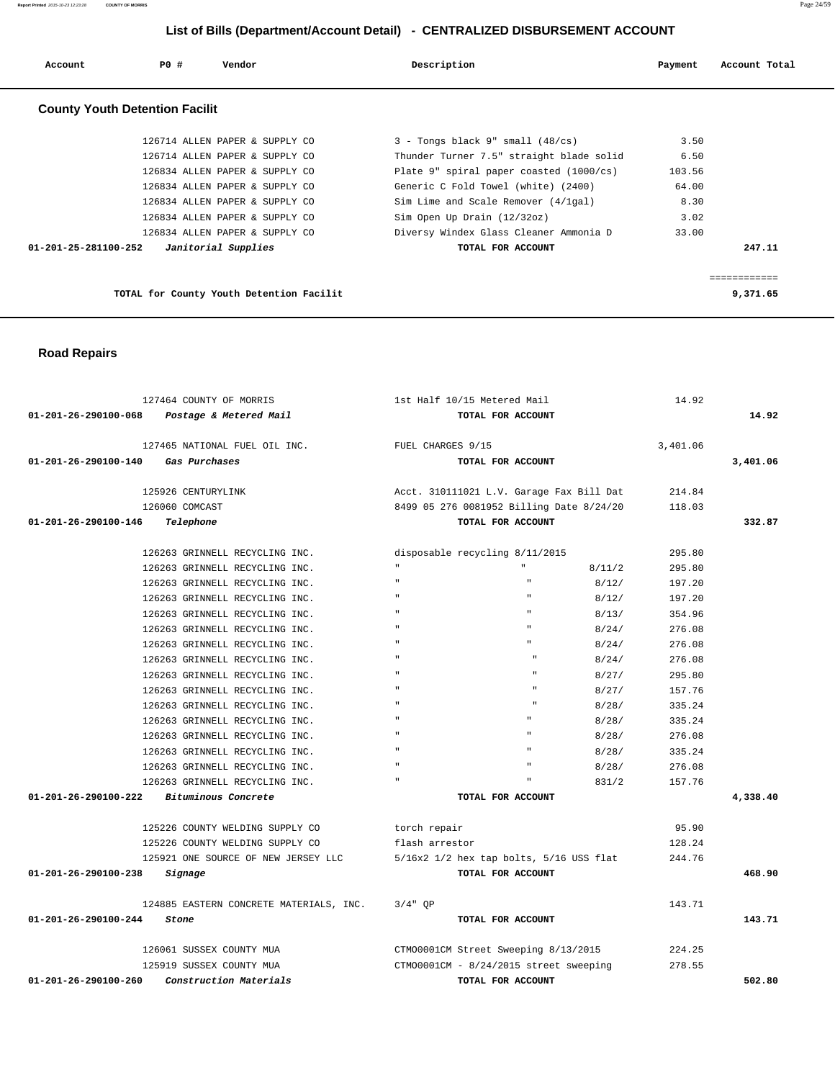| Account              | PO#                                   | Vendor                                   | Description                              | Payment | Account Total |
|----------------------|---------------------------------------|------------------------------------------|------------------------------------------|---------|---------------|
|                      | <b>County Youth Detention Facilit</b> |                                          |                                          |         |               |
|                      |                                       | 126714 ALLEN PAPER & SUPPLY CO           | $3$ - Tongs black 9" small $(48/cs)$     | 3.50    |               |
|                      |                                       | 126714 ALLEN PAPER & SUPPLY CO           | Thunder Turner 7.5" straight blade solid | 6.50    |               |
|                      |                                       | 126834 ALLEN PAPER & SUPPLY CO           | Plate 9" spiral paper coasted (1000/cs)  | 103.56  |               |
|                      |                                       | 126834 ALLEN PAPER & SUPPLY CO           | Generic C Fold Towel (white) (2400)      | 64.00   |               |
|                      |                                       | 126834 ALLEN PAPER & SUPPLY CO           | Sim Lime and Scale Remover (4/1gal)      | 8.30    |               |
|                      |                                       | 126834 ALLEN PAPER & SUPPLY CO           | Sim Open Up Drain (12/32oz)              | 3.02    |               |
|                      |                                       | 126834 ALLEN PAPER & SUPPLY CO           | Diversy Windex Glass Cleaner Ammonia D   | 33.00   |               |
| 01-201-25-281100-252 |                                       | Janitorial Supplies                      | TOTAL FOR ACCOUNT                        |         | 247.11        |
|                      |                                       |                                          |                                          |         |               |
|                      |                                       |                                          |                                          |         |               |
|                      |                                       | TOTAL for County Youth Detention Facilit |                                          |         | 9,371.65      |

 **Road Repairs** 

| 127464 COUNTY OF MORRIS                        | 1st Half 10/15 Metered Mail                 | 14.92    |          |
|------------------------------------------------|---------------------------------------------|----------|----------|
| 01-201-26-290100-068 Postage & Metered Mail    | TOTAL FOR ACCOUNT                           |          | 14.92    |
| 127465 NATIONAL FUEL OIL INC.                  | FUEL CHARGES 9/15                           | 3,401.06 |          |
| 01-201-26-290100-140 Gas Purchases             | TOTAL FOR ACCOUNT                           |          | 3,401.06 |
| 125926 CENTURYLINK                             | Acct. 310111021 L.V. Garage Fax Bill Dat    | 214.84   |          |
| 126060 COMCAST                                 | 8499 05 276 0081952 Billing Date 8/24/20    | 118.03   |          |
| 01-201-26-290100-146<br>Telephone              | TOTAL FOR ACCOUNT                           |          | 332.87   |
| 126263 GRINNELL RECYCLING INC.                 | disposable recycling 8/11/2015              | 295.80   |          |
| 126263 GRINNELL RECYCLING INC.                 | $\mathbf{u}$ .<br>8/11/2                    | 295.80   |          |
| 126263 GRINNELL RECYCLING INC.                 | $\mathbf{u}$<br>8/12/                       | 197.20   |          |
| 126263 GRINNELL RECYCLING INC.                 | $\mathbf{u}$<br>8/12/                       | 197.20   |          |
| 126263 GRINNELL RECYCLING INC.                 | 8/13/                                       | 354.96   |          |
| 126263 GRINNELL RECYCLING INC.                 | 8/24/                                       | 276.08   |          |
| 126263 GRINNELL RECYCLING INC.                 | 8/24/                                       | 276.08   |          |
| 126263 GRINNELL RECYCLING INC.                 | 8/24/                                       | 276.08   |          |
| 126263 GRINNELL RECYCLING INC.                 | $\mathbf{u}$<br>$\mathbf{u}$<br>8/27/       | 295.80   |          |
| 126263 GRINNELL RECYCLING INC.                 | $\mathbf{u}$<br>8/27/                       | 157.76   |          |
| 126263 GRINNELL RECYCLING INC.                 | 8/28/                                       | 335.24   |          |
| 126263 GRINNELL RECYCLING INC.                 | 8/28/                                       | 335.24   |          |
| 126263 GRINNELL RECYCLING INC.                 | 8/28/                                       | 276.08   |          |
| 126263 GRINNELL RECYCLING INC.                 | 8/28/                                       | 335.24   |          |
| 126263 GRINNELL RECYCLING INC.                 | 8/28/                                       | 276.08   |          |
| 126263 GRINNELL RECYCLING INC.                 | 831/2                                       | 157.76   |          |
| 01-201-26-290100-222<br>Bituminous Concrete    | TOTAL FOR ACCOUNT                           |          | 4,338.40 |
| 125226 COUNTY WELDING SUPPLY CO                | torch repair                                | 95.90    |          |
| 125226 COUNTY WELDING SUPPLY CO                | flash arrestor                              | 128.24   |          |
| 125921 ONE SOURCE OF NEW JERSEY LLC            | $5/16x2$ 1/2 hex tap bolts, $5/16$ USS flat | 244.76   |          |
| 01-201-26-290100-238<br>Signage                | TOTAL FOR ACCOUNT                           |          | 468.90   |
| 124885 EASTERN CONCRETE MATERIALS, INC.        | $3/4"$ OP                                   | 143.71   |          |
| 01-201-26-290100-244<br>Stone                  | TOTAL FOR ACCOUNT                           |          | 143.71   |
| 126061 SUSSEX COUNTY MUA                       | CTM00001CM Street Sweeping 8/13/2015        | 224.25   |          |
| 125919 SUSSEX COUNTY MUA                       | CTM00001CM - 8/24/2015 street sweeping      | 278.55   |          |
| 01-201-26-290100-260<br>Construction Materials | TOTAL FOR ACCOUNT                           |          | 502.80   |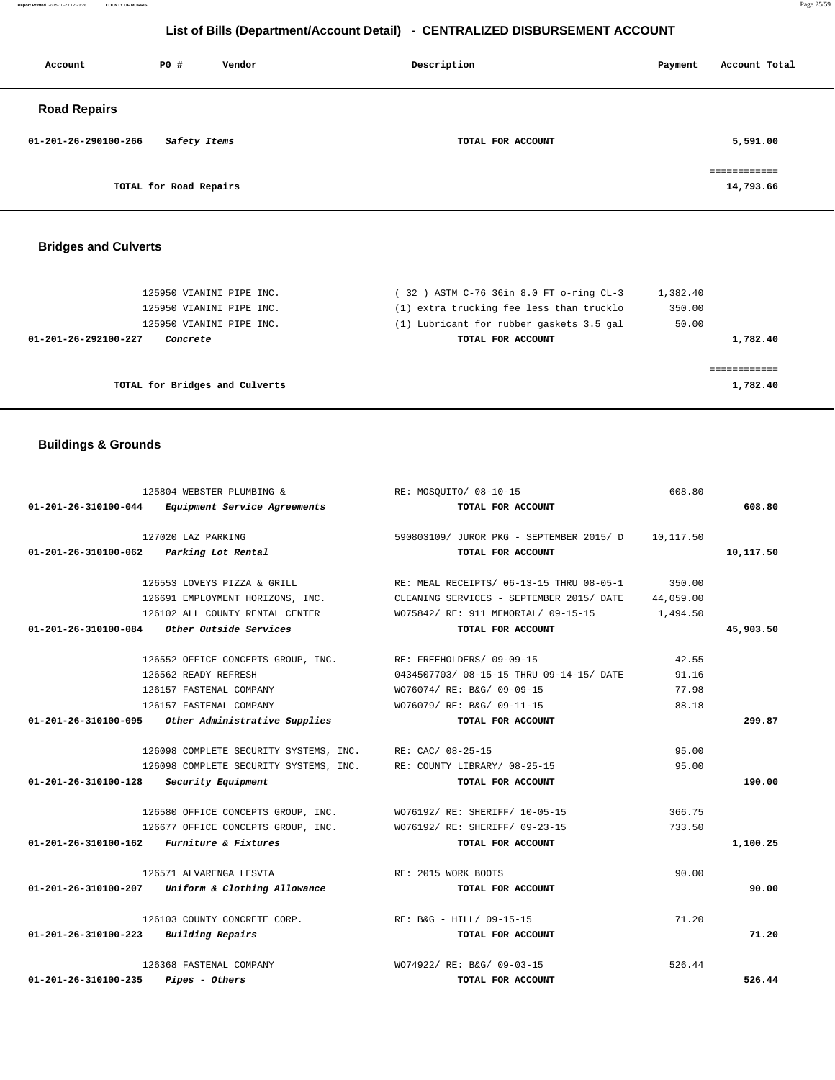**Report Printed** 2015-10-23 12:23:28 **COUNTY OF MORRIS** Page 25/59

# **List of Bills (Department/Account Detail) - CENTRALIZED DISBURSEMENT ACCOUNT**

| <b>PO #</b><br>Account               | Vendor | Description       | Account Total<br>Payment  |
|--------------------------------------|--------|-------------------|---------------------------|
| <b>Road Repairs</b>                  |        |                   |                           |
| 01-201-26-290100-266<br>Safety Items |        | TOTAL FOR ACCOUNT | 5,591.00                  |
| TOTAL for Road Repairs               |        |                   | ============<br>14,793.66 |

# **Bridges and Culverts**

| 125950 VIANINI PIPE INC.                | (32) ASTM C-76 36in 8.0 FT o-ring CL-3   | 1,382.40 |
|-----------------------------------------|------------------------------------------|----------|
| 125950 VIANINI PIPE INC.                | (1) extra trucking fee less than trucklo | 350.00   |
| 125950 VIANINI PIPE INC.                | (1) Lubricant for rubber gaskets 3.5 gal | 50.00    |
| 01-201-26-292100-227<br><i>Concrete</i> | TOTAL FOR ACCOUNT                        | 1,782.40 |
|                                         |                                          |          |
| TOTAL for Bridges and Culverts          |                                          | 1,782.40 |

# **Buildings & Grounds**

|                                         | 125804 WEBSTER PLUMBING &                                           | RE: MOSOUITO/ 08-10-15                                               | 608.80    |           |
|-----------------------------------------|---------------------------------------------------------------------|----------------------------------------------------------------------|-----------|-----------|
|                                         | 01-201-26-310100-044 Equipment Service Agreements                   | TOTAL FOR ACCOUNT                                                    |           | 608.80    |
|                                         | 127020 LAZ PARKING                                                  | 590803109/ JUROR PKG - SEPTEMBER 2015/ D 10,117.50                   |           |           |
| 01-201-26-310100-062 Parking Lot Rental |                                                                     | TOTAL FOR ACCOUNT                                                    |           | 10,117.50 |
|                                         |                                                                     | 126553 LOVEYS PIZZA & GRILL RE: MEAL RECEIPTS/ 06-13-15 THRU 08-05-1 | 350.00    |           |
|                                         | 126691 EMPLOYMENT HORIZONS, INC.                                    | CLEANING SERVICES - SEPTEMBER 2015/ DATE                             | 44,059.00 |           |
|                                         | 126102 ALL COUNTY RENTAL CENTER                                     | WO75842/ RE: 911 MEMORIAL/ 09-15-15                                  | 1,494.50  |           |
|                                         | $01-201-26-310100-084$ Other Outside Services                       | TOTAL FOR ACCOUNT                                                    |           | 45,903.50 |
|                                         | 126552 OFFICE CONCEPTS GROUP, INC. RE: FREEHOLDERS/ 09-09-15        |                                                                      | 42.55     |           |
|                                         | 126562 READY REFRESH                                                | 0434507703/08-15-15 THRU 09-14-15/DATE                               | 91.16     |           |
|                                         | 126157 FASTENAL COMPANY                                             | WO76074/ RE: B&G/ 09-09-15                                           | 77.98     |           |
|                                         | 126157 FASTENAL COMPANY                                             | WO76079/ RE: B&G/ 09-11-15                                           | 88.18     |           |
|                                         | 01-201-26-310100-095 Other Administrative Supplies                  | TOTAL FOR ACCOUNT                                                    |           | 299.87    |
|                                         | 126098 COMPLETE SECURITY SYSTEMS, INC. RE: CAC/ 08-25-15            |                                                                      | 95.00     |           |
|                                         | 126098 COMPLETE SECURITY SYSTEMS, INC. RE: COUNTY LIBRARY/ 08-25-15 |                                                                      | 95.00     |           |
| 01-201-26-310100-128 Security Equipment |                                                                     | TOTAL FOR ACCOUNT                                                    |           | 190.00    |
|                                         | 126580 OFFICE CONCEPTS GROUP, INC. WO76192/RE: SHERIFF/10-05-15     |                                                                      | 366.75    |           |
|                                         | 126677 OFFICE CONCEPTS GROUP, INC. WO76192/RE: SHERIFF/ 09-23-15    |                                                                      | 733.50    |           |
|                                         | 01-201-26-310100-162 Furniture & Fixtures                           | TOTAL FOR ACCOUNT                                                    |           | 1,100.25  |
|                                         | 126571 ALVARENGA LESVIA                                             | RE: 2015 WORK BOOTS                                                  | 90.00     |           |
|                                         | 01-201-26-310100-207 Uniform & Clothing Allowance                   | TOTAL FOR ACCOUNT                                                    |           | 90.00     |
|                                         | 126103 COUNTY CONCRETE CORP.                                        | RE: B&G - HILL/ 09-15-15                                             | 71.20     |           |
| $01-201-26-310100-223$ Building Repairs |                                                                     | TOTAL FOR ACCOUNT                                                    |           | 71.20     |
|                                         | 126368 FASTENAL COMPANY                                             | WO74922/ RE: B&G/ 09-03-15                                           | 526.44    |           |
| 01-201-26-310100-235                    | <i>Pipes - Others</i>                                               | TOTAL FOR ACCOUNT                                                    |           | 526.44    |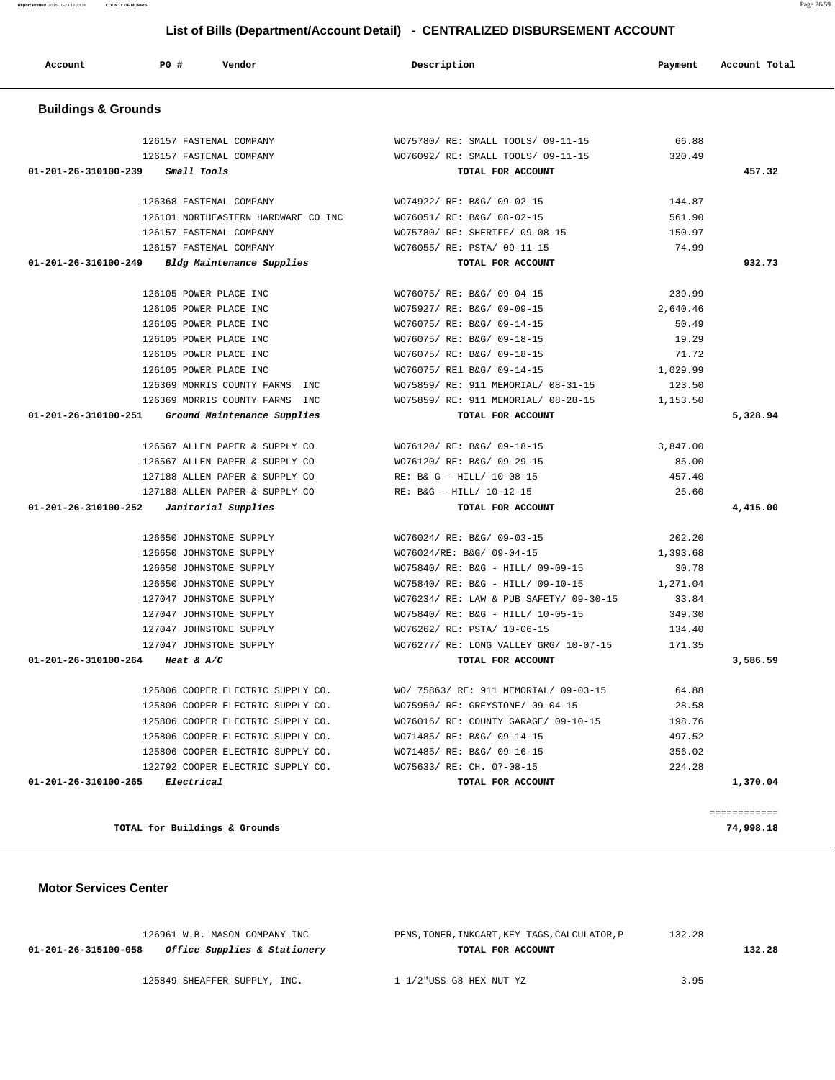**TOTAL for Buildings & Grounds 74,998.18**

 **Motor Services Center** 

| 126961 W.B. MASON COMPANY INC                        | PENS, TONER, INKCART, KEY TAGS, CALCULATOR, P | 132.28 |        |
|------------------------------------------------------|-----------------------------------------------|--------|--------|
| Office Supplies & Stationery<br>01-201-26-315100-058 | TOTAL FOR ACCOUNT                             |        | 132.28 |
| 125849 SHEAFFER SUPPLY, INC.                         | $1 - 1/2$ "USS G8 HEX NUT YZ                  | 3.95   |        |

| <b>Buildings &amp; Grounds</b>                      |                                           |          |          |
|-----------------------------------------------------|-------------------------------------------|----------|----------|
| 126157 FASTENAL COMPANY                             | WO75780/ RE: SMALL TOOLS/ 09-11-15 66.88  |          |          |
| 126157 FASTENAL COMPANY                             | WO76092/ RE: SMALL TOOLS/ 09-11-15 320.49 |          |          |
| 01-201-26-310100-239<br>Small Tools                 | TOTAL FOR ACCOUNT                         |          | 457.32   |
| 126368 FASTENAL COMPANY                             | WO74922/ RE: B&G/ 09-02-15                | 144.87   |          |
| 126101 NORTHEASTERN HARDWARE CO INC                 | WO76051/ RE: B&G/ 08-02-15                | 561.90   |          |
| 126157 FASTENAL COMPANY                             | WO75780/ RE: SHERIFF/ 09-08-15            | 150.97   |          |
| 126157 FASTENAL COMPANY                             | WO76055/ RE: PSTA/ 09-11-15               | 74.99    |          |
| Bldg Maintenance Supplies<br>01-201-26-310100-249   | TOTAL FOR ACCOUNT                         |          | 932.73   |
| 126105 POWER PLACE INC                              | WO76075/ RE: B&G/ 09-04-15                | 239.99   |          |
| 126105 POWER PLACE INC                              | WO75927/ RE: B&G/ 09-09-15                | 2,640.46 |          |
| 126105 POWER PLACE INC                              | WO76075/ RE: B&G/ 09-14-15                | 50.49    |          |
| 126105 POWER PLACE INC.                             | WO76075/ RE: B&G/ 09-18-15                | 19.29    |          |
| 126105 POWER PLACE INC                              | WO76075/ RE: B&G/ 09-18-15                | 71.72    |          |
| 126105 POWER PLACE INC                              | WO76075/ REl B&G/ 09-14-15                | 1,029.99 |          |
| 126369 MORRIS COUNTY FARMS<br>INC                   | WO75859/ RE: 911 MEMORIAL/ 08-31-15       | 123.50   |          |
| 126369 MORRIS COUNTY FARMS<br>INC                   | WO75859/ RE: 911 MEMORIAL/ 08-28-15       | 1,153.50 |          |
| 01-201-26-310100-251<br>Ground Maintenance Supplies | TOTAL FOR ACCOUNT                         |          | 5,328.94 |
| 126567 ALLEN PAPER & SUPPLY CO                      | WO76120/ RE: B&G/ 09-18-15                | 3,847.00 |          |
| 126567 ALLEN PAPER & SUPPLY CO                      | WO76120/ RE: B&G/ 09-29-15                | 85.00    |          |
| 127188 ALLEN PAPER & SUPPLY CO                      | RE: B& G - HILL/ 10-08-15                 | 457.40   |          |
| 127188 ALLEN PAPER & SUPPLY CO                      | RE: B&G - HILL/ 10-12-15                  | 25.60    |          |
| 01-201-26-310100-252<br>Janitorial Supplies         | TOTAL FOR ACCOUNT                         |          | 4,415.00 |
| 126650 JOHNSTONE SUPPLY                             | WO76024/ RE: B&G/ 09-03-15                | 202.20   |          |
| 126650 JOHNSTONE SUPPLY                             | WO76024/RE: B&G/ 09-04-15                 | 1,393.68 |          |
| 126650 JOHNSTONE SUPPLY                             | WO75840/ RE: B&G - HILL/ 09-09-15         | 30.78    |          |
| 126650 JOHNSTONE SUPPLY                             | WO75840/ RE: B&G - HILL/ 09-10-15         | 1,271.04 |          |
| 127047 JOHNSTONE SUPPLY                             | WO76234/ RE: LAW & PUB SAFETY/ 09-30-15   | 33.84    |          |
| 127047 JOHNSTONE SUPPLY                             | WO75840/ RE: B&G - HILL/ 10-05-15         | 349.30   |          |
| 127047 JOHNSTONE SUPPLY                             | WO76262/ RE: PSTA/ 10-06-15               | 134.40   |          |
| 127047 JOHNSTONE SUPPLY                             | WO76277/ RE: LONG VALLEY GRG/ 10-07-15    | 171.35   |          |
| 01-201-26-310100-264<br>Heat & $A/C$                | TOTAL FOR ACCOUNT                         |          | 3,586.59 |
| 125806 COOPER ELECTRIC SUPPLY CO.                   | WO/ 75863/ RE: 911 MEMORIAL/ 09-03-15     | 64.88    |          |
| 125806 COOPER ELECTRIC SUPPLY CO.                   | WO75950/ RE: GREYSTONE/ 09-04-15          | 28.58    |          |
| 125806 COOPER ELECTRIC SUPPLY CO.                   | WO76016/RE: COUNTY GARAGE/09-10-15        | 198.76   |          |
| 125806 COOPER ELECTRIC SUPPLY CO.                   | WO71485/ RE: B&G/ 09-14-15                | 497.52   |          |
| 125806 COOPER ELECTRIC SUPPLY CO.                   | WO71485/ RE: B&G/ 09-16-15                | 356.02   |          |
| 122792 COOPER ELECTRIC SUPPLY CO.                   | WO75633/ RE: CH. 07-08-15                 | 224.28   |          |
| 01-201-26-310100-265<br>Electrical                  | TOTAL FOR ACCOUNT                         |          | 1,370.04 |

 **Account P0 # Vendor Description Payment Account Total**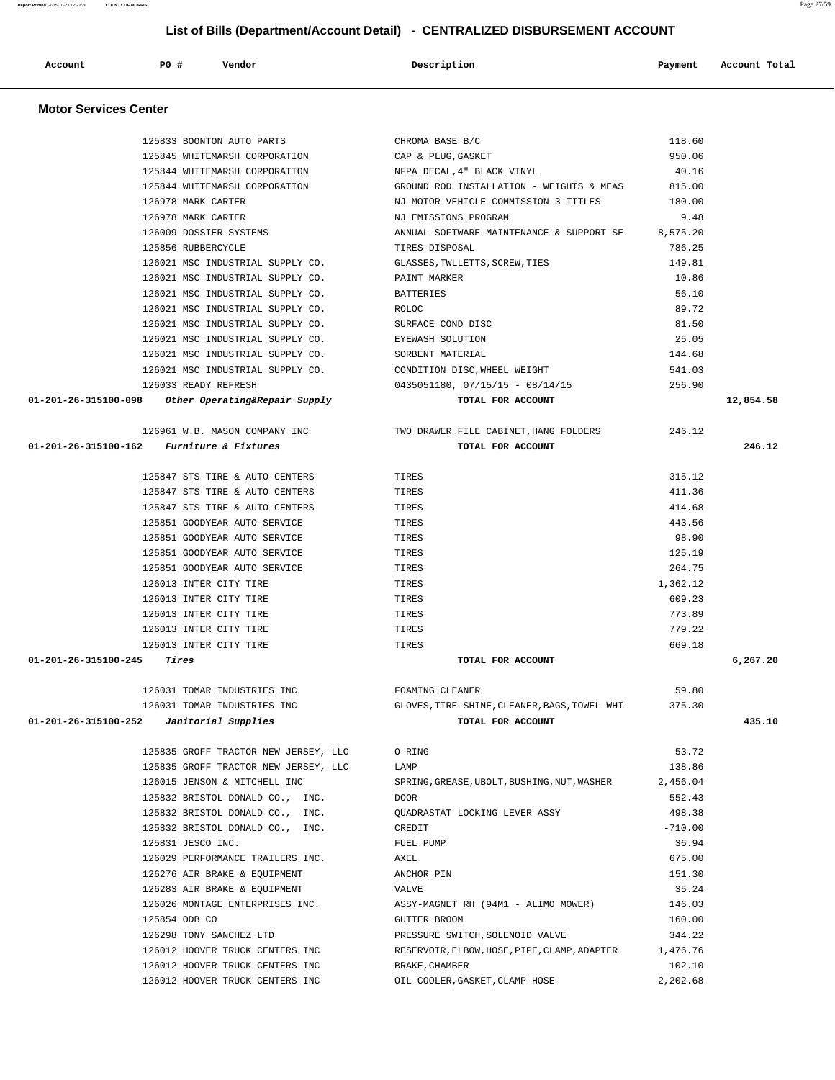| 126021 MSC INDUSTRIAL SUPPLY CO.                   | GLASSES, TWLLETTS, SCREW, TIES                        | 149.81                                                                                                                                                            |                                                                                                               |
|----------------------------------------------------|-------------------------------------------------------|-------------------------------------------------------------------------------------------------------------------------------------------------------------------|---------------------------------------------------------------------------------------------------------------|
| 126021 MSC INDUSTRIAL SUPPLY CO.                   | PAINT MARKER                                          | 10.86                                                                                                                                                             |                                                                                                               |
| 126021 MSC INDUSTRIAL SUPPLY CO.                   | BATTERIES                                             | 56.10                                                                                                                                                             |                                                                                                               |
| 126021 MSC INDUSTRIAL SUPPLY CO.                   | ROLOC                                                 | 89.72                                                                                                                                                             |                                                                                                               |
| 126021 MSC INDUSTRIAL SUPPLY CO.                   |                                                       | 81.50                                                                                                                                                             |                                                                                                               |
| 126021 MSC INDUSTRIAL SUPPLY CO.                   |                                                       | 25.05                                                                                                                                                             |                                                                                                               |
|                                                    |                                                       | 144.68                                                                                                                                                            |                                                                                                               |
| 126021 MSC INDUSTRIAL SUPPLY CO.                   | CONDITION DISC, WHEEL WEIGHT                          | 541.03                                                                                                                                                            |                                                                                                               |
| 126033 READY REFRESH                               | $0435051180, 07/15/15 - 08/14/15$                     | 256.90                                                                                                                                                            |                                                                                                               |
| 01-201-26-315100-098 Other Operating&Repair Supply | TOTAL FOR ACCOUNT                                     |                                                                                                                                                                   | 12,854.58                                                                                                     |
|                                                    |                                                       | 246.12                                                                                                                                                            |                                                                                                               |
| $01-201-26-315100-162$ Furniture & Fixtures        | TOTAL FOR ACCOUNT                                     |                                                                                                                                                                   | 246.12                                                                                                        |
| 125847 STS TIRE & AUTO CENTERS                     | TIRES                                                 | 315.12                                                                                                                                                            |                                                                                                               |
| 125847 STS TIRE & AUTO CENTERS                     | TIRES                                                 | 411.36                                                                                                                                                            |                                                                                                               |
| 125847 STS TIRE & AUTO CENTERS                     | TIRES                                                 | 414.68                                                                                                                                                            |                                                                                                               |
| 125851 GOODYEAR AUTO SERVICE                       | TIRES                                                 | 443.56                                                                                                                                                            |                                                                                                               |
| 125851 GOODYEAR AUTO SERVICE                       | TIRES                                                 | 98.90                                                                                                                                                             |                                                                                                               |
| 125851 GOODYEAR AUTO SERVICE                       | TIRES                                                 | 125.19                                                                                                                                                            |                                                                                                               |
| 125851 GOODYEAR AUTO SERVICE                       | TIRES                                                 | 264.75                                                                                                                                                            |                                                                                                               |
| 126013 INTER CITY TIRE                             | TIRES                                                 | 1,362.12                                                                                                                                                          |                                                                                                               |
| 126013 INTER CITY TIRE                             | TIRES                                                 | 609.23                                                                                                                                                            |                                                                                                               |
| 126013 INTER CITY TIRE                             | TIRES                                                 | 773.89                                                                                                                                                            |                                                                                                               |
| 126013 INTER CITY TIRE                             | TIRES                                                 | 779.22                                                                                                                                                            |                                                                                                               |
| 126013 INTER CITY TIRE                             | TIRES                                                 | 669.18                                                                                                                                                            |                                                                                                               |
| $01 - 201 - 26 - 315100 - 245$ Tires               | TOTAL FOR ACCOUNT                                     |                                                                                                                                                                   | 6,267.20                                                                                                      |
| 126031 TOMAR INDUSTRIES INC                        | FOAMING CLEANER                                       | 59.80                                                                                                                                                             |                                                                                                               |
| 126031 TOMAR INDUSTRIES INC                        |                                                       | 375.30                                                                                                                                                            |                                                                                                               |
|                                                    |                                                       |                                                                                                                                                                   | 435.10                                                                                                        |
|                                                    |                                                       |                                                                                                                                                                   |                                                                                                               |
| 125835 GROFF TRACTOR NEW JERSEY, LLC               | O-RING                                                | 53.72                                                                                                                                                             |                                                                                                               |
| 125835 GROFF TRACTOR NEW JERSEY, LLC               | LAMP                                                  | 138.86                                                                                                                                                            |                                                                                                               |
| 126015 JENSON & MITCHELL INC                       | SPRING, GREASE, UBOLT, BUSHING, NUT, WASHER 2, 456.04 |                                                                                                                                                                   |                                                                                                               |
| 125832 BRISTOL DONALD CO., INC.                    | <b>DOOR</b>                                           | 552.43                                                                                                                                                            |                                                                                                               |
| 125832 BRISTOL DONALD CO., INC.                    | QUADRASTAT LOCKING LEVER ASSY                         | 498.38                                                                                                                                                            |                                                                                                               |
| 125832 BRISTOL DONALD CO., INC.                    | CREDIT                                                | $-710.00$                                                                                                                                                         |                                                                                                               |
| 125831 JESCO INC.                                  | FUEL PUMP                                             | 36.94                                                                                                                                                             |                                                                                                               |
| 126029 PERFORMANCE TRAILERS INC.                   | AXEL                                                  | 675.00                                                                                                                                                            |                                                                                                               |
| 126276 AIR BRAKE & EQUIPMENT                       | ANCHOR PIN                                            | 151.30                                                                                                                                                            |                                                                                                               |
| 126283 AIR BRAKE & EQUIPMENT                       | VALVE                                                 | 35.24                                                                                                                                                             |                                                                                                               |
| 126026 MONTAGE ENTERPRISES INC.                    | ASSY-MAGNET RH (94M1 - ALIMO MOWER)                   | 146.03                                                                                                                                                            |                                                                                                               |
| 125854 ODB CO                                      | GUTTER BROOM                                          | 160.00                                                                                                                                                            |                                                                                                               |
| 126298 TONY SANCHEZ LTD                            | PRESSURE SWITCH, SOLENOID VALVE                       | 344.22                                                                                                                                                            |                                                                                                               |
| 126012 HOOVER TRUCK CENTERS INC                    | RESERVOIR, ELBOW, HOSE, PIPE, CLAMP, ADAPTER          | 1,476.76                                                                                                                                                          |                                                                                                               |
| 126012 HOOVER TRUCK CENTERS INC                    | BRAKE, CHAMBER                                        | 102.10                                                                                                                                                            |                                                                                                               |
|                                                    |                                                       | SURFACE COND DISC<br>EYEWASH SOLUTION<br>126021 MSC INDUSTRIAL SUPPLY CO. SORBENT MATERIAL<br>126961 W.B. MASON COMPANY INC TWO DRAWER FILE CABINET, HANG FOLDERS | GLOVES, TIRE SHINE, CLEANER, BAGS, TOWEL WHI<br>01-201-26-315100-252 Janitorial Supplies<br>TOTAL FOR ACCOUNT |

#### **Motor Services Center**

#### **List of Bills (Department/Account Detail) - CENTRALIZED DISBURSEMENT ACCOUNT**

 125833 BOONTON AUTO PARTS CHROMA BASE B/C 118.60 125845 WHITEMARSH CORPORATION CAP & PLUG,GASKET 950.06 125844 WHITEMARSH CORPORATION NFPA DECAL,4" BLACK VINYL 40.16 125844 WHITEMARSH CORPORATION GROUND ROD INSTALLATION - WEIGHTS & MEAS 815.00 126978 MARK CARTER NJ MOTOR VEHICLE COMMISSION 3 TITLES 180.00 126978 MARK CARTER NJ EMISSIONS PROGRAM 9.48 126009 DOSSIER SYSTEMS **ANNUAL SOFTWARE MAINTENANCE & SUPPORT SE** 8,575.20 125856 RUBBERCYCLE TIRES DISPOSAL 786.25

 **Account P0 # Vendor Description Payment Account Total**

**Report Printed** 2015-10-23 12:23:28 **COUNTY OF MORRIS** Page 27/59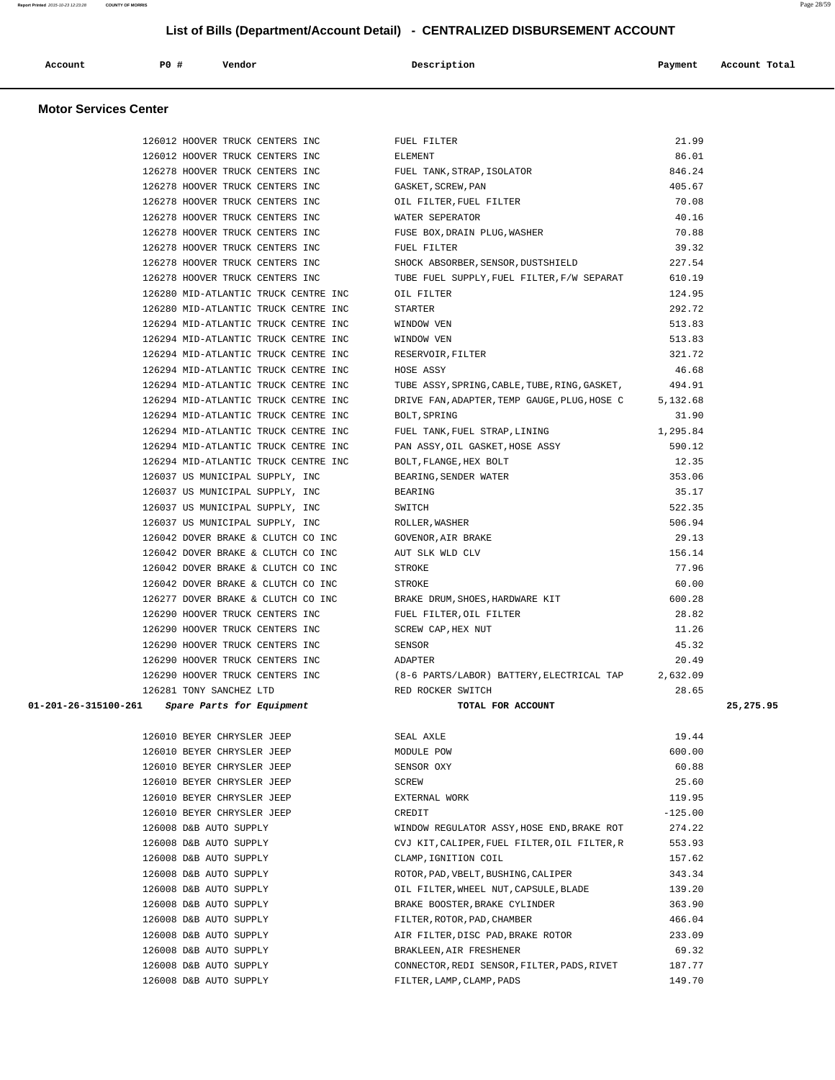| Account | P0 | Vendor | Description | Payment | Account Total |
|---------|----|--------|-------------|---------|---------------|
|         |    |        |             |         |               |

## **Motor Services Center**

| 126012 HOOVER TRUCK CENTERS INC                | FUEL FILTER                                                                        | 21.99     |             |
|------------------------------------------------|------------------------------------------------------------------------------------|-----------|-------------|
| 126012 HOOVER TRUCK CENTERS INC                | ELEMENT                                                                            | 86.01     |             |
| 126278 HOOVER TRUCK CENTERS INC                | FUEL TANK, STRAP, ISOLATOR                                                         | 846.24    |             |
| 126278 HOOVER TRUCK CENTERS INC                | GASKET, SCREW, PAN                                                                 | 405.67    |             |
| 126278 HOOVER TRUCK CENTERS INC                | OIL FILTER, FUEL FILTER                                                            | 70.08     |             |
| 126278 HOOVER TRUCK CENTERS INC                | WATER SEPERATOR                                                                    | 40.16     |             |
| 126278 HOOVER TRUCK CENTERS INC                | FUSE BOX, DRAIN PLUG, WASHER                                                       | 70.88     |             |
| 126278 HOOVER TRUCK CENTERS INC                | FUEL FILTER                                                                        | 39.32     |             |
| 126278 HOOVER TRUCK CENTERS INC                | SHOCK ABSORBER, SENSOR, DUSTSHIELD                                                 | 227.54    |             |
| 126278 HOOVER TRUCK CENTERS INC                | TUBE FUEL SUPPLY, FUEL FILTER, F/W SEPARAT                                         | 610.19    |             |
| 126280 MID-ATLANTIC TRUCK CENTRE INC           | OIL FILTER                                                                         | 124.95    |             |
| 126280 MID-ATLANTIC TRUCK CENTRE INC           | STARTER                                                                            | 292.72    |             |
| 126294 MID-ATLANTIC TRUCK CENTRE INC           | WINDOW VEN                                                                         | 513.83    |             |
| 126294 MID-ATLANTIC TRUCK CENTRE INC           | WINDOW VEN                                                                         | 513.83    |             |
| 126294 MID-ATLANTIC TRUCK CENTRE INC           | RESERVOIR, FILTER                                                                  | 321.72    |             |
| 126294 MID-ATLANTIC TRUCK CENTRE INC           | HOSE ASSY                                                                          | 46.68     |             |
| 126294 MID-ATLANTIC TRUCK CENTRE INC           | TUBE ASSY, SPRING, CABLE, TUBE, RING, GASKET,                                      | 494.91    |             |
| 126294 MID-ATLANTIC TRUCK CENTRE INC           | DRIVE FAN, ADAPTER, TEMP GAUGE, PLUG, HOSE C 5, 132.68                             |           |             |
| 126294 MID-ATLANTIC TRUCK CENTRE INC           | BOLT, SPRING                                                                       | 31.90     |             |
| 126294 MID-ATLANTIC TRUCK CENTRE INC           | FUEL TANK, FUEL STRAP, LINING                                                      | 1,295.84  |             |
| 126294 MID-ATLANTIC TRUCK CENTRE INC           | PAN ASSY, OIL GASKET, HOSE ASSY                                                    | 590.12    |             |
| 126294 MID-ATLANTIC TRUCK CENTRE INC           | BOLT, FLANGE, HEX BOLT                                                             | 12.35     |             |
| 126037 US MUNICIPAL SUPPLY, INC                | BEARING, SENDER WATER                                                              | 353.06    |             |
| 126037 US MUNICIPAL SUPPLY, INC                | BEARING                                                                            | 35.17     |             |
| 126037 US MUNICIPAL SUPPLY, INC                | SWITCH                                                                             | 522.35    |             |
| 126037 US MUNICIPAL SUPPLY, INC                | ROLLER, WASHER                                                                     | 506.94    |             |
| 126042 DOVER BRAKE & CLUTCH CO INC             | GOVENOR, AIR BRAKE                                                                 | 29.13     |             |
| 126042 DOVER BRAKE & CLUTCH CO INC             | AUT SLK WLD CLV                                                                    | 156.14    |             |
| 126042 DOVER BRAKE & CLUTCH CO INC             | STROKE                                                                             | 77.96     |             |
| 126042 DOVER BRAKE & CLUTCH CO INC             | STROKE                                                                             | 60.00     |             |
| 126277 DOVER BRAKE & CLUTCH CO INC             | BRAKE DRUM, SHOES, HARDWARE KIT                                                    | 600.28    |             |
| 126290 HOOVER TRUCK CENTERS INC                | FUEL FILTER, OIL FILTER                                                            | 28.82     |             |
| 126290 HOOVER TRUCK CENTERS INC                | SCREW CAP, HEX NUT                                                                 | 11.26     |             |
| 126290 HOOVER TRUCK CENTERS INC                | SENSOR                                                                             | 45.32     |             |
| 126290 HOOVER TRUCK CENTERS INC                | ADAPTER                                                                            | 20.49     |             |
|                                                | 126290 HOOVER TRUCK CENTERS INC (8-6 PARTS/LABOR) BATTERY, ELECTRICAL TAP 2,632.09 |           |             |
| 126281 TONY SANCHEZ LTD                        | RED ROCKER SWITCH                                                                  | 28.65     |             |
| 01-201-26-315100-261 Spare Parts for Equipment | TOTAL FOR ACCOUNT                                                                  |           | 25, 275, 95 |
| 126010 BEYER CHRYSLER JEEP                     | SEAL AXLE                                                                          | 19.44     |             |
| 126010 BEYER CHRYSLER JEEP                     | MODULE POW                                                                         | 600.00    |             |
| 126010 BEYER CHRYSLER JEEP                     | SENSOR OXY                                                                         | 60.88     |             |
| 126010 BEYER CHRYSLER JEEP                     | SCREW                                                                              | 25.60     |             |
| 126010 BEYER CHRYSLER JEEP                     | EXTERNAL WORK                                                                      | 119.95    |             |
| 126010 BEYER CHRYSLER JEEP                     | CREDIT                                                                             | $-125.00$ |             |
| 126008 D&B AUTO SUPPLY                         | WINDOW REGULATOR ASSY, HOSE END, BRAKE ROT                                         | 274.22    |             |
| 126008 D&B AUTO SUPPLY                         | CVJ KIT, CALIPER, FUEL FILTER, OIL FILTER, R                                       | 553.93    |             |
| 126008 D&B AUTO SUPPLY                         | CLAMP, IGNITION COIL                                                               | 157.62    |             |
| 126008 D&B AUTO SUPPLY                         | ROTOR, PAD, VBELT, BUSHING, CALIPER                                                | 343.34    |             |
| 126008 D&B AUTO SUPPLY                         | OIL FILTER, WHEEL NUT, CAPSULE, BLADE                                              | 139.20    |             |
| 126008 D&B AUTO SUPPLY                         | BRAKE BOOSTER, BRAKE CYLINDER                                                      | 363.90    |             |
| 126008 D&B AUTO SUPPLY                         | FILTER, ROTOR, PAD, CHAMBER                                                        | 466.04    |             |
| 126008 D&B AUTO SUPPLY                         | AIR FILTER, DISC PAD, BRAKE ROTOR                                                  | 233.09    |             |
| 126008 D&B AUTO SUPPLY                         |                                                                                    |           |             |
|                                                | BRAKLEEN, AIR FRESHENER                                                            | 69.32     |             |
| 126008 D&B AUTO SUPPLY                         | CONNECTOR, REDI SENSOR, FILTER, PADS, RIVET                                        | 187.77    |             |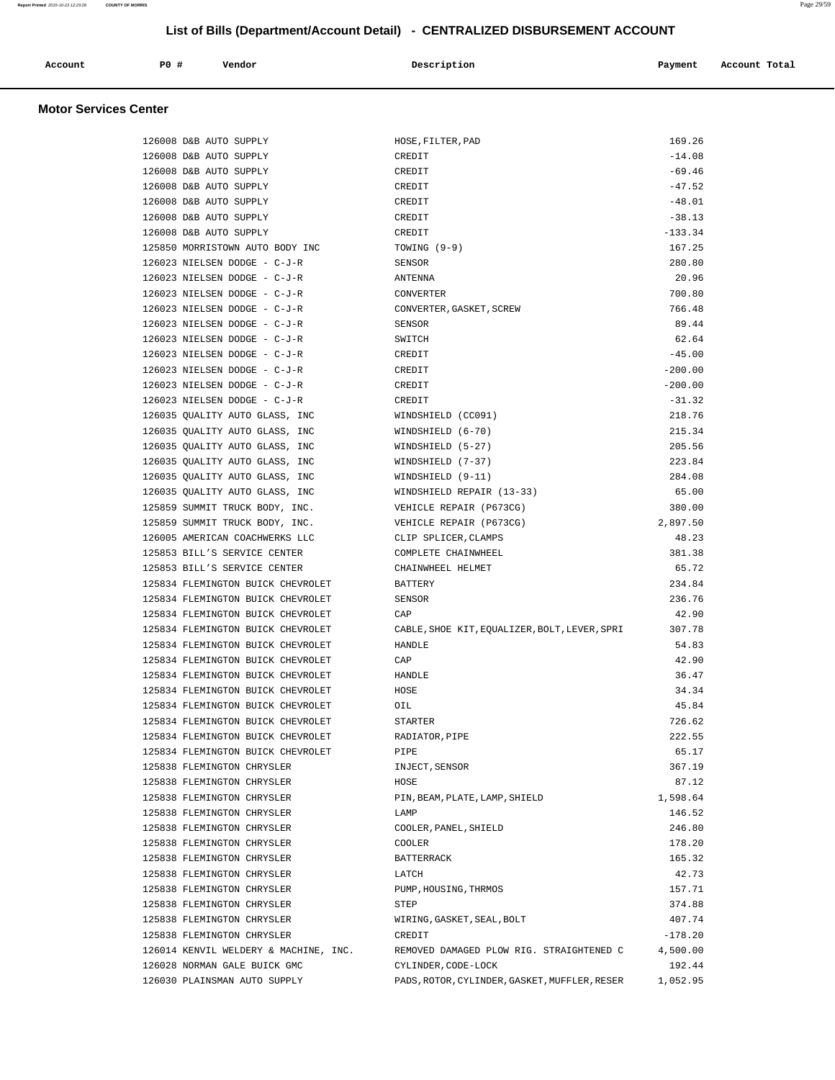| Account | <b>PO #</b> | Vendor | Description | Payment | Account Total |
|---------|-------------|--------|-------------|---------|---------------|
|         |             |        |             |         |               |

## **Motor Services Center**

| 126008 D&B AUTO SUPPLY                | HOSE, FILTER, PAD                             | 169.26    |
|---------------------------------------|-----------------------------------------------|-----------|
| 126008 D&B AUTO SUPPLY                | CREDIT                                        | $-14.08$  |
| 126008 D&B AUTO SUPPLY                | CREDIT                                        | $-69.46$  |
| 126008 D&B AUTO SUPPLY                | CREDIT                                        | $-47.52$  |
| 126008 D&B AUTO SUPPLY                | CREDIT                                        | $-48.01$  |
| 126008 D&B AUTO SUPPLY                | CREDIT                                        | $-38.13$  |
| 126008 D&B AUTO SUPPLY                | CREDIT                                        | $-133.34$ |
| 125850 MORRISTOWN AUTO BODY INC       | TOWING $(9-9)$                                | 167.25    |
| 126023 NIELSEN DODGE - C-J-R          | SENSOR                                        | 280.80    |
| 126023 NIELSEN DODGE - C-J-R          | ANTENNA                                       | 20.96     |
| 126023 NIELSEN DODGE - C-J-R          | CONVERTER                                     | 700.80    |
| 126023 NIELSEN DODGE - C-J-R          | CONVERTER, GASKET, SCREW                      | 766.48    |
| 126023 NIELSEN DODGE - C-J-R          | SENSOR                                        | 89.44     |
| 126023 NIELSEN DODGE - C-J-R          | SWITCH                                        | 62.64     |
| 126023 NIELSEN DODGE - C-J-R          | CREDIT                                        | $-45.00$  |
| 126023 NIELSEN DODGE - C-J-R          | CREDIT                                        | $-200.00$ |
| 126023 NIELSEN DODGE - C-J-R          | CREDIT                                        | $-200.00$ |
| 126023 NIELSEN DODGE - C-J-R          | CREDIT                                        | $-31.32$  |
| 126035 QUALITY AUTO GLASS, INC        | WINDSHIELD (CC091)                            | 218.76    |
| 126035 QUALITY AUTO GLASS, INC        | WINDSHIELD (6-70)                             | 215.34    |
| 126035 QUALITY AUTO GLASS, INC        | WINDSHIELD (5-27)                             | 205.56    |
| 126035 QUALITY AUTO GLASS, INC        | WINDSHIELD (7-37)                             | 223.84    |
| 126035 OUALITY AUTO GLASS, INC        | WINDSHIELD (9-11)                             | 284.08    |
| 126035 QUALITY AUTO GLASS, INC        | WINDSHIELD REPAIR (13-33)                     | 65.00     |
| 125859 SUMMIT TRUCK BODY, INC.        | VEHICLE REPAIR (P673CG)                       | 380.00    |
| 125859 SUMMIT TRUCK BODY, INC.        | VEHICLE REPAIR (P673CG)                       | 2,897.50  |
| 126005 AMERICAN COACHWERKS LLC        | CLIP SPLICER, CLAMPS                          | 48.23     |
| 125853 BILL'S SERVICE CENTER          | COMPLETE CHAINWHEEL                           | 381.38    |
| 125853 BILL'S SERVICE CENTER          | CHAINWHEEL HELMET                             | 65.72     |
| 125834 FLEMINGTON BUICK CHEVROLET     | <b>BATTERY</b>                                | 234.84    |
| 125834 FLEMINGTON BUICK CHEVROLET     | SENSOR                                        | 236.76    |
| 125834 FLEMINGTON BUICK CHEVROLET     | CAP                                           | 42.90     |
| 125834 FLEMINGTON BUICK CHEVROLET     | CABLE, SHOE KIT, EQUALIZER, BOLT, LEVER, SPRI | 307.78    |
| 125834 FLEMINGTON BUICK CHEVROLET     | <b>HANDLE</b>                                 | 54.83     |
| 125834 FLEMINGTON BUICK CHEVROLET     | CAP                                           | 42.90     |
| 125834 FLEMINGTON BUICK CHEVROLET     | HANDLE                                        | 36.47     |
| 125834 FLEMINGTON BUICK CHEVROLET     | HOSE                                          | 34.34     |
| 125834 FLEMINGTON BUICK CHEVROLET     | OIL                                           | 45.84     |
| 125834 FLEMINGTON BUICK CHEVROLET     | STARTER                                       | 726.62    |
| 125834 FLEMINGTON BUICK CHEVROLET     | RADIATOR, PIPE                                | 222.55    |
| 125834 FLEMINGTON BUICK CHEVROLET     | PIPE                                          | 65.17     |
| 125838 FLEMINGTON CHRYSLER            | INJECT, SENSOR                                | 367.19    |
| 125838 FLEMINGTON CHRYSLER            | HOSE                                          | 87.12     |
| 125838 FLEMINGTON CHRYSLER            | PIN, BEAM, PLATE, LAMP, SHIELD                | 1,598.64  |
| 125838 FLEMINGTON CHRYSLER            | LAMP                                          | 146.52    |
| 125838 FLEMINGTON CHRYSLER            | COOLER, PANEL, SHIELD                         | 246.80    |
| 125838 FLEMINGTON CHRYSLER            | COOLER                                        | 178.20    |
| 125838 FLEMINGTON CHRYSLER            | <b>BATTERRACK</b>                             | 165.32    |
| 125838 FLEMINGTON CHRYSLER            | LATCH                                         | 42.73     |
| 125838 FLEMINGTON CHRYSLER            | PUMP, HOUSING, THRMOS                         | 157.71    |
| 125838 FLEMINGTON CHRYSLER            | STEP                                          | 374.88    |
| 125838 FLEMINGTON CHRYSLER            | WIRING, GASKET, SEAL, BOLT                    | 407.74    |
| 125838 FLEMINGTON CHRYSLER            | CREDIT                                        | $-178.20$ |
| 126014 KENVIL WELDERY & MACHINE, INC. | REMOVED DAMAGED PLOW RIG. STRAIGHTENED C      | 4,500.00  |
| 126028 NORMAN GALE BUICK GMC          | CYLINDER, CODE-LOCK                           | 192.44    |
|                                       |                                               |           |
| 126030 PLAINSMAN AUTO SUPPLY          | PADS, ROTOR, CYLINDER, GASKET, MUFFLER, RESER | 1,052.95  |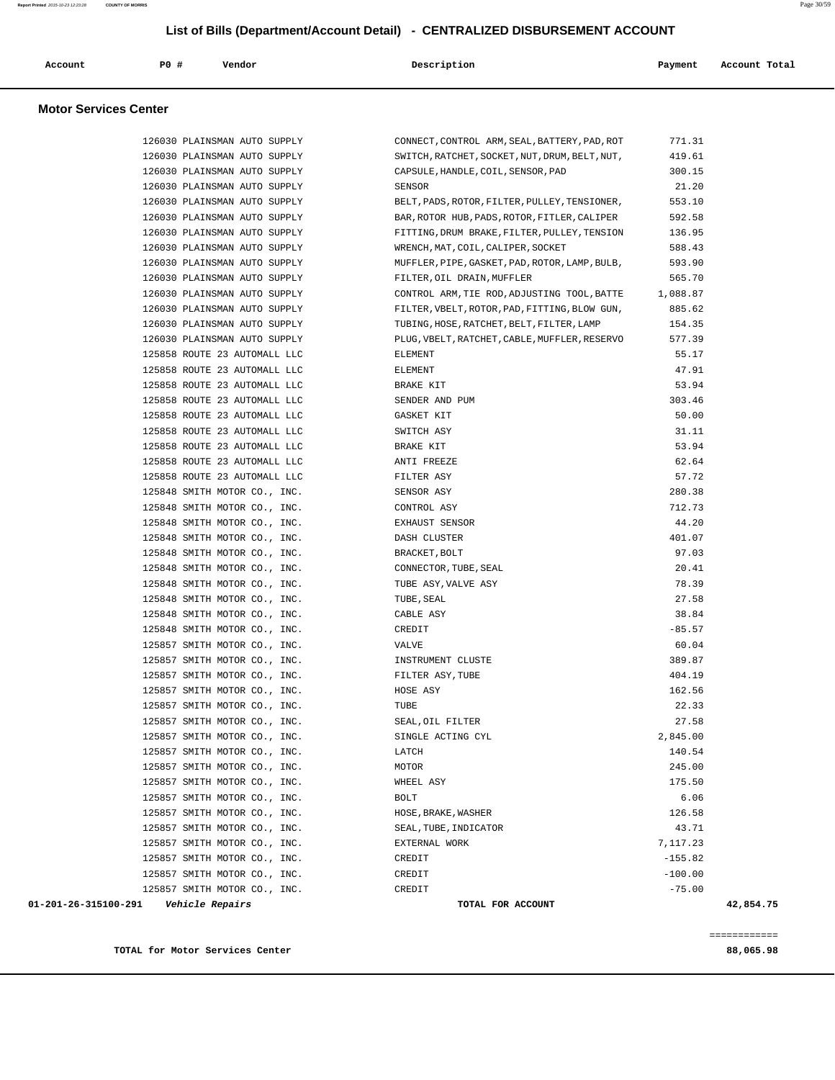| Account | <b>PO #</b> | Vendor | Description<br>$\sim$ $\sim$ | Payment<br>$\sim$ $\sim$ | Account Total<br>. |
|---------|-------------|--------|------------------------------|--------------------------|--------------------|
|         |             |        |                              |                          |                    |

#### **Motor Services Center**

| 01-201-26-315100-291<br><i><b>Vehicle Repairs</b></i>        |       | TOTAL FOR ACCOUNT                                                            |                  | 42,854.75 |
|--------------------------------------------------------------|-------|------------------------------------------------------------------------------|------------------|-----------|
| 125857 SMITH MOTOR CO., INC.                                 |       | CREDIT                                                                       | $-75.00$         |           |
| 125857 SMITH MOTOR CO., INC.                                 |       | CREDIT                                                                       | $-100.00$        |           |
| 125857 SMITH MOTOR CO., INC.                                 |       | CREDIT                                                                       | $-155.82$        |           |
| 125857 SMITH MOTOR CO., INC.                                 |       | EXTERNAL WORK                                                                | 7,117.23         |           |
| 125857 SMITH MOTOR CO., INC.                                 |       | SEAL, TUBE, INDICATOR                                                        | 43.71            |           |
| 125857 SMITH MOTOR CO., INC.                                 |       | HOSE, BRAKE, WASHER                                                          | 126.58           |           |
| 125857 SMITH MOTOR CO., INC.                                 | BOLT  |                                                                              | 6.06             |           |
| 125857 SMITH MOTOR CO., INC.                                 |       | WHEEL ASY                                                                    | 175.50           |           |
| 125857 SMITH MOTOR CO., INC.                                 | MOTOR |                                                                              | 245.00           |           |
| 125857 SMITH MOTOR CO., INC.                                 | LATCH |                                                                              | 140.54           |           |
| 125857 SMITH MOTOR CO., INC.                                 |       | SINGLE ACTING CYL                                                            | 2,845.00         |           |
| 125857 SMITH MOTOR CO., INC.                                 |       | SEAL, OIL FILTER                                                             | 27.58            |           |
| 125857 SMITH MOTOR CO., INC.                                 | TUBE  |                                                                              | 22.33            |           |
| 125857 SMITH MOTOR CO., INC.                                 |       | HOSE ASY                                                                     | 162.56           |           |
| 125857 SMITH MOTOR CO., INC.                                 |       | FILTER ASY,TUBE                                                              | 404.19           |           |
| 125857 SMITH MOTOR CO., INC.                                 |       | INSTRUMENT CLUSTE                                                            | 389.87           |           |
| 125857 SMITH MOTOR CO., INC.                                 | VALVE |                                                                              | 60.04            |           |
| 125848 SMITH MOTOR CO., INC.                                 |       | CREDIT                                                                       | $-85.57$         |           |
| 125848 SMITH MOTOR CO., INC.                                 |       | CABLE ASY                                                                    | 38.84            |           |
| 125848 SMITH MOTOR CO., INC.                                 |       | TUBE , SEAL                                                                  | 27.58            |           |
| 125848 SMITH MOTOR CO., INC.                                 |       | TUBE ASY, VALVE ASY                                                          | 78.39            |           |
| 125848 SMITH MOTOR CO., INC.                                 |       | CONNECTOR, TUBE, SEAL                                                        | 20.41            |           |
| 125848 SMITH MOTOR CO., INC.                                 |       | BRACKET, BOLT                                                                | 97.03            |           |
| 125848 SMITH MOTOR CO., INC.                                 |       | DASH CLUSTER                                                                 | 401.07           |           |
| 125848 SMITH MOTOR CO., INC.                                 |       | EXHAUST SENSOR                                                               | 44.20            |           |
| 125848 SMITH MOTOR CO., INC.                                 |       | CONTROL ASY                                                                  | 712.73           |           |
| 125848 SMITH MOTOR CO., INC.                                 |       | SENSOR ASY                                                                   | 280.38           |           |
| 125858 ROUTE 23 AUTOMALL LLC                                 |       | FILTER ASY                                                                   | 57.72            |           |
| 125858 ROUTE 23 AUTOMALL LLC                                 |       | ANTI FREEZE                                                                  | 62.64            |           |
| 125858 ROUTE 23 AUTOMALL LLC                                 |       | BRAKE KIT                                                                    | 53.94            |           |
| 125858 ROUTE 23 AUTOMALL LLC                                 |       | SWITCH ASY                                                                   | 31.11            |           |
| 125858 ROUTE 23 AUTOMALL LLC                                 |       | GASKET KIT                                                                   | 50.00            |           |
| 125858 ROUTE 23 AUTOMALL LLC                                 |       | SENDER AND PUM                                                               | 303.46           |           |
| 125858 ROUTE 23 AUTOMALL LLC                                 |       | BRAKE KIT                                                                    | 53.94            |           |
| 125858 ROUTE 23 AUTOMALL LLC                                 |       | ELEMENT                                                                      | 47.91            |           |
| 125858 ROUTE 23 AUTOMALL LLC                                 |       | ELEMENT                                                                      | 55.17            |           |
| 126030 PLAINSMAN AUTO SUPPLY                                 |       | PLUG, VBELT, RATCHET, CABLE, MUFFLER, RESERVO                                | 577.39           |           |
| 126030 PLAINSMAN AUTO SUPPLY                                 |       | TUBING, HOSE, RATCHET, BELT, FILTER, LAMP                                    | 154.35           |           |
| 126030 PLAINSMAN AUTO SUPPLY                                 |       | FILTER, VBELT, ROTOR, PAD, FITTING, BLOW GUN,                                | 885.62           |           |
| 126030 PLAINSMAN AUTO SUPPLY                                 |       | CONTROL ARM, TIE ROD, ADJUSTING TOOL, BATTE 1, 088.87                        |                  |           |
| 126030 PLAINSMAN AUTO SUPPLY<br>126030 PLAINSMAN AUTO SUPPLY |       | MUFFLER, PIPE, GASKET, PAD, ROTOR, LAMP, BULB,<br>FILTER, OIL DRAIN, MUFFLER | 593.90<br>565.70 |           |
| 126030 PLAINSMAN AUTO SUPPLY                                 |       | WRENCH, MAT, COIL, CALIPER, SOCKET                                           | 588.43           |           |
| 126030 PLAINSMAN AUTO SUPPLY                                 |       | FITTING, DRUM BRAKE, FILTER, PULLEY, TENSION                                 | 136.95           |           |
| 126030 PLAINSMAN AUTO SUPPLY                                 |       | BAR, ROTOR HUB, PADS, ROTOR, FITLER, CALIPER                                 | 592.58           |           |
| 126030 PLAINSMAN AUTO SUPPLY                                 |       | BELT, PADS, ROTOR, FILTER, PULLEY, TENSIONER,                                | 553.10           |           |
| 126030 PLAINSMAN AUTO SUPPLY                                 |       | SENSOR                                                                       | 21.20            |           |
| 126030 PLAINSMAN AUTO SUPPLY                                 |       | CAPSULE, HANDLE, COIL, SENSOR, PAD                                           | 300.15           |           |
| 126030 PLAINSMAN AUTO SUPPLY                                 |       | SWITCH, RATCHET, SOCKET, NUT, DRUM, BELT, NUT,                               | 419.61           |           |
| 126030 PLAINSMAN AUTO SUPPLY                                 |       | CONNECT, CONTROL ARM, SEAL, BATTERY, PAD, ROT                                | 771.31           |           |
|                                                              |       |                                                                              |                  |           |

**TOTAL for Motor Services Center 88,065.98**

============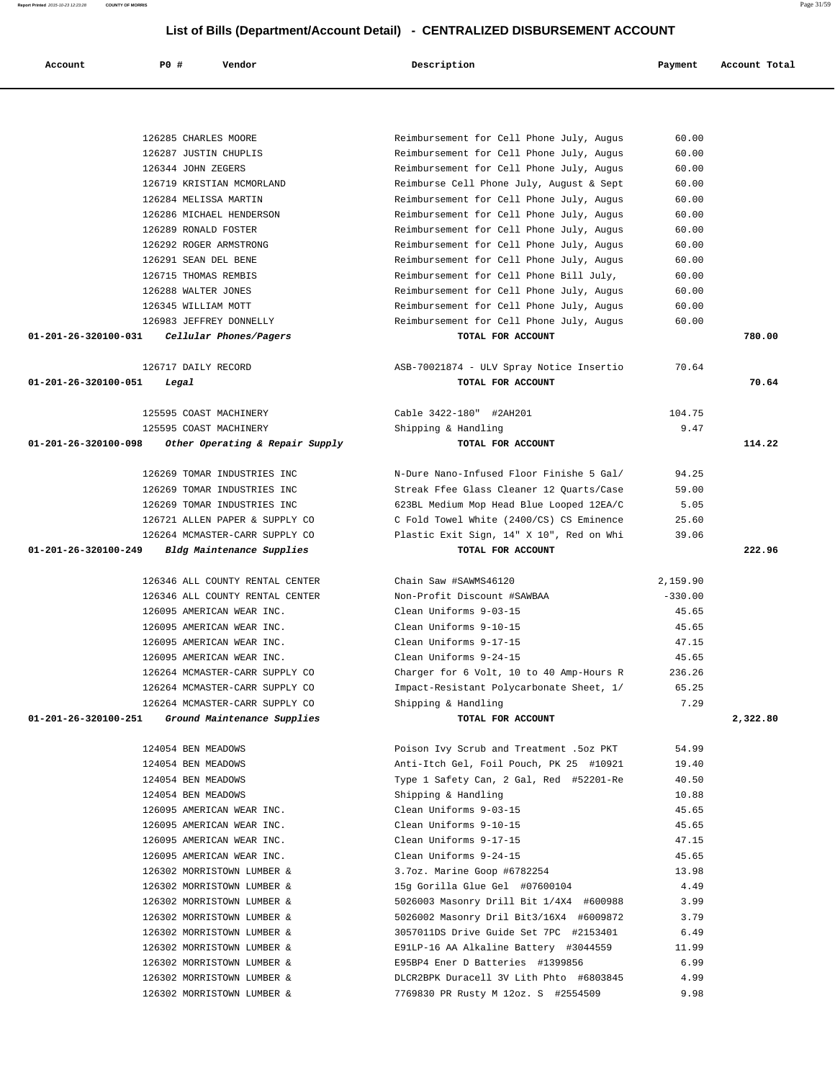| 126285 CHARLES MOORE                                             | Reimbursement for Cell Phone July, Augus                                             | 60.00           |          |
|------------------------------------------------------------------|--------------------------------------------------------------------------------------|-----------------|----------|
| 126287 JUSTIN CHUPLIS                                            | Reimbursement for Cell Phone July, Augus                                             | 60.00           |          |
| 126344 JOHN ZEGERS                                               | Reimbursement for Cell Phone July, Augus                                             | 60.00           |          |
| 126719 KRISTIAN MCMORLAND                                        | Reimburse Cell Phone July, August & Sept                                             | 60.00           |          |
| 126284 MELISSA MARTIN                                            | Reimbursement for Cell Phone July, Augus                                             | 60.00           |          |
| 126286 MICHAEL HENDERSON                                         | Reimbursement for Cell Phone July, Augus                                             | 60.00           |          |
| 126289 RONALD FOSTER                                             | Reimbursement for Cell Phone July, Augus                                             | 60.00           |          |
| 126292 ROGER ARMSTRONG                                           | Reimbursement for Cell Phone July, Augus                                             | 60.00           |          |
| 126291 SEAN DEL BENE                                             | Reimbursement for Cell Phone July, Augus                                             | 60.00           |          |
| 126715 THOMAS REMBIS                                             | Reimbursement for Cell Phone Bill July,                                              | 60.00           |          |
| 126288 WALTER JONES                                              | Reimbursement for Cell Phone July, Augus                                             | 60.00           |          |
| 126345 WILLIAM MOTT                                              | Reimbursement for Cell Phone July, Augus                                             | 60.00           |          |
| 126983 JEFFREY DONNELLY                                          | Reimbursement for Cell Phone July, Augus                                             | 60.00           |          |
| 01-201-26-320100-031<br>Cellular Phones/Pagers                   | TOTAL FOR ACCOUNT                                                                    |                 | 780.00   |
| 126717 DAILY RECORD                                              |                                                                                      | 70.64           |          |
| 01-201-26-320100-051                                             | ASB-70021874 - ULV Spray Notice Insertio<br>TOTAL FOR ACCOUNT                        |                 | 70.64    |
| Legal                                                            |                                                                                      |                 |          |
| 125595 COAST MACHINERY                                           | Cable 3422-180" #2AH201                                                              | 104.75          |          |
| 125595 COAST MACHINERY                                           | Shipping & Handling                                                                  | 9.47            |          |
| 01-201-26-320100-098<br>Other Operating & Repair Supply          | TOTAL FOR ACCOUNT                                                                    |                 | 114.22   |
|                                                                  |                                                                                      |                 |          |
| 126269 TOMAR INDUSTRIES INC                                      | N-Dure Nano-Infused Floor Finishe 5 Gal/                                             | 94.25           |          |
| 126269 TOMAR INDUSTRIES INC                                      | Streak Ffee Glass Cleaner 12 Quarts/Case                                             | 59.00           |          |
| 126269 TOMAR INDUSTRIES INC                                      | 623BL Medium Mop Head Blue Looped 12EA/C                                             | 5.05            |          |
| 126721 ALLEN PAPER & SUPPLY CO                                   | C Fold Towel White (2400/CS) CS Eminence                                             | 25.60           |          |
| 126264 MCMASTER-CARR SUPPLY CO                                   | Plastic Exit Sign, 14" X 10", Red on Whi                                             | 39.06           |          |
|                                                                  |                                                                                      |                 |          |
| 01-201-26-320100-249<br>Bldg Maintenance Supplies                | TOTAL FOR ACCOUNT                                                                    |                 | 222.96   |
|                                                                  |                                                                                      |                 |          |
| 126346 ALL COUNTY RENTAL CENTER                                  | Chain Saw #SAWMS46120                                                                | 2,159.90        |          |
| 126346 ALL COUNTY RENTAL CENTER                                  | Non-Profit Discount #SAWBAA                                                          | $-330.00$       |          |
| 126095 AMERICAN WEAR INC.                                        | Clean Uniforms 9-03-15                                                               | 45.65           |          |
| 126095 AMERICAN WEAR INC.                                        | Clean Uniforms 9-10-15                                                               | 45.65           |          |
| 126095 AMERICAN WEAR INC.                                        | Clean Uniforms 9-17-15                                                               | 47.15           |          |
| 126095 AMERICAN WEAR INC.                                        | Clean Uniforms 9-24-15                                                               | 45.65           |          |
| 126264 MCMASTER-CARR SUPPLY CO<br>126264 MCMASTER-CARR SUPPLY CO | Charger for 6 Volt, 10 to 40 Amp-Hours R<br>Impact-Resistant Polycarbonate Sheet, 1/ | 236.26<br>65.25 |          |
| 126264 MCMASTER-CARR SUPPLY CO                                   | Shipping & Handling                                                                  | 7.29            |          |
| 01-201-26-320100-251<br>Ground Maintenance Supplies              | TOTAL FOR ACCOUNT                                                                    |                 | 2,322.80 |
|                                                                  |                                                                                      |                 |          |
| 124054 BEN MEADOWS                                               | Poison Ivy Scrub and Treatment .5oz PKT                                              | 54.99           |          |
| 124054 BEN MEADOWS                                               | Anti-Itch Gel, Foil Pouch, PK 25 #10921                                              | 19.40           |          |
| 124054 BEN MEADOWS                                               | Type 1 Safety Can, 2 Gal, Red #52201-Re                                              | 40.50           |          |
| 124054 BEN MEADOWS                                               | Shipping & Handling                                                                  | 10.88           |          |
| 126095 AMERICAN WEAR INC.                                        | Clean Uniforms 9-03-15                                                               | 45.65           |          |
| 126095 AMERICAN WEAR INC.                                        | Clean Uniforms 9-10-15                                                               | 45.65           |          |
| 126095 AMERICAN WEAR INC.                                        | Clean Uniforms 9-17-15                                                               | 47.15           |          |
| 126095 AMERICAN WEAR INC.                                        | Clean Uniforms 9-24-15                                                               | 45.65           |          |
| 126302 MORRISTOWN LUMBER &                                       | 3.7oz. Marine Goop #6782254                                                          | 13.98           |          |
| 126302 MORRISTOWN LUMBER &                                       | 15g Gorilla Glue Gel #07600104                                                       | 4.49            |          |
| 126302 MORRISTOWN LUMBER &                                       | 5026003 Masonry Drill Bit 1/4X4 #600988                                              | 3.99            |          |
| 126302 MORRISTOWN LUMBER &                                       | 5026002 Masonry Dril Bit3/16X4 #6009872                                              | 3.79            |          |
| 126302 MORRISTOWN LUMBER &                                       | 3057011DS Drive Guide Set 7PC #2153401                                               | 6.49            |          |
| 126302 MORRISTOWN LUMBER &                                       | E91LP-16 AA Alkaline Battery #3044559                                                | 11.99           |          |
| 126302 MORRISTOWN LUMBER &                                       | E95BP4 Ener D Batteries #1399856                                                     | 6.99            |          |
| 126302 MORRISTOWN LUMBER &<br>126302 MORRISTOWN LUMBER &         | DLCR2BPK Duracell 3V Lith Phto #6803845<br>7769830 PR Rusty M 12oz. S #2554509       | 4.99<br>9.98    |          |

 **Account P0 # Vendor Description Payment Account Total**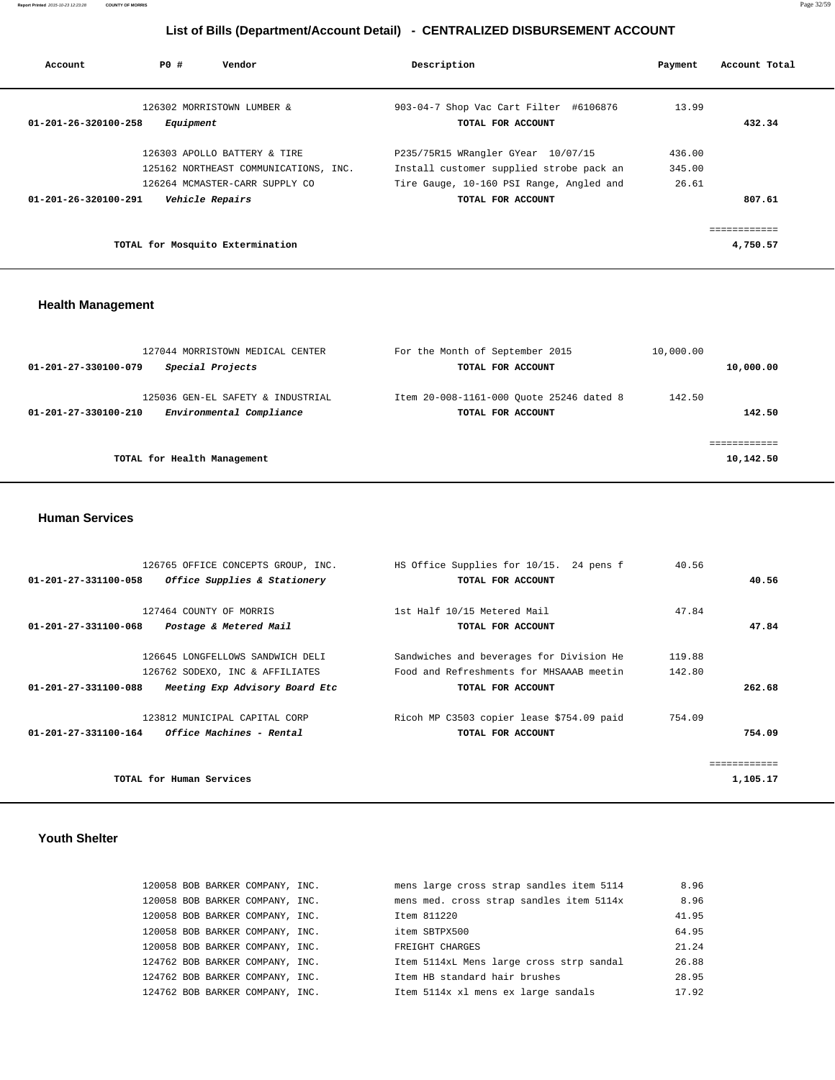**Report Printed** 2015-10-23 12:23:28 **COUNTY OF MORRIS** Page 32/59

## **List of Bills (Department/Account Detail) - CENTRALIZED DISBURSEMENT ACCOUNT**

| Account              | PO#             | Vendor                                                                                                  | Description                                                                                                                                     | Payment                   | Account Total |
|----------------------|-----------------|---------------------------------------------------------------------------------------------------------|-------------------------------------------------------------------------------------------------------------------------------------------------|---------------------------|---------------|
| 01-201-26-320100-258 | Equipment       | 126302 MORRISTOWN LUMBER &                                                                              | 903-04-7 Shop Vac Cart Filter #6106876<br>TOTAL FOR ACCOUNT                                                                                     | 13.99                     | 432.34        |
| 01-201-26-320100-291 | Vehicle Repairs | 126303 APOLLO BATTERY & TIRE<br>125162 NORTHEAST COMMUNICATIONS, INC.<br>126264 MCMASTER-CARR SUPPLY CO | P235/75R15 WRangler GYear 10/07/15<br>Install customer supplied strobe pack an<br>Tire Gauge, 10-160 PSI Range, Angled and<br>TOTAL FOR ACCOUNT | 436.00<br>345.00<br>26.61 | 807.61        |
|                      |                 | TOTAL for Mosquito Extermination                                                                        |                                                                                                                                                 |                           | 4,750.57      |

## **Health Management**

| 127044 MORRISTOWN MEDICAL CENTER<br>Special Projects<br>01-201-27-330100-079          | For the Month of September 2015<br>TOTAL FOR ACCOUNT          | 10,000.00<br>10,000.00   |
|---------------------------------------------------------------------------------------|---------------------------------------------------------------|--------------------------|
| 125036 GEN-EL SAFETY & INDUSTRIAL<br>Environmental Compliance<br>01-201-27-330100-210 | Item 20-008-1161-000 Quote 25246 dated 8<br>TOTAL FOR ACCOUNT | 142.50<br>142.50         |
| TOTAL for Health Management                                                           |                                                               | ===========<br>10,142.50 |

#### **Human Services**

| 126765 OFFICE CONCEPTS GROUP, INC.                             | HS Office Supplies for 10/15. 24 pens f   | 40.56    |
|----------------------------------------------------------------|-------------------------------------------|----------|
| Office Supplies & Stationery<br>01-201-27-331100-058           | TOTAL FOR ACCOUNT                         | 40.56    |
|                                                                |                                           |          |
| 127464 COUNTY OF MORRIS                                        | 1st Half 10/15 Metered Mail               | 47.84    |
| 01-201-27-331100-068<br>Postage & Metered Mail                 | TOTAL FOR ACCOUNT                         | 47.84    |
|                                                                |                                           |          |
| 126645 LONGFELLOWS SANDWICH DELI                               | Sandwiches and beverages for Division He  | 119.88   |
| 126762 SODEXO, INC & AFFILIATES                                | Food and Refreshments for MHSAAAB meetin  | 142.80   |
| 01-201-27-331100-088<br>Meeting Exp Advisory Board Etc         | TOTAL FOR ACCOUNT                         | 262.68   |
| 123812 MUNICIPAL CAPITAL CORP                                  | Ricoh MP C3503 copier lease \$754.09 paid | 754.09   |
| <i><b>Office Machines - Rental</b></i><br>01-201-27-331100-164 | TOTAL FOR ACCOUNT                         | 754.09   |
|                                                                |                                           |          |
|                                                                |                                           |          |
| TOTAL for Human Services                                       |                                           | 1,105.17 |

#### **Youth Shelter**

|  | 120058 BOB BARKER COMPANY, INC. | mens large cross strap sandles item 5114 | 8.96  |
|--|---------------------------------|------------------------------------------|-------|
|  | 120058 BOB BARKER COMPANY, INC. | mens med. cross strap sandles item 5114x | 8.96  |
|  | 120058 BOB BARKER COMPANY, INC. | Item 811220                              | 41.95 |
|  | 120058 BOB BARKER COMPANY, INC. | item SBTPX500                            | 64.95 |
|  | 120058 BOB BARKER COMPANY, INC. | FREIGHT CHARGES                          | 21.24 |
|  | 124762 BOB BARKER COMPANY, INC. | Item 5114xL Mens large cross strp sandal | 26.88 |
|  | 124762 BOB BARKER COMPANY, INC. | Item HB standard hair brushes            | 28.95 |
|  | 124762 BOB BARKER COMPANY, INC. | Item 5114x xl mens ex large sandals      | 17.92 |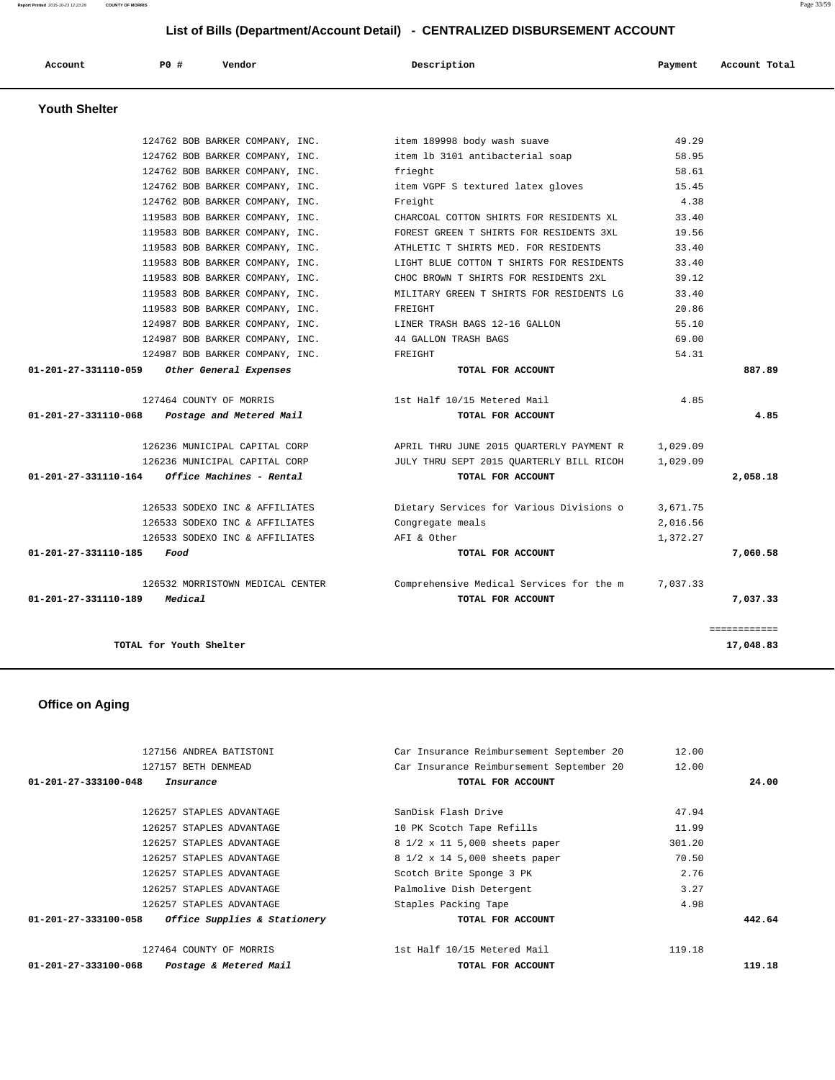| Account | P0 # | Vendor | Description | Payment | Account Total |
|---------|------|--------|-------------|---------|---------------|
|         |      |        |             |         |               |

 **Youth Shelter** 

|          | 15.45    | item VGPF S textured latex gloves        | 124762 BOB BARKER COMPANY, INC.                  |
|----------|----------|------------------------------------------|--------------------------------------------------|
|          | 4.38     | Freight                                  | 124762 BOB BARKER COMPANY, INC.                  |
|          | 33.40    | CHARCOAL COTTON SHIRTS FOR RESIDENTS XL  | 119583 BOB BARKER COMPANY, INC.                  |
|          | 19.56    | FOREST GREEN T SHIRTS FOR RESIDENTS 3XL  | 119583 BOB BARKER COMPANY, INC.                  |
|          | 33.40    | ATHLETIC T SHIRTS MED. FOR RESIDENTS     | 119583 BOB BARKER COMPANY, INC.                  |
|          | 33.40    | LIGHT BLUE COTTON T SHIRTS FOR RESIDENTS | 119583 BOB BARKER COMPANY, INC.                  |
|          | 39.12    | CHOC BROWN T SHIRTS FOR RESIDENTS 2XL    | 119583 BOB BARKER COMPANY, INC.                  |
|          | 33.40    | MILITARY GREEN T SHIRTS FOR RESIDENTS LG | 119583 BOB BARKER COMPANY, INC.                  |
|          | 20.86    | FREIGHT                                  | 119583 BOB BARKER COMPANY, INC.                  |
|          | 55.10    | LINER TRASH BAGS 12-16 GALLON            | 124987 BOB BARKER COMPANY, INC.                  |
|          | 69.00    | 44 GALLON TRASH BAGS                     | 124987 BOB BARKER COMPANY, INC.                  |
|          | 54.31    | FREIGHT                                  | 124987 BOB BARKER COMPANY, INC.                  |
| 887.89   |          | TOTAL FOR ACCOUNT                        | 01-201-27-331110-059<br>Other General Expenses   |
|          | 4.85     | 1st Half 10/15 Metered Mail              | 127464 COUNTY OF MORRIS                          |
| 4.85     |          | TOTAL FOR ACCOUNT                        | 01-201-27-331110-068<br>Postage and Metered Mail |
|          | 1,029.09 | APRIL THRU JUNE 2015 QUARTERLY PAYMENT R | 126236 MUNICIPAL CAPITAL CORP                    |
|          | 1,029.09 | JULY THRU SEPT 2015 QUARTERLY BILL RICOH | 126236 MUNICIPAL CAPITAL CORP                    |
|          |          | TOTAL FOR ACCOUNT                        | $01-201-27-331110-164$ Office Machines - Rental  |
| 2,058.18 | 3,671.75 | Dietary Services for Various Divisions o | 126533 SODEXO INC & AFFILIATES                   |
|          |          | Congregate meals                         | 126533 SODEXO INC & AFFILIATES                   |
|          | 2,016.56 |                                          |                                                  |
|          | 1,372.27 | AFI & Other                              | 126533 SODEXO INC & AFFILIATES                   |
| 7,060.58 |          | TOTAL FOR ACCOUNT                        | 01-201-27-331110-185<br>Food                     |
|          | 7,037.33 | Comprehensive Medical Services for the m | 126532 MORRISTOWN MEDICAL CENTER                 |

 **Office on Aging** 

| 127156 ANDREA BATISTONI                                        | Car Insurance Reimbursement September 20 | 12.00  |        |
|----------------------------------------------------------------|------------------------------------------|--------|--------|
| 127157 BETH DENMEAD                                            | Car Insurance Reimbursement September 20 | 12.00  |        |
| 01-201-27-333100-048<br>Insurance                              | TOTAL FOR ACCOUNT                        |        | 24.00  |
|                                                                |                                          |        |        |
| 126257 STAPLES ADVANTAGE                                       | SanDisk Flash Drive                      | 47.94  |        |
| 126257 STAPLES ADVANTAGE                                       | 10 PK Scotch Tape Refills                | 11.99  |        |
| 126257 STAPLES ADVANTAGE                                       | 8 1/2 x 11 5,000 sheets paper            | 301.20 |        |
| 126257 STAPLES ADVANTAGE                                       | 8 1/2 x 14 5,000 sheets paper            | 70.50  |        |
| 126257 STAPLES ADVANTAGE                                       | Scotch Brite Sponge 3 PK                 | 2.76   |        |
| 126257 STAPLES ADVANTAGE                                       | Palmolive Dish Detergent                 | 3.27   |        |
| 126257 STAPLES ADVANTAGE                                       | Staples Packing Tape                     | 4.98   |        |
| $01 - 201 - 27 - 333100 - 058$<br>Office Supplies & Stationery | TOTAL FOR ACCOUNT                        |        | 442.64 |
| 127464 COUNTY OF MORRIS                                        | 1st Half 10/15 Metered Mail              | 119.18 |        |
| 01-201-27-333100-068<br>Postage & Metered Mail                 | TOTAL FOR ACCOUNT                        |        | 119.18 |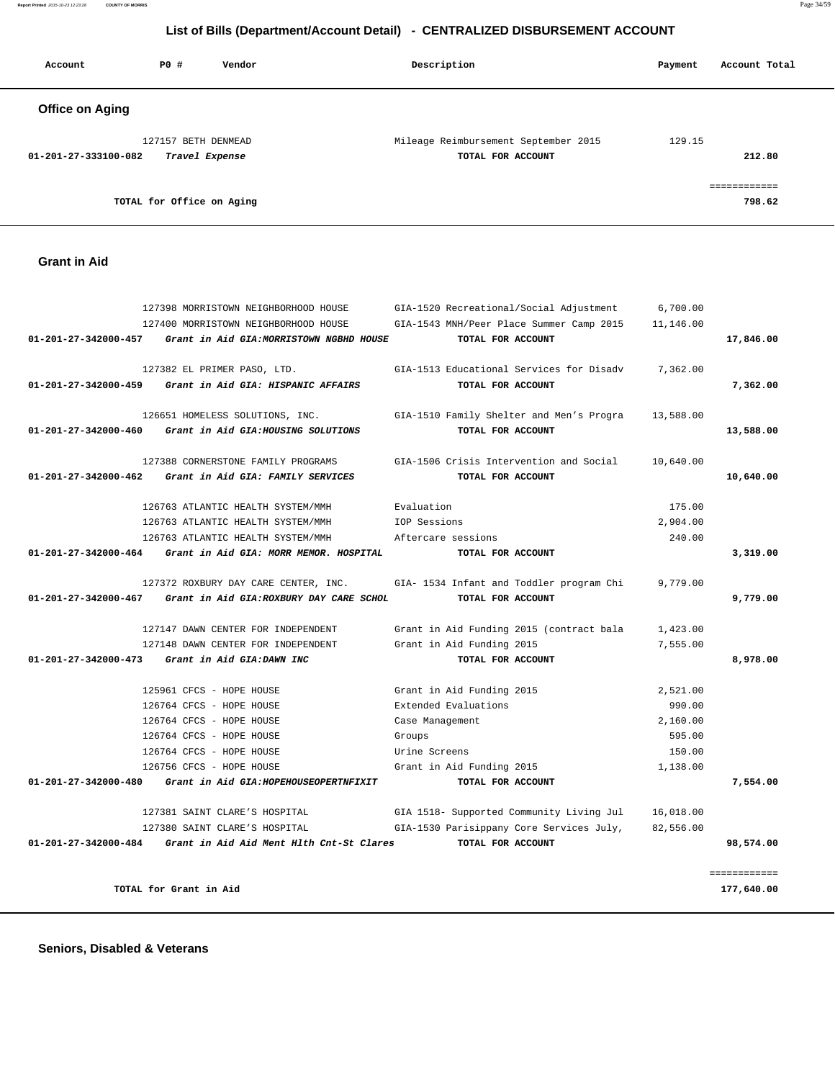**Report Printed** 2015-10-23 12:23:28 **COUNTY OF MORRIS** Page 34/59

#### **List of Bills (Department/Account Detail) - CENTRALIZED DISBURSEMENT ACCOUNT**

| Account                | PO#                 | Vendor         | Description                          | Payment | Account Total |
|------------------------|---------------------|----------------|--------------------------------------|---------|---------------|
| <b>Office on Aging</b> |                     |                |                                      |         |               |
|                        | 127157 BETH DENMEAD |                | Mileage Reimbursement September 2015 | 129.15  |               |
| 01-201-27-333100-082   |                     | Travel Expense | TOTAL FOR ACCOUNT                    |         | 212.80        |
|                        |                     |                |                                      |         |               |

**TOTAL for Office on Aging 798.62**

 **Grant in Aid** 

# 127398 MORRISTOWN NEIGHBORHOOD HOUSE GIA-1520 Recreational/Social Adjustment 6,700.00 127400 MORRISTOWN NEIGHBORHOOD HOUSE GIA-1543 MNH/Peer Place Summer Camp 2015 11,146.00  **01-201-27-342000-457 Grant in Aid GIA:MORRISTOWN NGBHD HOUSE TOTAL FOR ACCOUNT 17,846.00** 127382 EL PRIMER PASO, LTD. GIA-1513 Educational Services for Disadv 7,362.00  **01-201-27-342000-459 Grant in Aid GIA: HISPANIC AFFAIRS TOTAL FOR ACCOUNT 7,362.00** 126651 HOMELESS SOLUTIONS, INC. GIA-1510 Family Shelter and Men's Progra 13,588.00  **01-201-27-342000-460 Grant in Aid GIA:HOUSING SOLUTIONS TOTAL FOR ACCOUNT 13,588.00** 127388 CORNERSTONE FAMILY PROGRAMS GIA-1506 Crisis Intervention and Social 10,640.00  **01-201-27-342000-462 Grant in Aid GIA: FAMILY SERVICES TOTAL FOR ACCOUNT 10,640.00** 126763 ATLANTIC HEALTH SYSTEM/MMH Evaluation 175.00 126763 ATLANTIC HEALTH SYSTEM/MMH IOP Sessions 2,904.00 126763 ATLANTIC HEALTH SYSTEM/MMH Aftercare sessions 240.00  **01-201-27-342000-464 Grant in Aid GIA: MORR MEMOR. HOSPITAL TOTAL FOR ACCOUNT 3,319.00** 127372 ROXBURY DAY CARE CENTER, INC. GIA- 1534 Infant and Toddler program Chi 9,779.00  **01-201-27-342000-467 Grant in Aid GIA:ROXBURY DAY CARE SCHOL TOTAL FOR ACCOUNT 9,779.00** 127147 DAWN CENTER FOR INDEPENDENT Grant in Aid Funding 2015 (contract bala 1,423.00 127148 DAWN CENTER FOR INDEPENDENT Grant in Aid Funding 2015 7,555.00  **01-201-27-342000-473 Grant in Aid GIA:DAWN INC TOTAL FOR ACCOUNT 8,978.00** 125961 CFCS - HOPE HOUSE Grant in Aid Funding 2015 2,521.00 126764 CFCS - HOPE HOUSE Extended Evaluations 990.00 126764 CFCS - HOPE HOUSE Case Management 2,160.00 126764 CFCS - HOPE HOUSE Groups 595.00 126764 CFCS - HOPE HOUSE Urine Screens 150.00 126756 CFCS - HOPE HOUSE Grant in Aid Funding 2015 1,138.00  **01-201-27-342000-480 Grant in Aid GIA:HOPEHOUSEOPERTNFIXIT TOTAL FOR ACCOUNT 7,554.00** 127381 SAINT CLARE'S HOSPITAL GIA 1518- Supported Community Living Jul 16,018.00 127380 SAINT CLARE'S HOSPITAL GIA-1530 Parisippany Core Services July, 82,556.00  **01-201-27-342000-484 Grant in Aid Aid Ment Hlth Cnt-St Clares TOTAL FOR ACCOUNT 98,574.00** ============ **TOTAL for Grant in Aid 177,640.00**

 **Seniors, Disabled & Veterans**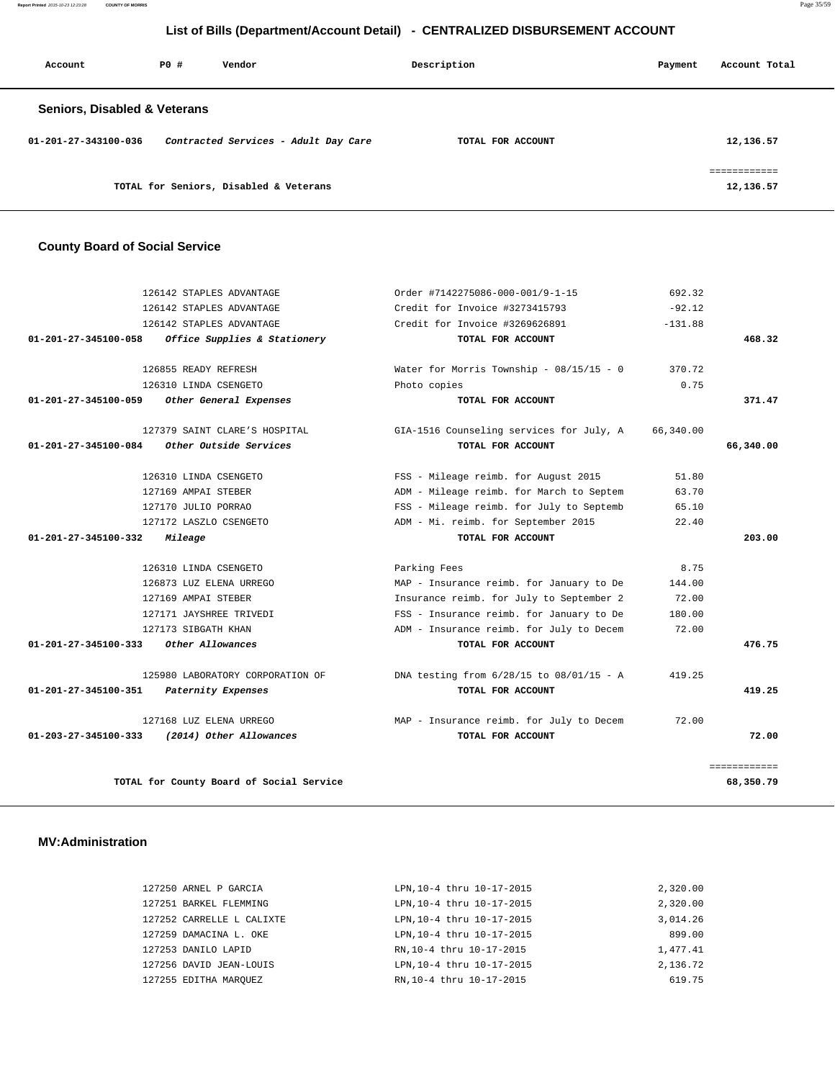**Report Printed** 2015-10-23 12:23:28 **COUNTY OF MORRIS** Page 35/59

## **List of Bills (Department/Account Detail) - CENTRALIZED DISBURSEMENT ACCOUNT**

| Account                                 | PO# | Vendor                                 | Description       | Payment | Account Total             |
|-----------------------------------------|-----|----------------------------------------|-------------------|---------|---------------------------|
| <b>Seniors, Disabled &amp; Veterans</b> |     |                                        |                   |         |                           |
| 01-201-27-343100-036                    |     | Contracted Services - Adult Day Care   | TOTAL FOR ACCOUNT |         | 12,136.57                 |
|                                         |     | TOTAL for Seniors, Disabled & Veterans |                   |         | ------------<br>12,136.57 |

# **County Board of Social Service**

|                      | 126142 STAPLES ADVANTAGE                 | Order #7142275086-000-001/9-1-15           | 692.32    |              |
|----------------------|------------------------------------------|--------------------------------------------|-----------|--------------|
|                      | 126142 STAPLES ADVANTAGE                 | Credit for Invoice #3273415793             | $-92.12$  |              |
|                      | 126142 STAPLES ADVANTAGE                 | Credit for Invoice #3269626891             | $-131.88$ |              |
| 01-201-27-345100-058 | Office Supplies & Stationery             | TOTAL FOR ACCOUNT                          |           | 468.32       |
|                      | 126855 READY REFRESH                     | Water for Morris Township - $08/15/15 - 0$ | 370.72    |              |
|                      | 126310 LINDA CSENGETO                    | Photo copies                               | 0.75      |              |
| 01-201-27-345100-059 | Other General Expenses                   | TOTAL FOR ACCOUNT                          |           | 371.47       |
|                      | 127379 SAINT CLARE'S HOSPITAL            | GIA-1516 Counseling services for July, A   | 66,340.00 |              |
| 01-201-27-345100-084 | Other Outside Services                   | TOTAL FOR ACCOUNT                          |           | 66,340.00    |
|                      | 126310 LINDA CSENGETO                    | FSS - Mileage reimb. for August 2015       | 51.80     |              |
|                      | 127169 AMPAI STEBER                      | ADM - Mileage reimb. for March to Septem   | 63.70     |              |
|                      | 127170 JULIO PORRAO                      | FSS - Mileage reimb. for July to Septemb   | 65.10     |              |
|                      | 127172 LASZLO CSENGETO                   | ADM - Mi. reimb. for September 2015        | 22.40     |              |
| 01-201-27-345100-332 | Mileage                                  | TOTAL FOR ACCOUNT                          |           | 203.00       |
|                      | 126310 LINDA CSENGETO                    | Parking Fees                               | 8.75      |              |
|                      | 126873 LUZ ELENA URREGO                  | MAP - Insurance reimb. for January to De   | 144.00    |              |
|                      | 127169 AMPAI STEBER                      | Insurance reimb. for July to September 2   | 72.00     |              |
|                      | 127171 JAYSHREE TRIVEDI                  | FSS - Insurance reimb. for January to De   | 180.00    |              |
|                      | 127173 SIBGATH KHAN                      | ADM - Insurance reimb. for July to Decem   | 72.00     |              |
| 01-201-27-345100-333 | Other Allowances                         | TOTAL FOR ACCOUNT                          |           | 476.75       |
|                      | 125980 LABORATORY CORPORATION OF         | DNA testing from 6/28/15 to 08/01/15 - A   | 419.25    |              |
| 01-201-27-345100-351 | Paternity Expenses                       | TOTAL FOR ACCOUNT                          |           | 419.25       |
|                      | 127168 LUZ ELENA URREGO                  | MAP - Insurance reimb. for July to Decem   | 72.00     |              |
| 01-203-27-345100-333 | (2014) Other Allowances                  | TOTAL FOR ACCOUNT                          |           | 72.00        |
|                      |                                          |                                            |           | ============ |
|                      | TOTAL for County Board of Social Service |                                            |           | 68,350.79    |

## **MV:Administration**

| 127250 ARNEL P GARCIA     | LPN, 10-4 thru 10-17-2015 | 2,320.00 |
|---------------------------|---------------------------|----------|
| 127251 BARKEL FLEMMING    | LPN, 10-4 thru 10-17-2015 | 2,320.00 |
| 127252 CARRELLE L CALIXTE | LPN, 10-4 thru 10-17-2015 | 3,014.26 |
| 127259 DAMACINA L. OKE    | LPN, 10-4 thru 10-17-2015 | 899.00   |
| 127253 DANILO LAPID       | RN, 10-4 thru 10-17-2015  | 1,477.41 |
| 127256 DAVID JEAN-LOUIS   | LPN, 10-4 thru 10-17-2015 | 2,136.72 |
| 127255 EDITHA MAROUEZ     | RN.10-4 thru 10-17-2015   | 619.75   |
|                           |                           |          |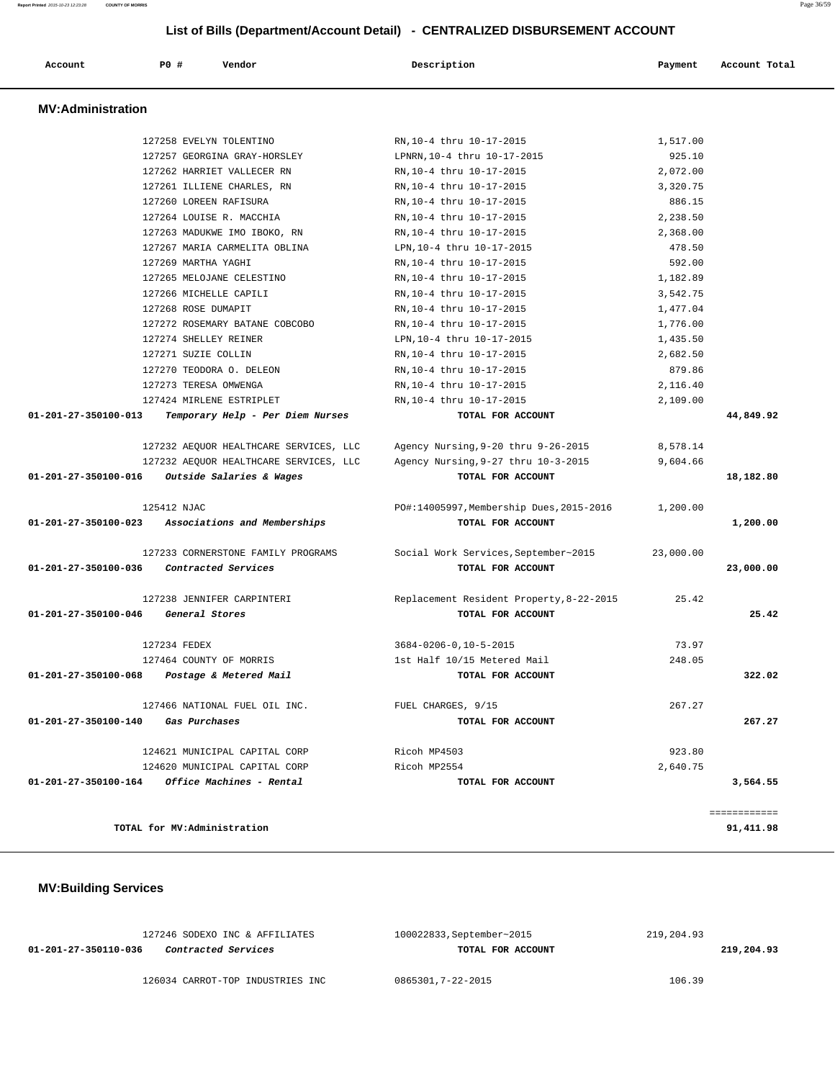| List of Bills (Department/Account Detail) - CENTRALIZED DISBURSEMENT ACCOUNT |                       |                                        |                                          |           |               |
|------------------------------------------------------------------------------|-----------------------|----------------------------------------|------------------------------------------|-----------|---------------|
| Account                                                                      | P0 #                  | Vendor                                 | Description                              | Payment   | Account Total |
| <b>MV:Administration</b>                                                     |                       |                                        |                                          |           |               |
|                                                                              |                       | 127258 EVELYN TOLENTINO                | RN, 10-4 thru 10-17-2015                 | 1,517.00  |               |
|                                                                              |                       | 127257 GEORGINA GRAY-HORSLEY           | LPNRN, 10-4 thru 10-17-2015              | 925.10    |               |
|                                                                              |                       | 127262 HARRIET VALLECER RN             | RN, 10-4 thru 10-17-2015                 | 2,072.00  |               |
|                                                                              |                       | 127261 ILLIENE CHARLES, RN             | RN, 10-4 thru 10-17-2015                 | 3,320.75  |               |
|                                                                              |                       | 127260 LOREEN RAFISURA                 | RN, 10-4 thru 10-17-2015                 | 886.15    |               |
|                                                                              |                       | 127264 LOUISE R. MACCHIA               | RN, 10-4 thru 10-17-2015                 | 2,238.50  |               |
|                                                                              |                       | 127263 MADUKWE IMO IBOKO, RN           | RN, 10-4 thru 10-17-2015                 | 2,368.00  |               |
|                                                                              |                       | 127267 MARIA CARMELITA OBLINA          | LPN, 10-4 thru 10-17-2015                | 478.50    |               |
|                                                                              | 127269 MARTHA YAGHI   |                                        | RN, 10-4 thru 10-17-2015                 | 592.00    |               |
|                                                                              |                       | 127265 MELOJANE CELESTINO              | RN, 10-4 thru 10-17-2015                 | 1,182.89  |               |
|                                                                              |                       | 127266 MICHELLE CAPILI                 | RN, 10-4 thru 10-17-2015                 | 3,542.75  |               |
|                                                                              | 127268 ROSE DUMAPIT   |                                        | RN, 10-4 thru 10-17-2015                 | 1,477.04  |               |
|                                                                              |                       | 127272 ROSEMARY BATANE COBCOBO         | RN, 10-4 thru 10-17-2015                 | 1,776.00  |               |
|                                                                              | 127274 SHELLEY REINER |                                        | LPN, 10-4 thru 10-17-2015                | 1,435.50  |               |
|                                                                              | 127271 SUZIE COLLIN   |                                        | RN, 10-4 thru 10-17-2015                 | 2,682.50  |               |
|                                                                              |                       | 127270 TEODORA O. DELEON               | RN, 10-4 thru 10-17-2015                 | 879.86    |               |
|                                                                              | 127273 TERESA OMWENGA |                                        | RN, 10-4 thru 10-17-2015                 | 2,116.40  |               |
|                                                                              |                       | 127424 MIRLENE ESTRIPLET               | RN, 10-4 thru 10-17-2015                 | 2,109.00  |               |
| 01-201-27-350100-013                                                         |                       | Temporary Help - Per Diem Nurses       | TOTAL FOR ACCOUNT                        |           | 44,849.92     |
|                                                                              |                       | 127232 AEQUOR HEALTHCARE SERVICES, LLC | Agency Nursing, 9-20 thru 9-26-2015      | 8,578.14  |               |
|                                                                              |                       | 127232 AEQUOR HEALTHCARE SERVICES, LLC | Agency Nursing, 9-27 thru 10-3-2015      | 9,604.66  |               |
| 01-201-27-350100-016                                                         |                       | Outside Salaries & Wages               | TOTAL FOR ACCOUNT                        |           | 18,182.80     |
|                                                                              | 125412 NJAC           |                                        | PO#:14005997, Membership Dues, 2015-2016 | 1,200.00  |               |
| 01-201-27-350100-023                                                         |                       | Associations and Memberships           | TOTAL FOR ACCOUNT                        |           | 1,200.00      |
|                                                                              |                       | 127233 CORNERSTONE FAMILY PROGRAMS     | Social Work Services, September~2015     | 23,000.00 |               |
| 01-201-27-350100-036                                                         |                       | Contracted Services                    | TOTAL FOR ACCOUNT                        |           | 23,000.00     |
|                                                                              |                       | 127238 JENNIFER CARPINTERI             | Replacement Resident Property, 8-22-2015 | 25.42     |               |
| 01-201-27-350100-046                                                         |                       | General Stores                         | TOTAL FOR ACCOUNT                        |           | 25.42         |
|                                                                              | 127234 FEDEX          |                                        | $3684 - 0206 - 0, 10 - 5 - 2015$         | 73.97     |               |
|                                                                              |                       | 127464 COUNTY OF MORRIS                | 1st Half 10/15 Metered Mail              | 248.05    |               |
| 01-201-27-350100-068                                                         |                       | Postage & Metered Mail                 | TOTAL FOR ACCOUNT                        |           | 322.02        |
|                                                                              |                       | 127466 NATIONAL FUEL OIL INC.          | FUEL CHARGES, 9/15                       | 267.27    |               |

 **01-201-27-350100-140 Gas Purchases TOTAL FOR ACCOUNT 267.27**

 124621 MUNICIPAL CAPITAL CORP Ricoh MP4503 923.80 124620 MUNICIPAL CAPITAL CORP Ricoh MP2554 2,640.75  **01-201-27-350100-164 Office Machines - Rental TOTAL FOR ACCOUNT 3,564.55**

**TOTAL for MV:Administration 91,411.98**

 **MV:Building Services** 

| 127246 SODEXO INC & AFFILIATES                     | 100022833, September~2015 | 219,204.93 |
|----------------------------------------------------|---------------------------|------------|
| <i>Contracted Services</i><br>01-201-27-350110-036 | TOTAL FOR ACCOUNT         | 219,204.93 |
|                                                    |                           |            |
| 126034 CARROT-TOP INDUSTRIES INC                   | 0865301,7-22-2015         | 106.39     |

============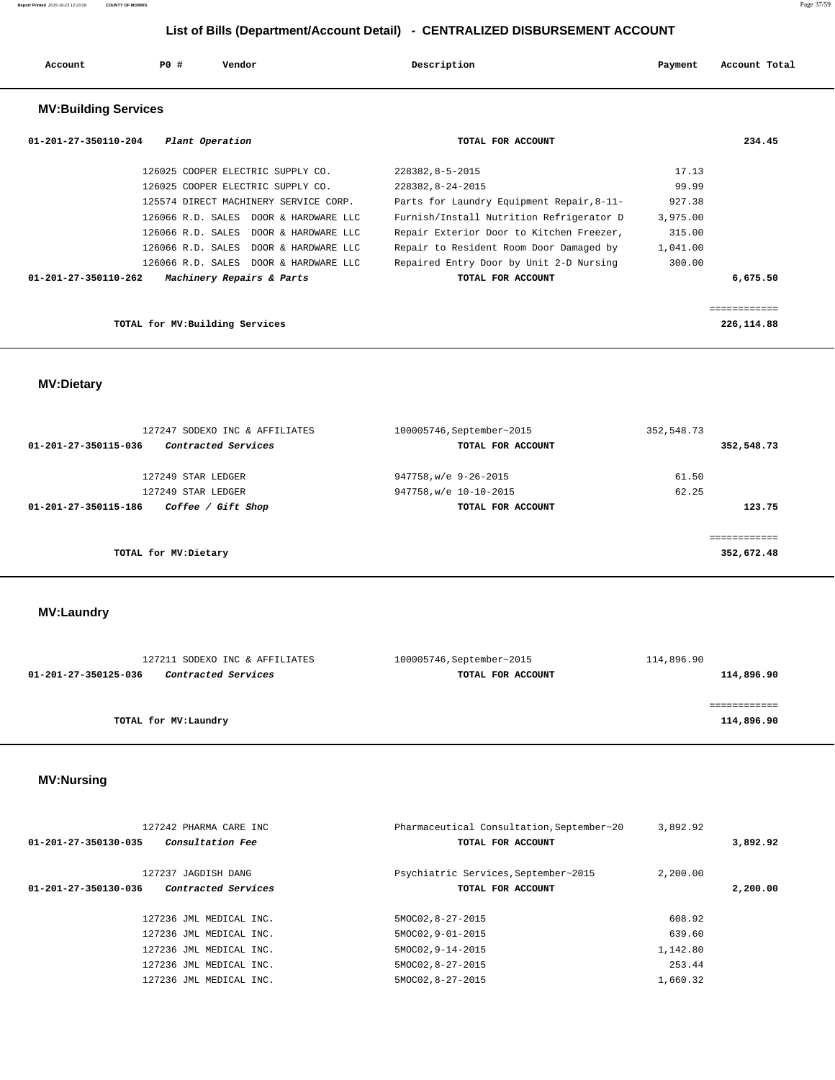| Account                        | PO# | Vendor                                | Description                               | Payment  | Account Total |
|--------------------------------|-----|---------------------------------------|-------------------------------------------|----------|---------------|
| <b>MV:Building Services</b>    |     |                                       |                                           |          |               |
| $01 - 201 - 27 - 350110 - 204$ |     | Plant Operation                       | TOTAL FOR ACCOUNT                         |          | 234.45        |
|                                |     | 126025 COOPER ELECTRIC SUPPLY CO.     | 228382,8-5-2015                           | 17.13    |               |
|                                |     | 126025 COOPER ELECTRIC SUPPLY CO.     | 228382, 8-24-2015                         | 99.99    |               |
|                                |     | 125574 DIRECT MACHINERY SERVICE CORP. | Parts for Laundry Equipment Repair, 8-11- | 927.38   |               |
|                                |     | 126066 R.D. SALES DOOR & HARDWARE LLC | Furnish/Install Nutrition Refrigerator D  | 3,975.00 |               |
|                                |     | 126066 R.D. SALES DOOR & HARDWARE LLC | Repair Exterior Door to Kitchen Freezer,  | 315.00   |               |

|                                 | 126066 R.D. SALES DOOR & HARDWARE LLC | Repair to Resident Room Door Damaged by | 1,041.00 |            |
|---------------------------------|---------------------------------------|-----------------------------------------|----------|------------|
|                                 | 126066 R.D. SALES DOOR & HARDWARE LLC | Repaired Entry Door by Unit 2-D Nursing | 300.00   |            |
| 01-201-27-350110-262            | Machinery Repairs & Parts             | TOTAL FOR ACCOUNT                       |          | 6,675.50   |
|                                 |                                       |                                         |          |            |
|                                 |                                       |                                         |          |            |
| TOTAL for MV: Building Services |                                       |                                         |          | 226,114.88 |

 **MV:Dietary** 

| 100005746, September~2015 | 352,548.73            |
|---------------------------|-----------------------|
| TOTAL FOR ACCOUNT         | 352,548.73            |
|                           |                       |
|                           | 61.50                 |
| 947758, w/e 10-10-2015    | 62.25                 |
| TOTAL FOR ACCOUNT         | 123.75                |
|                           | :==========           |
|                           | 352,672.48            |
|                           | 947758, w/e 9-26-2015 |

 **MV:Laundry** 

| 127211 SODEXO INC & AFFILIATES              | 100005746, September~2015 | 114,896.90 |
|---------------------------------------------|---------------------------|------------|
| Contracted Services<br>01-201-27-350125-036 | TOTAL FOR ACCOUNT         | 114,896.90 |
|                                             |                           |            |
|                                             |                           |            |
| TOTAL for MV:Laundry                        |                           | 114,896.90 |
|                                             |                           |            |

## **MV:Nursing**

|                      | 127242 PHARMA CARE INC  | Pharmaceutical Consultation, September~20 | 3,892.92 |          |
|----------------------|-------------------------|-------------------------------------------|----------|----------|
| 01-201-27-350130-035 | <i>Consultation Fee</i> | TOTAL FOR ACCOUNT                         |          | 3,892.92 |
|                      | 127237 JAGDISH DANG     | Psychiatric Services, September~2015      | 2,200.00 |          |
| 01-201-27-350130-036 | Contracted Services     | TOTAL FOR ACCOUNT                         |          | 2,200.00 |
|                      | 127236 JML MEDICAL INC. | 5MOC02, 8-27-2015                         | 608.92   |          |
|                      | 127236 JML MEDICAL INC. | 5MOC02, 9-01-2015                         | 639.60   |          |
|                      | 127236 JML MEDICAL INC. | 5MOC02, 9-14-2015                         | 1,142.80 |          |
|                      | 127236 JML MEDICAL INC. | 5MOC02, 8-27-2015                         | 253.44   |          |
|                      | 127236 JML MEDICAL INC. | 5MOC02, 8-27-2015                         | 1,660.32 |          |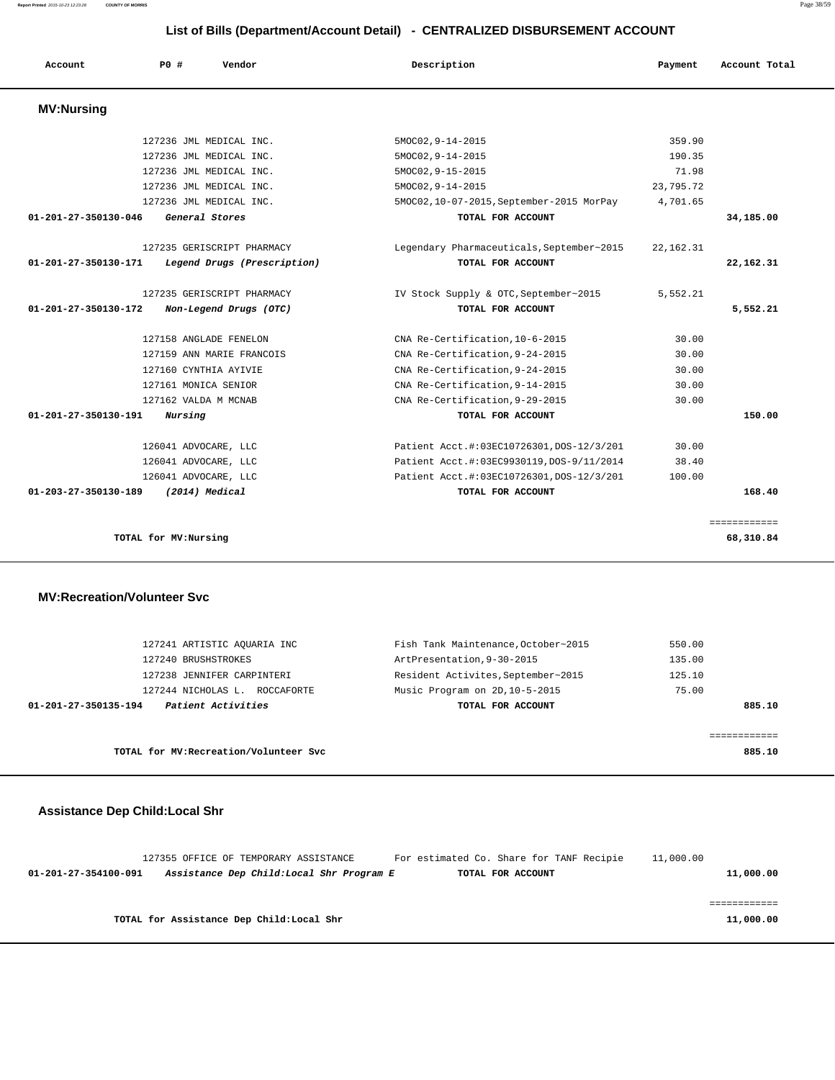**Report Printed** 2015-10-23 12:23:28 **COUNTY OF MORRIS** Page 38/59

## **List of Bills (Department/Account Detail) - CENTRALIZED DISBURSEMENT ACCOUNT**

| Account                        | PO#<br>Vendor               | Description                               | Payment     | Account Total |
|--------------------------------|-----------------------------|-------------------------------------------|-------------|---------------|
| <b>MV:Nursing</b>              |                             |                                           |             |               |
|                                | 127236 JML MEDICAL INC.     | $5MOCO2, 9-14-2015$                       | 359.90      |               |
|                                | 127236 JML MEDICAL INC.     | $5MOCO2, 9-14-2015$                       | 190.35      |               |
|                                | 127236 JML MEDICAL INC.     | 5MOC02, 9-15-2015                         | 71.98       |               |
|                                | 127236 JML MEDICAL INC.     | 5MOC02, 9-14-2015                         | 23,795.72   |               |
|                                | 127236 JML MEDICAL INC.     | 5MOC02, 10-07-2015, September-2015 MorPay | 4,701.65    |               |
| $01 - 201 - 27 - 350130 - 046$ | General Stores              | TOTAL FOR ACCOUNT                         |             | 34,185.00     |
|                                | 127235 GERISCRIPT PHARMACY  | Legendary Pharmaceuticals, September~2015 | 22, 162. 31 |               |
| 01-201-27-350130-171           | Legend Drugs (Prescription) | TOTAL FOR ACCOUNT                         |             | 22, 162, 31   |
|                                | 127235 GERISCRIPT PHARMACY  | IV Stock Supply & OTC, September~2015     | 5,552.21    |               |
| 01-201-27-350130-172           | Non-Legend Drugs (OTC)      | TOTAL FOR ACCOUNT                         |             | 5,552.21      |
|                                | 127158 ANGLADE FENELON      | CNA Re-Certification, 10-6-2015           | 30.00       |               |
|                                | 127159 ANN MARIE FRANCOIS   | CNA Re-Certification, 9-24-2015           | 30.00       |               |
|                                | 127160 CYNTHIA AYIVIE       | CNA Re-Certification, 9-24-2015           | 30.00       |               |
|                                | 127161 MONICA SENIOR        | CNA Re-Certification, 9-14-2015           | 30.00       |               |
|                                | 127162 VALDA M MCNAB        | CNA Re-Certification, 9-29-2015           | 30.00       |               |
| 01-201-27-350130-191           | Nursing                     | TOTAL FOR ACCOUNT                         |             | 150.00        |
|                                | 126041 ADVOCARE, LLC        | Patient Acct.#:03EC10726301, DOS-12/3/201 | 30.00       |               |
|                                | 126041 ADVOCARE, LLC        | Patient Acct.#:03EC9930119, DOS-9/11/2014 | 38.40       |               |
|                                | 126041 ADVOCARE, LLC        | Patient Acct.#:03EC10726301, DOS-12/3/201 | 100.00      |               |
| 01-203-27-350130-189           | (2014) Medical              | TOTAL FOR ACCOUNT                         |             | 168.40        |
|                                |                             |                                           |             | ============  |
|                                | TOTAL for MV:Nursing        |                                           |             | 68,310.84     |

#### **MV:Recreation/Volunteer Svc**

| 127241 ARTISTIC AOUARIA INC                | Fish Tank Maintenance, October~2015 | 550.00 |
|--------------------------------------------|-------------------------------------|--------|
| 127240 BRUSHSTROKES                        | ArtPresentation, 9-30-2015          | 135.00 |
| 127238 JENNIFER CARPINTERI                 | Resident Activites, September~2015  | 125.10 |
| 127244 NICHOLAS L.<br>ROCCAFORTE           | Music Program on 2D, 10-5-2015      | 75.00  |
| Patient Activities<br>01-201-27-350135-194 | TOTAL FOR ACCOUNT                   | 885.10 |
|                                            |                                     |        |
|                                            |                                     |        |
| TOTAL for MV: Recreation/Volunteer Svc     |                                     | 885.10 |

## **Assistance Dep Child:Local Shr**

|                      | 127355 OFFICE OF TEMPORARY ASSISTANCE     | For estimated Co. Share for TANF Recipie | 11,000.00 |
|----------------------|-------------------------------------------|------------------------------------------|-----------|
| 01-201-27-354100-091 | Assistance Dep Child:Local Shr Program E  | TOTAL FOR ACCOUNT                        | 11,000.00 |
|                      |                                           |                                          |           |
|                      |                                           |                                          |           |
|                      |                                           |                                          |           |
|                      | TOTAL for Assistance Dep Child: Local Shr |                                          | 11,000.00 |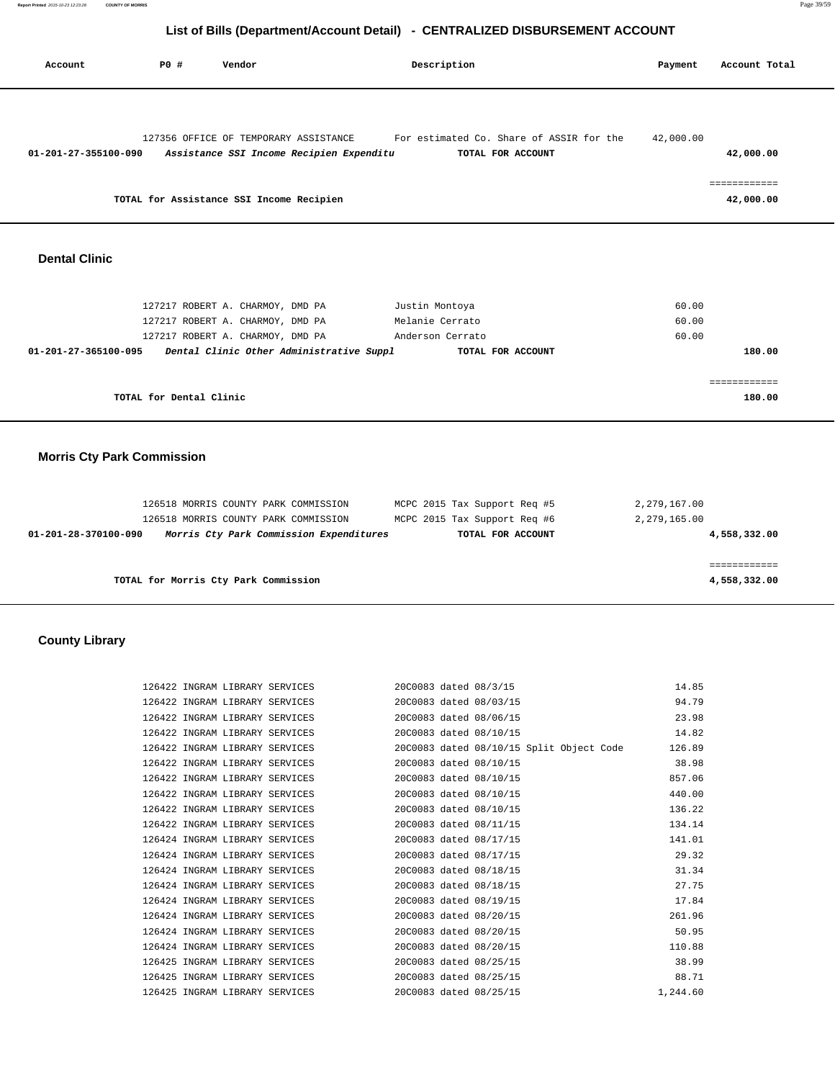| Account                           | P0 #                    | Vendor                                                                                                                                               | Description                                                                | Payment                      | Account Total                          |
|-----------------------------------|-------------------------|------------------------------------------------------------------------------------------------------------------------------------------------------|----------------------------------------------------------------------------|------------------------------|----------------------------------------|
| 01-201-27-355100-090              |                         | 127356 OFFICE OF TEMPORARY ASSISTANCE<br>Assistance SSI Income Recipien Expenditu<br>TOTAL for Assistance SSI Income Recipien                        | For estimated Co. Share of ASSIR for the<br>TOTAL FOR ACCOUNT              | 42,000.00                    | 42,000.00<br>============<br>42,000.00 |
| <b>Dental Clinic</b>              |                         |                                                                                                                                                      |                                                                            |                              |                                        |
| 01-201-27-365100-095              |                         | 127217 ROBERT A. CHARMOY, DMD PA<br>127217 ROBERT A. CHARMOY, DMD PA<br>127217 ROBERT A. CHARMOY, DMD PA<br>Dental Clinic Other Administrative Suppl | Justin Montoya<br>Melanie Cerrato<br>Anderson Cerrato<br>TOTAL FOR ACCOUNT | 60.00<br>60.00<br>60.00      | 180.00                                 |
|                                   | TOTAL for Dental Clinic |                                                                                                                                                      |                                                                            |                              | ============<br>180.00                 |
| <b>Morris Cty Park Commission</b> |                         |                                                                                                                                                      |                                                                            |                              |                                        |
|                                   |                         |                                                                                                                                                      |                                                                            |                              |                                        |
|                                   |                         | 126518 MORRIS COUNTY PARK COMMISSION<br>126518 MORRIS COUNTY PARK COMMISSION                                                                         | MCPC 2015 Tax Support Req #5<br>MCPC 2015 Tax Support Req #6               | 2,279,167.00<br>2,279,165.00 |                                        |
| 01-201-28-370100-090              |                         | Morris Cty Park Commission Expenditures                                                                                                              | TOTAL FOR ACCOUNT                                                          |                              | 4,558,332.00                           |
|                                   |                         |                                                                                                                                                      |                                                                            |                              |                                        |
|                                   |                         | TOTAL for Morris Cty Park Commission                                                                                                                 |                                                                            |                              | ============<br>4,558,332.00           |
| <b>County Library</b>             |                         |                                                                                                                                                      |                                                                            |                              |                                        |
|                                   |                         | 126422 INGRAM LIBRARY SERVICES                                                                                                                       | 20C0083 dated 08/3/15                                                      | 14.85                        |                                        |
|                                   |                         | 126422 INGRAM LIBRARY SERVICES                                                                                                                       | 20C0083 dated 08/03/15                                                     | 94.79                        |                                        |
|                                   |                         | 126422 INGRAM LIBRARY SERVICES                                                                                                                       | 20C0083 dated 08/06/15                                                     | 23.98                        |                                        |
|                                   |                         | 126422 INGRAM LIBRARY SERVICES                                                                                                                       | 20C0083 dated 08/10/15                                                     | 14.82                        |                                        |
|                                   |                         | 126422 INGRAM LIBRARY SERVICES                                                                                                                       | 20C0083 dated 08/10/15 Split Object Code                                   | 126.89                       |                                        |
|                                   |                         | 126422 INGRAM LIBRARY SERVICES                                                                                                                       | 20C0083 dated 08/10/15                                                     | 38.98                        |                                        |
|                                   |                         | 126422 INGRAM LIBRARY SERVICES                                                                                                                       | 20C0083 dated 08/10/15                                                     | 857.06                       |                                        |

 126422 INGRAM LIBRARY SERVICES 20C0083 dated 08/10/15 857.06 126422 INGRAM LIBRARY SERVICES 20C0083 dated 08/10/15 440.00 126422 INGRAM LIBRARY SERVICES 20C0083 dated 08/10/15 136.22 126422 INGRAM LIBRARY SERVICES 20C0083 dated 08/11/15 134.14 126424 INGRAM LIBRARY SERVICES 20C0083 dated 08/17/15 141.01

126424 INGRAM LIBRARY SERVICES 20C0083 dated 08/17/15 29.32<br>126424 INGRAM LIBRARY SERVICES 20C0083 dated 08/18/15 31.34<br>126424 INGRAM LIBRARY SERVICES 20C0083 dated 08/18/15 27.75 126424 INGRAM LIBRARY SERVICES 20C0083 dated 08/18/15 31.34 126424 INGRAM LIBRARY SERVICES 20C0083 dated 08/18/15 27.75 126424 INGRAM LIBRARY SERVICES 20C0083 dated 08/19/15 17.84 126424 INGRAM LIBRARY SERVICES 20C0083 dated 08/20/15 261.96 126424 INGRAM LIBRARY SERVICES 20C0083 dated 08/20/15 50.95 126424 INGRAM LIBRARY SERVICES 20C0083 dated 08/20/15 110.88 126425 INGRAM LIBRARY SERVICES 20C0083 dated 08/25/15 38.99 126425 INGRAM LIBRARY SERVICES 20C0083 dated 08/25/15 88.71 126425 INGRAM LIBRARY SERVICES 20C0083 dated 08/25/15 1,244.60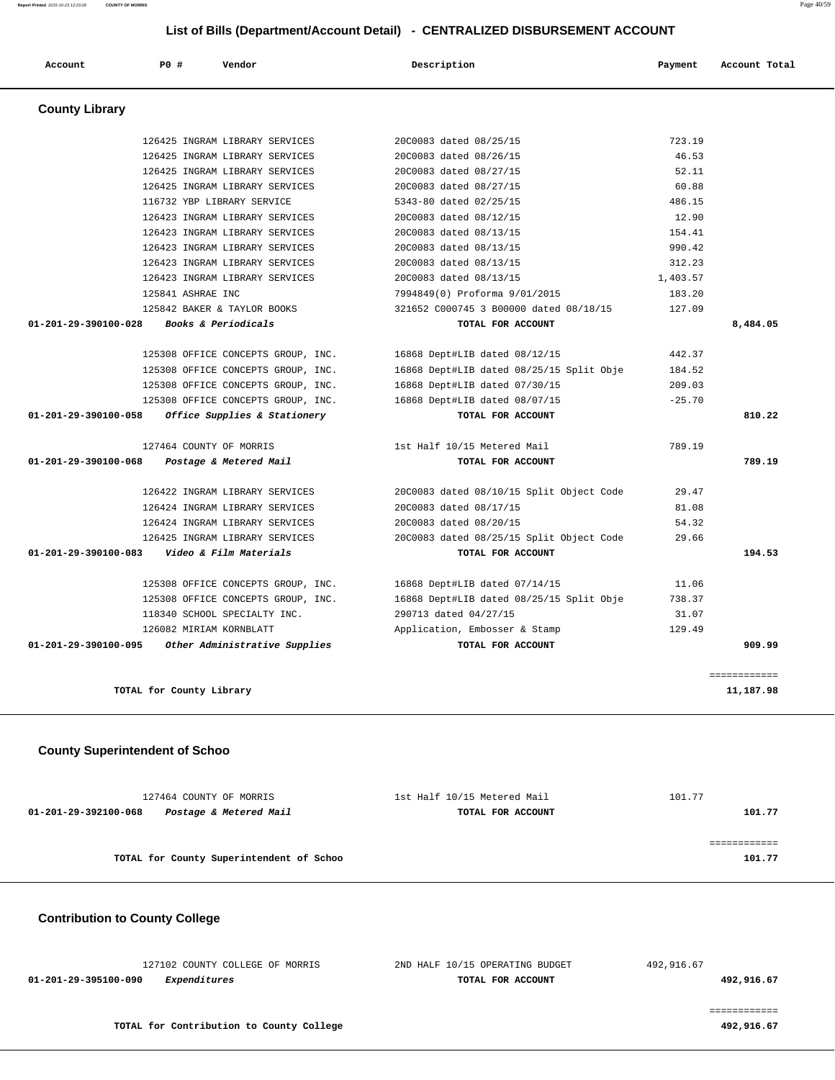126425 INGRAM LIBRARY SERVICES 20C0083 dated 08/25/15 723.19 126425 INGRAM LIBRARY SERVICES 20C0083 dated 08/26/15 46.53 126425 INGRAM LIBRARY SERVICES 20C0083 dated 08/27/15 52.11 126425 INGRAM LIBRARY SERVICES 20C0083 dated 08/27/15 60.88

 **Account P0 # Vendor Description Payment Account Total**

 116732 YBP LIBRARY SERVICE 5343-80 dated 02/25/15 486.15 126423 INGRAM LIBRARY SERVICES 20C0083 dated 08/12/15 12.90 126423 INGRAM LIBRARY SERVICES 20C0083 dated 08/13/15 154.41 126423 INGRAM LIBRARY SERVICES 20C0083 dated 08/13/15 990.42 126423 INGRAM LIBRARY SERVICES 20C0083 dated 08/13/15 312.23

 126423 INGRAM LIBRARY SERVICES 20C0083 dated 08/13/15 1,403.57 125841 ASHRAE INC 7994849(0) Proforma 9/01/2015 183.20 125842 BAKER & TAYLOR BOOKS 321652 C000745 3 B00000 dated 08/18/15 127.09  **01-201-29-390100-028 Books & Periodicals TOTAL FOR ACCOUNT 8,484.05** 125308 OFFICE CONCEPTS GROUP, INC. 16868 Dept#LIB dated 08/12/15 442.37 125308 OFFICE CONCEPTS GROUP, INC. 16868 Dept#LIB dated 08/25/15 Split Obje 184.52 125308 OFFICE CONCEPTS GROUP, INC. 16868 Dept#LIB dated 07/30/15 209.03 125308 OFFICE CONCEPTS GROUP, INC. 16868 Dept#LIB dated 08/07/15 -25.70  **01-201-29-390100-058 Office Supplies & Stationery TOTAL FOR ACCOUNT 810.22** 127464 COUNTY OF MORRIS 1st Half 10/15 Metered Mail 789.19  **01-201-29-390100-068 Postage & Metered Mail TOTAL FOR ACCOUNT 789.19** 126422 INGRAM LIBRARY SERVICES 20C0083 dated 08/10/15 Split Object Code 29.47 126424 INGRAM LIBRARY SERVICES 20C0083 dated 08/17/15 81.08 126424 INGRAM LIBRARY SERVICES 20C0083 dated 08/20/15 54.32 126425 INGRAM LIBRARY SERVICES 20C0083 dated 08/25/15 Split Object Code 29.66  **01-201-29-390100-083 Video & Film Materials TOTAL FOR ACCOUNT 194.53** 125308 OFFICE CONCEPTS GROUP, INC. 16868 Dept#LIB dated 07/14/15 11.06 125308 OFFICE CONCEPTS GROUP, INC. 16868 Dept#LIB dated 08/25/15 Split Obje 738.37 118340 SCHOOL SPECIALTY INC. 290713 dated 04/27/15 31.07 126082 MIRIAM KORNBLATT Application, Embosser & Stamp 129.49  **01-201-29-390100-095 Other Administrative Supplies TOTAL FOR ACCOUNT 909.99**

**TOTAL for County Library 11,187.98**

 **County Superintendent of Schoo**

 **County Library** 

| 127464 COUNTY OF MORRIS                        | 1st Half 10/15 Metered Mail | 101.77 |
|------------------------------------------------|-----------------------------|--------|
| Postage & Metered Mail<br>01-201-29-392100-068 | TOTAL FOR ACCOUNT           | 101.77 |
|                                                |                             |        |
|                                                |                             |        |
| TOTAL for County Superintendent of Schoo       |                             | 101.77 |
|                                                |                             |        |

============

### **Contribution to County College**

 127102 COUNTY COLLEGE OF MORRIS 2ND HALF 10/15 OPERATING BUDGET 492,916.67  **01-201-29-395100-090 Expenditures TOTAL FOR ACCOUNT 492,916.67** ============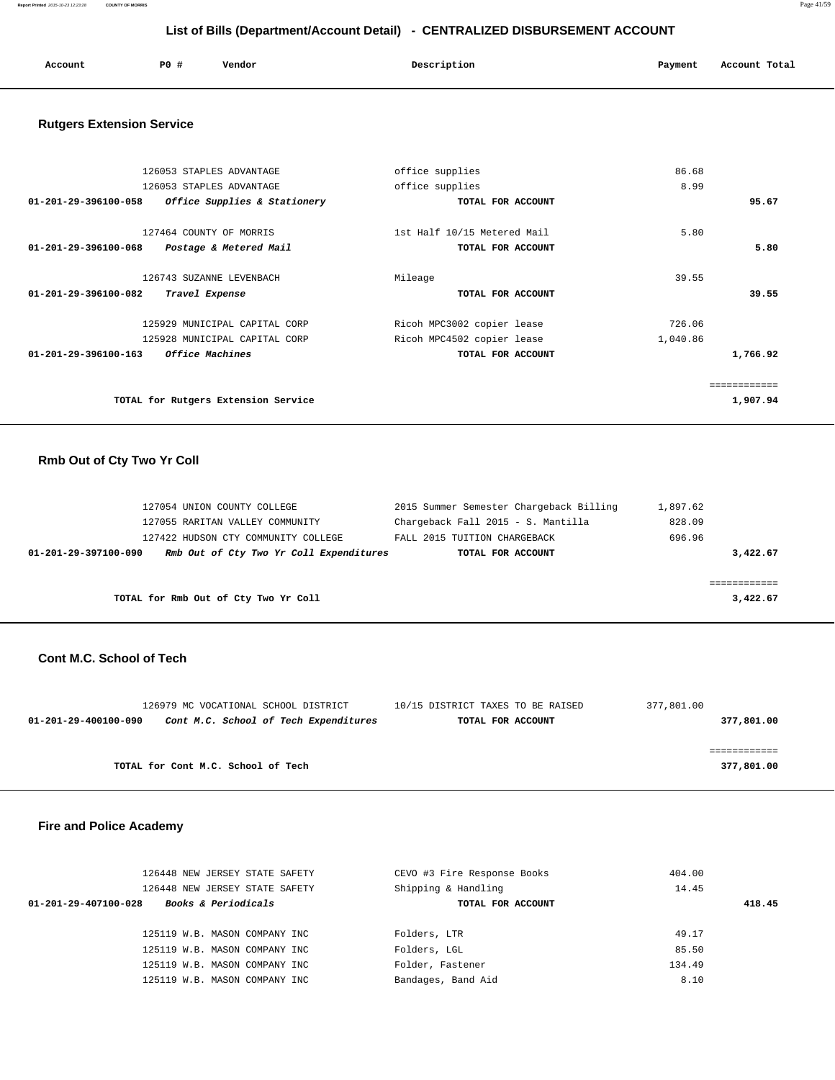**Report Printed** 2015-10-23 12:23:28 **COUNTY OF MORRIS** Page 41/59

## **List of Bills (Department/Account Detail) - CENTRALIZED DISBURSEMENT ACCOUNT**

| Account | P0 # | Vendor | Description | Payment | Account Total |
|---------|------|--------|-------------|---------|---------------|
|         |      |        |             |         |               |

## **Rutgers Extension Service**

| 126053 STAPLES ADVANTAGE                                        | office supplies             | 86.68        |
|-----------------------------------------------------------------|-----------------------------|--------------|
| 126053 STAPLES ADVANTAGE                                        | office supplies             | 8.99         |
| 01-201-29-396100-058<br>Office Supplies & Stationery            | TOTAL FOR ACCOUNT           | 95.67        |
| 127464 COUNTY OF MORRIS                                         | 1st Half 10/15 Metered Mail | 5.80         |
| $01 - 201 - 29 - 396100 - 068$<br>Postage & Metered Mail        | TOTAL FOR ACCOUNT           | 5.80         |
| 126743 SUZANNE LEVENBACH                                        | Mileage                     | 39.55        |
| 01-201-29-396100-082<br>Travel Expense                          | TOTAL FOR ACCOUNT           | 39.55        |
| 125929 MUNICIPAL CAPITAL CORP                                   | Ricoh MPC3002 copier lease  | 726.06       |
| 125928 MUNICIPAL CAPITAL CORP                                   | Ricoh MPC4502 copier lease  | 1,040.86     |
| <i><b>Office Machines</b></i><br>$01 - 201 - 29 - 396100 - 163$ | TOTAL FOR ACCOUNT           | 1,766.92     |
|                                                                 |                             | ------------ |
| TOTAL for Rutgers Extension Service                             |                             | 1,907.94     |
|                                                                 |                             |              |

# **Rmb Out of Cty Two Yr Coll**

| 127054 UNION COUNTY COLLEGE             | 2015 Summer Semester Chargeback Billing | 1,897.62                           |  |
|-----------------------------------------|-----------------------------------------|------------------------------------|--|
| 127055 RARITAN VALLEY COMMUNITY         |                                         | 828.09                             |  |
| 127422 HUDSON CTY COMMUNITY COLLEGE     | FALL 2015 TUITION CHARGEBACK            | 696.96                             |  |
| Rmb Out of Cty Two Yr Coll Expenditures | TOTAL FOR ACCOUNT                       | 3,422.67                           |  |
|                                         |                                         |                                    |  |
|                                         |                                         |                                    |  |
| TOTAL for Rmb Out of Cty Two Yr Coll    |                                         | 3,422.67                           |  |
|                                         |                                         | Chargeback Fall 2015 - S. Mantilla |  |

#### **Cont M.C. School of Tech**

|                      | 126979 MC VOCATIONAL SCHOOL DISTRICT  | 10/15 DISTRICT TAXES TO BE RAISED | 377,801.00 |
|----------------------|---------------------------------------|-----------------------------------|------------|
| 01-201-29-400100-090 | Cont M.C. School of Tech Expenditures | TOTAL FOR ACCOUNT                 | 377,801.00 |
|                      |                                       |                                   |            |
|                      |                                       |                                   |            |
|                      | TOTAL for Cont M.C. School of Tech    |                                   | 377,801.00 |
|                      |                                       |                                   |            |

## **Fire and Police Academy**

| 126448 NEW JERSEY STATE SAFETY                         | CEVO #3 Fire Response Books | 404.00 |
|--------------------------------------------------------|-----------------------------|--------|
| 126448 NEW JERSEY STATE SAFETY                         | Shipping & Handling         | 14.45  |
| <b>Books &amp; Periodicals</b><br>01-201-29-407100-028 | TOTAL FOR ACCOUNT           | 418.45 |
|                                                        |                             |        |
| 125119 W.B. MASON COMPANY INC                          | Folders, LTR                | 49.17  |
| 125119 W.B. MASON COMPANY INC                          | Folders, LGL                | 85.50  |
| 125119 W.B. MASON COMPANY INC                          | Folder, Fastener            | 134.49 |
| 125119 W.B. MASON COMPANY INC                          | Bandages, Band Aid          | 8.10   |
|                                                        |                             |        |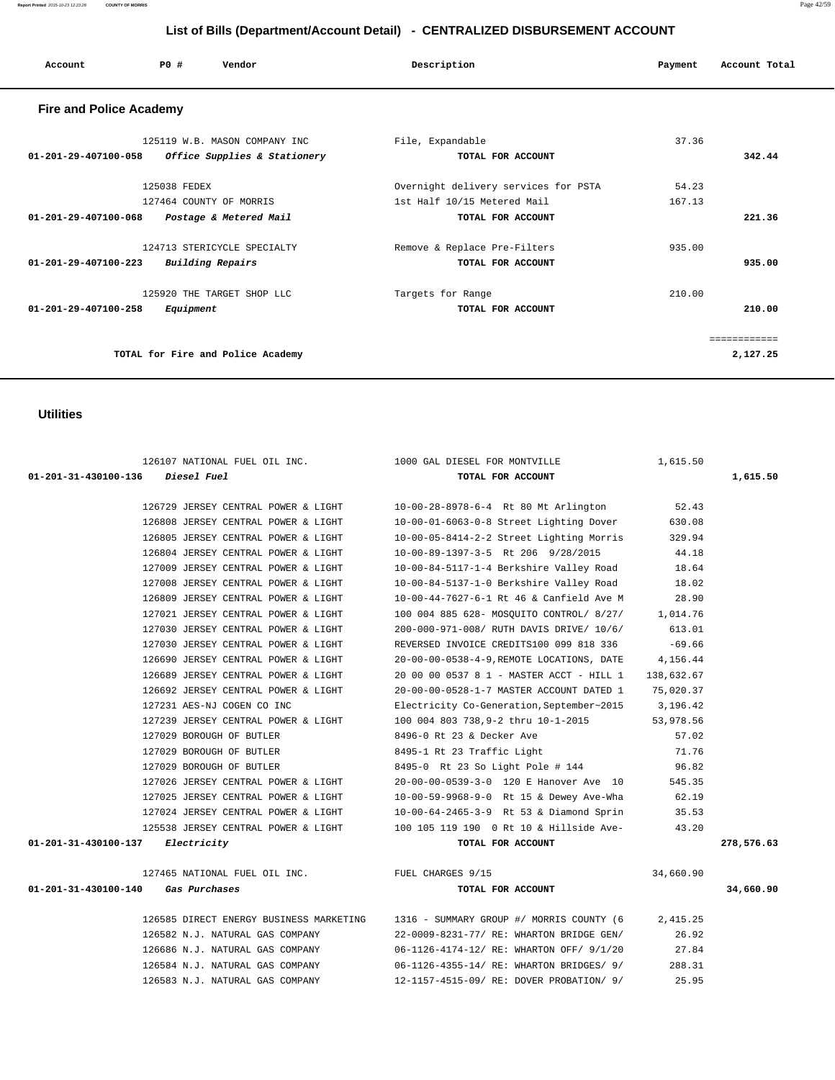| Account                        | PO#          | Vendor                            | Description                          | Payment | Account Total |
|--------------------------------|--------------|-----------------------------------|--------------------------------------|---------|---------------|
| <b>Fire and Police Academy</b> |              |                                   |                                      |         |               |
|                                |              | 125119 W.B. MASON COMPANY INC     | File, Expandable                     | 37.36   |               |
| 01-201-29-407100-058           |              | Office Supplies & Stationery      | TOTAL FOR ACCOUNT                    |         | 342.44        |
|                                | 125038 FEDEX |                                   | Overnight delivery services for PSTA | 54.23   |               |
|                                |              | 127464 COUNTY OF MORRIS           | 1st Half 10/15 Metered Mail          | 167.13  |               |
| 01-201-29-407100-068           |              | Postage & Metered Mail            | TOTAL FOR ACCOUNT                    |         | 221.36        |
|                                |              | 124713 STERICYCLE SPECIALTY       | Remove & Replace Pre-Filters         | 935.00  |               |
| 01-201-29-407100-223           |              | Building Repairs                  | TOTAL FOR ACCOUNT                    |         | 935.00        |
|                                |              | 125920 THE TARGET SHOP LLC        | Targets for Range                    | 210.00  |               |
| 01-201-29-407100-258           | Equipment    |                                   | TOTAL FOR ACCOUNT                    |         | 210.00        |
|                                |              |                                   |                                      |         | ============  |
|                                |              | TOTAL for Fire and Police Academy |                                      |         | 2,127.25      |

## **Utilities**

| 126107 NATIONAL FUEL OIL INC. 1000 GAL DIESEL FOR MONTVILLE |                                                                                           | 1,615.50   |            |
|-------------------------------------------------------------|-------------------------------------------------------------------------------------------|------------|------------|
| 01-201-31-430100-136 Diesel Fuel                            | TOTAL FOR ACCOUNT                                                                         |            | 1,615.50   |
|                                                             | 126729 JERSEY CENTRAL POWER & LIGHT 10-00-28-8978-6-4 Rt 80 Mt Arlington 52.43            |            |            |
|                                                             |                                                                                           |            |            |
|                                                             | 126808 JERSEY CENTRAL POWER & LIGHT 10-00-01-6063-0-8 Street Lighting Dover               | 630.08     |            |
| 126805 JERSEY CENTRAL POWER & LIGHT                         | 10-00-05-8414-2-2 Street Lighting Morris                                                  | 329.94     |            |
| 126804 JERSEY CENTRAL POWER & LIGHT                         | 10-00-89-1397-3-5 Rt 206 9/28/2015                                                        | 44.18      |            |
| 127009 JERSEY CENTRAL POWER & LIGHT                         | 10-00-84-5117-1-4 Berkshire Valley Road                                                   | 18.64      |            |
| 127008 JERSEY CENTRAL POWER & LIGHT                         | 10-00-84-5137-1-0 Berkshire Valley Road                                                   | 18.02      |            |
| 126809 JERSEY CENTRAL POWER & LIGHT                         | 10-00-44-7627-6-1 Rt 46 & Canfield Ave M                                                  | 28.90      |            |
| 127021 JERSEY CENTRAL POWER & LIGHT                         | 100 004 885 628- MOSOUITO CONTROL/ 8/27/ 1,014.76                                         |            |            |
| 127030 JERSEY CENTRAL POWER & LIGHT                         | 200-000-971-008/ RUTH DAVIS DRIVE/ 10/6/                                                  | 613.01     |            |
| 127030 JERSEY CENTRAL POWER & LIGHT                         | REVERSED INVOICE CREDITS100 099 818 336                                                   | $-69.66$   |            |
| 126690 JERSEY CENTRAL POWER & LIGHT                         | 20-00-00-0538-4-9, REMOTE LOCATIONS, DATE                                                 | 4,156.44   |            |
| 126689 JERSEY CENTRAL POWER & LIGHT                         | 20 00 00 0537 8 1 - MASTER ACCT - HILL 1                                                  | 138,632.67 |            |
| 126692 JERSEY CENTRAL POWER & LIGHT                         | 20-00-00-0528-1-7 MASTER ACCOUNT DATED 1                                                  | 75,020.37  |            |
| 127231 AES-NJ COGEN CO INC                                  | Electricity Co-Generation, September~2015 3, 196.42                                       |            |            |
| 127239 JERSEY CENTRAL POWER & LIGHT                         | 100 004 803 738,9-2 thru 10-1-2015                                                        | 53,978.56  |            |
| 127029 BOROUGH OF BUTLER                                    | 8496-0 Rt 23 & Decker Ave                                                                 | 57.02      |            |
| 127029 BOROUGH OF BUTLER                                    | 8495-1 Rt 23 Traffic Light                                                                | 71.76      |            |
| 127029 BOROUGH OF BUTLER                                    | 8495-0 Rt 23 So Light Pole # 144 96.82                                                    |            |            |
| 127026 JERSEY CENTRAL POWER & LIGHT                         | 20-00-00-0539-3-0 120 E Hanover Ave 10                                                    | 545.35     |            |
| 127025 JERSEY CENTRAL POWER & LIGHT                         | 10-00-59-9968-9-0 Rt 15 & Dewey Ave-Wha 62.19                                             |            |            |
|                                                             | 127024 JERSEY CENTRAL POWER & LIGHT 10-00-64-2465-3-9 Rt 53 & Diamond Sprin               | 35.53      |            |
|                                                             | 125538 JERSEY CENTRAL POWER & LIGHT 100 105 119 190 0 Rt 10 & Hillside Ave-               | 43.20      |            |
| 01-201-31-430100-137<br>Electricity                         | TOTAL FOR ACCOUNT                                                                         |            | 278,576.63 |
|                                                             |                                                                                           |            |            |
| 127465 NATIONAL FUEL OIL INC. THE PUEL CHARGES 9/15         |                                                                                           | 34,660.90  |            |
| $01 - 201 - 31 - 430100 - 140$ Gas Purchases                | TOTAL FOR ACCOUNT                                                                         |            | 34,660.90  |
|                                                             | 126585 DIRECT ENERGY BUSINESS MARKETING 1316 - SUMMARY GROUP #/ MORRIS COUNTY (6 2,415.25 |            |            |
| 126582 N.J. NATURAL GAS COMPANY                             | 22-0009-8231-77/ RE: WHARTON BRIDGE GEN/                                                  | 26.92      |            |
| 126686 N.J. NATURAL GAS COMPANY                             | 06-1126-4174-12/ RE: WHARTON OFF/ 9/1/20                                                  | 27.84      |            |
| 126584 N.J. NATURAL GAS COMPANY                             | 06-1126-4355-14/ RE: WHARTON BRIDGES/ 9/                                                  | 288.31     |            |

126583 N.J. NATURAL GAS COMPANY 12-1157-4515-09/ RE: DOVER PROBATION/ 9/ 25.95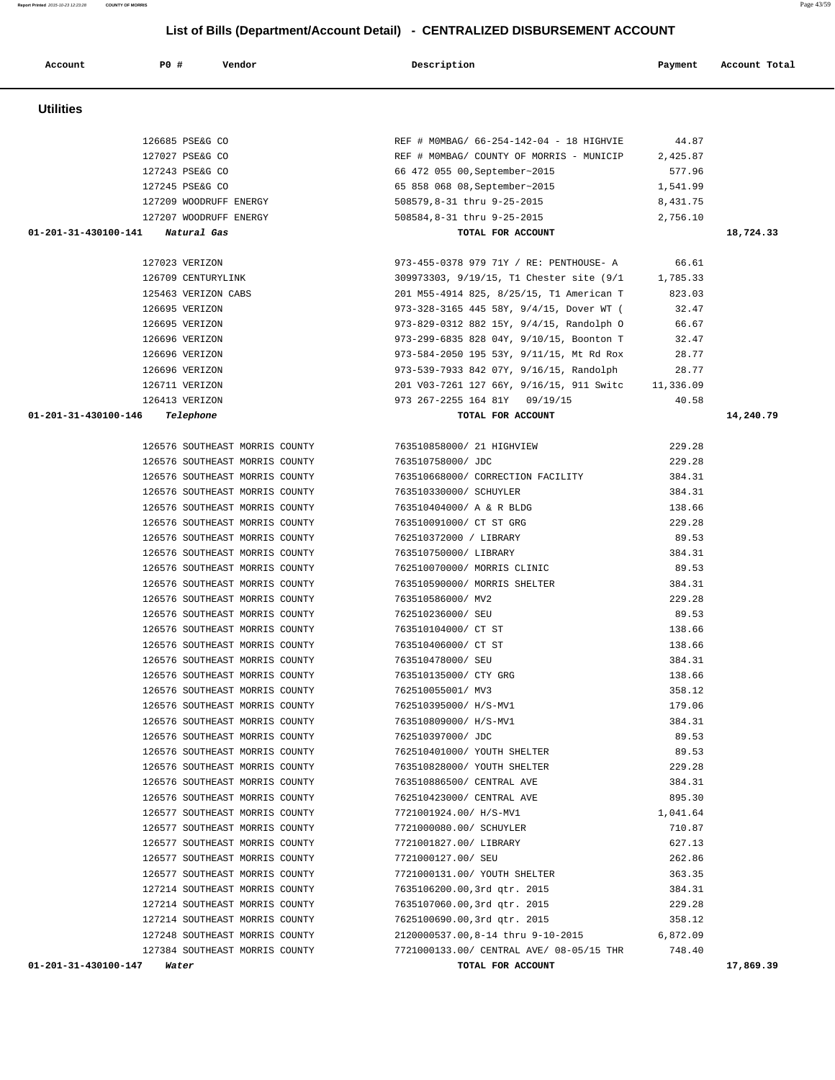| 01-201-31-430100-146 Telephone |                                |                                                            |                         | TOTAL FOR ACCOUNT                                                         |          | 14,240.79 |
|--------------------------------|--------------------------------|------------------------------------------------------------|-------------------------|---------------------------------------------------------------------------|----------|-----------|
|                                |                                |                                                            |                         | 126576 SOUTHEAST MORRIS COUNTY 763510858000/21 HIGHVIEW                   | 229.28   |           |
|                                | 126576 SOUTHEAST MORRIS COUNTY |                                                            | 763510758000/ JDC       |                                                                           | 229.28   |           |
|                                |                                |                                                            |                         | 126576 SOUTHEAST MORRIS COUNTY 763510668000/ CORRECTION FACILITY          | 384.31   |           |
|                                | 126576 SOUTHEAST MORRIS COUNTY |                                                            | 763510330000/ SCHUYLER  |                                                                           | 384.31   |           |
|                                |                                | 126576 SOUTHEAST MORRIS COUNTY 763510404000/ A & R BLDG    |                         |                                                                           | 138.66   |           |
|                                |                                |                                                            |                         | 126576 SOUTHEAST MORRIS COUNTY 763510091000/ CT ST GRG                    | 229.28   |           |
|                                |                                |                                                            |                         | 126576 SOUTHEAST MORRIS COUNTY 762510372000 / LIBRARY                     | 89.53    |           |
|                                |                                |                                                            |                         | 126576 SOUTHEAST MORRIS COUNTY 763510750000/ LIBRARY                      | 384.31   |           |
|                                |                                |                                                            |                         | 126576 SOUTHEAST MORRIS COUNTY 762510070000/ MORRIS CLINIC 39.53          |          |           |
|                                |                                |                                                            |                         | 126576 SOUTHEAST MORRIS COUNTY 763510590000/ MORRIS SHELTER               | 384.31   |           |
|                                |                                | 126576 SOUTHEAST MORRIS COUNTY 763510586000/ MV2           |                         |                                                                           | 229.28   |           |
|                                |                                | 126576 SOUTHEAST MORRIS COUNTY 762510236000/ SEU           |                         |                                                                           | 89.53    |           |
|                                | 126576 SOUTHEAST MORRIS COUNTY |                                                            | 763510104000/ CT ST     |                                                                           | 138.66   |           |
|                                | 126576 SOUTHEAST MORRIS COUNTY |                                                            | 763510406000/ CT ST     |                                                                           | 138.66   |           |
|                                | 126576 SOUTHEAST MORRIS COUNTY |                                                            | 763510478000/ SEU       |                                                                           | 384.31   |           |
|                                |                                | 126576 SOUTHEAST MORRIS COUNTY 763510135000/ CTY GRG       |                         |                                                                           | 138.66   |           |
|                                |                                | 126576 SOUTHEAST MORRIS COUNTY 762510055001/ MV3           |                         |                                                                           | 358.12   |           |
|                                |                                | 126576 SOUTHEAST MORRIS COUNTY 762510395000/ H/S-MV1       |                         |                                                                           | 179.06   |           |
|                                |                                | 126576 SOUTHEAST MORRIS COUNTY 763510809000/ H/S-MV1       |                         |                                                                           | 384.31   |           |
|                                |                                | 126576 SOUTHEAST MORRIS COUNTY 762510397000/JDC            |                         |                                                                           | 89.53    |           |
|                                |                                |                                                            |                         | 126576 SOUTHEAST MORRIS COUNTY 762510401000/ YOUTH SHELTER                | 89.53    |           |
|                                |                                | 126576 SOUTHEAST MORRIS COUNTY 763510828000/ YOUTH SHELTER |                         |                                                                           | 229.28   |           |
|                                |                                | 126576 SOUTHEAST MORRIS COUNTY 763510886500/ CENTRAL AVE   |                         |                                                                           | 384.31   |           |
|                                | 126576 SOUTHEAST MORRIS COUNTY |                                                            |                         | 762510423000/ CENTRAL AVE                                                 | 895.30   |           |
|                                | 126577 SOUTHEAST MORRIS COUNTY |                                                            | 7721001924.00/ H/S-MV1  |                                                                           | 1,041.64 |           |
|                                | 126577 SOUTHEAST MORRIS COUNTY |                                                            | 7721000080.00/ SCHUYLER |                                                                           | 710.87   |           |
|                                | 126577 SOUTHEAST MORRIS COUNTY |                                                            |                         | 7721001827.00/ LIBRARY                                                    | 627.13   |           |
|                                |                                | 126577 SOUTHEAST MORRIS COUNTY                             | 7721000127.00/ SEU      |                                                                           | 262.86   |           |
|                                |                                |                                                            |                         | 126577 SOUTHEAST MORRIS COUNTY 7721000131.00/ YOUTH SHELTER               | 363.35   |           |
|                                |                                |                                                            |                         | 127214 SOUTHEAST MORRIS COUNTY 7635106200.00,3rd qtr. 2015                | 384.31   |           |
|                                |                                |                                                            |                         | 127214 SOUTHEAST MORRIS COUNTY 7635107060.00,3rd qtr. 2015 229.28         |          |           |
|                                |                                |                                                            |                         | 127214 SOUTHEAST MORRIS COUNTY 7625100690.00,3rd qtr. 2015                | 358.12   |           |
|                                |                                |                                                            |                         | 127248 SOUTHEAST MORRIS COUNTY 2120000537.00,8-14 thru 9-10-2015 6,872.09 |          |           |
|                                | 127384 SOUTHEAST MORRIS COUNTY |                                                            |                         | 7721000133.00/ CENTRAL AVE/ 08-05/15 THR 748.40                           |          |           |

| 127023 VERIZON      | 973-455-0378 979 71Y / RE: PENTHOUSE- A  | 66.61     |
|---------------------|------------------------------------------|-----------|
| 126709 CENTURYLINK  | 309973303, 9/19/15, T1 Chester site (9/1 | 1,785.33  |
| 125463 VERIZON CABS | 201 M55-4914 825, 8/25/15, T1 American T | 823.03    |
| 126695 VERIZON      | 973-328-3165 445 58Y, 9/4/15, Dover WT ( | 32.47     |
| 126695 VERIZON      | 973-829-0312 882 15Y, 9/4/15, Randolph O | 66.67     |
| 126696 VERIZON      | 973-299-6835 828 04Y, 9/10/15, Boonton T | 32.47     |
| 126696 VERIZON      | 973-584-2050 195 53Y, 9/11/15, Mt Rd Rox | 28.77     |
| 126696 VERIZON      | 973-539-7933 842 07Y, 9/16/15, Randolph  | 28.77     |
| 126711 VERIZON      | 201 V03-7261 127 66Y, 9/16/15, 911 Switc | 11,336.09 |
| 126413 VERIZON      | 973 267-2255 164 81Y 09/19/15            | 40.58     |
|                     |                                          |           |

| 01-201-31-430100-141<br>Natural Gas | TOTAL FOR ACCOUNT                        | 18,724.33 |
|-------------------------------------|------------------------------------------|-----------|
| 127207 WOODRUFF ENERGY              | 508584,8-31 thru 9-25-2015               | 2,756.10  |
| 127209 WOODRUFF ENERGY              | 508579,8-31 thru 9-25-2015               | 8,431.75  |
| 127245 PSE&G CO                     | 65 858 068 08, September~2015            | 1,541.99  |
| 127243 PSE&G CO                     | 66 472 055 00, September~2015            | 577.96    |
| 127027 PSE&G CO                     | REF # MOMBAG/ COUNTY OF MORRIS - MUNICIP | 2,425.87  |
| 126685 PSE&G CO                     | REF # MOMBAG/ 66-254-142-04 - 18 HIGHVIE | 44.87     |

 **Utilities** 

126685 PSE&G CO

 **List of Bills (Department/Account Detail) - CENTRALIZED DISBURSEMENT ACCOUNT**

 **Account P0 # Vendor Description Payment Account Total**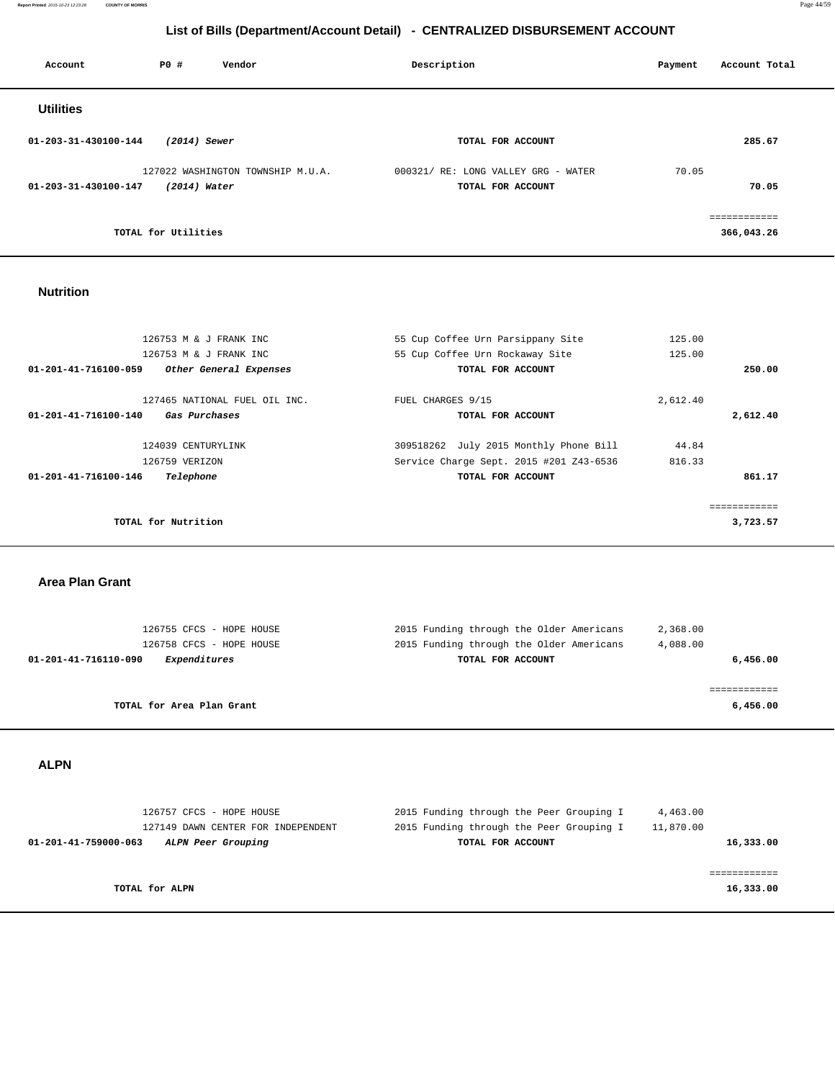**Report Printed** 2015-10-23 12:23:28 **COUNTY OF MORRIS** Page 44/59

## **List of Bills (Department/Account Detail) - CENTRALIZED DISBURSEMENT ACCOUNT**

| Account              | P0 #                | Vendor                            | Description                                              | Account Total<br>Payment  |
|----------------------|---------------------|-----------------------------------|----------------------------------------------------------|---------------------------|
| <b>Utilities</b>     |                     |                                   |                                                          |                           |
| 01-203-31-430100-144 | $(2014)$ Sewer      |                                   | TOTAL FOR ACCOUNT                                        | 285.67                    |
| 01-203-31-430100-147 | (2014) Water        | 127022 WASHINGTON TOWNSHIP M.U.A. | 000321/ RE: LONG VALLEY GRG - WATER<br>TOTAL FOR ACCOUNT | 70.05<br>70.05            |
|                      | TOTAL for Utilities |                                   |                                                          | eeeeeeeeeee<br>366,043.26 |

## **Nutrition**

| 126753 M & J FRANK INC                         | 55 Cup Coffee Urn Parsippany Site       | 125.00   |          |
|------------------------------------------------|-----------------------------------------|----------|----------|
| 126753 M & J FRANK INC                         | 55 Cup Coffee Urn Rockaway Site         | 125.00   |          |
| 01-201-41-716100-059<br>Other General Expenses | TOTAL FOR ACCOUNT                       |          | 250.00   |
| 127465 NATIONAL FUEL OIL INC.                  | FUEL CHARGES 9/15                       | 2,612.40 |          |
| 01-201-41-716100-140<br>Gas Purchases          | TOTAL FOR ACCOUNT                       |          | 2,612.40 |
| 124039 CENTURYLINK                             | 309518262 July 2015 Monthly Phone Bill  | 44.84    |          |
| 126759 VERIZON                                 | Service Charge Sept. 2015 #201 Z43-6536 | 816.33   |          |
| 01-201-41-716100-146<br>Telephone              | TOTAL FOR ACCOUNT                       |          | 861.17   |
|                                                |                                         |          |          |
|                                                |                                         |          |          |
| TOTAL for Nutrition                            |                                         |          | 3,723.57 |
|                                                |                                         |          |          |

 **Area Plan Grant** 

| 126755 CFCS - HOPE HOUSE             | 2015 Funding through the Older Americans | 2,368.00 |
|--------------------------------------|------------------------------------------|----------|
| 126758 CFCS - HOPE HOUSE             | 2015 Funding through the Older Americans | 4,088.00 |
| Expenditures<br>01-201-41-716110-090 | TOTAL FOR ACCOUNT                        | 6,456.00 |
|                                      |                                          |          |
|                                      |                                          |          |
| TOTAL for Area Plan Grant            |                                          | 6,456.00 |
|                                      |                                          |          |

 **ALPN** 

| 126757 CFCS - HOPE HOUSE                   | 2015 Funding through the Peer Grouping I | 4,463.00  |
|--------------------------------------------|------------------------------------------|-----------|
| 127149 DAWN CENTER FOR INDEPENDENT         | 2015 Funding through the Peer Grouping I | 11,870.00 |
| 01-201-41-759000-063<br>ALPN Peer Grouping | TOTAL FOR ACCOUNT                        | 16,333.00 |
|                                            |                                          |           |
|                                            |                                          |           |
| TOTAL for ALPN                             |                                          | 16,333.00 |
|                                            |                                          |           |
|                                            |                                          |           |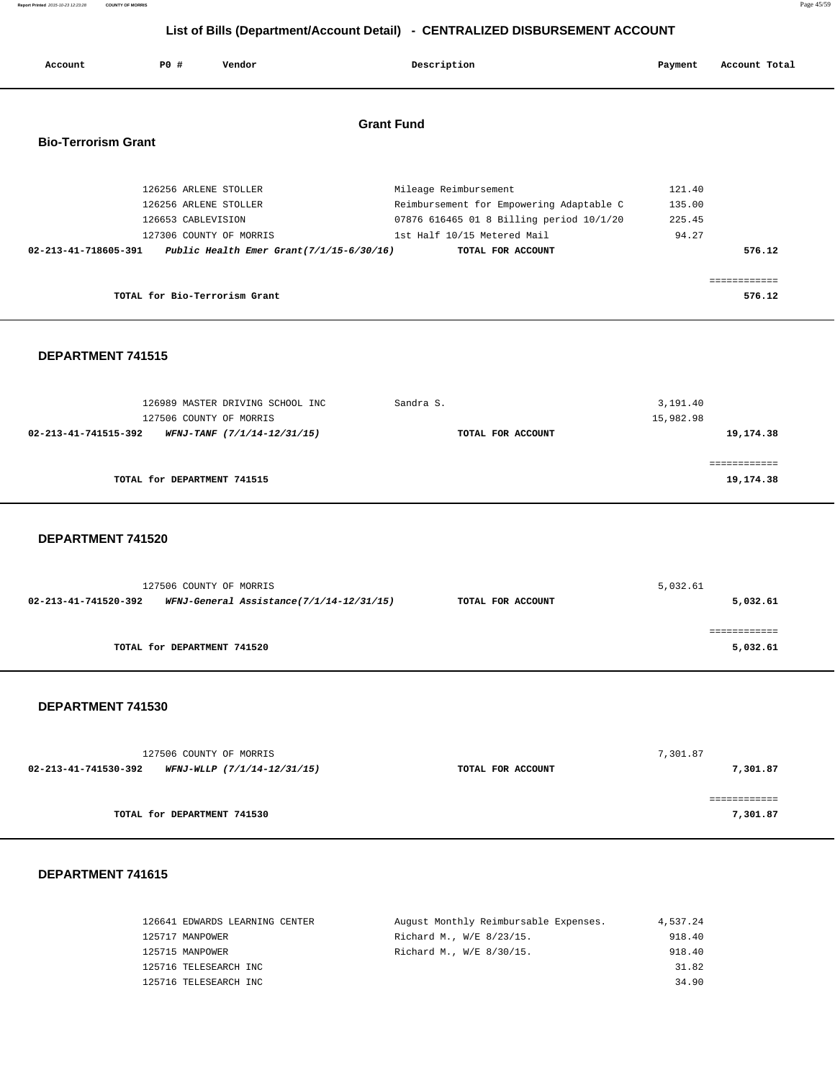**List of Bills (Department/Account Detail) - CENTRALIZED DISBURSEMENT ACCOUNT Account P0 # Vendor Description Payment Account Total**

## **Grant Fund**

**Report Printed** 2015-10-23 12:23:28 **COUNTY OF MORRIS** Page 45/59

## **Bio-Terrorism Grant**

| 126256 ARLENE STOLLER                                               | Mileage Reimbursement                    | 121.40 |
|---------------------------------------------------------------------|------------------------------------------|--------|
| 126256 ARLENE STOLLER                                               | Reimbursement for Empowering Adaptable C | 135.00 |
| 126653 CABLEVISION                                                  | 07876 616465 01 8 Billing period 10/1/20 | 225.45 |
| 127306 COUNTY OF MORRIS                                             | 1st Half 10/15 Metered Mail              | 94.27  |
| Public Health Emer Grant $(7/1/15-6/30/16)$<br>02-213-41-718605-391 | TOTAL FOR ACCOUNT                        | 576.12 |
|                                                                     |                                          |        |
|                                                                     |                                          |        |
| TOTAL for Bio-Terrorism Grant                                       | 576.12                                   |        |
|                                                                     |                                          |        |

#### **DEPARTMENT 741515**

| 126989 MASTER DRIVING SCHOOL INC                    | Sandra S.         | 3,191.40  |
|-----------------------------------------------------|-------------------|-----------|
| 127506 COUNTY OF MORRIS                             |                   | 15,982.98 |
| 02-213-41-741515-392<br>WFNJ-TANF (7/1/14-12/31/15) | TOTAL FOR ACCOUNT | 19,174.38 |
|                                                     |                   |           |
|                                                     |                   |           |
| TOTAL for DEPARTMENT 741515                         |                   | 19,174.38 |
|                                                     |                   |           |

#### **DEPARTMENT 741520**

| 127506 COUNTY OF MORRIS                                          | 5,032.61          |          |
|------------------------------------------------------------------|-------------------|----------|
| WFNJ-General Assistance(7/1/14-12/31/15)<br>02-213-41-741520-392 | TOTAL FOR ACCOUNT | 5,032.61 |
|                                                                  |                   |          |
|                                                                  |                   |          |
| TOTAL for DEPARTMENT 741520                                      |                   | 5,032.61 |

#### **DEPARTMENT 741530**

| 127506 COUNTY OF MORRIS                             | 7,301.87          |          |
|-----------------------------------------------------|-------------------|----------|
| 02-213-41-741530-392<br>WFNJ-WLLP (7/1/14-12/31/15) | TOTAL FOR ACCOUNT | 7,301.87 |
|                                                     |                   |          |
|                                                     |                   |          |
| TOTAL for DEPARTMENT 741530                         |                   | 7,301.87 |
|                                                     |                   |          |

| 126641 EDWARDS LEARNING CENTER | August Monthly Reimbursable Expenses. | 4,537.24 |
|--------------------------------|---------------------------------------|----------|
| 125717 MANPOWER                | Richard M., W/E 8/23/15.              | 918.40   |
| 125715 MANPOWER                | Richard M., W/E 8/30/15.              | 918.40   |
| 125716 TELESEARCH INC          |                                       | 31.82    |
| 125716 TELESEARCH INC          |                                       | 34.90    |
|                                |                                       |          |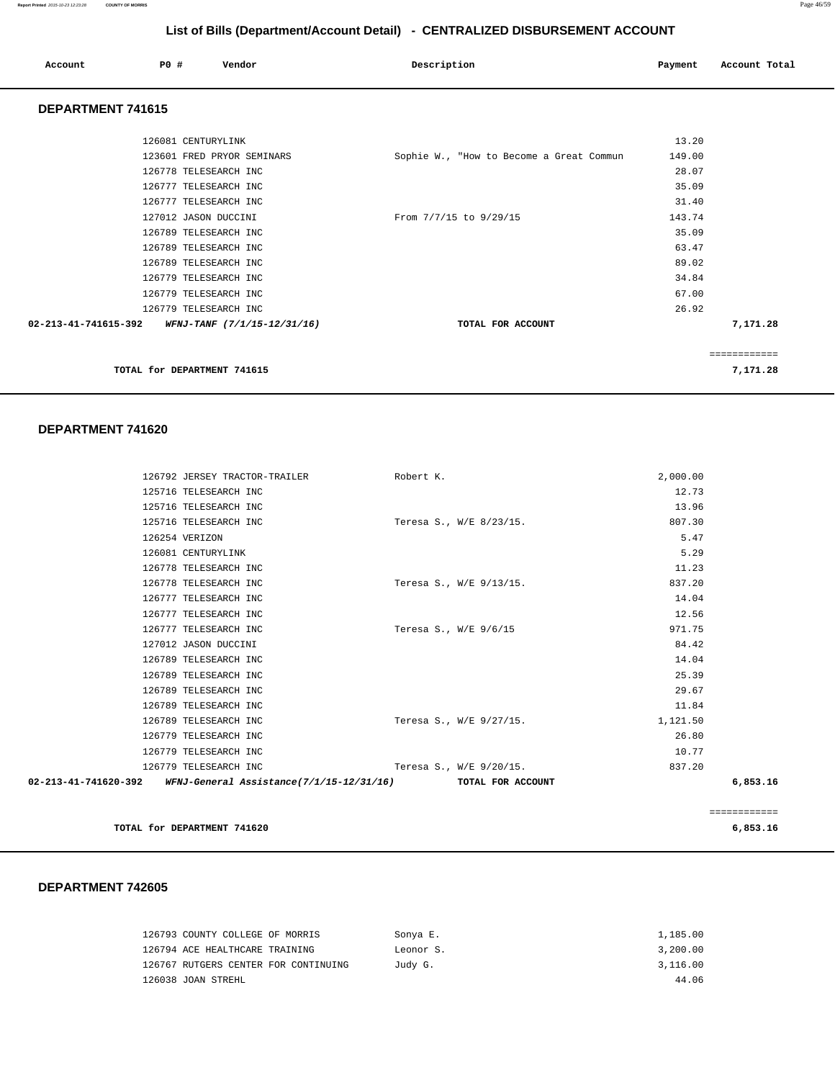| Account           | PO# | Vendor | Description | Payment | Account Total |
|-------------------|-----|--------|-------------|---------|---------------|
| DEDADTMENT 744645 |     |        |             |         |               |

### **DEPARTMENT 741615**

|                                                            | TOTAL for DEPARTMENT 741615 |                                          |        | 7,171.28            |
|------------------------------------------------------------|-----------------------------|------------------------------------------|--------|---------------------|
|                                                            |                             |                                          |        | . = = = = = = = = = |
| $02 - 213 - 41 - 741615 - 392$ WFNJ-TANF (7/1/15-12/31/16) |                             | TOTAL FOR ACCOUNT                        |        | 7,171.28            |
|                                                            | 126779 TELESEARCH INC       |                                          | 26.92  |                     |
|                                                            | 126779 TELESEARCH INC       |                                          | 67.00  |                     |
|                                                            | 126779 TELESEARCH INC       |                                          | 34.84  |                     |
|                                                            | 126789 TELESEARCH INC       |                                          | 89.02  |                     |
|                                                            | 126789 TELESEARCH INC       |                                          | 63.47  |                     |
|                                                            | 126789 TELESEARCH INC       |                                          | 35.09  |                     |
|                                                            | 127012 JASON DUCCINI        | From 7/7/15 to 9/29/15                   | 143.74 |                     |
|                                                            | 126777 TELESEARCH INC       |                                          | 31.40  |                     |
|                                                            | 126777 TELESEARCH INC       |                                          | 35.09  |                     |
|                                                            | 126778 TELESEARCH INC       |                                          | 28.07  |                     |
|                                                            | 123601 FRED PRYOR SEMINARS  | Sophie W., "How to Become a Great Commun | 149.00 |                     |
|                                                            | 126081 CENTURYLINK          |                                          | 13.20  |                     |
|                                                            |                             |                                          |        |                     |

#### **DEPARTMENT 741620**

| 126792 JERSEY TRACTOR-TRAILER                                                   | Robert K.             |                         | 2,000.00     |  |
|---------------------------------------------------------------------------------|-----------------------|-------------------------|--------------|--|
| 125716 TELESEARCH INC                                                           |                       |                         | 12.73        |  |
| 125716 TELESEARCH INC                                                           |                       |                         | 13.96        |  |
| 125716 TELESEARCH INC                                                           |                       | Teresa S., W/E 8/23/15. | 807.30       |  |
| 126254 VERIZON                                                                  |                       |                         | 5.47         |  |
| 126081 CENTURYLINK                                                              |                       |                         | 5.29         |  |
| 126778 TELESEARCH INC                                                           |                       |                         | 11.23        |  |
| 126778 TELESEARCH INC                                                           |                       | Teresa S., W/E 9/13/15. | 837.20       |  |
| 126777 TELESEARCH INC                                                           |                       |                         | 14.04        |  |
| 126777 TELESEARCH INC                                                           |                       |                         | 12.56        |  |
| 126777 TELESEARCH INC                                                           | Teresa S., W/E 9/6/15 |                         | 971.75       |  |
| 127012 JASON DUCCINI                                                            |                       |                         | 84.42        |  |
| 126789 TELESEARCH INC                                                           |                       |                         | 14.04        |  |
| 126789 TELESEARCH INC                                                           |                       |                         | 25.39        |  |
| 126789 TELESEARCH INC                                                           |                       |                         | 29.67        |  |
| 126789 TELESEARCH INC                                                           |                       |                         | 11.84        |  |
| 126789 TELESEARCH INC                                                           |                       | Teresa S., W/E 9/27/15. | 1,121.50     |  |
| 126779 TELESEARCH INC                                                           |                       |                         | 26.80        |  |
| 126779 TELESEARCH INC                                                           |                       |                         | 10.77        |  |
| 126779 TELESEARCH INC                                                           |                       | Teresa S., W/E 9/20/15. | 837.20       |  |
| 02-213-41-741620-392 WFNJ-General Assistance(7/1/15-12/31/16) TOTAL FOR ACCOUNT |                       |                         | 6,853.16     |  |
|                                                                                 |                       |                         |              |  |
|                                                                                 |                       |                         | ============ |  |

**TOTAL for DEPARTMENT 741620 6,853.16**

| 126793 COUNTY COLLEGE OF MORRIS      | Sonya E.  | 1,185.00 |
|--------------------------------------|-----------|----------|
| 126794 ACE HEALTHCARE TRAINING       | Leonor S. | 3,200.00 |
| 126767 RUTGERS CENTER FOR CONTINUING | Judy G.   | 3,116.00 |
| 126038 JOAN STREHL                   |           | 44.06    |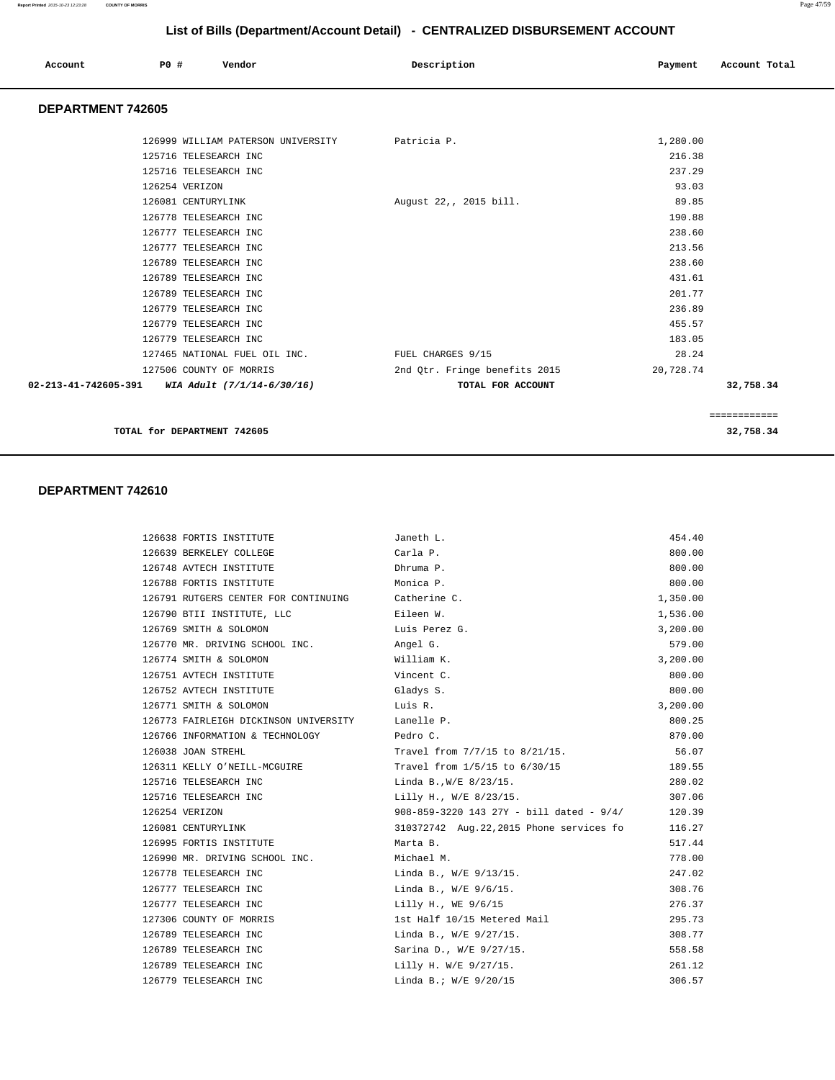| Account<br>. | <b>PO #</b> | Vendor<br>. | Description | Payment | Account Total |
|--------------|-------------|-------------|-------------|---------|---------------|
|              |             |             |             |         |               |

#### **DEPARTMENT 742605**

|                                                               | 126999 WILLIAM PATERSON UNIVERSITY | Patricia P.                   | 1,280.00  |              |
|---------------------------------------------------------------|------------------------------------|-------------------------------|-----------|--------------|
|                                                               | 125716 TELESEARCH INC              |                               | 216.38    |              |
|                                                               | 125716 TELESEARCH INC              |                               | 237.29    |              |
|                                                               | 126254 VERIZON                     |                               | 93.03     |              |
|                                                               | 126081 CENTURYLINK                 | August 22,, 2015 bill.        | 89.85     |              |
|                                                               | 126778 TELESEARCH INC              |                               | 190.88    |              |
|                                                               | 126777 TELESEARCH INC              |                               | 238.60    |              |
|                                                               | 126777 TELESEARCH INC              |                               | 213.56    |              |
|                                                               | 126789 TELESEARCH INC              |                               | 238.60    |              |
|                                                               | 126789 TELESEARCH INC              |                               | 431.61    |              |
|                                                               | 126789 TELESEARCH INC              |                               | 201.77    |              |
|                                                               | 126779 TELESEARCH INC              |                               | 236.89    |              |
|                                                               | 126779 TELESEARCH INC              |                               | 455.57    |              |
|                                                               | 126779 TELESEARCH INC              |                               | 183.05    |              |
|                                                               | 127465 NATIONAL FUEL OIL INC.      | FUEL CHARGES 9/15             | 28.24     |              |
|                                                               | 127506 COUNTY OF MORRIS            | 2nd Qtr. Fringe benefits 2015 | 20,728.74 |              |
| $02 - 213 - 41 - 742605 - 391$ WIA Adult $(7/1/14 - 6/30/16)$ |                                    | TOTAL FOR ACCOUNT             |           | 32,758.34    |
|                                                               |                                    |                               |           |              |
|                                                               |                                    |                               |           | ============ |

**TOTAL for DEPARTMENT 742605 32,758.34**

| 126638 FORTIS INSTITUTE                           | Janeth L.                                 | 454.40   |
|---------------------------------------------------|-------------------------------------------|----------|
| 126639 BERKELEY COLLEGE                           | Carla P.                                  | 800.00   |
| 126748 AVTECH INSTITUTE                           | Dhruma P.                                 | 800.00   |
| 126788 FORTIS INSTITUTE                           | Monica P.                                 | 800.00   |
| 126791 RUTGERS CENTER FOR CONTINUING Catherine C. |                                           | 1,350.00 |
| 126790 BTII INSTITUTE, LLC                        | Eileen W.                                 | 1,536.00 |
| 126769 SMITH & SOLOMON Luis Perez G.              |                                           | 3,200.00 |
| 126770 MR. DRIVING SCHOOL INC.                    | Angel G.                                  | 579.00   |
| 126774 SMITH & SOLOMON                            | William K.                                | 3,200.00 |
| 126751 AVTECH INSTITUTE                           | Vincent C.                                | 800.00   |
| 126752 AVTECH INSTITUTE                           | Gladys S.                                 | 800.00   |
| 126771 SMITH & SOLOMON                            | Luis R.                                   | 3,200.00 |
| 126773 FAIRLEIGH DICKINSON UNIVERSITY Lanelle P.  |                                           | 800.25   |
| 126766 INFORMATION & TECHNOLOGY Pedro C.          |                                           | 870.00   |
| 126038 JOAN STREHL                                | Travel from 7/7/15 to 8/21/15.            | 56.07    |
| 126311 KELLY O'NEILL-MCGUIRE                      | Travel from 1/5/15 to 6/30/15             | 189.55   |
| 125716 TELESEARCH INC                             | $\text{Linda } B.$ , $W/E 8/23/15.$       | 280.02   |
| 125716 TELESEARCH INC                             | Lilly H., W/E 8/23/15.                    | 307.06   |
| 126254 VERIZON                                    | 908-859-3220 143 27Y - bill dated - 9/4/  | 120.39   |
| 126081 CENTURYLINK                                | 310372742 Aug. 22, 2015 Phone services fo | 116.27   |
| 126995 FORTIS INSTITUTE                           | Marta B.                                  | 517.44   |
| 126990 MR. DRIVING SCHOOL INC.                    | Michael M.                                | 778.00   |
| 126778 TELESEARCH INC                             | Linda B., W/E 9/13/15.                    | 247.02   |
| 126777 TELESEARCH INC                             | Linda B., W/E 9/6/15.                     | 308.76   |
| 126777 TELESEARCH INC                             | Lilly H., WE 9/6/15                       | 276.37   |
| 127306 COUNTY OF MORRIS                           | 1st Half 10/15 Metered Mail               | 295.73   |
| 126789 TELESEARCH INC                             | Linda B., W/E 9/27/15.                    | 308.77   |
| 126789 TELESEARCH INC                             | Sarina D., W/E 9/27/15.                   | 558.58   |
| 126789 TELESEARCH INC                             | Lilly H. W/E 9/27/15.                     | 261.12   |
| 126779 TELESEARCH INC                             | Linda B.; W/E 9/20/15                     | 306.57   |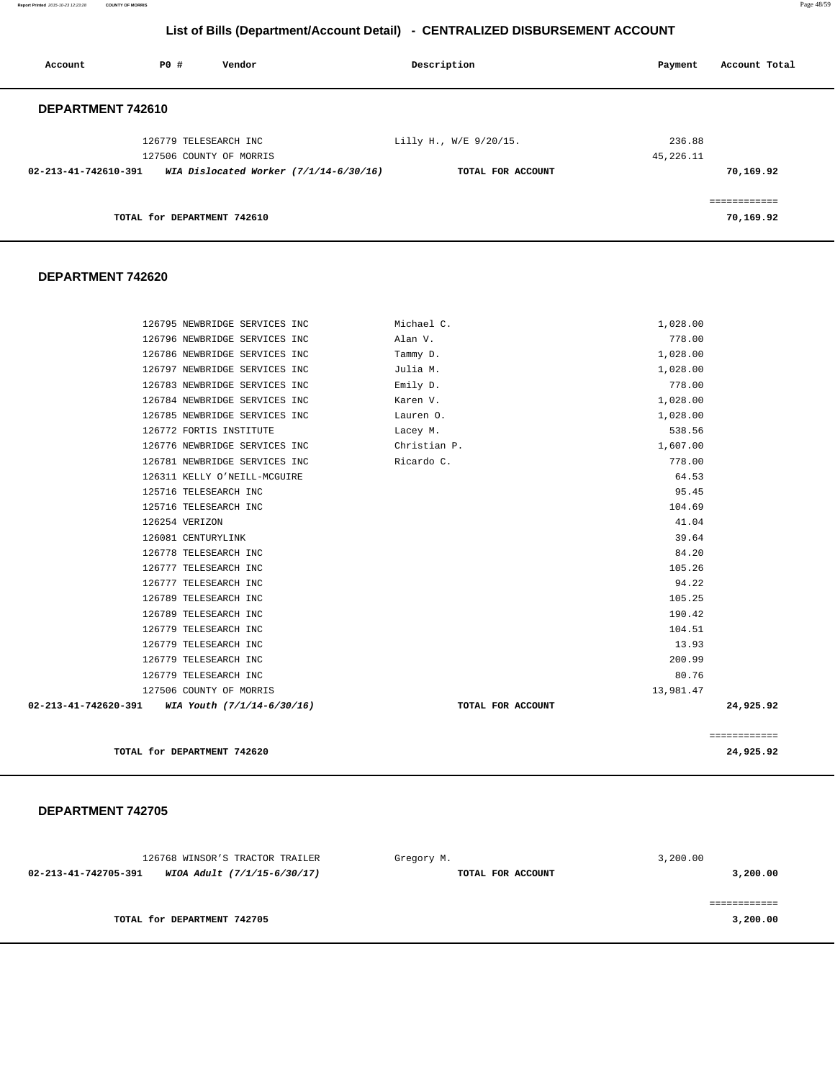**Report Printed** 2015-10-23 12:23:28 **COUNTY OF MORRIS** Page 48/59

## **List of Bills (Department/Account Detail) - CENTRALIZED DISBURSEMENT ACCOUNT**

| Account              | PO#                         | Vendor                                                              | Description            | Payment   | Account Total |
|----------------------|-----------------------------|---------------------------------------------------------------------|------------------------|-----------|---------------|
| DEPARTMENT 742610    |                             |                                                                     |                        |           |               |
|                      | 126779 TELESEARCH INC       |                                                                     | Lilly H., W/E 9/20/15. | 236.88    |               |
| 02-213-41-742610-391 |                             | 127506 COUNTY OF MORRIS<br>WIA Dislocated Worker $(7/1/14-6/30/16)$ | TOTAL FOR ACCOUNT      | 45,226.11 | 70,169.92     |
|                      |                             |                                                                     |                        |           | ============  |
|                      | TOTAL for DEPARTMENT 742610 |                                                                     |                        |           | 70,169.92     |

#### **DEPARTMENT 742620**

|                      | TOTAL for DEPARTMENT 742620                              |                          | 24,925.92          |
|----------------------|----------------------------------------------------------|--------------------------|--------------------|
|                      |                                                          |                          | ============       |
| 02-213-41-742620-391 | WIA Youth (7/1/14-6/30/16)                               | TOTAL FOR ACCOUNT        | 24,925.92          |
|                      | 127506 COUNTY OF MORRIS                                  |                          | 13,981.47          |
|                      | 126779 TELESEARCH INC                                    |                          | 80.76              |
|                      | 126779 TELESEARCH INC                                    |                          | 200.99             |
|                      | 126779 TELESEARCH INC                                    |                          | 13.93              |
|                      | 126779 TELESEARCH INC                                    |                          | 104.51             |
|                      | 126789 TELESEARCH INC                                    |                          | 190.42             |
|                      | 126789 TELESEARCH INC                                    |                          | 105.25             |
|                      | 126777 TELESEARCH INC                                    |                          | 94.22              |
|                      | 126777 TELESEARCH INC                                    |                          | 105.26             |
|                      | 126778 TELESEARCH INC                                    |                          | 84.20              |
|                      | 126081 CENTURYLINK                                       |                          | 39.64              |
|                      | 126254 VERIZON                                           |                          | 41.04              |
|                      | 125716 TELESEARCH INC                                    |                          | 104.69             |
|                      | 125716 TELESEARCH INC                                    |                          | 95.45              |
|                      | 126311 KELLY O'NEILL-MCGUIRE                             |                          | 64.53              |
|                      | 126781 NEWBRIDGE SERVICES INC                            | Ricardo C.               | 778.00             |
|                      | 126772 FORTIS INSTITUTE<br>126776 NEWBRIDGE SERVICES INC | Lacey M.<br>Christian P. | 538.56<br>1,607.00 |
|                      | 126785 NEWBRIDGE SERVICES INC                            | Lauren 0.                | 1,028.00           |
|                      | 126784 NEWBRIDGE SERVICES INC                            | Karen V.                 | 1,028.00           |
|                      | 126783 NEWBRIDGE SERVICES INC                            | Emily D.                 | 778.00             |
|                      | 126797 NEWBRIDGE SERVICES INC                            | Julia M.                 | 1,028.00           |
|                      | 126786 NEWBRIDGE SERVICES INC                            | Tammy D.                 | 1,028.00           |
|                      | 126796 NEWBRIDGE SERVICES INC                            | Alan V.                  | 778.00             |
|                      | 126795 NEWBRIDGE SERVICES INC                            | Michael C.               | 1,028.00           |

| 126768 WINSOR'S TRACTOR TRAILER                     | Gregory M.        | 3,200.00 |
|-----------------------------------------------------|-------------------|----------|
| WIOA Adult (7/1/15-6/30/17)<br>02-213-41-742705-391 | TOTAL FOR ACCOUNT | 3,200.00 |
|                                                     |                   |          |
|                                                     |                   |          |
| TOTAL for DEPARTMENT 742705                         |                   | 3,200.00 |
|                                                     |                   |          |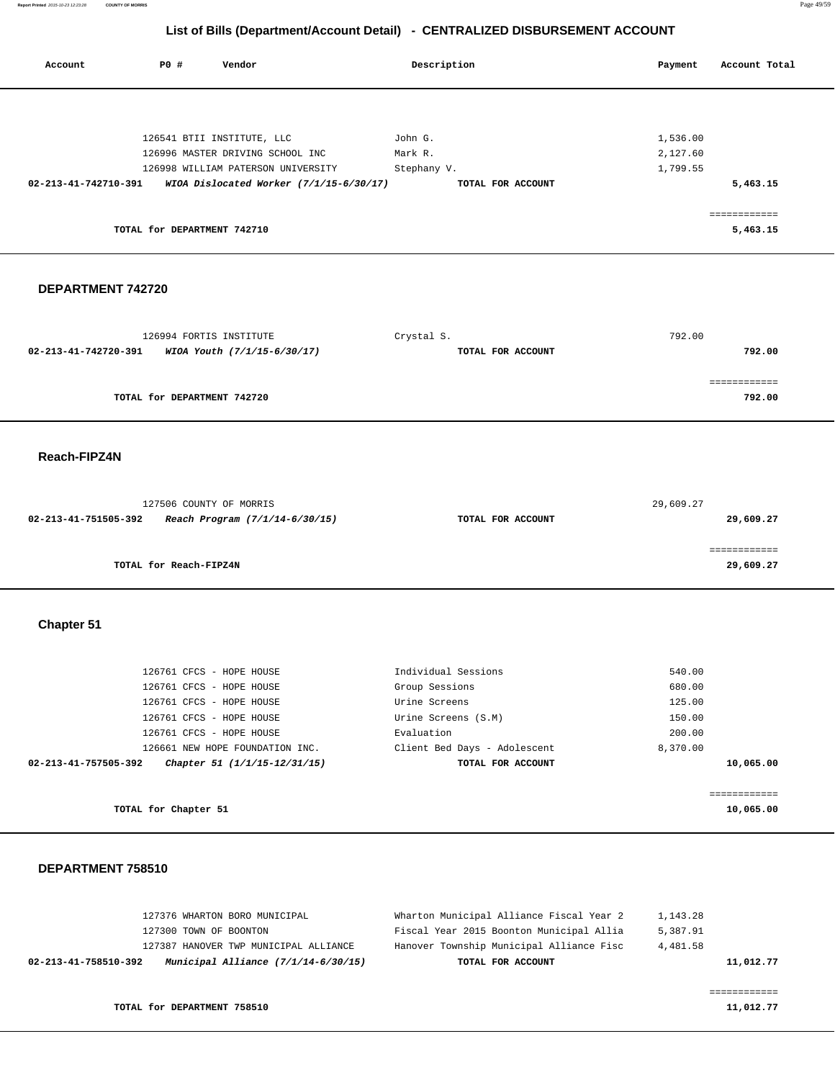**Report Printed** 2015-10-23 12:23:28 **COUNTY OF MORRIS** Page 49/59

## **List of Bills (Department/Account Detail) - CENTRALIZED DISBURSEMENT ACCOUNT**

| Account              | <b>PO #</b>                 | Vendor                                    | Description       | Payment  | Account Total            |
|----------------------|-----------------------------|-------------------------------------------|-------------------|----------|--------------------------|
|                      |                             |                                           |                   |          |                          |
|                      |                             | 126541 BTII INSTITUTE, LLC                | John G.           | 1,536.00 |                          |
|                      |                             | 126996 MASTER DRIVING SCHOOL INC          | Mark R.           | 2,127.60 |                          |
|                      |                             | 126998 WILLIAM PATERSON UNIVERSITY        | Stephany V.       | 1,799.55 |                          |
| 02-213-41-742710-391 |                             | WIOA Dislocated Worker $(7/1/15-6/30/17)$ | TOTAL FOR ACCOUNT |          | 5,463.15                 |
|                      |                             |                                           |                   |          |                          |
|                      | TOTAL for DEPARTMENT 742710 |                                           |                   |          | ------------<br>5,463.15 |
|                      |                             |                                           |                   |          |                          |

### **DEPARTMENT 742720**

| 126994 FORTIS INSTITUTE                             | Crystal S.        | 792.00 |
|-----------------------------------------------------|-------------------|--------|
| 02-213-41-742720-391<br>WIOA Youth (7/1/15-6/30/17) | TOTAL FOR ACCOUNT | 792.00 |
|                                                     |                   |        |
|                                                     |                   |        |
| TOTAL for DEPARTMENT 742720                         |                   | 792.00 |

#### **Reach-FIPZ4N**

| 127506 COUNTY OF MORRIS                                |                   | 29,609.27 |
|--------------------------------------------------------|-------------------|-----------|
| Reach Program (7/1/14-6/30/15)<br>02-213-41-751505-392 | TOTAL FOR ACCOUNT | 29,609.27 |
|                                                        |                   |           |
|                                                        |                   |           |
| TOTAL for Reach-FIPZ4N                                 |                   | 29,609.27 |

# **Chapter 51**

| 126761 CFCS - HOPE HOUSE                             | Individual Sessions          | 540.00    |
|------------------------------------------------------|------------------------------|-----------|
| 126761 CFCS - HOPE HOUSE                             | Group Sessions               | 680.00    |
| 126761 CFCS - HOPE HOUSE                             | Urine Screens                | 125.00    |
| 126761 CFCS - HOPE HOUSE                             | Urine Screens (S.M)          | 150.00    |
| 126761 CFCS - HOPE HOUSE                             | Evaluation                   | 200.00    |
| 126661 NEW HOPE FOUNDATION INC.                      | Client Bed Days - Adolescent | 8,370.00  |
| Chapter 51 (1/1/15-12/31/15)<br>02-213-41-757505-392 | TOTAL FOR ACCOUNT            | 10,065.00 |
|                                                      |                              |           |
|                                                      |                              |           |
| TOTAL for Chapter 51                                 |                              | 10,065.00 |

|                      | 127376 WHARTON BORO MUNICIPAL         | Wharton Municipal Alliance Fiscal Year 2 | 1,143.28  |
|----------------------|---------------------------------------|------------------------------------------|-----------|
|                      | 127300 TOWN OF BOONTON                | Fiscal Year 2015 Boonton Municipal Allia | 5,387.91  |
|                      | 127387 HANOVER TWP MUNICIPAL ALLIANCE | Hanover Township Municipal Alliance Fisc | 4,481.58  |
| 02-213-41-758510-392 | Municipal Alliance (7/1/14-6/30/15)   | TOTAL FOR ACCOUNT                        | 11,012.77 |
|                      |                                       |                                          |           |
|                      |                                       |                                          |           |
|                      | TOTAL for DEPARTMENT 758510           |                                          | 11,012.77 |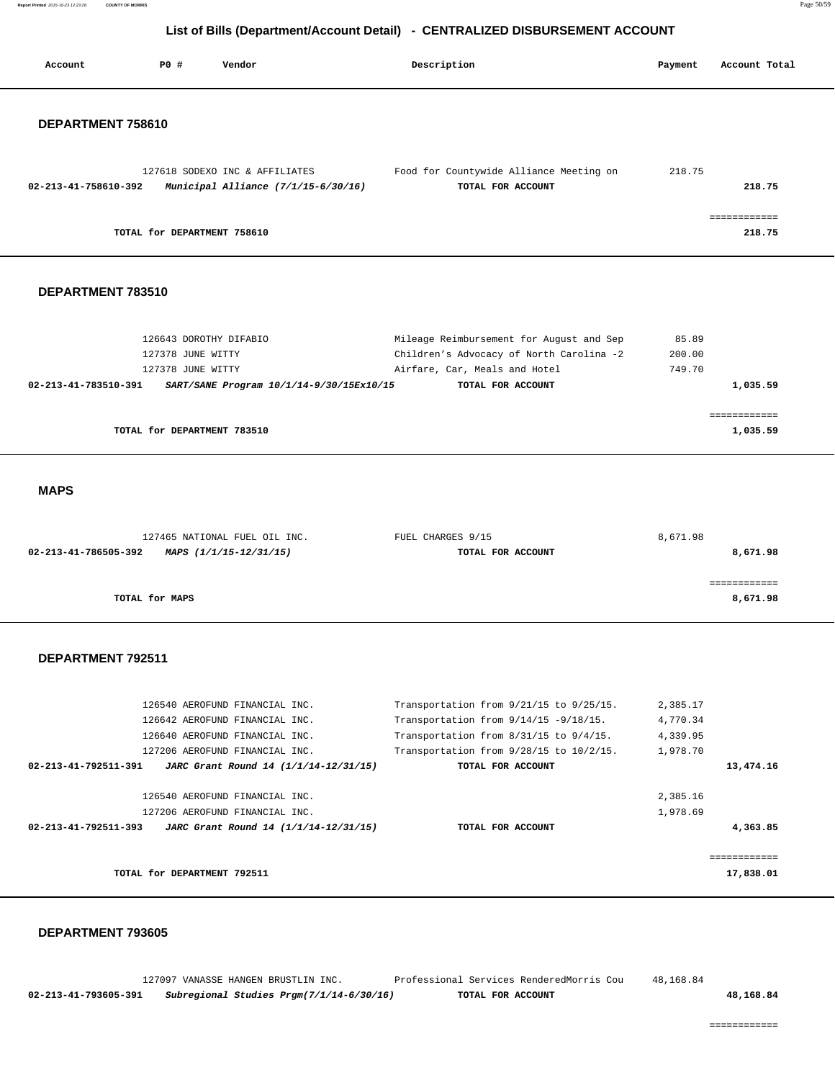**Report Printed** 2015-10-23 12:23:28 **COUNTY OF MORRIS** Page 50/59

# **List of Bills (Department/Account Detail) - CENTRALIZED DISBURSEMENT ACCOUNT**

| Account              | <b>PO #</b><br>Vendor                                                                                                                                                         | Description                                                                                                                                                                                    | Payment                                      | Account Total             |
|----------------------|-------------------------------------------------------------------------------------------------------------------------------------------------------------------------------|------------------------------------------------------------------------------------------------------------------------------------------------------------------------------------------------|----------------------------------------------|---------------------------|
| DEPARTMENT 758610    |                                                                                                                                                                               |                                                                                                                                                                                                |                                              |                           |
|                      |                                                                                                                                                                               |                                                                                                                                                                                                |                                              |                           |
| 02-213-41-758610-392 | 127618 SODEXO INC & AFFILIATES<br>Municipal Alliance (7/1/15-6/30/16)                                                                                                         | Food for Countywide Alliance Meeting on<br>TOTAL FOR ACCOUNT                                                                                                                                   | 218.75                                       | 218.75                    |
|                      | TOTAL for DEPARTMENT 758610                                                                                                                                                   |                                                                                                                                                                                                |                                              | ============<br>218.75    |
| DEPARTMENT 783510    |                                                                                                                                                                               |                                                                                                                                                                                                |                                              |                           |
|                      | 126643 DOROTHY DIFABIO<br>127378 JUNE WITTY<br>127378 JUNE WITTY                                                                                                              | Mileage Reimbursement for August and Sep<br>Children's Advocacy of North Carolina -2<br>Airfare, Car, Meals and Hotel                                                                          | 85.89<br>200.00<br>749.70                    |                           |
| 02-213-41-783510-391 | SART/SANE Program 10/1/14-9/30/15Ex10/15                                                                                                                                      | TOTAL FOR ACCOUNT                                                                                                                                                                              |                                              | 1,035.59                  |
|                      | TOTAL for DEPARTMENT 783510                                                                                                                                                   |                                                                                                                                                                                                |                                              | ============<br>1,035.59  |
| <b>MAPS</b>          |                                                                                                                                                                               |                                                                                                                                                                                                |                                              |                           |
|                      |                                                                                                                                                                               |                                                                                                                                                                                                |                                              |                           |
| 02-213-41-786505-392 | 127465 NATIONAL FUEL OIL INC.<br>MAPS (1/1/15-12/31/15)                                                                                                                       | FUEL CHARGES 9/15<br>TOTAL FOR ACCOUNT                                                                                                                                                         | 8,671.98                                     | 8,671.98                  |
|                      | TOTAL for MAPS                                                                                                                                                                |                                                                                                                                                                                                |                                              | ============<br>8,671.98  |
| DEPARTMENT 792511    |                                                                                                                                                                               |                                                                                                                                                                                                |                                              |                           |
| 02-213-41-792511-391 | 126540 AEROFUND FINANCIAL INC.<br>126642 AEROFUND FINANCIAL INC.<br>126640 AEROFUND FINANCIAL INC.<br>127206 AEROFUND FINANCIAL INC.<br>JARC Grant Round 14 (1/1/14-12/31/15) | Transportation from 9/21/15 to 9/25/15.<br>Transportation from $9/14/15 - 9/18/15$ .<br>Transportation from 8/31/15 to 9/4/15.<br>Transportation from 9/28/15 to 10/2/15.<br>TOTAL FOR ACCOUNT | 2,385.17<br>4,770.34<br>4,339.95<br>1,978.70 | 13,474.16                 |
| 02-213-41-792511-393 | 126540 AEROFUND FINANCIAL INC.<br>127206 AEROFUND FINANCIAL INC.<br>JARC Grant Round 14 (1/1/14-12/31/15)                                                                     | TOTAL FOR ACCOUNT                                                                                                                                                                              | 2,385.16<br>1,978.69                         | 4,363.85                  |
|                      |                                                                                                                                                                               |                                                                                                                                                                                                |                                              |                           |
|                      | TOTAL for DEPARTMENT 792511                                                                                                                                                   |                                                                                                                                                                                                |                                              | ============<br>17,838.01 |
|                      |                                                                                                                                                                               |                                                                                                                                                                                                |                                              |                           |

### **DEPARTMENT 793605**

 127097 VANASSE HANGEN BRUSTLIN INC. Professional Services RenderedMorris Cou 48,168.84  **02-213-41-793605-391 Subregional Studies Prgm(7/1/14-6/30/16) TOTAL FOR ACCOUNT 48,168.84**

============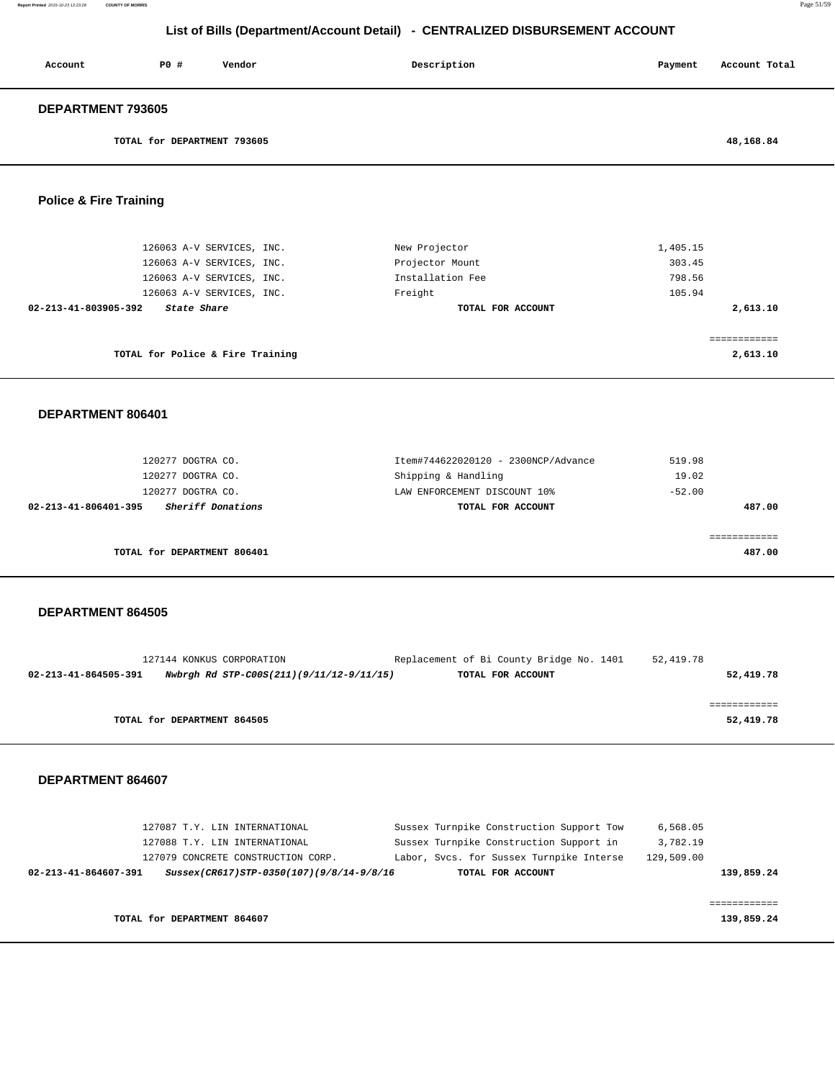| Account                  | PO# | Vendor | Description | Payment | Account Total |
|--------------------------|-----|--------|-------------|---------|---------------|
| <b>DEPARTMENT 793605</b> |     |        |             |         |               |

**TOTAL for DEPARTMENT 793605 48,168.84**

## **Police & Fire Training**

| 126063 A-V SERVICES, INC.<br>126063 A-V SERVICES, INC. | New Projector<br>Projector Mount | 1,405.15<br>303.45 |
|--------------------------------------------------------|----------------------------------|--------------------|
| 126063 A-V SERVICES, INC.                              | Installation Fee                 | 798.56             |
| 126063 A-V SERVICES, INC.                              | Freight                          | 105.94             |
| 02-213-41-803905-392<br>State Share                    | TOTAL FOR ACCOUNT                | 2,613.10           |
|                                                        |                                  |                    |
| TOTAL for Police & Fire Training                       |                                  | 2,613.10           |

#### **DEPARTMENT 806401**

| 120277 DOGTRA CO.                         | Item#744622020120 - 2300NCP/Advance | 519.98   |
|-------------------------------------------|-------------------------------------|----------|
| 120277 DOGTRA CO.                         | Shipping & Handling                 | 19.02    |
| 120277 DOGTRA CO.                         | LAW ENFORCEMENT DISCOUNT 10%        | $-52.00$ |
| Sheriff Donations<br>02-213-41-806401-395 | TOTAL FOR ACCOUNT                   | 487.00   |
|                                           |                                     |          |
|                                           |                                     |          |
| TOTAL for DEPARTMENT 806401               |                                     | 487.00   |
|                                           |                                     |          |

#### **DEPARTMENT 864505**

|                      | 127144 KONKUS CORPORATION                | Replacement of Bi County Bridge No. 1401 | 52,419.78 |
|----------------------|------------------------------------------|------------------------------------------|-----------|
| 02-213-41-864505-391 | Nwbrgh Rd STP-C00S(211)(9/11/12-9/11/15) | TOTAL FOR ACCOUNT                        | 52,419.78 |
|                      |                                          |                                          |           |
|                      |                                          |                                          |           |
|                      | TOTAL for DEPARTMENT 864505              |                                          | 52,419.78 |
|                      |                                          |                                          |           |

|                      | 127087 T.Y. LIN INTERNATIONAL |                                          | Sussex Turnpike Construction Support Tow | 6,568.05   |            |
|----------------------|-------------------------------|------------------------------------------|------------------------------------------|------------|------------|
|                      | 127088 T.Y. LIN INTERNATIONAL |                                          | Sussex Turnpike Construction Support in  | 3,782.19   |            |
|                      |                               | 127079 CONCRETE CONSTRUCTION CORP.       | Labor, Svcs. for Sussex Turnpike Interse | 129,509.00 |            |
| 02-213-41-864607-391 |                               | Sussex(CR617)STP-0350(107)(9/8/14-9/8/16 | TOTAL FOR ACCOUNT                        |            | 139,859.24 |
|                      |                               |                                          |                                          |            |            |
|                      |                               |                                          |                                          |            |            |
|                      | TOTAL for DEPARTMENT 864607   |                                          |                                          |            | 139,859.24 |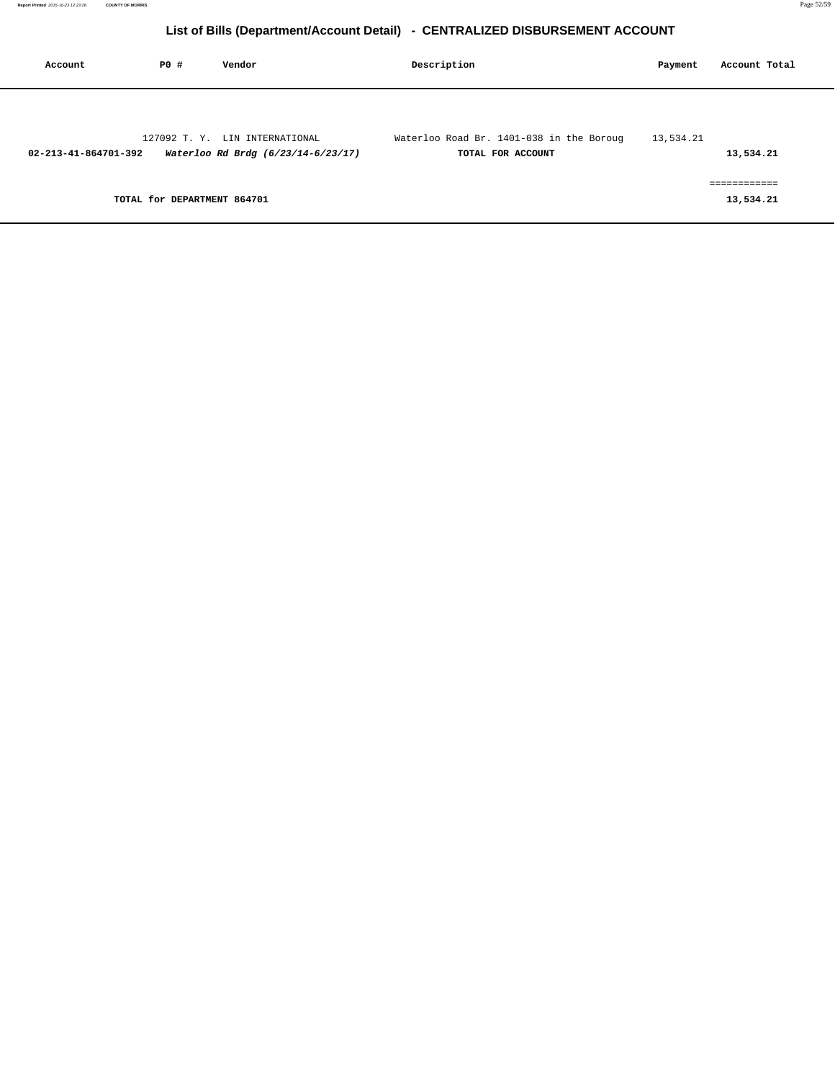| Account              | PO#                         | Vendor                                                               | Description                                                   | Payment   | Account Total            |
|----------------------|-----------------------------|----------------------------------------------------------------------|---------------------------------------------------------------|-----------|--------------------------|
|                      |                             |                                                                      |                                                               |           |                          |
| 02-213-41-864701-392 |                             | 127092 T. Y. LIN INTERNATIONAL<br>Waterloo Rd Brdg (6/23/14-6/23/17) | Waterloo Road Br. 1401-038 in the Boroug<br>TOTAL FOR ACCOUNT | 13,534.21 | 13,534.21                |
|                      | TOTAL for DEPARTMENT 864701 |                                                                      |                                                               |           | ___________<br>13,534.21 |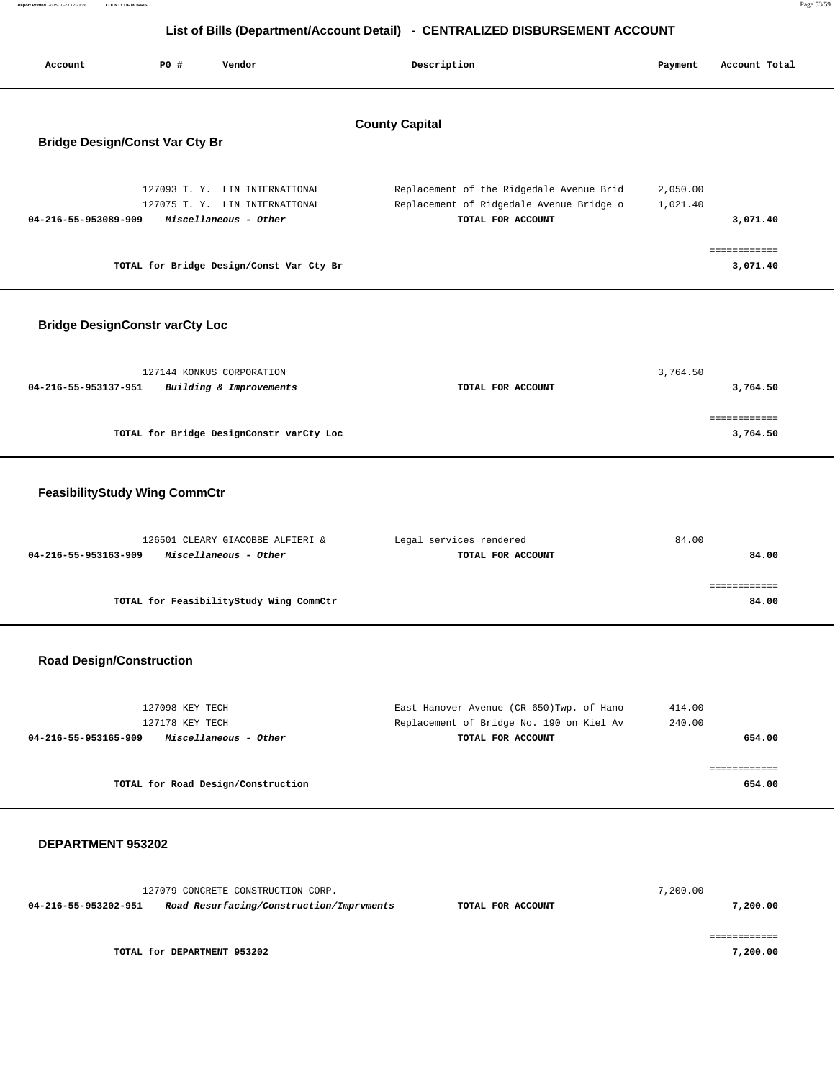| Report Printed 2015-10-23 12:23:28 | <b>COUNTY OF MORRIS</b> |                                                                              | Page 53/59 |
|------------------------------------|-------------------------|------------------------------------------------------------------------------|------------|
|                                    |                         |                                                                              |            |
|                                    |                         | List of Bills (Department/Account Detail) - CENTRALIZED DISBURSEMENT ACCOUNT |            |
|                                    |                         |                                                                              |            |

| List of Bills (Department/Account Detail) - CENTRALIZED DISBURSEMENT ACCOUNT |                                    |                                                                                           |                                                                                                            |                      |                          |  |  |
|------------------------------------------------------------------------------|------------------------------------|-------------------------------------------------------------------------------------------|------------------------------------------------------------------------------------------------------------|----------------------|--------------------------|--|--|
| Account                                                                      | <b>PO #</b>                        | Vendor                                                                                    | Description                                                                                                | Payment              | Account Total            |  |  |
|                                                                              |                                    |                                                                                           | <b>County Capital</b>                                                                                      |                      |                          |  |  |
| <b>Bridge Design/Const Var Cty Br</b>                                        |                                    |                                                                                           |                                                                                                            |                      |                          |  |  |
| 04-216-55-953089-909                                                         |                                    | 127093 T. Y. LIN INTERNATIONAL<br>127075 T. Y. LIN INTERNATIONAL<br>Miscellaneous - Other | Replacement of the Ridgedale Avenue Brid<br>Replacement of Ridgedale Avenue Bridge o<br>TOTAL FOR ACCOUNT  | 2,050.00<br>1,021.40 | 3,071.40                 |  |  |
|                                                                              |                                    | TOTAL for Bridge Design/Const Var Cty Br                                                  |                                                                                                            |                      | ============<br>3,071.40 |  |  |
| <b>Bridge DesignConstr varCty Loc</b>                                        |                                    |                                                                                           |                                                                                                            |                      |                          |  |  |
| 04-216-55-953137-951                                                         |                                    | 127144 KONKUS CORPORATION<br>Building & Improvements                                      | TOTAL FOR ACCOUNT                                                                                          | 3,764.50             | 3,764.50                 |  |  |
|                                                                              |                                    | TOTAL for Bridge DesignConstr varCty Loc                                                  |                                                                                                            |                      | ------------<br>3,764.50 |  |  |
| <b>FeasibilityStudy Wing CommCtr</b>                                         |                                    |                                                                                           |                                                                                                            |                      |                          |  |  |
| 04-216-55-953163-909                                                         |                                    | 126501 CLEARY GIACOBBE ALFIERI &<br>Miscellaneous - Other                                 | Legal services rendered<br>TOTAL FOR ACCOUNT                                                               | 84.00                | 84.00                    |  |  |
|                                                                              |                                    | TOTAL for FeasibilityStudy Wing CommCtr                                                   |                                                                                                            |                      | ============<br>84.00    |  |  |
| <b>Road Design/Construction</b>                                              |                                    |                                                                                           |                                                                                                            |                      |                          |  |  |
| 04-216-55-953165-909                                                         | 127098 KEY-TECH<br>127178 KEY TECH | Miscellaneous - Other                                                                     | East Hanover Avenue (CR 650) Twp. of Hano<br>Replacement of Bridge No. 190 on Kiel Av<br>TOTAL FOR ACCOUNT | 414.00<br>240.00     | 654.00                   |  |  |

**TOTAL for Road Design/Construction 654.00**

#### **DEPARTMENT 953202**

|                      | 127079 CONCRETE CONSTRUCTION CORP.       |                   | 7,200.00 |
|----------------------|------------------------------------------|-------------------|----------|
| 04-216-55-953202-951 | Road Resurfacing/Construction/Imprvments | TOTAL FOR ACCOUNT | 7,200.00 |
|                      |                                          |                   |          |
|                      | TOTAL for DEPARTMENT 953202              |                   | 7,200.00 |

============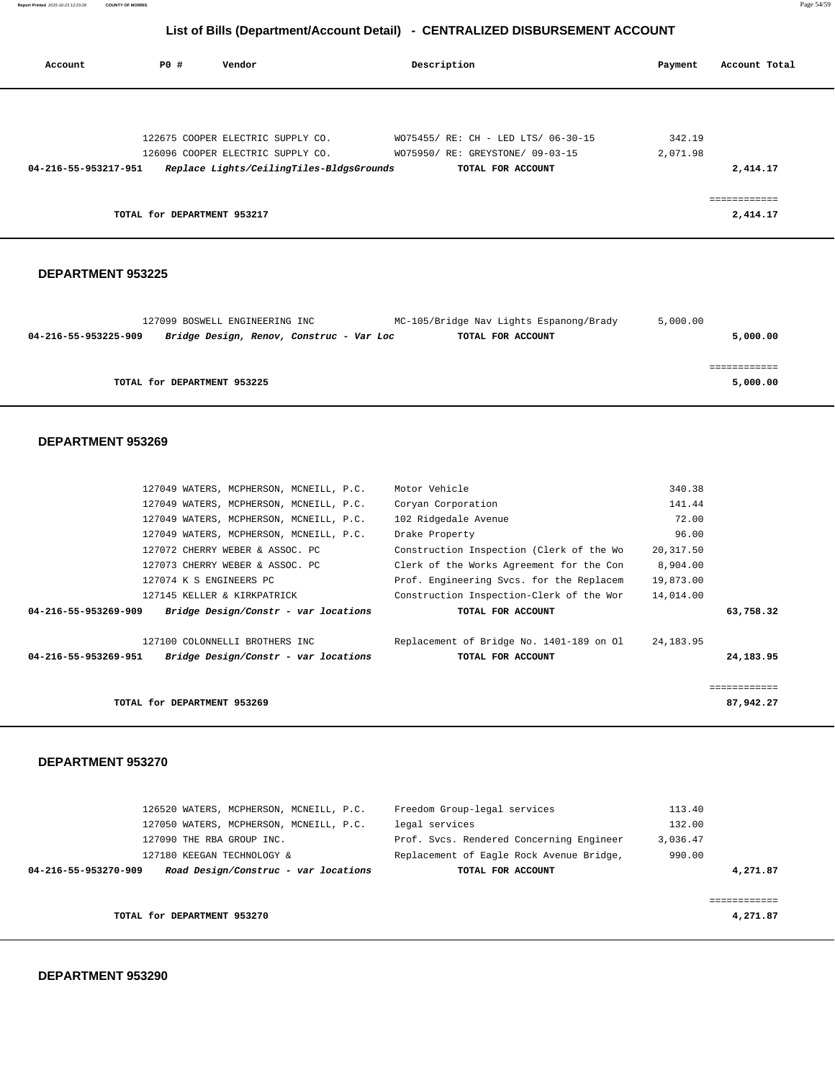| Account              | PO#                         | Vendor                                   | Description                         | Payment  | Account Total            |
|----------------------|-----------------------------|------------------------------------------|-------------------------------------|----------|--------------------------|
|                      |                             |                                          |                                     |          |                          |
|                      |                             | 122675 COOPER ELECTRIC SUPPLY CO.        | WO75455/ RE: CH - LED LTS/ 06-30-15 | 342.19   |                          |
|                      |                             | 126096 COOPER ELECTRIC SUPPLY CO.        | WO75950/ RE: GREYSTONE/ 09-03-15    | 2,071.98 |                          |
| 04-216-55-953217-951 |                             | Replace Lights/CeilingTiles-BldgsGrounds | TOTAL FOR ACCOUNT                   |          | 2,414.17                 |
|                      | TOTAL for DEPARTMENT 953217 |                                          |                                     |          | ============<br>2,414.17 |

#### **DEPARTMENT 953225**

|                      | 127099 BOSWELL ENGINEERING INC           | MC-105/Bridge Nav Lights Espanong/Brady | 5,000.00 |
|----------------------|------------------------------------------|-----------------------------------------|----------|
| 04-216-55-953225-909 | Bridge Design, Renov, Construc - Var Loc | TOTAL FOR ACCOUNT                       | 5,000.00 |
|                      |                                          |                                         |          |
|                      |                                          |                                         |          |
|                      | TOTAL for DEPARTMENT 953225              |                                         | 5,000.00 |
|                      |                                          |                                         |          |

#### **DEPARTMENT 953269**

| 127049 WATERS, MCPHERSON, MCNEILL, P.C.                      | Motor Vehicle                            | 340.38       |
|--------------------------------------------------------------|------------------------------------------|--------------|
| 127049 WATERS, MCPHERSON, MCNEILL, P.C.                      | Coryan Corporation                       | 141.44       |
| 127049 WATERS, MCPHERSON, MCNEILL, P.C.                      | 102 Ridgedale Avenue                     | 72.00        |
| 127049 WATERS, MCPHERSON, MCNEILL, P.C.                      | Drake Property                           | 96.00        |
| 127072 CHERRY WEBER & ASSOC. PC                              | Construction Inspection (Clerk of the Wo | 20,317.50    |
| 127073 CHERRY WEBER & ASSOC. PC                              | Clerk of the Works Agreement for the Con | 8,904.00     |
| 127074 K S ENGINEERS PC                                      | Prof. Engineering Svcs. for the Replacem | 19,873.00    |
| 127145 KELLER & KIRKPATRICK                                  | Construction Inspection-Clerk of the Wor | 14,014.00    |
| Bridge Design/Constr - var locations<br>04-216-55-953269-909 | TOTAL FOR ACCOUNT                        | 63,758.32    |
| 127100 COLONNELLI BROTHERS INC                               | Replacement of Bridge No. 1401-189 on Ol | 24,183.95    |
| Bridge Design/Constr - var locations<br>04-216-55-953269-951 | TOTAL FOR ACCOUNT                        | 24,183.95    |
|                                                              |                                          | ============ |
| TOTAL for DEPARTMENT 953269                                  |                                          | 87,942.27    |

| 126520 WATERS, MCPHERSON, MCNEILL, P.C.                      | Freedom Group-legal services             | 113.40   |
|--------------------------------------------------------------|------------------------------------------|----------|
| 127050 WATERS, MCPHERSON, MCNEILL, P.C.                      | legal services                           | 132.00   |
| 127090 THE RBA GROUP INC.                                    | Prof. Svcs. Rendered Concerning Engineer | 3,036.47 |
| 127180 KEEGAN TECHNOLOGY &                                   | Replacement of Eagle Rock Avenue Bridge, | 990.00   |
| Road Design/Construc - var locations<br>04-216-55-953270-909 | TOTAL FOR ACCOUNT                        | 4,271.87 |
|                                                              |                                          |          |
|                                                              |                                          |          |
| TOTAL for DEPARTMENT 953270                                  |                                          | 4,271.87 |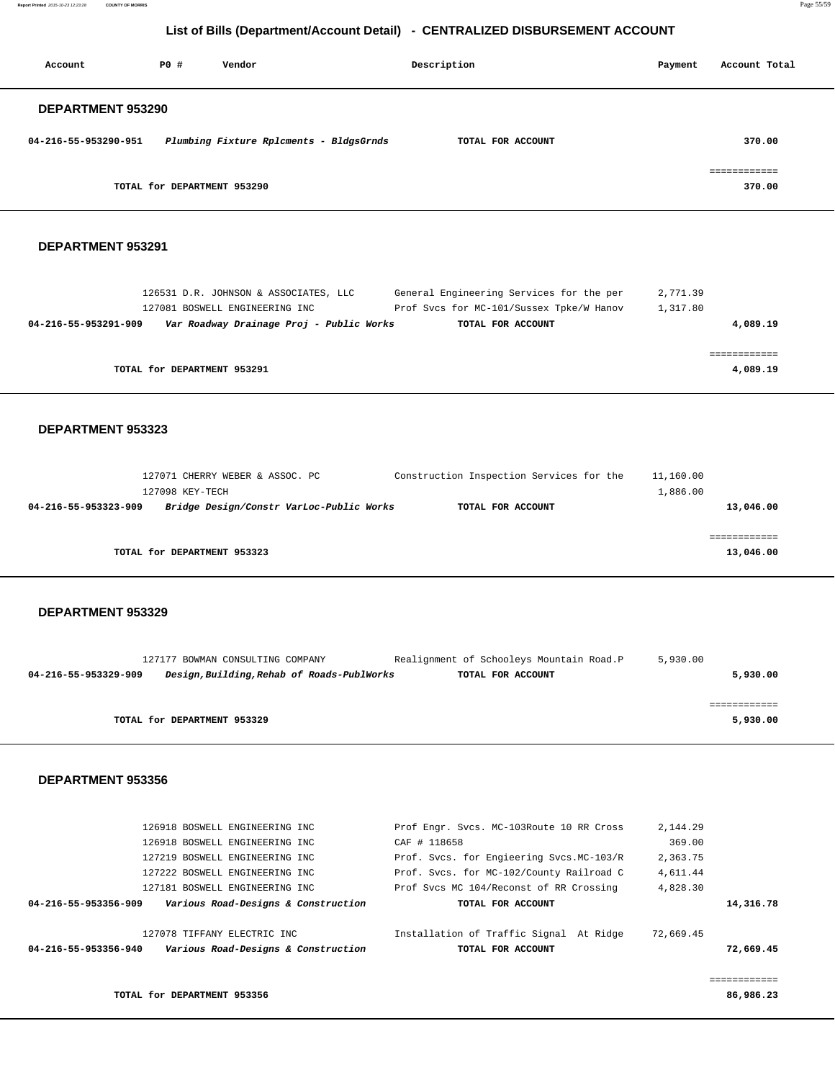**Report Printed** 2015-10-23 12:23:28 **COUNTY OF MORRIS** Page 55/59

## **List of Bills (Department/Account Detail) - CENTRALIZED DISBURSEMENT ACCOUNT**

| Account                  | PO# | Vendor                                  | Description       | Payment | Account Total          |
|--------------------------|-----|-----------------------------------------|-------------------|---------|------------------------|
| <b>DEPARTMENT 953290</b> |     |                                         |                   |         |                        |
| 04-216-55-953290-951     |     | Plumbing Fixture Rplcments - BldgsGrnds | TOTAL FOR ACCOUNT |         | 370.00                 |
|                          |     | TOTAL for DEPARTMENT 953290             |                   |         | ============<br>370.00 |

#### **DEPARTMENT 953291**

| 126531 D.R. JOHNSON & ASSOCIATES, LLC                            | General Engineering Services for the per | 2,771.39 |
|------------------------------------------------------------------|------------------------------------------|----------|
| 127081 BOSWELL ENGINEERING INC                                   | Prof Svcs for MC-101/Sussex Tpke/W Hanov | 1,317.80 |
| Var Roadway Drainage Proj - Public Works<br>04-216-55-953291-909 | TOTAL FOR ACCOUNT                        | 4,089.19 |
|                                                                  |                                          |          |
|                                                                  |                                          |          |
| TOTAL for DEPARTMENT 953291                                      |                                          | 4,089.19 |
|                                                                  |                                          |          |

#### **DEPARTMENT 953323**

| 127071 CHERRY WEBER & ASSOC. PC                                  | Construction Inspection Services for the | 11,160.00 |  |
|------------------------------------------------------------------|------------------------------------------|-----------|--|
| 127098 KEY-TECH                                                  |                                          | 1,886.00  |  |
| Bridge Design/Constr VarLoc-Public Works<br>04-216-55-953323-909 | TOTAL FOR ACCOUNT                        | 13,046.00 |  |
|                                                                  |                                          |           |  |
|                                                                  |                                          |           |  |
| TOTAL for DEPARTMENT 953323                                      |                                          | 13,046.00 |  |
|                                                                  |                                          |           |  |

#### **DEPARTMENT 953329**

| Realignment of Schooleys Mountain Road.P                        | 5,930.00                                   |
|-----------------------------------------------------------------|--------------------------------------------|
| TOTAL FOR ACCOUNT                                               | 5,930.00                                   |
|                                                                 |                                            |
|                                                                 |                                            |
|                                                                 | 5,930.00                                   |
| 127177 BOWMAN CONSULTING COMPANY<br>TOTAL for DEPARTMENT 953329 | Design, Building, Rehab of Roads-PublWorks |

| 126918 BOSWELL ENGINEERING INC |                                     | Prof Engr. Svcs. MC-103Route 10 RR Cross  | 2,144.29  |              |
|--------------------------------|-------------------------------------|-------------------------------------------|-----------|--------------|
| 126918 BOSWELL ENGINEERING INC |                                     | CAF # 118658                              | 369.00    |              |
| 127219 BOSWELL ENGINEERING INC |                                     | Prof. Svcs. for Engieering Svcs. MC-103/R | 2,363.75  |              |
| 127222 BOSWELL ENGINEERING INC |                                     | Prof. Svcs. for MC-102/County Railroad C  | 4,611.44  |              |
| 127181 BOSWELL ENGINEERING INC |                                     | Prof Svcs MC 104/Reconst of RR Crossing   | 4,828.30  |              |
| 04-216-55-953356-909           | Various Road-Designs & Construction | TOTAL FOR ACCOUNT                         |           | 14,316.78    |
|                                |                                     |                                           |           |              |
| 127078 TIFFANY ELECTRIC INC    |                                     | Installation of Traffic Signal At Ridge   | 72,669.45 |              |
| 04-216-55-953356-940           | Various Road-Designs & Construction | TOTAL FOR ACCOUNT                         |           | 72,669.45    |
|                                |                                     |                                           |           |              |
|                                |                                     |                                           |           | ============ |
| TOTAL for DEPARTMENT 953356    |                                     |                                           |           | 86,986.23    |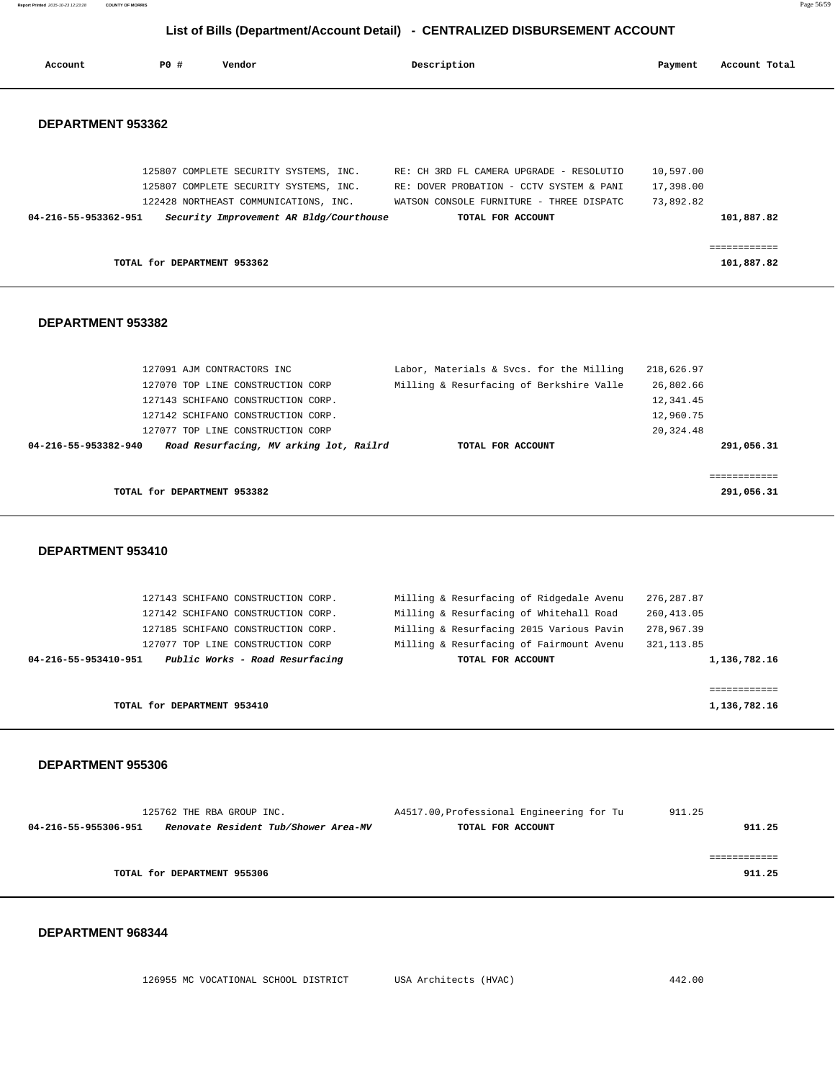| Account              | PO# | Vendor                                                                          | Description                                                                                                                                                             | Payment                             | Account Total |
|----------------------|-----|---------------------------------------------------------------------------------|-------------------------------------------------------------------------------------------------------------------------------------------------------------------------|-------------------------------------|---------------|
| DEPARTMENT 953362    |     |                                                                                 |                                                                                                                                                                         |                                     |               |
|                      |     | 125807 COMPLETE SECURITY SYSTEMS, INC.<br>122428 NORTHEAST COMMUNICATIONS, INC. | 125807 COMPLETE SECURITY SYSTEMS, INC. RE: CH 3RD FL CAMERA UPGRADE - RESOLUTIO<br>RE: DOVER PROBATION - CCTV SYSTEM & PANI<br>WATSON CONSOLE FURNITURE - THREE DISPATC | 10,597.00<br>17,398.00<br>73,892.82 |               |
| 04-216-55-953362-951 |     | Security Improvement AR Bldg/Courthouse                                         | TOTAL FOR ACCOUNT                                                                                                                                                       |                                     | 101,887.82    |
|                      |     |                                                                                 |                                                                                                                                                                         |                                     |               |
|                      |     |                                                                                 |                                                                                                                                                                         |                                     | ============  |
|                      |     | TOTAL for DEPARTMENT 953362                                                     |                                                                                                                                                                         |                                     | 101,887.82    |
| DEPARTMENT 953382    |     |                                                                                 |                                                                                                                                                                         |                                     |               |
|                      |     | 127091 AJM CONTRACTORS INC                                                      | Labor, Materials & Svcs. for the Milling                                                                                                                                | 218,626.97                          |               |
|                      |     | 127070 TOP LINE CONSTRUCTION CORP                                               | Milling & Resurfacing of Berkshire Valle                                                                                                                                | 26,802.66                           |               |
|                      |     | 127143 SCHIFANO CONSTRUCTION CORP.                                              |                                                                                                                                                                         | 12,341.45                           |               |
|                      |     | 127142 SCHIFANO CONSTRUCTION CORP.                                              |                                                                                                                                                                         | 12,960.75                           |               |
|                      |     | 127077 TOP LINE CONSTRUCTION CORP                                               |                                                                                                                                                                         | 20, 324.48                          |               |
| 04-216-55-953382-940 |     | Road Resurfacing, MV arking lot, Railrd                                         | TOTAL FOR ACCOUNT                                                                                                                                                       |                                     | 291,056.31    |
|                      |     |                                                                                 |                                                                                                                                                                         |                                     | ============  |
|                      |     | TOTAL for DEPARTMENT 953382                                                     |                                                                                                                                                                         |                                     | 291,056.31    |
| DEPARTMENT 953410    |     |                                                                                 |                                                                                                                                                                         |                                     |               |

**Report Printed** 2015-10-23 12:23:28 **COUNTY OF MORRIS** Page 56/59

| TOTAL for DEPARTMENT 953410                             |                                          | 1,136,782.16 |
|---------------------------------------------------------|------------------------------------------|--------------|
|                                                         |                                          | ------------ |
| Public Works - Road Resurfacing<br>04-216-55-953410-951 | TOTAL FOR ACCOUNT                        | 1,136,782.16 |
| 127077 TOP LINE CONSTRUCTION CORP                       | Milling & Resurfacing of Fairmount Avenu | 321, 113.85  |
| 127185 SCHIFANO CONSTRUCTION CORP.                      | Milling & Resurfacing 2015 Various Pavin | 278,967.39   |
| 127142 SCHIFANO CONSTRUCTION CORP.                      | Milling & Resurfacing of Whitehall Road  | 260,413.05   |
| 127143 SCHIFANO CONSTRUCTION CORP.                      | Milling & Resurfacing of Ridgedale Avenu | 276,287.87   |
|                                                         |                                          |              |

 **DEPARTMENT 955306** 

|                      | 125762 THE RBA GROUP INC.            | A4517.00, Professional Engineering for Tu | 911.25 |
|----------------------|--------------------------------------|-------------------------------------------|--------|
| 04-216-55-955306-951 | Renovate Resident Tub/Shower Area-MV | TOTAL FOR ACCOUNT                         | 911.25 |
|                      |                                      |                                           |        |
|                      |                                      |                                           |        |
|                      | TOTAL for DEPARTMENT 955306          |                                           | 911.25 |
|                      |                                      |                                           |        |

#### **DEPARTMENT 968344**

126955 MC VOCATIONAL SCHOOL DISTRICT USA Architects (HVAC) 442.00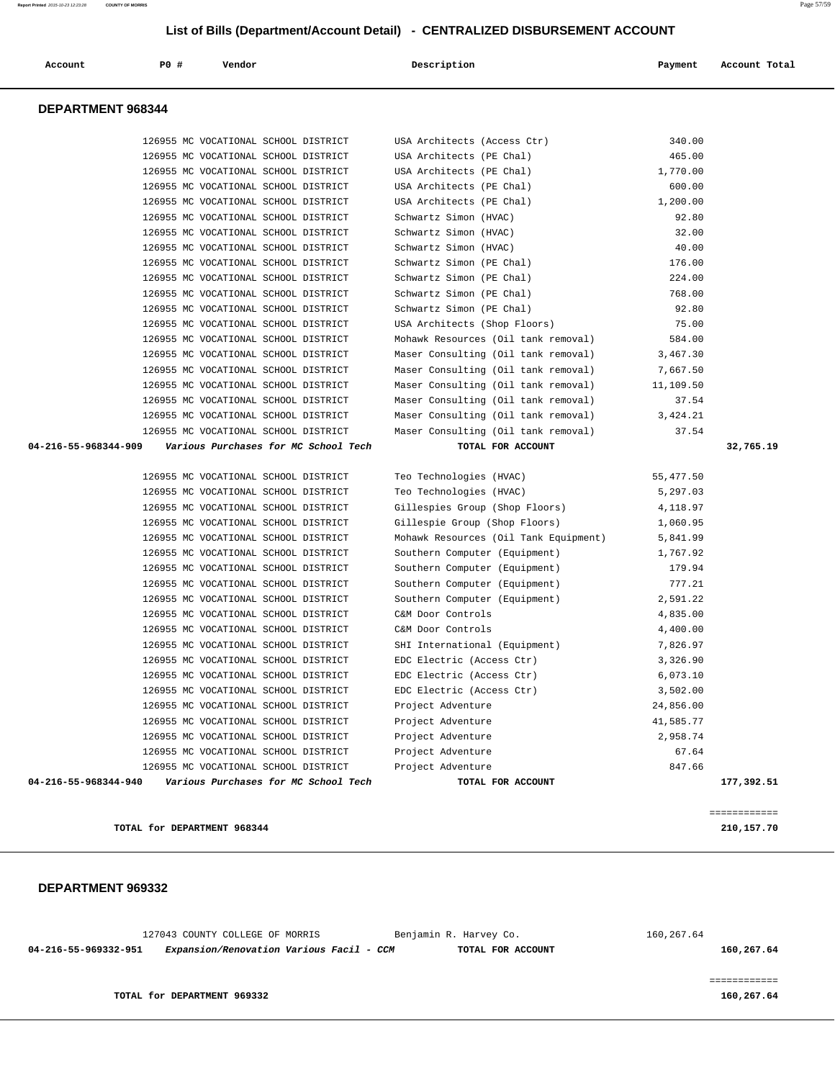| 127043 COUNTY COLLEGE OF MORRIS<br>Expansion/Renovation Various Facil - CCM<br>04-216-55-969332-951 | Benjamin R. Harvey Co.<br>TOTAL FOR ACCOUNT             | 160,267.64       | 160,267.64                 |
|-----------------------------------------------------------------------------------------------------|---------------------------------------------------------|------------------|----------------------------|
| DEPARTMENT 969332                                                                                   |                                                         |                  |                            |
| TOTAL for DEPARTMENT 968344                                                                         |                                                         |                  | ============<br>210,157.70 |
|                                                                                                     |                                                         |                  |                            |
| 04-216-55-968344-940<br>Various Purchases for MC School Tech                                        | TOTAL FOR ACCOUNT                                       |                  | 177,392.51                 |
| 126955 MC VOCATIONAL SCHOOL DISTRICT<br>126955 MC VOCATIONAL SCHOOL DISTRICT                        | Project Adventure<br>Project Adventure                  | 67.64<br>847.66  |                            |
| 126955 MC VOCATIONAL SCHOOL DISTRICT                                                                | Project Adventure                                       | 2,958.74         |                            |
| 126955 MC VOCATIONAL SCHOOL DISTRICT                                                                | Project Adventure                                       | 41,585.77        |                            |
| 126955 MC VOCATIONAL SCHOOL DISTRICT                                                                | Project Adventure                                       | 24,856.00        |                            |
| 126955 MC VOCATIONAL SCHOOL DISTRICT                                                                | EDC Electric (Access Ctr)                               | 3,502.00         |                            |
| 126955 MC VOCATIONAL SCHOOL DISTRICT                                                                | EDC Electric (Access Ctr)                               | 6,073.10         |                            |
| 126955 MC VOCATIONAL SCHOOL DISTRICT                                                                | EDC Electric (Access Ctr)                               | 3,326.90         |                            |
| 126955 MC VOCATIONAL SCHOOL DISTRICT                                                                | SHI International (Equipment)                           | 7,826.97         |                            |
| 126955 MC VOCATIONAL SCHOOL DISTRICT                                                                | C&M Door Controls                                       | 4,400.00         |                            |
| 126955 MC VOCATIONAL SCHOOL DISTRICT                                                                | C&M Door Controls                                       | 4,835.00         |                            |
| 126955 MC VOCATIONAL SCHOOL DISTRICT                                                                | Southern Computer (Equipment)                           | 2,591.22         |                            |
| 126955 MC VOCATIONAL SCHOOL DISTRICT                                                                | Southern Computer (Equipment)                           | 777.21           |                            |
| 126955 MC VOCATIONAL SCHOOL DISTRICT                                                                | Southern Computer (Equipment)                           | 179.94           |                            |
| 126955 MC VOCATIONAL SCHOOL DISTRICT                                                                | Southern Computer (Equipment)                           | 1,767.92         |                            |
| 126955 MC VOCATIONAL SCHOOL DISTRICT                                                                | Mohawk Resources (Oil Tank Equipment)                   | 5,841.99         |                            |
| 126955 MC VOCATIONAL SCHOOL DISTRICT                                                                | Gillespie Group (Shop Floors)                           | 1,060.95         |                            |
| 126955 MC VOCATIONAL SCHOOL DISTRICT                                                                | Gillespies Group (Shop Floors)                          | 4,118.97         |                            |
| 126955 MC VOCATIONAL SCHOOL DISTRICT                                                                | Teo Technologies (HVAC)                                 | 5,297.03         |                            |
| 126955 MC VOCATIONAL SCHOOL DISTRICT                                                                | Teo Technologies (HVAC)                                 | 55,477.50        |                            |
| 04-216-55-968344-909<br>Various Purchases for MC School Tech                                        | TOTAL FOR ACCOUNT                                       |                  | 32,765.19                  |
| 126955 MC VOCATIONAL SCHOOL DISTRICT                                                                | Maser Consulting (Oil tank removal)                     | 37.54            |                            |
| 126955 MC VOCATIONAL SCHOOL DISTRICT                                                                | Maser Consulting (Oil tank removal)                     | 3,424.21         |                            |
| 126955 MC VOCATIONAL SCHOOL DISTRICT                                                                | Maser Consulting (Oil tank removal)                     | 37.54            |                            |
| 126955 MC VOCATIONAL SCHOOL DISTRICT                                                                | Maser Consulting (Oil tank removal)                     | 11,109.50        |                            |
| 126955 MC VOCATIONAL SCHOOL DISTRICT                                                                | Maser Consulting (Oil tank removal)                     | 7,667.50         |                            |
| 126955 MC VOCATIONAL SCHOOL DISTRICT                                                                | Maser Consulting (Oil tank removal) 3,467.30            |                  |                            |
| 126955 MC VOCATIONAL SCHOOL DISTRICT                                                                | Mohawk Resources (Oil tank removal)                     | 584.00           |                            |
| 126955 MC VOCATIONAL SCHOOL DISTRICT                                                                | USA Architects (Shop Floors)                            | 75.00            |                            |
| 126955 MC VOCATIONAL SCHOOL DISTRICT                                                                | Schwartz Simon (PE Chal)                                | 92.80            |                            |
| 126955 MC VOCATIONAL SCHOOL DISTRICT                                                                | Schwartz Simon (PE Chal)                                | 768.00           |                            |
| 126955 MC VOCATIONAL SCHOOL DISTRICT                                                                | Schwartz Simon (PE Chal)                                | 224.00           |                            |
| 126955 MC VOCATIONAL SCHOOL DISTRICT                                                                | Schwartz Simon (PE Chal)                                | 176.00           |                            |
| 126955 MC VOCATIONAL SCHOOL DISTRICT                                                                | Schwartz Simon (HVAC)                                   | 40.00            |                            |
| 126955 MC VOCATIONAL SCHOOL DISTRICT                                                                | Schwartz Simon (HVAC)                                   | 32.00            |                            |
| 126955 MC VOCATIONAL SCHOOL DISTRICT                                                                | Schwartz Simon (HVAC)                                   | 92.80            |                            |
| 126955 MC VOCATIONAL SCHOOL DISTRICT                                                                | USA Architects (PE Chal)                                | 1,200.00         |                            |
| 126955 MC VOCATIONAL SCHOOL DISTRICT                                                                | USA Architects (PE Chal)                                | 600.00           |                            |
| 126955 MC VOCATIONAL SCHOOL DISTRICT                                                                | USA Architects (PE Chal)                                | 1,770.00         |                            |
| 126955 MC VOCATIONAL SCHOOL DISTRICT<br>126955 MC VOCATIONAL SCHOOL DISTRICT                        | USA Architects (Access Ctr)<br>USA Architects (PE Chal) | 340.00<br>465.00 |                            |
|                                                                                                     |                                                         |                  |                            |

============

#### **TOTAL for DEPARTMENT 969332** 160,267.64

## **List of Bills (Department/Account Detail) - CENTRALIZED DISBURSEMENT ACCOUNT**

 **Account P0 # Vendor Description Payment Account Total**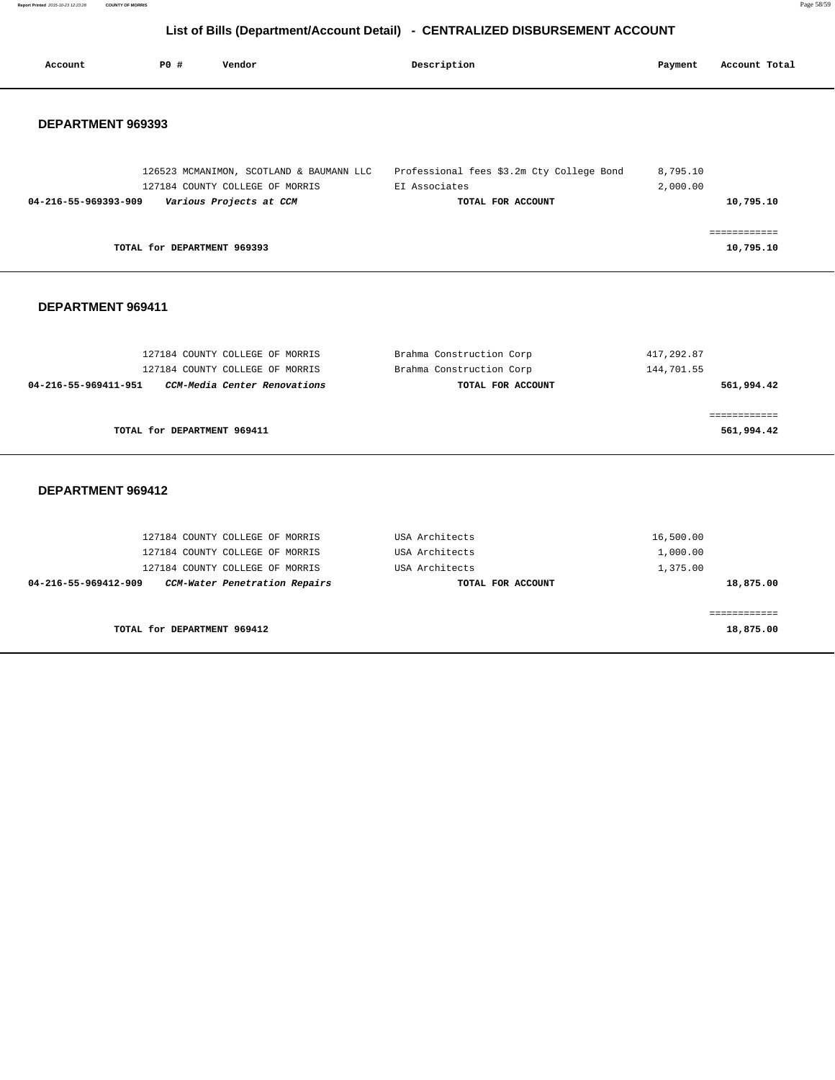**Report Printed** 2015-10-23 12:23:28 **COUNTY OF MORRIS** Page 58/59

# **List of Bills (Department/Account Detail) - CENTRALIZED DISBURSEMENT ACCOUNT**

| Account              | PO# | Vendor                                                                                                                                 | Description                                                                     | Payment                           | Account Total              |
|----------------------|-----|----------------------------------------------------------------------------------------------------------------------------------------|---------------------------------------------------------------------------------|-----------------------------------|----------------------------|
| DEPARTMENT 969393    |     |                                                                                                                                        |                                                                                 |                                   |                            |
| 04-216-55-969393-909 |     | 126523 MCMANIMON, SCOTLAND & BAUMANN LLC<br>127184 COUNTY COLLEGE OF MORRIS<br>Various Projects at CCM                                 | Professional fees \$3.2m Cty College Bond<br>EI Associates<br>TOTAL FOR ACCOUNT | 8,795.10<br>2,000.00              | 10,795.10                  |
|                      |     | TOTAL for DEPARTMENT 969393                                                                                                            |                                                                                 |                                   | ============<br>10,795.10  |
| DEPARTMENT 969411    |     |                                                                                                                                        |                                                                                 |                                   |                            |
| 04-216-55-969411-951 |     | 127184 COUNTY COLLEGE OF MORRIS<br>127184 COUNTY COLLEGE OF MORRIS<br>CCM-Media Center Renovations                                     | Brahma Construction Corp<br>Brahma Construction Corp<br>TOTAL FOR ACCOUNT       | 417,292.87<br>144,701.55          | 561,994.42                 |
|                      |     | TOTAL for DEPARTMENT 969411                                                                                                            |                                                                                 |                                   | ============<br>561,994.42 |
| DEPARTMENT 969412    |     |                                                                                                                                        |                                                                                 |                                   |                            |
| 04-216-55-969412-909 |     | 127184 COUNTY COLLEGE OF MORRIS<br>127184 COUNTY COLLEGE OF MORRIS<br>127184 COUNTY COLLEGE OF MORRIS<br>CCM-Water Penetration Repairs | USA Architects<br>USA Architects<br>USA Architects<br>TOTAL FOR ACCOUNT         | 16,500.00<br>1,000.00<br>1,375.00 | 18,875.00                  |
|                      |     |                                                                                                                                        |                                                                                 |                                   | ============               |

**TOTAL for DEPARTMENT 969412** 18,875.00